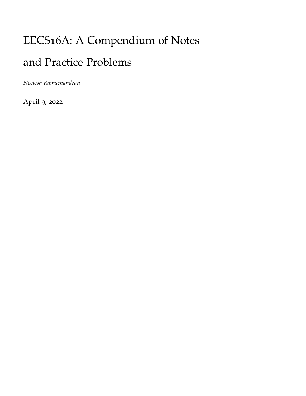# EECS16A: A Compendium of Notes and Practice Problems

*Neelesh Ramachandran*

April 9, 2022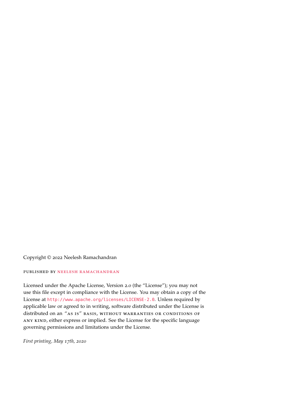Copyright © 2022 Neelesh Ramachandran

### published by [neelesh ramachandran](https://www.neeleshramachandran.com/)

Licensed under the Apache License, Version 2.0 (the "License"); you may not use this file except in compliance with the License. You may obtain a copy of the License at <http://www.apache.org/licenses/LICENSE-2.0>. Unless required by applicable law or agreed to in writing, software distributed under the License is distributed on an "as is" basis, without warranties or conditions of any kind, either express or implied. See the License for the specific language governing permissions and limitations under the License.

*First printing, May 17th, 2020*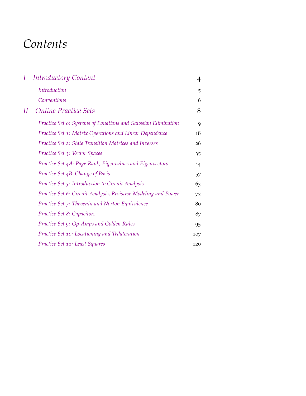## <span id="page-2-0"></span>*Contents*

| $I_{-}$ | <b>Introductory Content</b>                                    | 4   |
|---------|----------------------------------------------------------------|-----|
|         | Introduction                                                   | 5   |
|         | Conventions                                                    | 6   |
| II      | <b>Online Practice Sets</b>                                    | 8   |
|         | Practice Set o: Systems of Equations and Gaussian Elimination  | 9   |
|         | Practice Set 1: Matrix Operations and Linear Dependence        | 18  |
|         | Practice Set 2: State Transition Matrices and Inverses         | 26  |
|         | Practice Set 3: Vector Spaces                                  | 35  |
|         | Practice Set 4A: Page Rank, Eigenvalues and Eigenvectors       | 44  |
|         | Practice Set 4B: Change of Basis                               | 57  |
|         | Practice Set 5: Introduction to Circuit Analysis               | 63  |
|         | Practice Set 6: Circuit Analysis, Resistive Modeling and Power | 72  |
|         | Practice Set 7: Thevenin and Norton Equivalence                | 80  |
|         | Practice Set 8: Capacitors                                     | 87  |
|         | Practice Set 9: Op-Amps and Golden Rules                       | 95  |
|         | Practice Set 10: Locationing and Trilateration                 | 107 |
|         | Practice Set 11: Least Squares                                 | 120 |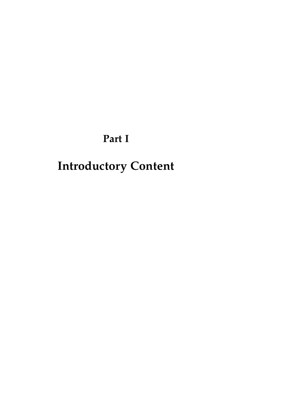**Part I**

# <span id="page-3-0"></span>**Introductory Content**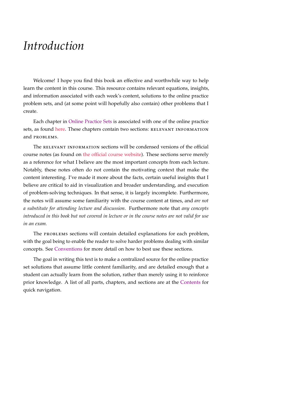## <span id="page-4-0"></span>*Introduction*

Welcome! I hope you find this book an effective and worthwhile way to help learn the content in this course. This resource contains relevant equations, insights, and information associated with each week's content, solutions to the online practice problem sets, and (at some point will hopefully also contain) other problems that I create.

Each chapter in [Online Practice Sets](#page-7-0) is associated with one of the online practice sets, as found [here.](https://www.eecs16a.org/hw-practice.html) These chapters contain two sections: RELEVANT INFORMATION and problems.

The RELEVANT INFORMATION sections will be condensed versions of the official course notes (as found on [the official course website\)](www.eecs16a.org). These sections serve merely as a reference for what I believe are the most important concepts from each lecture. Notably, these notes often do not contain the motivating context that make the content interesting. I've made it more about the facts, certain useful insights that I believe are critical to aid in visualization and broader understanding, and execution of problem-solving techniques. In that sense, it is largely incomplete. Furthermore, the notes will assume some familiarity with the course content at times, and *are not a substitute for attending lecture and discussion*. Furthermore note that *any concepts introduced in this book but not covered in lecture or in the course notes are not valid for use in an exam.*

The problems sections will contain detailed explanations for each problem, with the goal being to enable the reader to solve harder problems dealing with similar concepts. See [Conventions](#page-5-0) for more detail on how to best use these sections.

The goal in writing this text is to make a centralized source for the online practice set solutions that assume little content familiarity, and are detailed enough that a student can actually learn from the solution, rather than merely using it to reinforce prior knowledge. A list of all parts, chapters, and sections are at the [Contents](#page-2-0) for quick navigation.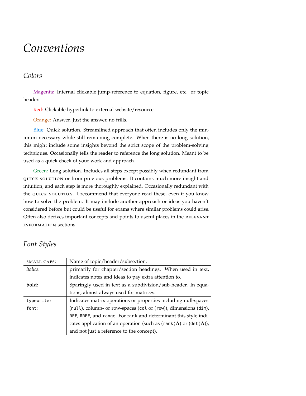## <span id="page-5-0"></span>*Conventions*

### *Colors*

Magenta: Internal clickable jump-reference to equation, figure, etc. or topic header.

Red: Clickable hyperlink to external website/resource.

Orange: Answer. Just the answer, no frills.

Blue: Quick solution. Streamlined approach that often includes only the minimum necessary while still remaining complete. When there is no long solution, this might include some insights beyond the strict scope of the problem-solving techniques. Occasionally tells the reader to reference the long solution. Meant to be used as a quick check of your work and approach.

Green: Long solution. Includes all steps except possibly when redundant from quick solution or from previous problems. It contains much more insight and intuition, and each step is more thoroughly explained. Occasionally redundant with the QUICK SOLUTION. I recommend that everyone read these, even if you know how to solve the problem. It may include another approach or ideas you haven't considered before but could be useful for exams where similar problems could arise. Often also derives important concepts and points to useful places in the RELEVANT information sections.

## *Font Styles*

| SMALL CAPS:      | Name of topic/header/subsection.                                     |
|------------------|----------------------------------------------------------------------|
| <i>italics</i> : | primarily for chapter/section headings. When used in text,           |
|                  | indicates notes and ideas to pay extra attention to.                 |
| bold:            | Sparingly used in text as a subdivision/sub-header. In equa-         |
|                  | tions, almost always used for matrices.                              |
| typewriter       | Indicates matrix operations or properties including null-spaces      |
| font:            | (null), column- or row-spaces (col or (row)), dimensions (dim),      |
|                  | REF, RREF, and range. For rank and determinant this style indi-      |
|                  | cates application of an operation (such as (rank(A) or $(\det(A))$ , |
|                  | and not just a reference to the concept).                            |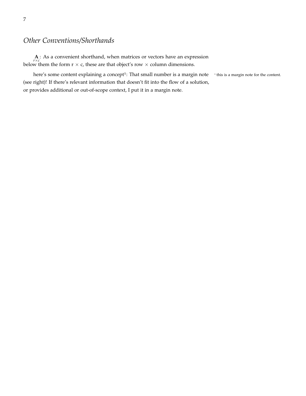## *Other Conventions/Shorthands*

**A**: As a convenient shorthand, when matrices or vectors have an expression  $r \times c$ below them the form  $r \times c$ , these are that object's row  $\times$  column dimensions.

here's some content explaining a concept<sup>1</sup>: That small number is a margin note  $\frac{1}{2}$  $<sup>1</sup>$  this is a margin note for the content.</sup> (see right)! If there's relevant information that doesn't fit into the flow of a solution, or provides additional or out-of-scope context, I put it in a margin note.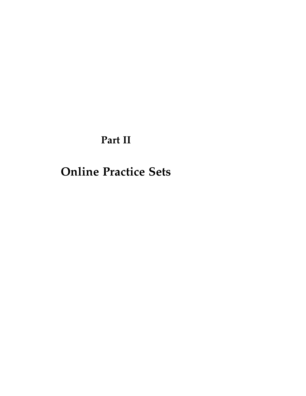## **Part II**

## <span id="page-7-0"></span>**Online Practice Sets**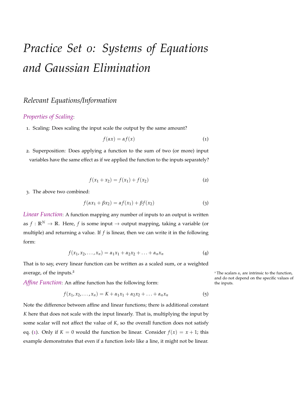# <span id="page-8-0"></span>*Practice Set 0: Systems of Equations and Gaussian Elimination*

## *Relevant Equations/Information*

### *Properties of Scaling*:

1. Scaling: Does scaling the input scale the output by the same amount?

<span id="page-8-1"></span>
$$
f(\alpha x) = \alpha f(x) \tag{1}
$$

<span id="page-8-3"></span>2. Superposition: Does applying a function to the sum of two (or more) input variables have the same effect as if we applied the function to the inputs separately?

<span id="page-8-4"></span>
$$
f(x_1 + x_2) = f(x_1) + f(x_2)
$$
 (2)

3. The above two combined:

$$
f(\alpha x_1 + \beta x_2) = \alpha f(x_1) + \beta f(x_2)
$$
\n(3)

<span id="page-8-2"></span>*Linear Function*: A function mapping any number of inputs to an output is written as  $f: \mathbb{R}^N \to \mathbb{R}$ . Here, f is some input  $\to$  output mapping, taking a variable (or multiple) and returning a value. If *f* is linear, then we can write it in the following form:

$$
f(x_1, x_2,..., x_n) = \alpha_1 x_1 + \alpha_2 x_2 + ... + \alpha_n x_n
$$
 (4)

That is to say, every linear function can be written as a scaled sum, or a weighted average, of the inputs.<sup>2</sup> The scalars  $\alpha_i$  are intrinsic to the function,

*Affine Function*: An affine function has the following form: the inputs.

$$
f(x_1, x_2,..., x_n) = K + \alpha_1 x_1 + \alpha_2 x_2 + ... + \alpha_n x_n
$$
 (5)

Note the difference between affine and linear functions; there is additional constant *K* here that does not scale with the input linearly. That is, multiplying the input by some scalar will not affect the value of *K*, so the overall function does not satisfy eq. ([1](#page-8-1)). Only if  $K = 0$  would the function be linear. Consider  $f(x) = x + 1$ ; this example demonstrates that even if a function *looks* like a line, it might not be linear.

and do not depend on the specific values of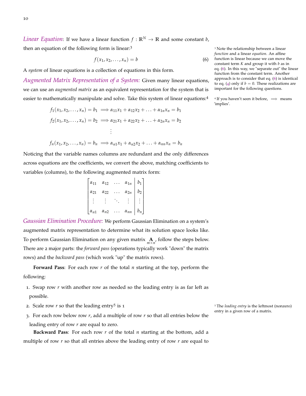*Linear Equation*: If we have a linear function  $f : \mathbb{R}^N \to \mathbb{R}$  and some constant *b*, then an equation of the following form is linear:<sup>3</sup> 3 Note the relationship between a linear

<span id="page-9-0"></span>
$$
f(x_1, x_2, \dots, x_n) = b \tag{6}
$$

A *system* of linear equations is a collection of equations in this form.

*Augmented Matrix Representation of a System:* Given many linear equations, we can use an *augmented matrix* as an equivalent representation for the system that is easier to mathematically manipulate and solve. Take this system of linear equations:<sup>4</sup> <sup>4</sup>

$$
f_1(x_1, x_2,..., x_n) = b_1 \implies \alpha_{11}x_1 + \alpha_{12}x_2 + ... + \alpha_{1n}x_n = b_1
$$
  

$$
f_2(x_1, x_2,..., x_n) = b_2 \implies \alpha_{21}x_1 + \alpha_{22}x_2 + ... + \alpha_{2n}x_n = b_2
$$
  

$$
\vdots
$$

$$
f_n(x_1, x_2,..., x_n) = b_n \implies \alpha_{n1}x_1 + \alpha_{n2}x_2 + ... + \alpha_{nn}x_n = b_n
$$

Noticing that the variable names columns are redundant and the only differences across equations are the coefficients, we convert the above, matching coefficients to variables (columns), to the following augmented matrix form:

| $\alpha_{11}$ | $\alpha_{12}$ | $\alpha_{1n}$ | $b_1$          |
|---------------|---------------|---------------|----------------|
| $\alpha_{21}$ | $\alpha_{22}$ | $\alpha_{2n}$ | b <sub>2</sub> |
|               |               |               |                |
| $\alpha_{n1}$ | $\alpha_{n2}$ | $\alpha_{nn}$ | $b_n$          |

*Gaussian Elimination Procedure:* We perform Gaussian Elimination on a system's augmented matrix representation to determine what its solution space looks like. To perform Gaussian Elimination on any given matrix  $\mathbf{A}_{m \times n}$ , follow the steps below. There are 2 major parts: the *forward pass* (operations typically work "down" the matrix rows) and the *backward pass* (which work "up" the matrix rows).

**Forward Pass**: For each row *r* of the total *n* starting at the top, perform the following:

- 1. Swap row *r* with another row as needed so the leading entry is as far left as possible.
- 2. Scale row  $r$  so that the leading entry<sup>5</sup> is  $1$
- 3. For each row below row *r*, add a multiple of row *r* so that all entries below the leading entry of row *r* are equal to zero.

**Backward Pass**: For each row *r* of the total *n* starting at the bottom, add a multiple of row *r* so that all entries above the leading entry of row *r* are equal to

*function* and a linear *equation*. An affine function is linear because we can move the constant term *K* and group it with *b* as in eq. ([6](#page-9-0)). In this way, we "separate out" the linear function from the constant term. Another approach is to consider that eq. ([6](#page-9-0)) is identical to eq. ([4](#page-8-2)) only if  $b = 0$ . These realizations are important for the following questions.

<sup>4</sup> If you haven't seen it before,  $\implies$  means 'implies'.

<sup>5</sup> The *leading entry* is the leftmost (nonzero) entry in a given row of a matrix.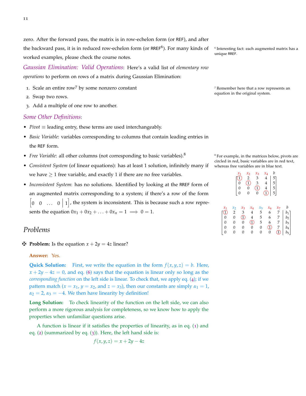zero. After the forward pass, the matrix is in row-echelon form (or REF), and after the backward pass, it is in reduced row-echelon form (or RREF<sup>6</sup>). For many kinds of  $\frac{6}{5}$ worked examples, please check the course notes.

*Gaussian Elimination: Valid Operations*: Here's a valid list of *elementary row operations* to perform on rows of a matrix during Gaussian Elimination:

- 1. Scale an entire row<sup>7</sup> by some nonzero constant The method of  $\alpha$ <sup>7</sup> Remember here that a row represents an
- 2. Swap two rows.
- 3. Add a multiple of one row to another.

### *Some Other Definitions*:

- *Pivot* ≡ leading entry, these terms are used interchangeably.
- *Basic Variable*: variables corresponding to columns that contain leading entries in the REF form.
- *Free Variable*: all other columns (not corresponding to basic variables).<sup>8</sup> <sup>8</sup> For example, in the matrices below, pivots are
- *Consistent System* (of linear equations): has at least 1 solution, infinitely many if we have  $\geq 1$  free variable, and exactly 1 if there are no free variables.
- *Inconsistent System*: has no solutions. Identified by looking at the RREF form of an augmented matrix corresponding to a system; if there's a row of the form  $\begin{bmatrix} 0 & 0 & \dots & 0 & 1 \end{bmatrix}$ , the system is inconsistent. This is because such a row represents the equation  $0x_1 + 0x_2 + ... + 0x_n = 1 \implies 0 = 1$ .

### *Problems*

### $\mathbf{\nabla}$  Problem: Is the equation  $x + 2y = 4z$  linear?

### **Answer:** Yes.

**Quick Solution:** First, we write the equation in the form  $f(x, y, z) = b$ . Here,  $x + 2y - 4z = 0$ , and eq. ([6](#page-9-0)) says that the equation is linear only so long as the *corresponding function* on the left side is linear. To check that, we apply eq. ([4](#page-8-2)); if we pattern match ( $x = x_1$ ,  $y = x_2$ , and  $z = x_3$ ), then our constants are simply  $\alpha_1 = 1$ ,  $\alpha_2 = 2$ ,  $\alpha_3 = -4$ . We then have linearity by definition!

**Long Solution:** To check linearity of the function on the left side, we can also perform a more rigorous analysis for completeness, so we know how to apply the properties when unfamiliar questions arise.

A function is linear if it satisfies the properties of linearity, as in eq. ([1](#page-8-1)) and eq. ([2](#page-8-3)) (summarized by eq. ([3](#page-8-4))). Here, the left hand side is:

$$
f(x, y, z) = x + 2y - 4z
$$

 $6$  Interesting fact: each augmented matrix has a unique RREF.

equation in the original system.

circled in red, basic variables are in red text, whereas free variables are in blue text.

|                                  |                                                                                                   | $x_1$<br>$_0^0$                                                       | $x_2$<br>$\overline{2}$<br>$\widehat{1}$<br>$\overline{0}$<br>$\overline{0}$                                                                                                  | $x_3$<br>3<br>$\frac{3}{1}$                   | b<br>$x_4$<br>$\overline{4}$<br>5<br>5<br>5<br>5<br>5<br>$\overline{4}$<br>$\overline{\mathbf{4}}$<br>$\widehat{1}$ |                                |                                                      |
|----------------------------------|---------------------------------------------------------------------------------------------------|-----------------------------------------------------------------------|-------------------------------------------------------------------------------------------------------------------------------------------------------------------------------|-----------------------------------------------|---------------------------------------------------------------------------------------------------------------------|--------------------------------|------------------------------------------------------|
| $x_1$<br>$\frac{1}{0}$<br>0<br>0 | $x_2$<br>$\overline{\mathbf{c}}$<br>$\boldsymbol{0}$<br>$\boldsymbol{0}$<br>$\boldsymbol{0}$<br>0 | $x_3$<br>3<br>I<br>$\mathbf{0}$<br>$\boldsymbol{0}$<br>$\overline{0}$ | $x_4$<br>4<br>$\overline{4}$<br>$\mathfrak{D}% _{T}=\mathfrak{D}_{T}\!\left( a,b\right) ,\ \mathfrak{D}_{T}=C_{T}\!\left( a,b\right) ,$<br>$\boldsymbol{0}$<br>$\overline{0}$ | $x_5$<br>5<br>5<br>5<br>$\boldsymbol{0}$<br>0 | $x_6$<br>6<br>$\frac{6}{6}$<br>$\overline{\mathbb{D}}$<br>0                                                         | $x_7$<br>7<br>7<br>7<br>7<br>ī | b<br>$b_1$<br>$b_2$<br>$b_3$<br>$b_4$<br>$b_{\bf 5}$ |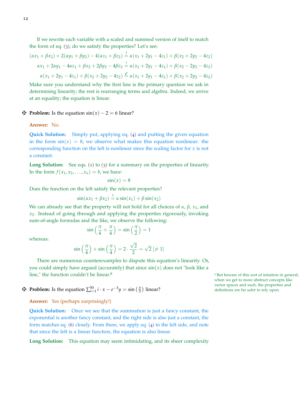If we rewrite each variable with a scaled and summed version of itself to match the form of eq. ([3](#page-8-4)), do we satisfy the properties? Let's see:

$$
(\alpha x_1 + \beta x_2) + 2(\alpha y_1 + \beta y_2) - 4(\alpha z_1 + \beta z_2) \stackrel{?}{=} \alpha(x_1 + 2y_1 - 4z_1) + \beta(x_2 + 2y_2 - 4z_2)
$$
  
\n
$$
\alpha x_1 + 2\alpha y_1 - 4\alpha z_1 + \beta x_2 + 2\beta y_2 - 4\beta z_2 \stackrel{?}{=} \alpha(x_1 + 2y_1 - 4z_1) + \beta(x_2 - 2y_2 - 4z_2)
$$
  
\n
$$
\alpha(x_1 + 2y_1 - 4z_1) + \beta(x_2 + 2y_2 - 4z_2) \stackrel{\checkmark}{=} \alpha(x_1 + 2y_1 - 4z_1) + \beta(x_2 + 2y_2 - 4z_2)
$$

Make sure you understand why the first line is the primary question we ask in determining linearity; the rest is rearranging terms and algebra. Indeed, we arrive at an equality; the equation is linear.

### $\mathbf{\Phi}$  **Problem:** Is the equation  $\sin(x) - 2 = 6$  linear?

**Answer:** No.

**Quick Solution:** Simply put, applying eq. ([4](#page-8-2)) and putting the given equation in the form  $sin(x) = 8$ , we observe what makes this equation nonlinear: the corresponding function on the left is nonlinear since the scaling factor for  $x$  is not a constant.

Long Solution: See eqs. ([1](#page-8-1)) to ([3](#page-8-4)) for a summary on the properties of linearity. In the form  $f(x_1, x_2, \ldots, x_n) = b$ , we have:

$$
\sin(x) = 8
$$

Does the function on the left satisfy the relevant properties?

$$
\sin(\alpha x_1 + \beta x_2) \stackrel{?}{=} \alpha \sin(x_1) + \beta \sin(x_2)
$$

We can already see that the property will not hold for all choices of  $\alpha$ ,  $\beta$ ,  $x_1$ , and *x*2. Instead of going through and applying the properties rigorously, invoking sum-of-angle formulas and the like, we observe the following:

$$
\sin\left(\frac{\pi}{4} + \frac{\pi}{4}\right) = \sin\left(\frac{\pi}{2}\right) = 1
$$

whereas:

$$
\sin\left(\frac{\pi}{4}\right) + \sin\left(\frac{\pi}{4}\right) = 2 \cdot \frac{\sqrt{2}}{2} = \sqrt{2} \; [\neq 1]
$$

There are numerous counterexamples to dispute this equation's linearity. Or, you could simply have argued (accurately) that since  $sin(x)$  does not "look like a line," the function couldn't be linear.<sup>9</sup> **But beware of this sort of intuition in general;** sort of intuition in general;

**Exercise the sequation**  $\sum_{i=1}^{50} i \cdot x - e^{-3}y = \sin\left(\frac{\pi}{3}\right)$  linear? definitions are far safer to rely upon.

**Answer:** Yes (perhaps surprisingly!)

**Quick Solution:** Once we see that the summation is just a fancy constant, the exponential is another fancy constant, and the right side is also just a constant, the form matches eq. ([6](#page-9-0)) closely. From there, we apply eq. ([4](#page-8-2)) to the left side, and note that since the left is a linear function, the equation is also linear.

**Long Solution:** This equation may seem intimidating, and its sheer complexity

when we get to more abstract concepts like vector spaces and such, the properties and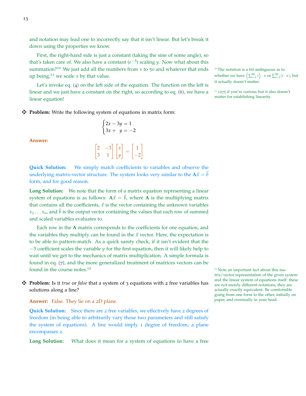and notation may lead one to incorrectly say that it isn't linear. But let's break it down using the properties we know.

First, the right-hand side is just a constant (taking the sine of some angle), so that's taken care of. We also have a constant  $(e^{-3})$  scaling *y*. Now what about this summation?<sup>10</sup> We just add all the numbers from 1 to 50 and whatever that ends <sup>10</sup> The notation is a bit ambiguous as to up being, $11$  we scale *x* by that value.

Let's invoke eq. ([4](#page-8-2)) on the left side of the equation. The function on the left is linear and we just have a constant on the right, so according to eq. ([6](#page-9-0)), we have a linear equation!

### $\cdot$  **Problem:** Write the following system of equations in matrix form:

 $\lceil$ 

**Answer:**

$$
\begin{cases} 2x - 3y = 1 \\ 3x + y = -2 \end{cases}
$$
  

$$
\begin{bmatrix} 2 & -3 \\ 3 & 1 \end{bmatrix} \begin{bmatrix} x \\ y \end{bmatrix} = \begin{bmatrix} 1 \\ -2 \end{bmatrix}
$$

**Quick Solution:** We simply match coefficients to variables and observe the underlying matrix-vector structure. The system looks very similar to the  $A\vec{x} = b$ form, and for good reason.

**Long Solution:** We note that the form of a matrix equation representing a linear system of equations is as follows:  $A\vec{x} = \vec{b}$ , where A is the multiplying matrix that contains all the coefficients,  $\vec{x}$  is the vector containing the unknown variables  $x_1 \ldots x_n$ , and  $\vec{b}$  is the output vector containing the values that each row of summed and scaled variables evaluates to.

Each row in the **A** matrix corresponds to the coefficients for one equation, and the variables they multiply can be found in the  $\vec{x}$  vector. Here, the expectation is to be able to pattern-match. As a quick sanity check, if it isn't evident that the −3 coefficient scales the variable *y* for the first equation, then it will likely help to wait until we get to the mechanics of matrix multiplication. A simple formula is found in eq. ([7](#page-17-1)), and the more generalized treatment of matrices vectors can be found in the course notes.<sup>12</sup>  $\frac{12}{2}$   $\frac{12}{2}$  Note an important fact about this ma-

z **Problem:** Is it *true* or *false* that a system of 3 equations with 2 free variables has solutions along a line?

**Answer:** False. They lie on a 2D plane.

**Quick Solution:** Since there are 2 free variables, we effectively have 2 degrees of freedom (in being able to arbitrarily vary those two parameters and still satisfy the system of equations). A line would imply 1 degree of freedom; a plane encompasses 2.

**Long Solution:** What does it mean for a system of equations to have a free

whether we have  $\left(\sum_{i=1}^{50}i\right)\cdot x$  or  $\sum_{i=1}^{50}(i\cdot x)$ , but it actually doesn't matter.

<sup>11</sup> 1275 if you're curious but it also doesn't matter for establishing linearity.

trix/vector representation of the given system and the linear system of equations itself: these are not merely different notations, they are actually exactly equivalent. Be comfortable going from one form to the other, initially on paper, and eventually in your head.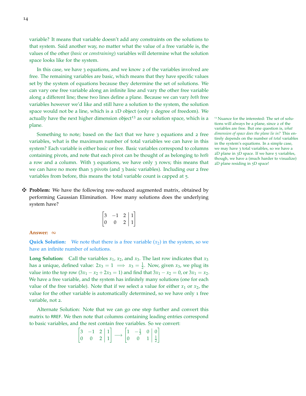variable? It means that variable doesn't add any constraints on the solutions to that system. Said another way, no matter what the value of a free variable is, the values of the other (*basic* or *constraining*) variables will determine what the solution space looks like for the system.

In this case, we have 3 equations, and we know 2 of the variables involved are free. The remaining variables are basic, which means that they have specific values set by the system of equations because they determine the set of solutions. We can vary one free variable along an infinite line and vary the other free variable along a different line; these two lines define a plane. Because we can vary *both* free variables however we'd like and still have a solution to the system, the solution space would not be a line, which is a 1D object (only 1 degree of freedom). We actually have the next higher dimension object<sup>13</sup> as our solution space, which is a  $13$  Nuance for the interested: The set of soluplane.

Something to note; based on the fact that we have 3 equations and 2 free variables, what is the maximum number of total variables we can have in this system? Each variable is either basic or free. Basic variables correspond to columns containing pivots, and note that each pivot can be thought of as belonging to *both* a row and a column. With 3 equations, we have only 3 rows; this means that we can have no more than 3 pivots (and 3 basic variables). Including our 2 free variables from before, this means the total variable count is capped at 5.

z **Problem:** We have the following row-reduced augmented matrix, obtained by performing Gaussian Elimination. How many solutions does the underlying system have?

| 3                |   | 2  |   |
|------------------|---|----|---|
| $\left( \right)$ | 0 | ') | Ŧ |

#### **Answer:** ∞

**Quick Solution:** We note that there is a free variable  $(x_2)$  in the system, so we have an infinite number of solutions.

**Long Solution:** Call the variables  $x_1$ ,  $x_2$ , and  $x_3$ . The last row indicates that  $x_3$ has a unique, defined value:  $2x_3 = 1 \implies x_3 = \frac{1}{2}$ . Now, given  $x_3$ , we plug its value into the top row  $(3x_1 - x_2 + 2x_3 = 1)$  and find that  $3x_1 - x_2 = 0$ , or  $3x_1 = x_2$ . We have a free variable, and the system has infinitely many solutions (one for each value of the free variable). Note that if we select a value for either  $x_1$  or  $x_2$ , the value for the other variable is automatically determined, so we have only 1 free variable, not 2.

Alternate Solution: Note that we can go one step further and convert this matrix to RREF. We then note that columns containing leading entries correspond to basic variables, and the rest contain free variables. So we convert:

$$
\begin{bmatrix} 3 & -1 & 2 & | & 1 \\ 0 & 0 & 2 & | & 1 \end{bmatrix} \longrightarrow \begin{bmatrix} 1 & -\frac{1}{3} & 0 & | & 0 \\ 0 & 0 & 1 & | & \frac{1}{2} \end{bmatrix}
$$

tions will always be a plane, since 2 of the variables are free. But one question is, *what dimension of space does the plane lie in?* This entirely depends on the number of *total* variables in the system's equations. In a simple case, we may have 3 total variables, so we have a 2D plane in 3D space. If we have 5 variables, though, we have a (much harder to visualize) 2D plane residing in 5D space!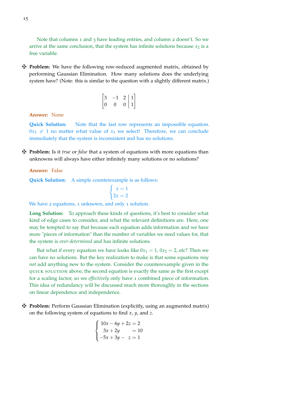Note that columns 1 and 3 have leading entries, and column 2 doesn't. So we arrive at the same conclusion, that the system has infinite solutions because  $x_2$  is a free variable.

z **Problem:** We have the following row-reduced augmented matrix, obtained by performing Gaussian Elimination. How many solutions does the underlying system have? (Note: this is similar to the question with a slightly different matrix.)

$$
\begin{bmatrix} 3 & -1 & 2 & | & 1 \\ 0 & 0 & 0 & | & 1 \end{bmatrix}
$$

**Answer:** None

**Quick Solution:** Note that the last row represents an impossible equation.  $0x_3 \neq 1$  no matter what value of  $x_3$  we select! Therefore, we can conclude immediately that the system is inconsistent and has no solutions.

z **Problem:** Is it *true* or *false* that a system of equations with more equations than unknowns will always have either infinitely many solutions or no solutions?

**Answer:** False

**Quick Solution:** A simple counterexample is as follows:

$$
\begin{cases}\nx = 1 \\
2x = 2\n\end{cases}
$$

We have 2 equations, 1 unknown, and only 1 solution.

**Long Solution:** To approach these kinds of questions, it's best to consider what kind of edge cases to consider, and what the relevant definitions are. Here, one may be tempted to say that because each equation adds information and we have more "pieces of information" than the number of variables we need values for, that the system is *over-determined* and has infinite solutions.

But what if every equation we have looks like  $0x_1 = 1$ ,  $0x_2 = 2$ , etc? Then we can have no solutions. But the key realization to make is that some equations *may not* add anything new to the system. Consider the counterexample given in the quick solution above; the second equation is exactly the same as the first except for a scaling factor, so we *effectively* only have 1 combined piece of information. This idea of redundancy will be discussed much more thoroughly in the sections on linear dependence and independence.

z **Problem:** Perform Gaussian Elimination (explicitly, using an augmented matrix) on the following system of equations to find *x*, *y*, and *z*.

$$
\begin{cases}\n10x - 6y + 2z = 2 \\
3x + 2y = 10 \\
-5x + 3y - z = 1\n\end{cases}
$$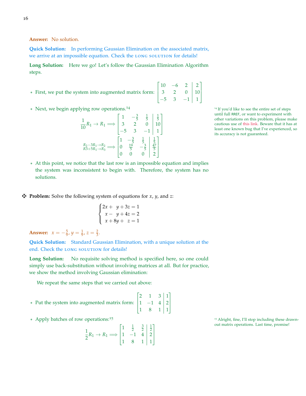**Answer:** No solution.

**Quick Solution:** In performing Gaussian Elimination on the associated matrix, we arrive at an impossible equation. Check the LONG SOLUTION for details!

**Long Solution:** Here we go! Let's follow the Gaussian Elimination Algorithm steps.

Г

 $10 \t -6 \t 2 \t 2$ 

1

 $\begin{array}{c} \hline \end{array}$ 

 $-5$  3  $-1$  | 1

- \* First, we put the system into augmented matrix form: 1 3 2 0 10
- \* Next, we begin applying row operations.<sup>14</sup> 14 14 14 14 If you'd like to see the entire set of steps

$$
\frac{1}{10}R_1 \to R_1 \Longrightarrow \begin{bmatrix} 1 & -\frac{3}{5} & \frac{1}{5} & \frac{1}{5} \\ 3 & 2 & 0 & 10 \\ -5 & 3 & -1 & 1 \end{bmatrix}
$$

$$
\xrightarrow{R_2 - 3R_1 \to R_2} \xrightarrow{R_2 \to R_3} \Longrightarrow \begin{bmatrix} 1 & -\frac{3}{5} & \frac{1}{5} & \frac{1}{5} \\ 0 & \frac{19}{5} & -\frac{3}{5} & \frac{47}{5} \\ 0 & 0 & 0 & 2 \end{bmatrix}
$$

until full RREF, or want to experiment with other variations on this problem, please make cautious use of [this link.](https://lin-matrix.herokuapp.com/) Beware that it has at least one known bug that I've experienced, so its accuracy is not guaranteed.

- \* At this point, we notice that the last row is an impossible equation and implies the system was inconsistent to begin with. Therefore, the system has no solutions.
- $\mathbf{\ddot{P}}$  **Problem:** Solve the following system of equations for *x*, *y*, and *z*:

$$
\begin{cases} 2x + y + 3z = 1 \\ x - y + 4z = 2 \\ x + 8y + z = 1 \end{cases}
$$

**Answer:**  $x = -\frac{5}{9}$ ,  $y = \frac{1}{9}$ ,  $z = \frac{2}{3}$ .

**Quick Solution:** Standard Gaussian Elimination, with a unique solution at the end. Check the LONG SOLUTION for details!

**Long Solution:** No requisite solving method is specified here, so one could simply use back-substitution without involving matrices at all. But for practice, we show the method involving Gaussian elimination:

We repeat the same steps that we carried out above:

\* Put the system into augmented matrix form: 
$$
\begin{bmatrix} 2 & 1 & 3 & | & 1 \\ 1 & -1 & 4 & | & 2 \\ 1 & 8 & 1 & | & 1 \end{bmatrix}
$$

$$
\frac{1}{2}R_1 \to R_1 \Longrightarrow \begin{bmatrix} 1 & \frac{1}{2} & \frac{3}{2} & \frac{1}{2} \\ 1 & -1 & 4 & 2 \\ 1 & 8 & 1 & 1 \end{bmatrix}
$$

\* Apply batches of row operations:<sup>15</sup> 15 Alright, fine, I'll stop including these drawnout matrix operations. Last time, promise!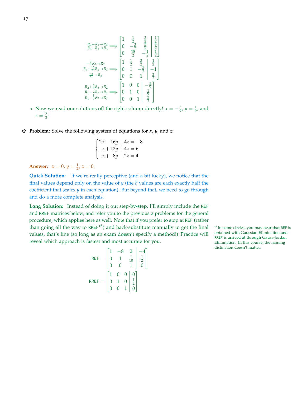$$
R_{2}-R_{1}\rightarrow R_{2} \longrightarrow \begin{bmatrix} 1 & \frac{1}{2} & \frac{3}{2} & \frac{1}{2} \\ 0 & -\frac{3}{2} & \frac{5}{2} & \frac{3}{2} \\ 0 & \frac{15}{2} & -\frac{1}{2} & \frac{1}{2} \end{bmatrix}
$$

$$
R_{3}-\frac{15}{2}R_{2}\rightarrow R_{2} \longrightarrow \begin{bmatrix} 1 & \frac{1}{2} & \frac{3}{2} & \frac{1}{2} \\ 0 & \frac{15}{2} & -\frac{1}{2} & \frac{1}{2} \end{bmatrix}
$$

$$
R_{3}-\frac{15}{2}R_{2}\rightarrow R_{3} \longrightarrow \begin{bmatrix} 1 & \frac{1}{2} & \frac{3}{2} & \frac{1}{2} \\ 0 & 1 & -\frac{5}{3} & -1 \\ 0 & 0 & 1 & \frac{2}{3} \end{bmatrix}
$$

$$
R_{2}+\frac{5}{3}R_{3}\rightarrow R_{2} \longrightarrow \begin{bmatrix} 1 & 0 & 0 & -\frac{5}{9} \\ R_{1}-\frac{3}{2}R_{3}\rightarrow R_{1} & 0 & 0 & \frac{1}{9} \\ 0 & 1 & 0 & \frac{1}{9} \\ 0 & 0 & 1 & \frac{2}{3} \end{bmatrix}
$$

- \* Now we read our solutions off the right column directly!  $x = -\frac{5}{9}$ ,  $y = \frac{1}{9}$ , and  $z = \frac{2}{3}.$
- z **Problem:** Solve the following system of equations for *x*, *y*, and *z*:

$$
\begin{cases} 2x - 16y + 4z = -8 \\ x + 12y + 4z = 6 \\ x + 8y - 2z = 4 \end{cases}
$$

**Answer:**  $x = 0, y = \frac{1}{2}, z = 0.$ 

**Quick Solution:** If we're really perceptive (and a bit lucky), we notice that the final values depend only on the value of *y* (the  $\vec{b}$  values are each exactly half the coefficient that scales *y* in each equation). But beyond that, we need to go through and do a more complete analysis.

**Long Solution:** Instead of doing it out step-by-step, I'll simply include the REF and RREF matrices below, and refer you to the previous 2 problems for the general procedure, which applies here as well. Note that if you prefer to stop at REF (rather than going all the way to RREF<sup>16</sup>) and back-substitute manually to get the final <sup>16</sup> In some circles, you may hear that REF is values, that's fine (so long as an exam doesn't specify a method!) Practice will reveal which approach is fastest and most accurate for you.

$$
REF = \begin{bmatrix} 1 & -8 & 2 & | & -4 \\ 0 & 1 & \frac{1}{10} & \frac{1}{2} \\ 0 & 0 & 1 & 0 \end{bmatrix}
$$
  
\n
$$
RREF = \begin{bmatrix} 1 & 0 & 0 & | & 0 \\ 0 & 1 & 0 & | & \frac{1}{2} \\ 0 & 0 & 1 & | & 0 \end{bmatrix}
$$

obtained with Gaussian Elimination and RREF is arrived at through Gauss-Jordan Elimination. In this course, the naming distinction doesn't matter.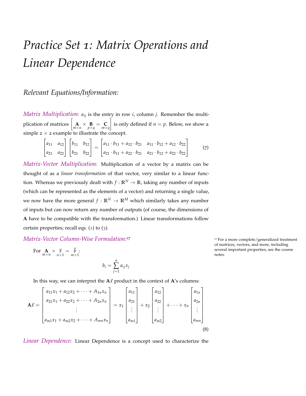# <span id="page-17-0"></span>*Practice Set 1: Matrix Operations and Linear Dependence*

## *Relevant Equations/Information:*

*Matrix Multiplication*: *aij* is the entry in row *i*, column *j*. Remember the multiplication of matrices  $\begin{bmatrix} \n\mathbf{A} \n\end{bmatrix} \times \begin{bmatrix} \mathbf{B} \ \mathbf{B} \n\end{bmatrix} = \begin{bmatrix} \mathbf{C} \ m \times q \end{bmatrix}$ is only defined if  $n = p$ . Below, we show a simple  $2 \times 2$  example to illustrate the concept.

$$
\begin{bmatrix} a_{11} & a_{12} \ a_{21} & a_{22} \end{bmatrix} \begin{bmatrix} b_{11} & b_{12} \ b_{21} & b_{22} \end{bmatrix} = \begin{bmatrix} a_{11} \cdot b_{11} + a_{12} \cdot b_{21} & a_{11} \cdot b_{12} + a_{12} \cdot b_{22} \ a_{21} \cdot b_{11} + a_{22} \cdot b_{21} & a_{21} \cdot b_{12} + a_{22} \cdot b_{22} \end{bmatrix}
$$
(7)

*Matrix-Vector Multiplication*: Multiplication of a vector by a matrix can be thought of as a *linear transformation* of that vector, very similar to a linear function. Whereas we previously dealt with  $f : \mathbb{R}^N \to \mathbb{R}$ , taking any number of inputs (which can be represented as the elements of a vector) and returning a single value, we now have the more general  $f : \mathbb{R}^N \to \mathbb{R}^M$  which similarly takes any number of inputs but can now return any number of outputs (of course, the dimensions of **A** have to be compatible with the transformation.) Linear transformations follow certain properties; recall eqs.  $(1)$  $(1)$  $(1)$  to  $(3)$  $(3)$  $(3)$ .

*Matrix-Vector Column-Wise Formulation*:

For 
$$
\underset{m \times n}{\mathbf{A}} \times \underset{n \times 1}{\vec{x}} = \underset{m \times 1}{\vec{b}}
$$
:

 $b_i =$ *n* ∑ *j*=1 *aijx<sup>j</sup>*

In this way, we can interpret the  $A\vec{x}$  product in the context of  $A$ 's columns:

$$
\mathbf{A}\vec{x} = \begin{bmatrix} a_{11}x_1 + a_{12}x_2 + \dots + A_{1n}x_n \\ a_{21}x_1 + a_{22}x_2 + \dots + A_{2n}x_n \\ \vdots \\ a_{m1}x_1 + a_{m2}x_2 + \dots + A_{mn}x_n \end{bmatrix} = x_1 \begin{bmatrix} a_{11} \\ a_{21} \\ \vdots \\ a_{m1} \end{bmatrix} + x_2 \begin{bmatrix} a_{12} \\ a_{22} \\ \vdots \\ a_{m2} \end{bmatrix} + \dots + x_n \begin{bmatrix} a_{1n} \\ a_{2n} \\ \vdots \\ a_{mn} \end{bmatrix}
$$
(8)

*Linear Dependence*: Linear Dependence is a concept used to characterize the

<span id="page-17-2"></span><span id="page-17-1"></span><sup>17</sup> For a more complete/generalized treatment of matrices, vectors, and more, including several important properties, see the course notes.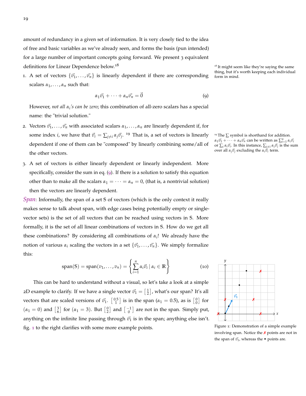amount of redundancy in a given set of information. It is very closely tied to the idea of free and basic variables as we've already seen, and forms the basis (pun intended) for a large number of important concepts going forward. We present 3 equivalent definitions for Linear Dependence below.<sup>18</sup> 18 18 18 18 18 18 18 18 It might seem like they're saying the same

1. A set of vectors  ${\bar{v}_1, \ldots, \bar{v}_n}$  is linearly dependent if there are corresponding scalars  $\alpha_1, \ldots, \alpha_n$  such that:

<span id="page-18-0"></span>
$$
\alpha_1 \vec{v_1} + \dots + \alpha_n \vec{v_n} = \vec{0}
$$
 (9)

However, *not all α<sup>i</sup> 's can be zero*; this combination of all-zero scalars has a special name: the "trivial solution."

- 2. Vectors  $\vec{v}_1, \ldots, \vec{v}_n$  with associated scalars  $\alpha_1, \ldots, \alpha_n$  are linearly dependent if, for some index *i*, we have that  $\vec{v}_i = \sum_{j\neq i} \alpha_j \vec{v}_j$ . <sup>19</sup> That is, a set of vectors is linearly <sup>19</sup> The  $\sum$  symbol is shorthand for addition. dependent if one of them can be "composed" by linearly combining some/all of the other vectors.
- 3. A set of vectors is either linearly dependent or linearly independent. More specifically, consider the sum in eq. ([9](#page-18-0)). If there is a solution to satisfy this equation other than to make all the scalars  $\alpha_1 = \cdots = \alpha_n = 0$ , (that is, a nontrivial solution) then the vectors are linearly dependent.

*Span*: Informally, the span of a set **S** of vectors (which is the only context it really makes sense to talk about span, with edge cases being potentially empty or singlevector sets) is the set of all vectors that can be reached using vectors in **S**. More formally, it is the set of all linear combinations of vectors in **S**. How do we get all these combinations? By considering all combinations of  $\alpha_i$ ! We already have the notion of various  $\alpha_i$  scaling the vectors in a set  $\{\vec{v}_1, \ldots, \vec{v}_n\}$ . We simply formalize this:

<span id="page-18-2"></span>
$$
\mathrm{span}(S) = \mathrm{span}(v_1, \dots, v_n) = \left\{ \sum_{i=1}^n \alpha_i \vec{v}_i \, | \, \alpha_i \in \mathbb{R} \right\} \tag{10}
$$

This can be hard to understand without a visual, so let's take a look at a simple 2D example to clarify. If we have a single vector  $\vec{v}_1 = \begin{bmatrix} 1 \\ 2 \end{bmatrix}$ , what's our span? It's all vectors that are scaled versions of  $\vec{v}_1$ .  $\begin{bmatrix} 0.5 \\ 1 \end{bmatrix}$  is in the span ( $\alpha_1 = 0.5$ ), as is  $\begin{bmatrix} 0 \\ 0 \end{bmatrix}$  for  $(\alpha_1 = 0)$  and  $\begin{bmatrix} 3 \\ 6 \end{bmatrix}$  for  $(\alpha_1 = 3)$ . But  $\begin{bmatrix} 0 \\ 2 \end{bmatrix}$  and  $\begin{bmatrix} -1 \\ 0 \end{bmatrix}$  are not in the span. Simply put, anything on the infinite line passing through  $\vec{v}_1$  is in the span; anything else isn't. fig. [1](#page-18-1) to the right clarifies with some more example points.

thing, but it's worth keeping each individual

*α*<sub>1</sub> $\vec{v_1}$  + · · · + *αn* $\vec{v_n}$  can be written as  $\sum_{i=1}^n \alpha_i \vec{v_i}$ or  $\sum_i \alpha_i \vec{v}_i$ . In this instance,  $\sum_{j \neq i} \alpha_j \vec{v}_j$  is the sum *over all*  $α<sub>j</sub> \vec{v}<sub>j</sub>$  excluding the  $α<sub>i</sub> \vec{v}<sub>i</sub>$  term.



<span id="page-18-1"></span>Figure 1: Demonstration of a simple example involving span. Notice the  *points are not in* the span of  $\vec{v_1}$ , whereas the  $\bullet$  points are.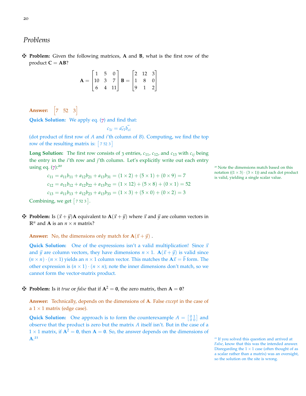### *Problems*

z **Problem:** Given the following matrices, **A** and **B**, what is the first row of the product  $C = AB$ ?

$$
\mathbf{A} = \begin{bmatrix} 1 & 5 & 0 \\ 10 & 3 & 7 \\ 6 & 4 & 11 \end{bmatrix} \quad \mathbf{B} = \begin{bmatrix} 2 & 12 & 3 \\ 1 & 8 & 0 \\ 9 & 1 & 2 \end{bmatrix}
$$

**Answer:**  $\begin{bmatrix} 7 & 52 & 3 \end{bmatrix}$ 

**Quick Solution:** We apply eq. ([7](#page-17-1)) and find that:

$$
c_{1i} = \vec{a_{r1}} \vec{b_{ci}}
$$

(dot product of first row of *A* and *i*'th column of *B*). Computing, we find the top row of the resulting matrix is:  $\lceil 7523 \rceil$ 

**Long Solution:** The first row consists of 3 entries,  $c_{11}$ ,  $c_{12}$ , and  $c_{13}$  with  $c_{ij}$  being the entry in the *i*'th row and *j*'th column. Let's explicitly write out each entry using eq.  $(7):^{20}$  $(7):^{20}$  $(7):^{20}$   $\qquad \qquad$  Note the dimensions match based on this

$$
c_{11} = a_{11}b_{11} + a_{12}b_{21} + a_{13}b_{31} = (1 \times 2) + (5 \times 1) + (0 \times 9) = 7
$$
  
\n
$$
c_{12} = a_{11}b_{12} + a_{12}b_{22} + a_{13}b_{32} = (1 \times 12) + (5 \times 8) + (0 \times 1) = 52
$$
  
\n
$$
c_{13} = a_{11}b_{13} + a_{12}b_{23} + a_{13}b_{33} = (1 \times 3) + (5 \times 0) + (0 \times 2) = 3
$$
  
\nCombining, we get [7 52 3].

 $\mathbf{\ddot{P}}$  **Problem:** Is  $(\vec{x} + \vec{y})\mathbf{A}$  equivalent to  $\mathbf{A}(\vec{x} + \vec{y})$  where  $\vec{x}$  and  $\vec{y}$  are column vectors in  $\mathbb{R}^n$  and **A** is an  $n \times n$  matrix?

**Answer:** No, the dimensions only match for  $\mathbf{A}(\vec{x} + \vec{y})$ .

**Quick Solution:** One of the expressions isn't a valid multiplication! Since  $\vec{x}$ and  $\vec{y}$  are column vectors, they have dimensions  $n \times 1$ .  $\mathbf{A}(\vec{x} + \vec{y})$  is valid since  $(n \times n) \cdot (n \times 1)$  yields an  $n \times 1$  column vector. This matches the  $A\vec{x} = \vec{b}$  form. The other expression is  $(n \times 1) \cdot (n \times n)$ ; note the inner dimensions don't match, so we cannot form the vector-matrix product.

### **F** Problem: Is it *true* or *false* that if  $A^2 = 0$ , the zero matrix, then  $A = 0$ ?

**Answer:** Technically, depends on the dimensions of **A**. False *except* in the case of a  $1 \times 1$  matrix (edge case).

**Quick Solution:** One approach is to form the counterexample  $A = \begin{bmatrix} 0 & 1 \\ 0 & 0 \end{bmatrix}$  and observe that the product is zero but the matrix *A* itself isn't. But in the case of a  $1 \times 1$  matrix, if  $A^2 = 0$ , then  $A = 0$ . So, the answer depends on the dimensions of **A**.

notation  $((1 \times 3) \cdot (3 \times 1))$  and each dot product is valid, yielding a single scalar value.

```
<sup>21</sup> If you solved this question and arrived at
False, know that this was the intended answer.
Disregarding the 1\times1 case (often thought of as
a scalar rather than a matrix) was an oversight,
so the solution on the site is wrong.
```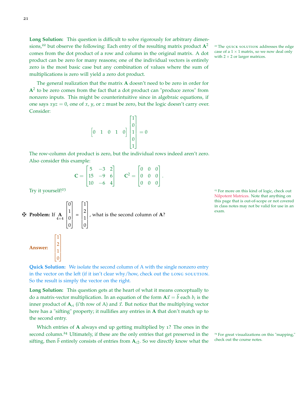**Long Solution:** This question is difficult to solve rigorously for arbitrary dimensions,<sup>22</sup> but observe the following: Each entry of the resulting matrix product  $A^2$ <sup>22</sup> The quick solution addresses the edge comes from the dot product of a row and column in the original matrix. A dot product can be zero for many reasons; one of the individual vectors is entirely zero is the most basic case but any combination of values where the sum of multiplications is zero will yield a zero dot product.

The general realization that the matrix **A** doesn't need to be zero in order for  $A<sup>2</sup>$  to be zero comes from the fact that a dot product can "produce zeros" from nonzero inputs. This might be counterintuitive since in algebraic equations, if one says *xyz* = 0, one of *x*, *y*, or *z* must be zero, but the logic doesn't carry over. Consider:

$$
\begin{bmatrix} 0 & 1 & 0 & 1 & 0 \end{bmatrix} \begin{bmatrix} 1 \\ 0 \\ 1 \\ 0 \\ 1 \end{bmatrix} = 0
$$

The row-column dot product is zero, but the individual rows indeed aren't zero. Also consider this example:

$$
\mathbf{C} = \begin{bmatrix} 5 & -3 & 2 \\ 15 & -9 & 6 \\ 10 & -6 & 4 \end{bmatrix} \qquad \mathbf{C}^2 = \begin{bmatrix} 0 & 0 & 0 \\ 0 & 0 & 0 \\ 0 & 0 & 0 \end{bmatrix}.
$$

**Example 11** If 
$$
\mathbf{A} = \begin{bmatrix} 0 \\ 1 \\ 0 \\ 0 \end{bmatrix} = \begin{bmatrix} 1 \\ 2 \\ 1 \\ 0 \end{bmatrix}
$$
, what is the second column of **A**?  
\n**Answer:** 
$$
\begin{bmatrix} 1 \\ 2 \\ 1 \\ 0 \end{bmatrix}
$$

Try it yourself!<sup>23</sup>  $\frac{23}{3}$  For more on this kind of logic, check out [Nilpotent Matrices.](https://en.wikipedia.org/wiki/Nilpotent_matrix) Note that anything on this page that is out-of-scope or not covered in class notes may not be valid for use in an exam.

**Quick Solution:** We isolate the second column of A with the single nonzero entry in the vector on the left (if it isn't clear why/how, check out the LONG SOLUTION. So the result is simply the vector on the right.

**Long Solution:** This question gets at the heart of what it means conceptually to do a matrix-vector multiplication. In an equation of the form  $A\vec{x} = \vec{b}$  each  $b_i$  is the inner product of  $A_{ri}$  (i'th row of A) and  $\vec{x}$ . But notice that the multiplying vector here has a "sifting" property; it nullifies any entries in **A** that don't match up to the second entry.

Which entries of **A** always end up getting multiplied by 1? The ones in the second column.<sup>24</sup> Ultimately, if these are the only entries that get preserved in the <sup>24</sup> For great visualizations on this "mapping,"<br>citting than  $\vec{h}$  ontirely consists of ontries from  $\Lambda$  a So we directly know wha sifting, then  $\vec{b}$  entirely consists of entries from  $A_{c2}$ . So we directly know what the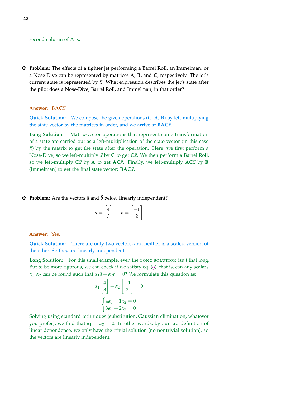### second column of A is.

z **Problem:** The effects of a fighter jet performing a Barrel Roll, an Immelman, or a Nose Dive can be represented by matrices **A**, **B**, and **C**, respectively. The jet's current state is represented by  $\vec{x}$ . What expression describes the jet's state after the pilot does a Nose-Dive, Barrel Roll, and Immelman, in that order?

### **Answer: BAC** $\vec{x}$

**Quick Solution:** We compose the given operations (**C**, **A**, **B**) by left-multiplying the state vector by the matrices in order, and we arrive at  $\textbf{BAC}\vec{x}$ .

**Long Solution:** Matrix-vector operations that represent some transformation of a state are carried out as a left-multiplication of the state vector (in this case  $\vec{x}$ ) by the matrix to get the state after the operation. Here, we first perform a Nose-Dive, so we left-multiply  $\vec{x}$  by **C** to get **C** $\vec{x}$ . We then perform a Barrel Roll, so we left-multiply  $C\vec{x}$  by A to get  $AC\vec{x}$ . Finally, we left-multiply  $AC\vec{x}$  by B (Immelman) to get the final state vector:  $\textbf{BAC} \vec{x}$ .

 $\mathbf{\ddot{P}}$  **Problem:** Are the vectors  $\vec{a}$  and  $\vec{b}$  below linearly independent?

| x,<br>$^{\prime}$ |  | 7 |  |
|-------------------|--|---|--|
|-------------------|--|---|--|

**Answer:** Yes.

**Quick Solution:** There are only two vectors, and neither is a scaled version of the other. So they are linearly independent.

Long Solution: For this small example, even the LONG SOLUTION isn't that long. But to be more rigorous, we can check if we satisfy eq. ([9](#page-18-0)); that is, can any scalars *α*<sub>1</sub>, *α*<sub>2</sub> can be found such that  $α_1\vec{a} + α_2\vec{b} = 0$ ? We formulate this question as:

$$
\alpha_1 \begin{bmatrix} 4 \\ 3 \end{bmatrix} + \alpha_2 \begin{bmatrix} -1 \\ 2 \end{bmatrix} = 0
$$

$$
\begin{cases} 4\alpha_1 - 1\alpha_2 = 0 \\ 3\alpha_1 + 2\alpha_2 = 0 \end{cases}
$$

Solving using standard techniques (substitution, Gaussian elimination, whatever you prefer), we find that  $\alpha_1 = \alpha_2 = 0$ . In other words, by our 3rd definition of linear dependence, we only have the trivial solution (no nontrivial solution), so the vectors are linearly independent.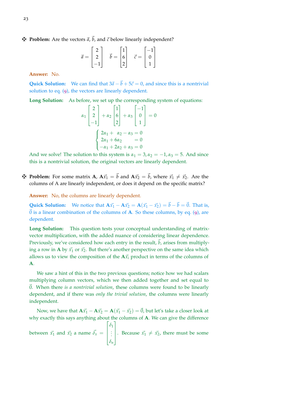$\mathbf{\ddot{F}}$  **Problem:** Are the vectors  $\vec{a}$ ,  $\vec{b}$ , and  $\vec{c}$  below linearly independent?

$$
\vec{a} = \begin{bmatrix} 2 \\ 2 \\ -1 \end{bmatrix} \quad \vec{b} = \begin{bmatrix} 1 \\ 6 \\ 2 \end{bmatrix} \quad \vec{c} = \begin{bmatrix} -1 \\ 0 \\ 1 \end{bmatrix}
$$

**Answer:** No.

**Quick Solution:** We can find that  $3\vec{a} - \vec{b} + 5\vec{c} = 0$ , and since this is a nontrivial solution to eq. ([9](#page-18-0)), the vectors are linearly dependent.

**Long Solution:** As before, we set up the corresponding system of equations:

$$
\alpha_1 \begin{bmatrix} 2 \\ 2 \\ -1 \end{bmatrix} + \alpha_2 \begin{bmatrix} 1 \\ 6 \\ 2 \end{bmatrix} + \alpha_3 \begin{bmatrix} -1 \\ 0 \\ 1 \end{bmatrix} = 0
$$

$$
\begin{cases} 2\alpha_1 + \alpha_2 - \alpha_3 = 0 \\ 2\alpha_1 + 6\alpha_2 = 0 \\ -\alpha_1 + 2\alpha_2 + \alpha_3 = 0 \end{cases}
$$

And we solve! The solution to this system is  $\alpha_1 = 3$ ,  $\alpha_2 = -1$ ,  $\alpha_3 = 5$ . And since this is a nontrivial solution, the original vectors are linearly dependent.

 $\mathbf{\ddot{F}}$  **Problem:** For some matrix **A**,  $\mathbf{A}\vec{x_1} = \vec{b}$  and  $\mathbf{A}\vec{x_2} = \vec{b}$ , where  $\vec{x_1} \neq \vec{x_2}$ . Are the columns of A are linearly independent, or does it depend on the specific matrix?

**Answer:** No, the columns are linearly dependent.

**Quick Solution:** We notice that  $A\vec{x}_1 - A\vec{x}_2 = A(\vec{x}_1 - \vec{x}_2) = \vec{b} - \vec{b} = \vec{0}$ . That is,  $\vec{0}$  is a linear combination of the columns of **A**. So these columns, by eq. ([9](#page-18-0)), are dependent.

**Long Solution:** This question tests your conceptual understanding of matrixvector multiplication, with the added nuance of considering linear dependence. Previously, we've considered how each entry in the result,  $b$ , arises from multiplying a row in **A** by  $\vec{x_1}$  or  $\vec{x_2}$ . But there's another perspective on the same idea which allows us to view the composition of the  $A\vec{x}$ <sup>*i*</sup> product in terms of the columns of **A**.

We saw a hint of this in the two previous questions; notice how we had scalars multiplying column vectors, which we then added together and set equal to ~0. When there *is a nontrivial solution*, these columns were found to be linearly dependent, and if there was *only the trivial solution*, the columns were linearly independent.

Now, we have that  $A\vec{x}_1 - A\vec{x}_2 = A(\vec{x}_1 - \vec{x}_2) = \vec{0}$ , but let's take a closer look at why exactly this says anything about the columns of **A**. We can give the difference

between 
$$
\vec{x_1}
$$
 and  $\vec{x_2}$  a name  $\vec{\delta_x} = \begin{bmatrix} \delta_1 \\ \vdots \\ \delta_n \end{bmatrix}$ . Because  $\vec{x_1} \neq \vec{x_2}$ , there must be some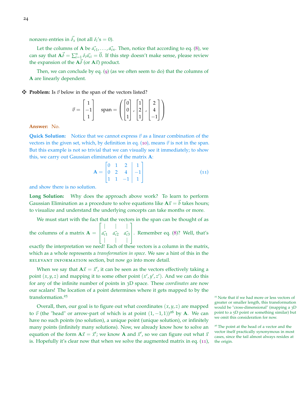nonzero entries in  $\vec{\delta}_x$  (not all  $\delta_i$ 's = 0).

Let the columns of **A** be  $\vec{a_{c1}}, \dots, \vec{a_{cn}}$ . Then, notice that according to eq. ([8](#page-17-2)), we can say that  $\mathbf{A}\vec{\delta} = \sum_{i=1}^{n} \delta_i \vec{a}_{ci} = \vec{0}$ . If this step doesn't make sense, please review the expansion of the  $A\vec{\delta}$  (or  $A\vec{x}$ ) product.

Then, we can conclude by eq. ([9](#page-18-0)) (as we often seem to do) that the columns of **A** are linearly dependent.

### $\mathbf{\nabla}$  **Problem:** Is  $\vec{v}$  below in the span of the vectors listed?

$$
\vec{v} = \begin{bmatrix} 1 \\ -1 \\ 1 \end{bmatrix} \quad \text{span} = \left( \begin{bmatrix} 0 \\ 0 \\ 1 \end{bmatrix}, \begin{bmatrix} 1 \\ 2 \\ 1 \end{bmatrix}, \begin{bmatrix} 2 \\ 4 \\ -1 \end{bmatrix} \right)
$$

**Answer:** No.

**Quick Solution:** Notice that we cannot express  $\vec{v}$  as a linear combination of the vectors in the given set, which, by definition in eq. ([10](#page-18-2)), means  $\vec{v}$  is not in the span. But this example is not so trivial that we can visually see it immediately; to show this, we carry out Gaussian elimination of the matrix **A**:

<span id="page-23-0"></span>
$$
\mathbf{A} = \begin{bmatrix} 0 & 1 & 2 & | & 1 \\ 0 & 2 & 4 & | & -1 \\ 1 & 1 & -1 & | & 1 \end{bmatrix}
$$
(11)

and show there is no solution.

**Long Solution:** Why does the approach above work? To learn to perform Gaussian Elimination as a procedure to solve equations like  $A\vec{x} = \vec{b}$  takes hours; to visualize and understand the underlying concepts can take months or more.

We must start with the fact that the vectors in the span can be thought of as the columns of a matrix  $A =$ Г I | | |  $\vec{a_{c1}}$   $\vec{a_{c2}}$   $\vec{a_{c3}}$ | | | 1 . Remember eq. ([8](#page-17-2))? Well, that's exactly the interpretation we need! Each of these vectors is a column in the matrix, which as a whole represents a *transformation in space*. We saw a hint of this in the relevant information section, but now go into more detail.

When we say that  $A\vec{x} = \vec{x}'$ , it can be seen as the vectors effectively taking a point  $(x, y, z)$  and mapping it to some other point  $(x', y', z')$ . And we can do this for any of the infinite number of points in 3D space. These *coordinates* are now our scalars! The location of a point determines where it gets mapped to by the transformation.<sup>25</sup> 25 Note that if we had more or less vectors of

Overall, then, our goal is to figure out what coordinates  $(x, y, z)$  are mapped to  $\vec{v}$  (the "head" or arrow-part of which is at point  $(1, -1, 1)$ )<sup>26</sup> by **A**. We can have no such points (no solution), a unique point (unique solution), or infinitely many points (infinitely many solutions). Now, we already know how to solve an equation of the form  $A\vec{x} = \vec{x}'$ ; we know A and  $\vec{x}'$ , so we can figure out what  $\vec{x}$ is. Hopefully it's clear now that when we solve the augmented matrix in eq. ([11](#page-23-0)),

greater or smaller length, this transformation would be "cross-dimensional" (mapping a 3D point to a 5D point or something similar) but we omit this consideration for now.

<sup>&</sup>lt;sup>26</sup> The point at the head of a vector and the vector itself practically synonymous in most cases, since the tail almost always resides at the origin.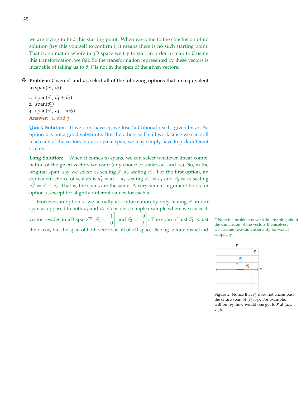we are trying to find this starting point. When we come to the conclusion of no solution (try this yourself to confirm!), it means there is no such starting point! That is, no matter where in  $3D$  space we try to start in order to map to  $\vec{v}$  using this transformation, we fail. So the transformation represented by these vectors is incapable of taking us to  $\vec{v}$ ;  $\vec{v}$  is not in the span of the given vectors.

 $\mathbf{\ddot{H}}$  **Problem:** Given  $\vec{v}_1$  and  $\vec{v}_2$ , select all of the following options that are equivalent to span $(\vec{v_1}, \vec{v_2})$ :

1. span $(\vec{v_1}, \vec{v_1} + \vec{v_2})$ 2. span $(\vec{v_1})$ 3. span $(\vec{v_1}, \vec{v_1} - \alpha \vec{v_2})$ **Answer:** 1. and 3.

**Quick Solution:** If we only have  $\vec{v}_1$ , we lose "additional reach" given by  $\vec{v}_2$ . So option 2 is not a good substitute. But the others will still work since we can still reach any of the vectors in our original span; we may simply have to pick different scalars.

**Long Solution:** When it comes to spans, we can select whatever linear combination of the given vectors we want (any choice of scalars  $\alpha_1$  and  $\alpha_2$ ). So, in the original span, say we select  $\alpha_1$  scaling  $\vec{v}_1 \alpha_2$  scaling  $\vec{v}_2$ . For the first option, an equivalent choice of scalars is  $\alpha'_1 = \alpha_2 - \alpha_1$  scaling  $\vec{v_1}' = \vec{v_1}$  and  $\alpha'_2 = \alpha_2$  scaling  $\vec{v}_2' = \vec{v}_1 + \vec{v}_2$ . That is, the spans are the same. A very similar argument holds for option 3, except for slightly different values for each *α*.

However, in option 2, we actually *lose* information by only having  $\vec{v}_1$  in our span as opposed to both  $\vec{v}_1$  and  $\vec{v}_2$ . Consider a simple example where we say each vector resides in 2D space<sup>27</sup>:  $\vec{v}_1 = \begin{bmatrix} 1 \\ 0 \end{bmatrix}$  $\boldsymbol{0}$ 1 and  $\vec{v_2} =$  $\lceil 0$ 1 1 the x-axis, but the span of both vectors is all of 2D space. See fig. [2](#page-24-0) for a visual aid.

<sup>27</sup> Note the problem never said anything about the dimension of the vectors themselves; we assume two-dimensionality for visual simplicity.



<span id="page-24-0"></span>Figure 2: Notice that  $\vec{v_1}$  does not encompass the entire span of  $(\vec{v_1}, \vec{v_2})$ . For example, without  $\vec{v_2}$ , how would one get to  $\times$  at (2.5,  $2.5$ ?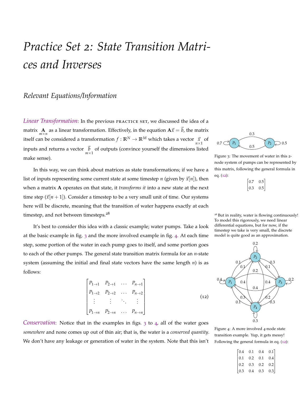# <span id="page-25-0"></span>*Practice Set 2: State Transition Matrices and Inverses*

## *Relevant Equations/Information*

Linear Transformation: In the previous PRACTICE SET, we discussed the idea of a matrix **A** as a linear transformation. Effectively, in the equation  $A\vec{x} = \vec{b}$ , the matrix *m*×*n* itself can be considered a transformation  $f : \mathbb{R}^N \to \mathbb{R}^M$  which takes a vector  $\frac{\vec{x}}{n \times 1}$  of inputs and returns a vector  $\vec{b}$  of outputs (convince yourself the dimensions listed make sense).

In this way, we can think about matrices as state transformations; if we have a list of inputs representing some current state at some timestep *n* (given by  $\vec{x}[n]$ ), then when a matrix **A** operates on that state, it *transforms it* into a new state at the next time step  $(\vec{x}[n+1])$ . Consider a timestep to be a very small unit of time. Our systems here will be discrete, meaning that the transition of water happens exactly at each timestep, and not between timesteps.<sup>28</sup> 28 But in reality, water is flowing continuously!

It's best to consider this idea with a classic example; water pumps. Take a look at the basic example in fig. [3](#page-25-2) and the more involved example in fig. [4](#page-25-3). At each time step, some portion of the water in each pump goes to itself, and some portion goes to each of the other pumps. The general state transition matrix formula for an *n*-state system (assuming the initial and final state vectors have the same length *n*) is as follows:

$$
\begin{bmatrix} P_{1\to1} & P_{2\to1} & \dots & P_{n\to1} \\ P_{1\to2} & P_{2\to2} & \dots & P_{n\to2} \\ \vdots & \vdots & \ddots & \vdots \\ P_{1\to n} & P_{2\to n} & \dots & P_{n\to n} \end{bmatrix}
$$
 (12)

<span id="page-25-1"></span>*Conservation*: Notice that in the examples in figs. [3](#page-25-2) to [4](#page-25-3), all of the water goes *somewhere* and none comes up out of thin air; that is, the water is a *conserved quantity*. We don't have any leakage or generation of water in the system. Note that this isn't



Figure 3: The movement of water in this 2 node system of pumps can be represented by this matrix, following the general formula in eq. ([12](#page-25-1)):

<span id="page-25-2"></span>

| -7  | h            |
|-----|--------------|
|     | 0            |
| -14 | ÷.<br>0<br>ı |

To model this rigorously, we need linear differential equations, but for now, if the timestep we take is very small, the discrete model is quite good as an approximation.



Figure 4: A more involved 4-node state transition example. Yup, it gets messy! Following the general formula in eq. ([12](#page-25-1)):

<span id="page-25-3"></span>

|             |                                           | $\begin{bmatrix} 0.4 & 0.1 & 0.4 & 0.1 \end{bmatrix}$ |     |
|-------------|-------------------------------------------|-------------------------------------------------------|-----|
| $\vert$ 0.1 | $\begin{array}{c} 0.2 \\ 0.3 \end{array}$ | $0.1\,$                                               | 0.4 |
| $\vert$ 0.2 |                                           | $0.2\,$                                               | 0.2 |
| $\vert$ 0.3 | $0.4\,$                                   | $0.3\,$                                               | 0.3 |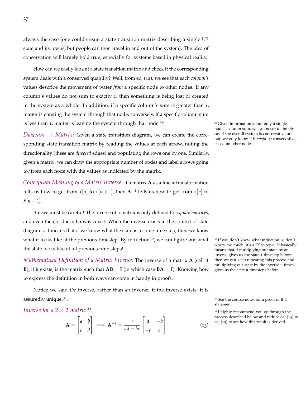always the case (one could create a state transition matrix describing a single US state and its towns, but people can then travel in and out of the system). The idea of conservation will largely hold true, especially for systems based in physical reality.

How can we easily look at a state transition matrix and check if the corresponding system deals with a conserved quantity? Well, from eq. ([12](#page-25-1)), we see that each *column's* values describe the movement of water *from* a specific node to other nodes. If any column's values do not sum to exactly 1, then something is being lost or created in the system as a whole. In addition, if a specific column's sum is greater than 1, matter is entering the system through that node; conversely, if a specific column sum is less than 1, matter is leaving the system through that node.<sup>29</sup>  $\frac{29}{9}$  Given information about only a single

*Diagram*  $\rightarrow$  *Matrix*: Given a state transition diagram, we can create the corresponding state transition matrix by reading the values at each arrow, noting the directionality (these are *directed* edges) and populating the rows one by one. Similarly, given a matrix, we can draw the appropriate number of nodes and label arrows going to/from each node with the values as indicated by the matrix.

*Conceptual Meaning of a Matrix Inverse*: If a matrix **A** as a linear transformation tells us how to get from  $\vec{x}[n]$  to  $\vec{x}[n+1]$ , then  $\mathbf{A}^{-1}$  tells us how to get from  $\vec{x}[n]$  to  $\vec{x}[n-1]$ .

But we must be careful! The inverse of a matrix is only defined for *square matrices*, and even then, it doesn't always exist. When the inverse exists in the context of state diagrams, it means that if we know what the state is a some time step, then we know what it looks like at the previous timestep. By induction<sup>30</sup>, we can figure out what  $\frac{30}{2}$  If you don't know what induction is, don't the state looks like at all previous time steps!

*Mathematical Definition of a Matrix Inverse*: The inverse of a matrix **A** (call it **B**), if it exists, is the matrix such that  $AB = I$  (in which case  $BA = I$ ). Knowing how to express the definition in both ways can come in handy in proofs.

Notice we said *the* inverse, rather than *an* inverse; if the inverse exists, it is assuredly unique.<sup>31</sup>.

*Inverse for a*  $2 \times 2$  *matrix*:<sup>32</sup>

<span id="page-26-0"></span>
$$
\mathbf{A} = \begin{bmatrix} a & b \\ c & d \end{bmatrix} \implies \mathbf{A}^{-1} = \frac{1}{ad - bc} \begin{bmatrix} d & -b \\ -c & a \end{bmatrix}
$$
(13)

node's column sum, we can never definitely say if the overall system is conservative or not; we only know if it *might* be conservative, based on other nodes.

worry too much, it's a CS70 topic. It basically means that if multiplying our state by an inverse gives us the state 1 timestep before, then we can keep repeating this process and multiplying our state by the inverse *n* times gives us the state *n* timesteps before.

<sup>31</sup> See the course notes for a proof of this statement.

<sup>32</sup> I highly recommend you go through the process described below and reduce eq. ([14](#page-27-0)) to eq. ([15](#page-27-1)) to see how this result is derived.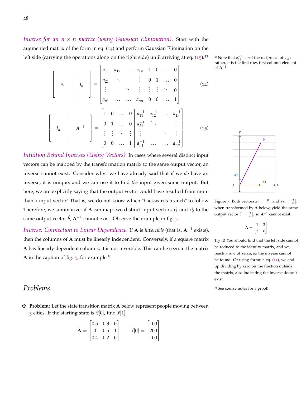<span id="page-27-0"></span>*Inverse for an*  $n \times n$  *matrix (using Gaussian Elimination)*: Start with the augmented matrix of the form in eq.  $(14)$  $(14)$  $(14)$  and perform Gaussian Elimination on the left side (carrying the operations along on the right side) until arriving at eq. ([15](#page-27-1)).<sup>33</sup>

$$
\begin{bmatrix}\nA & A & A\n\end{bmatrix}\n\begin{bmatrix}\nI_n \\
I_n\n\end{bmatrix}\n=\n\begin{bmatrix}\na_{11} & a_{12} & \cdots & a_{1n} & 1 & 0 & \cdots & 0 \\
a_{21} & \ddots & & & \vdots & 0 & 1 & \cdots & 0 \\
\vdots & & & & \vdots & \vdots & \ddots & \vdots \\
a_{n1} & \cdots & & a_{nn} & 0 & 0 & \cdots & 1\n\end{bmatrix}
$$
\n
$$
\begin{bmatrix}\nI_n \\
I_n\n\end{bmatrix}\n\begin{bmatrix}\nA^{-1} \\
A^{-1}\n\end{bmatrix}\n=\n\begin{bmatrix}\n1 & 0 & \cdots & 0 & a_{11}^{-1} & a_{12}^{-1} & \cdots & a_{1n}^{-1} \\
0 & 1 & \cdots & 0 & a_{21}^{-1} & \cdots & a_{1n}^{-1} \\
\vdots & \vdots & & & \vdots & \ddots & \vdots \\
0 & 0 & \cdots & 1 & a_{n1}^{-1} & \cdots & a_{nn}^{-1}\n\end{bmatrix}
$$
\n(15)

<span id="page-27-1"></span>*Intuition Behind Inverses (Using Vectors)*: In cases where several distinct input vectors can be mapped by the transformation matrix to the same output vector, an inverse cannot exist. Consider why: we have already said that if we *do* have an inverse, it is unique, and we can use it to find *the* input given some output. But here, we are explicitly saying that the output vector could have resulted from more than 1 input vector! That is, we do not know which "backwards branch" to follow. Therefore, we summarize: if **A** can map two distinct input vectors  $\vec{x_1}$  and  $\vec{x_2}$  to the same output vector  $\vec{b}$ ,  $A^{-1}$  cannot exist. Observe the example in fig. [5](#page-27-2).

*Inverse: Connection to Linear Dependence*: If **A** is *invertible* (that is, **A**−<sup>1</sup> exists), then the columns of **A** must be linearly independent. Conversely, if a square matrix **A** has linearly dependent columns, it is not invertible. This can be seen in the matrix **<sup>A</sup>** in the caption of fig. [5](#page-27-2), for example.<sup>34</sup>

 $_{11}^{-1}$  is *not* the reciprocal of  $a_{11}$ ; rather, it is the first row, first column element of **A**−<sup>1</sup> .



<span id="page-27-2"></span>Figure 5: Both vectors  $\vec{x_1} = \begin{bmatrix} 0 \\ 1 \end{bmatrix}$  and  $\vec{x_2} = \begin{bmatrix} 3 \\ 0 \end{bmatrix}$ , when transformed by **A** below, yield the same output vector  $\vec{b} = \begin{bmatrix} 3 \\ 6 \end{bmatrix}$ , so  $\mathbf{A}^{-1}$  cannot exist.

 $\mathbf{A} = \begin{bmatrix} 1 & 3 \\ 2 & 6 \end{bmatrix}$ 

Try it! You should find that the left side cannot be reduced to the identity matrix, and we reach a row of zeros, so the inverse cannot be found. Or using formula eq. ([13](#page-26-0)), we end up dividing by zero on the fraction outside the matrix, also indicating the inverse doesn't exist.

Problems 34 See course notes for a proof!

28

z **Problem:** Let the state transition matrix **A** below represent people moving between 3 cities. If the starting state is  $\vec{x}[0]$ , find  $\vec{x}[1]$ .

$$
\mathbf{A} = \begin{bmatrix} 0.5 & 0.3 & 0 \\ 0 & 0.5 & 1 \\ 0.4 & 0.2 & 0 \end{bmatrix} \qquad \vec{x}[0] = \begin{bmatrix} 100 \\ 200 \\ 100 \end{bmatrix}
$$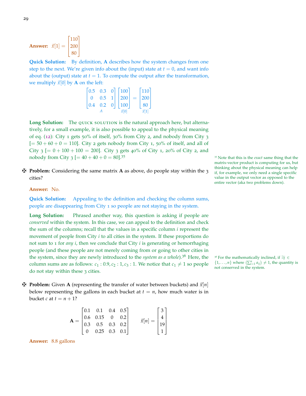**Answer:**  $\vec{x}[1] =$  $\lceil 110 \rceil$  $|200|$  $\overline{\phantom{a}}$ 80  $\mathbf{I}$ 

**Quick Solution:** By definition, **A** describes how the system changes from one step to the next. We're given info about the (input) state at  $t = 0$ , and want info about the (output) state at  $t = 1$ . To compute the output after the transformation, we multiply  $\vec{x}[0]$  by **A** on the left:

| $\vert 0.5 \vert$ | $0.3 \quad 0$ |                | $\vert$ 100   | $ 110\rangle$ |  |
|-------------------|---------------|----------------|---------------|---------------|--|
| $\Omega$          | 0.5           | $-1$           | $ 200\rangle$ | 200           |  |
| $\vert 0.4 \vert$ | 0.2           | $\overline{0}$ | $ 100\rangle$ | 80            |  |
|                   |               |                | $\vec{x}$ [O] |               |  |

Long Solution: The QUICK SOLUTION is the natural approach here, but alternatively, for a small example, it is also possible to appeal to the physical meaning of eq. ([12](#page-25-1)): City 1 gets 50% of itself, 30% from City 2, and nobody from City 3  $[= 50 + 60 + 0 = 110]$ . City 2 gets nobody from City 1, 50% of itself, and all of City 3  $[= 0 + 100 + 100 = 200]$ . City 3 gets 40% of City 1, 20% of City 2, and nobody from City  $3$   $[= 40 + 40 + 0 = 80]$ .<sup>35</sup>  $\frac{35}{25}$  35 Note that this is the *exact* same thing that the

z **Problem:** Considering the same matrix **A** as above, do people stay within the 3 cities?

### **Answer:** No.

**Quick Solution:** Appealing to the definition and checking the column sums, people are disappearing from City 1 so people are not staying in the system.

**Long Solution:** Phrased another way, this question is asking if people are *conserved* within the system. In this case, we can appeal to the definition and check the sum of the columns; recall that the values in a specific column *i* represent the movement of people from City *i* to all cities in the system. If these proportions do not sum to 1 for *any i*, then we conclude that City *i* is generating or hemorrhaging people (and these people are not merely coming from or going to other cities in the system, since they are newly introduced to the *system as a whole*).<sup>36</sup> Here, the <sup>36</sup> For the mathematically inclined, if ∃*j* ∈ column sums are as follows:  $c_1$  : 0.9,  $c_2$  : 1,  $c_3$  : 1. We notice that  $c_1 \neq 1$  so people do not stay within these 3 cities.

 $\mathbf{\ddot{H}}$  **Problem:** Given **A** (representing the transfer of water between buckets) and  $\vec{x}|n|$ below representing the gallons in each bucket at  $t = n$ , how much water is in bucket *c* at  $t = n + 1$ ?

$$
\mathbf{A} = \begin{bmatrix} 0.1 & 0.1 & 0.4 & 0.5 \\ 0.6 & 0.15 & 0 & 0.2 \\ 0.3 & 0.5 & 0.3 & 0.2 \\ 0 & 0.25 & 0.3 & 0.1 \end{bmatrix} \qquad \vec{x}[n] = \begin{bmatrix} 3 \\ 4 \\ 19 \\ 1 \end{bmatrix}
$$

**Answer:** 8.8 gallons

matrix-vector product is computing for us, but thinking about the physical meaning can help if, for example, we only need a single specific value in the output vector as opposed to the entire vector (aka two problems down).

 $\{1, \ldots, n\}$  where  $\left(\sum_{i=1}^{n} a_{ij}\right) \neq 1$ , the quantity is not conserved in the system.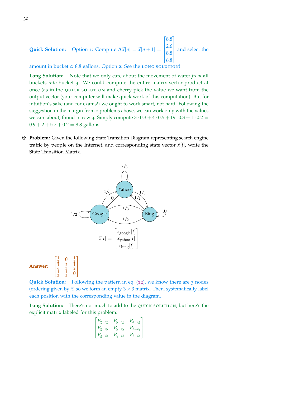**Quick Solution:** Option 1: Compute  $A\vec{x}[n] = \vec{x}[n+1] =$  $\lceil 8.8 \rceil$  $\overline{\phantom{a}}$  $\mathbf{I}$ 2.6 8.8 6.8  $\overline{\phantom{a}}$ and select the

amount in bucket *c*: 8.8 gallons. Option 2: See the LONG SOLUTION!

**Long Solution:** Note that we only care about the movement of water *from* all buckets *into* bucket 3. We could compute the entire matrix-vector product at once (as in the quick solution and cherry-pick the value we want from the output vector (your computer will make quick work of this computation). But for intuition's sake (and for exams!) we ought to work smart, not hard. Following the suggestion in the margin from 2 problems above, we can work only with the values we care about, found in row 3. Simply compute  $3 \cdot 0.3 + 4 \cdot 0.5 + 19 \cdot 0.3 + 1 \cdot 0.2 =$  $0.9 + 2 + 5.7 + 0.2 = 8.8$  gallons.

z **Problem:** Given the following State Transition Diagram representing search engine traffic by people on the Internet, and corresponding state vector  $\vec{x}[t]$ , write the State Transition Matrix.



**Quick Solution:** Following the pattern in eq. ([12](#page-25-1)), we know there are 3 nodes (ordering given by  $\vec{x}$ , so we form an empty  $3 \times 3$  matrix. Then, systematically label each position with the corresponding value in the diagram.

Long Solution: There's not much to add to the QUICK SOLUTION, but here's the explicit matrix labeled for this problem:

$$
\begin{bmatrix} P_{g\to g} & P_{y\to g} & P_{b\to g} \\ P_{g\to y} & P_{y\to y} & P_{b\to y} \\ P_{g\to b} & P_{y\to b} & P_{b\to b} \end{bmatrix}
$$

**Answer:**

 $\lceil$ 

 $\mathbf{I}$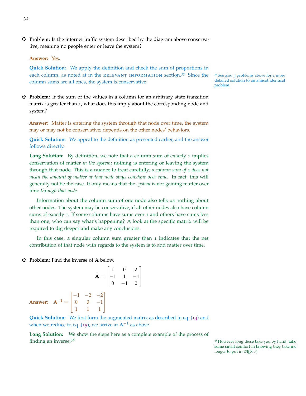z **Problem:** Is the internet traffic system described by the diagram above conservative, meaning no people enter or leave the system?

#### **Answer:** Yes.

**Quick Solution:** We apply the definition and check the sum of proportions in each column, as noted at in the RELEVANT INFORMATION section.<sup>37</sup> Since the  $\frac{37 \text{ See also 3 problems above for a more}}{27 \text{ See } 27}$ column sums are all ones, the system is conservative.

 $\ddot{\mathbf{\Psi}}$  **Problem:** If the sum of the values in a column for an arbitrary state transition matrix is greater than 1, what does this imply about the corresponding node and system?

**Answer:** Matter is entering the system through that node over time, the system may or may not be conservative; depends on the other nodes' behaviors.

**Quick Solution:** We appeal to the definition as presented earlier, and the answer follows directly.

**Long Solution:** By definition, we note that a column sum of exactly 1 implies conservation of matter *in the system*; nothing is entering or leaving the system through that node. This is a nuance to treat carefully; *a column sum of 1 does not mean the amount of matter at that node stays constant over time.* In fact, this will generally not be the case. It only means that the *system* is not gaining matter over time *through that node.*

Information about the column sum of one node also tells us nothing about other nodes. The system may be conservative, if all other nodes also have column sums of exactly 1. If some columns have sums over 1 and others have sums less than one, who can say what's happening? A look at the specific matrix will be required to dig deeper and make any conclusions.

In this case, a singular column sum greater than 1 indicates that the net contribution of that node with regards to the system is to add matter over time.

1

 $\mathbf{I}$ 

z **Problem:** Find the inverse of **A** below.

$$
\mathbf{A} = \begin{bmatrix} 1 & 0 & 2 \\ -1 & 1 & -1 \\ 0 & -1 & 0 \end{bmatrix}
$$
  
Answer: 
$$
\mathbf{A}^{-1} = \begin{bmatrix} -1 & -2 & -2 \\ 0 & 0 & -1 \\ 1 & 1 & 1 \end{bmatrix}
$$

**Quick Solution:** We first form the augmented matrix as described in eq. ([14](#page-27-0)) and when we reduce to eq. ([15](#page-27-1)), we arrive at  $A^{-1}$  as above.

**Long Solution:** We show the steps here as a complete example of the process of finding an inverse:<sup>38</sup>  $38$  However long these take you by hand, take

detailed solution to an almost identical problem.

some small comfort in knowing they take me longer to put in LAT<sub>E</sub>X :-)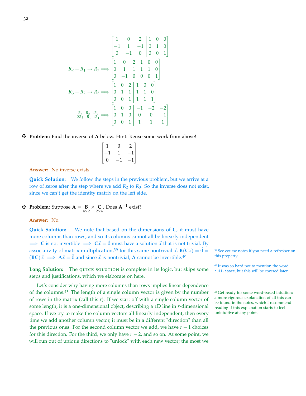$$
R_2 + R_1 \rightarrow R_2 \Longrightarrow \begin{bmatrix} 1 & 0 & 2 & 1 & 0 & 0 \\ -1 & 1 & -1 & 0 & 1 & 0 \\ 0 & -1 & 0 & 0 & 0 & 1 \end{bmatrix}
$$
  
\n
$$
R_2 + R_1 \rightarrow R_2 \Longrightarrow \begin{bmatrix} 1 & 0 & 2 & 1 & 0 & 0 \\ 0 & 1 & 1 & 1 & 1 & 0 \\ 0 & -1 & 0 & 0 & 0 & 1 \end{bmatrix}
$$
  
\n
$$
R_3 + R_2 \rightarrow R_3 \Longrightarrow \begin{bmatrix} 1 & 0 & 2 & 1 & 0 & 0 \\ 0 & 1 & 1 & 1 & 1 & 0 \\ 0 & 0 & 1 & 1 & 1 & 1 \end{bmatrix}
$$
  
\n
$$
-R_3 + R_2 \rightarrow R_2 \rightarrow R_3 \Longrightarrow \begin{bmatrix} 1 & 0 & 0 & -1 & -2 & -2 \\ 0 & 1 & 0 & 0 & 0 & -1 \\ 0 & 0 & 1 & 1 & 1 & 1 \end{bmatrix}
$$

### $\mathbf{\ddot{H}}$  **Problem:** Find the inverse of **A** below. Hint: Reuse some work from above!

|             | 0                        | 2      |
|-------------|--------------------------|--------|
| $^{\rm -1}$ |                          | $-1\,$ |
| 0           | $\overline{\phantom{0}}$ | $-1$   |

**Answer:** No inverse exists.

**Quick Solution:** We follow the steps in the previous problem, but we arrive at a row of zeros after the step where we add  $R_2$  to  $R_3$ ! So the inverse does not exist, since we can't get the identity matrix on the left side.

$$
4 \text{ Problem: } \text{Suppose } A = \underset{4 \times 2}{\mathbf{B}} \times \underset{2 \times 4}{\mathbf{C}}. \text{ Does } A^{-1} \text{ exist?}
$$

**Answer:** No.

**Quick Solution:** We note that based on the dimensions of **C**, it must have more columns than rows, and so its columns cannot all be linearly independent  $\Rightarrow$  **C** is not invertible  $\Rightarrow$   $C\vec{x} = \vec{0}$  must have a solution  $\vec{x}$  that is not trivial. By associativity of matrix multiplication,<sup>39</sup> for this same nontrivial  $\vec{x}$ ,  $\vec{B}(C\vec{x}) = \vec{0} = 39$  See course notes if you need a refresher on  $(\vec{BC}) \vec{x} \longrightarrow \vec{A} \vec{x} - \vec{0}$  and since  $\vec{x}$  is nontrivial. A cannot be inve  $t**BC**~\vec{x} \implies A\vec{x} = \vec{0}$  and since  $\vec{x}$  is nontrivial, **A** cannot be invertible.<sup>40</sup>

Long Solution: The QUICK SOLUTION is complete in its logic, but skips some null-space, but this will be covered later. steps and justifications, which we elaborate on here.

Let's consider why having more columns than rows implies linear dependence of the columns.<sup>41</sup> The length of a single column vector is given by the number  $41$  Get ready for some word-based intuition; of rows in the matrix (call this *r*). If we start off with a single column vector of some length, it is a one-dimensional object, describing a 1D line in *r*-dimensional space. If we try to make the column vectors all linearly independent, then every time we add another column vector, it must be in a different "direction" than all the previous ones. For the second column vector we add, we have  $r - 1$  choices for this direction. For the third, we only have  $r - 2$ , and so on. At some point, we will run out of unique directions to "unlock" with each new vector; the most we

<sup>40</sup> It was so hard not to mention the word

a more rigorous explanation of all this can be found in the notes, which I recommend reading if this explanation starts to feel unintuitive at any point.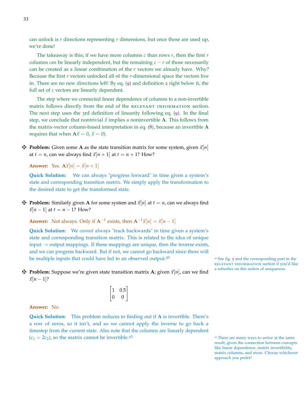can unlock is *r* directions representing *r* dimensions, but once those are used up, we're done!

The takeaway is this; if we have more columns *c* than rows *r*, then the first *r* columns *can* be linearly independent, but the remaining  $c - r$  of those necessarily can be created as a linear combination of the *r* vectors we already have. Why? Because the first *r* vectors unlocked all of the *r*-dimensional space the vectors live in. There are no new directions left! By eq. ([9](#page-18-0)) and definition 2 right below it, the full set of *c* vectors are linearly dependent.

The step where we connected linear dependence of columns to a non-invertible matrix follows directly from the end of the relevant information section. The next step uses the 3rd definition of linearity following eq. ([9](#page-18-0)). In the final step, we conclude that nontrivial  $\vec{x}$  implies a noninvertible **A**. This follows from the matrix-vector column-based interpretation in eq. ([8](#page-17-2)), because an invertible **A** requires that when  $A\vec{x} = 0$ ,  $\vec{x} = 0$ ).

 $\mathbf{\ddot{H}}$  **Problem:** Given some **A** as the state transition matrix for some system, given  $\vec{x}[n]$ at *t* = *n*, can we always find  $\vec{x}[n+1]$  at *t* = *n* + 1? How?

**Answer:** Yes.  $A\vec{x}[n] = \vec{x}[n+1]$ 

**Quick Solution:** We can always "progress forward" in time given a system's state and corresponding transition matrix. We simply apply the transformation to the desired state to get the transformed state.

 $\mathbf{\ddot{H}}$  **Problem:** Similarly given **A** for some system and  $\vec{x}[n]$  at  $t = n$ , can we always find  $\vec{x}[n-1]$  at  $t = n-1$ ? How?

**Answer:** Not always. Only if  $A^{-1}$  exists, then  $A^{-1}\vec{x}[n] = \vec{x}[n-1]$ 

**Quick Solution:** We *cannot* always "track backwards" in time given a system's state and corresponding transition matrix. This is related to the idea of unique input  $\rightarrow$  output mappings. If these mappings are unique, then the inverse exists, and we can progress backward. But if not, we cannot go backward since there will be multiple inputs that could have led to an observed output.<sup>42</sup>  $\frac{42 \text{ See fig. 5}}{42 \text{ See fig. 5}}$  $\frac{42 \text{ See fig. 5}}{42 \text{ See fig. 5}}$  $\frac{42 \text{ See fig. 5}}{42 \text{ See fig. 5}}$  and the corresponding part in the

**F** Problem: Suppose we're given state transition matrix **A**; given  $\vec{x}[n]$ , can we find a refresher on this notion of uniqueness.  $\vec{x}[n-1]$ ?

 $\begin{bmatrix} 1 & 0.5 \\ 0 & 0 \end{bmatrix}$ 

**Answer:** No.

**Quick Solution:** This problem reduces to finding out if **A** is invertible. There's a row of zeros, so it isn't, and so we cannot apply the inverse to go back a timestep from the current state. Also note that the columns are linearly dependent  $(c_1 = 2c_2)$ , so the matrix cannot be invertible.<sup>43</sup>  $\frac{43}{4}$  There are many ways to arrive at the same

relevant information section if you'd like

result, given the connection between concepts like linear dependence, matrix invertibility, matrix columns, and more. Choose whichever approach you prefer!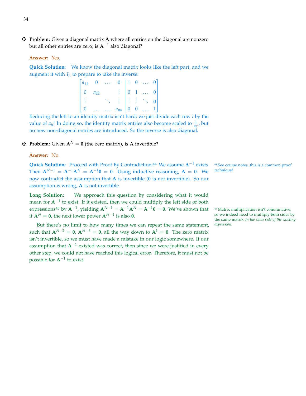z **Problem:** Given a diagonal matrix **A** where all entries on the diagonal are nonzero but all other entries are zero, is **A**−<sup>1</sup> also diagonal?

### **Answer:** Yes.

**Quick Solution:** We know the diagonal matrix looks like the left part, and we augment it with  $I_n$  to prepare to take the inverse:

| $a_{11}$       |          | 2.21 | 0                                                                     |          |              | $1 \quad 0 \quad \ldots$      |  |
|----------------|----------|------|-----------------------------------------------------------------------|----------|--------------|-------------------------------|--|
| $\overline{0}$ | $a_{22}$ |      |                                                                       |          |              | $0 \quad 1 \quad \ldots$      |  |
|                |          |      | $\frac{1}{2}$ $\frac{1}{2}$ $\frac{1}{2}$ $\frac{1}{2}$ $\frac{1}{2}$ |          |              | $\mathcal{A}_{\mathcal{A}_1}$ |  |
|                |          |      | $a_{nn}$                                                              | $\theta$ | $\mathbf{0}$ | $\sim 100$                    |  |

Reducing the left to an identity matrix isn't hard; we just divide each row *i* by the value of  $a_{ii}$ ! In doing so, the identity matrix entries also become scaled to  $\frac{1}{a_{ii}}$ , but no new non-diagonal entries are introduced. So the inverse is also diagonal.

### $\mathbf{\ddot{F}}$  **Problem:** Given  $\mathbf{A}^N = \mathbf{0}$  (the zero matrix), is **A** invertible?

### **Answer:** No.

Quick Solution: Proceed with Proof By Contradiction:<sup>44</sup> We assume A<sup>−1</sup> exists. Then  $A^{N-1} = A^{-1}A^N = A^{-1}0 = 0$ . Using inductive reasoning,  $A = 0$ . We now contradict the assumption that **A** is invertible (**0** is not invertible). So our assumption is wrong, **A** is not invertible.

**Long Solution:** We approach this question by considering what it would mean for **A**<sup>-1</sup> to exist. If it existed, then we could multiply the left side of both expressions<sup>45</sup> by  $A^{-1}$ , yielding  $A^{N-1} = A^{-1}A^N = A^{-1}0 = 0$ . We've shown that <sup>45</sup> Matrix multiplication isn't commutative, if  $A^N = 0$ , the next lower power  $A^{N-1}$  is also 0.

But there's no limit to how many times we can repeat the same statement, such that  $A^{N-2} = 0$ ,  $A^{N-3} = 0$ , all the way down to  $A^1 = 0$ . The zero matrix isn't invertible, so we must have made a mistake in our logic somewhere. If our assumption that A<sup>-1</sup> existed was correct, then since we were justified in every other step, we could not have reached this logical error. Therefore, it must not be possible for  $A^{-1}$  to exist.

<sup>44</sup> See course notes, this is a common proof technique!

so we indeed need to multiply both sides by the same matrix *on the same side of the existing expression*.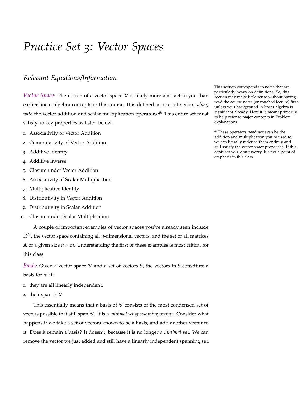## <span id="page-34-0"></span>*Practice Set 3: Vector Spaces*

## *Relevant Equations/Information*

*Vector Space*: The notion of a vector space **V** is likely more abstract to you than earlier linear algebra concepts in this course. It is defined as a set of vectors *along with* the vector addition and scalar multiplication operators.<sup>46</sup> This entire set must satisfy 10 key properties as listed below.

- 1. Associativity of Vector Addition
- 2. Commutativity of Vector Addition
- 3. Additive Identity
- 4. Additive Inverse
- 5. Closure under Vector Addition
- 6. Associativity of Scalar Multiplication
- 7. Multiplicative Identity
- 8. Distributivity in Vector Addition
- 9. Distributivity in Scalar Addition
- 10. Closure under Scalar Multiplication

A couple of important examples of vector spaces you've already seen include **R***N*, the vector space containing all *n*-dimensional vectors, and the set of all matrices **A** of a given size  $n \times m$ . Understanding the first of these examples is most critical for this class.

*Basis*: Given a vector space **V** and a set of vectors **S**, the vectors in **S** constitute a basis for **V** if:

- 1. they are all linearly independent.
- 2. their span is **V**.

This essentially means that a basis of **V** consists of the most condensed set of vectors possible that still span **V**. It is a *minimal set of spanning vectors*. Consider what happens if we take a set of vectors known to be a basis, and add another vector to it. Does it remain a basis? It doesn't, because it is no longer a *minimal* set. We can remove the vector we just added and still have a linearly independent spanning set. This section corresponds to notes that are particularly heavy on definitions. So, this section may make little sense without having read the course notes (or watched lecture) first, unless your background in linear algebra is significant already. Here it is meant primarily to help refer to major concepts in Problem explanations.

<sup>46</sup> These operators need not even be the addition and multiplication you're used to; we can literally redefine them entirely and still satisfy the vector space properties. If this confuses you, don't worry. It's not a point of emphasis in this class.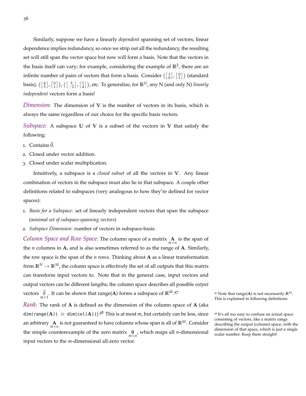Similarly, suppose we have a linearly *dependent* spanning set of vectors; linear dependence implies redundancy, so once we strip out all the redundancy, the resulting set will still span the vector space but now will form a basis. Note that the vectors in the basis itself can vary; for example, considering the example of  $\mathbb{R}^2$ , there are an infinite number of pairs of vectors that form a basis. Consider  $\left( \begin{bmatrix} 1 \\ 0 \end{bmatrix}, \begin{bmatrix} 0 \\ 1 \end{bmatrix} \right)$  (standard basis),  $(\begin{bmatrix} 4 \\ 3 \end{bmatrix}, \begin{bmatrix} 0 \\ 1 \end{bmatrix})$ ,  $(\begin{bmatrix} 5 \\ -2 \end{bmatrix}, \begin{bmatrix} 1 \\ 4 \end{bmatrix})$ , etc. To generalize, for  $\mathbb{R}^N$ , any N (and only N) *linearly independent* vectors form a basis!

*Dimension*: The dimension of **V** is the number of vectors in its basis, which is always the same regardless of our choice for the specific basis vectors.

*Subspace*: A subspace **U** of **V** is a subset of the vectors in **V** that satisfy the following:

- 1. Contains  $\vec{0}$ .
- 2. Closed under vector addition.
- 3. Closed under scalar multiplication.

Intuitively, a subspace is a *closed subset* of all the vectors in **V**. Any linear combination of vectors in the subspace must also lie in that subspace. A couple other definitions related to subspaces (very analogous to how they're defined for vector spaces):

- 1. *Basis for a Subspace*: set of linearly independent vectors that span the subspace (*minimal set of subspace-spanning vectors*)
- 2. *Subspace Dimension*: number of vectors in subspace-basis.

*Column Space and Row Space*: The column space of a matrix **A** *m*×*n* is the span of the *n* columns in **A**, and is also sometimes referred to as the range of **A**. Similarly, the row space is the span of the *n* rows. Thinking about **A** as a linear transformation from  $\mathbb{R}^N \to \mathbb{R}^M$ , the column space is effectively the set of all outputs that this matrix can transform input vectors to. Note that in the general case, input vectors and output vectors can be different lengths; the column space describes all possible *output* vectors  $\vec{b}$  . It can be shown that range(**A**) forms a subspace of  $\mathbb{R}^M$ .

*Rank*: The rank of **A** is defined as the dimension of the column space of **A** (aka  $dim(range(A)) \equiv dim(col(A)))$ .<sup>48</sup> This is at most *m*, but certainly can be less, since <sup>48</sup> It's all too easy to confuse an actual space an arbitrary  $\underset{m \times n}{\mathbf{A}}$  is not guaranteed to have columns whose span is all of  $\mathbb{R}^M$ . Consider the simple counterexample of the zero matrix  $\mathbf{0}$ , which maps all *n*-dimensional input vectors to the *m*-dimensional all-zero vector.

<sup>47</sup> <sup>47</sup> Note that range(**A**) is not necessarily **<sup>R</sup>***M*. This is explained in following definitions.

consisting of vectors, like a matrix range describing the output (column) space, with the dimension of that space, which is just a single scalar number. Keep them straight!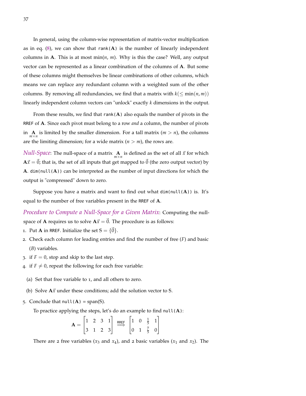In general, using the column-wise representation of matrix-vector multiplication as in eq.  $(8)$  $(8)$  $(8)$ , we can show that rank $(A)$  is the number of linearly independent columns in **A**. This is at most min $(n, m)$ . Why is this the case? Well, any output vector can be represented as a linear combination of the columns of **A**. But some of these columns might themselves be linear combinations of other columns, which means we can replace any redundant column with a weighted sum of the other columns. By removing all redundancies, we find that a matrix with  $k \leq \min(n, m)$ ) linearly independent column vectors can "unlock" exactly *k* dimensions in the output.

From these results, we find that rank $(A)$  also equals the number of pivots in the RREF of **A**. Since each pivot must belong to a row *and* a column, the number of pivots in  $\mathbf{A}_{m \times n}$  is limited by the smaller dimension. For a tall matrix ( $m > n$ ), the columns are the limiting dimension; for a wide matrix  $(n > m)$ , the rows are.

*Null-Space*: The null-space of a matrix  $\mathbf{A}$  is defined as the set of all  $\vec{x}$  for which  $A\vec{x} = \vec{0}$ ; that is, the set of all inputs that get mapped to  $\vec{0}$  (the zero output vector) by **A**. dim( $null(A)$ ) can be interpreted as the number of input directions for which the output is "compressed" down to zero.

Suppose you have a matrix and want to find out what dim(null(**A**)) is. It's equal to the number of free variables present in the RREF of **A**.

*Procedure to Compute a Null-Space for a Given Matrix*: Computing the nullspace of **A** requires us to solve  $A\vec{x} = \vec{0}$ . The procedure is as follows:

- 1. Put **A** in RREF. Initialize the set  $S = \{\vec{0}\}\$ .
- 2. Check each column for leading entries and find the number of free (*F*) and basic (*B*) variables.
- 3. if  $F = 0$ , stop and skip to the last step.
- 4. if  $F \neq 0$ , repeat the following for each free variable:
	- (a) Set that free variable to 1, and all others to zero.
	- (b) Solve  $A\vec{x}$  under these conditions; add the solution vector to S.
- 5. Conclude that  $null(A) = span(S)$ .

To practice applying the steps, let's do an example to find null(**A**):

$$
\mathbf{A} = \begin{bmatrix} 1 & 2 & 3 & 1 \\ 3 & 1 & 2 & 3 \end{bmatrix} \xrightarrow{\text{RREF}} \begin{bmatrix} 1 & 0 & \frac{1}{5} & 1 \\ 0 & 1 & \frac{7}{5} & 0 \end{bmatrix}
$$

There are 2 free variables ( $x_3$  and  $x_4$ ), and 2 basic variables ( $x_1$  and  $x_2$ ). The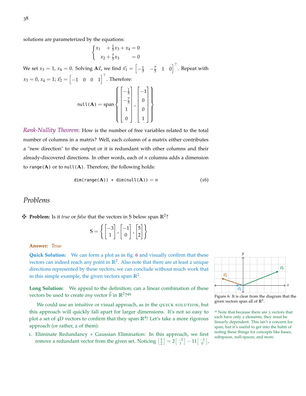solutions are parameterized by the equations:

$$
\begin{cases} x_1 + \frac{1}{5}x_3 + x_4 = 0\\ x_2 + \frac{7}{5}x_3 = 0 \end{cases}
$$

We set  $x_3 = 1$ ,  $x_4 = 0$ . Solving A $\vec{x}$ , we find  $\vec{x}_1 = \begin{bmatrix} -\frac{1}{5} & -\frac{7}{5} & 1 & 0 \end{bmatrix}^\top$ . Repeat with  $x_3 = 0, x_4 = 1; \vec{x_2} = \begin{bmatrix} -1 & 0 & 0 & 1 \end{bmatrix}^\top$ . Therefore:

$$
\text{null}(\mathbf{A}) = \text{span}\left\{ \begin{bmatrix} -\frac{1}{5} \\ -\frac{7}{5} \\ 1 \\ 0 \end{bmatrix}, \begin{bmatrix} -1 \\ 0 \\ 0 \\ 1 \end{bmatrix} \right\}
$$

*Rank-Nullity Theorem*: How is the number of free variables related to the total number of columns in a matrix? Well, each column of a matrix either contributes a "new direction" to the output or it is redundant with other columns and their already-discovered directions. In other words, each of *n* columns adds a dimension to range(**A**) or to null(**A**). Therefore, the following holds:

$$
dim(range(A)) + dim(null(A)) = n
$$
 (16)

### <span id="page-37-1"></span>*Problems*

z **Problem:** Is it *true* or *false* that the vectors in **S** below span **R**<sup>2</sup> ?

| $\begin{bmatrix} -3 \\ 1 \end{bmatrix}$ , $\begin{bmatrix} -1 \\ 0 \end{bmatrix}$ , $\begin{bmatrix} 5 \\ 2 \end{bmatrix}$ |  |  |  |
|----------------------------------------------------------------------------------------------------------------------------|--|--|--|

#### **Answer:** True

**Quick Solution:** We can form a plot as in fig. [6](#page-37-0) and visually confirm that these vectors can indeed reach any point in  $\mathbb{R}^2$ . Also note that there are at least 2 unique directions represented by these vectors; we can conclude without much work that in this simple example, the given vectors span **R**<sup>2</sup> .

**Long Solution:** We appeal to the definition; can a linear combination of these vectors be used to create *any* vector  $\vec{b}$  in  $\mathbb{R}^2$ ?49

We could use an intuitive or visual approach, as in the QUICK SOLUTION, but this approach will quickly fall apart for larger dimensions. It's not so easy to plot a set of 4D vectors to confirm that they span  $\mathbb{R}^4$ ! Let's take a more rigorous approach (or rather, 2 of them):

1. Eliminate Redundancy + Gaussian Elimination: In this approach, we first remove a redundant vector from the given set. Noticing  $\begin{bmatrix} 5 \\ 2 \end{bmatrix} = 2 \begin{bmatrix} -3 \\ 1 \end{bmatrix} - 11 \begin{bmatrix} -1 \\ 0 \end{bmatrix}$ ,



<span id="page-37-0"></span>Figure 6: It is clear from the diagram that the given vectors span all of **R**<sup>2</sup> .

<sup>49</sup> Note that because there are 3 vectors that each have only 2 elements, they must be linearly dependent. This isn't a concern for span, but it's useful to get into the habit of noting these things for concepts like bases, subspaces, null-spaces, and more.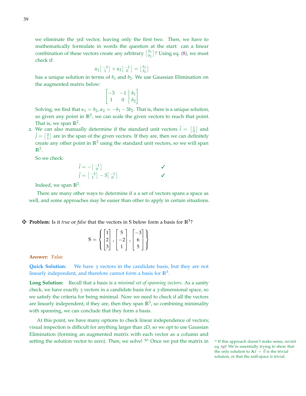we eliminate the 3rd vector, leaving only the first two. Then, we have to mathematically formulate in words the question at the start: can a linear combination of these vectors create any arbitrary  $\begin{bmatrix} b_1 \\ b_2 \end{bmatrix}$  $\left[\begin{smallmatrix} b_1 \ b_2 \end{smallmatrix}\right]$ ? Using eq. ([8](#page-17-0)), we must check if:

$$
\alpha_1 \begin{bmatrix} -3 \\ 1 \end{bmatrix} + \alpha_2 \begin{bmatrix} -1 \\ 0 \end{bmatrix} = \begin{bmatrix} b_1 \\ b_2 \end{bmatrix}
$$

has a unique solution in terms of  $b_1$  and  $b_2$ . We use Gaussian Elimination on the augmented matrix below:

$$
\begin{bmatrix} -3 & -1 & b_1 \\ 1 & 0 & b_2 \end{bmatrix}
$$

Solving, we find that  $\alpha_1 = b_2$ ,  $\alpha_2 = -b_1 - 3b_2$ . That is, there is a unique solution, so given any point in  $\mathbb{R}^2$ , we can scale the given vectors to reach that point. That is, we span  $\mathbb{R}^2$ .

2. We can also manually determine if the standard unit vectors  $\hat{i} = \begin{bmatrix} 1 \\ 0 \end{bmatrix}$  and  $\hat{j} = \begin{bmatrix} 0 \\ 1 \end{bmatrix}$  are in the span of the given vectors. If they are, then we can definitely create any other point in  $\mathbb{R}^2$  using the standard unit vectors, so we will span  $\mathbb{R}^2$ .

So we check:

$$
\hat{i} = -\begin{bmatrix} -1 \\ 0 \end{bmatrix}
$$
  
\n
$$
\hat{j} = \begin{bmatrix} -3 \\ 1 \end{bmatrix} - 3\begin{bmatrix} -1 \\ 0 \end{bmatrix}
$$

Indeed, we span **R**<sup>2</sup> .

There are many other ways to determine if a a set of vectors spans a space as well, and some approaches may be easier than other to apply in certain situations.

z **Problem:** Is it *true* or *false* that the vectors in **S** below form a basis for **R**<sup>3</sup> ?

| $\mathbf{1}$ | 5 <sub>1</sub>                               | $\lfloor -2 \rfloor$                  |  |
|--------------|----------------------------------------------|---------------------------------------|--|
| $2\vert$     |                                              |                                       |  |
| 3            |                                              |                                       |  |
|              | $\begin{vmatrix} 5 \\ -2 \\ 1 \end{vmatrix}$ | $\begin{array}{c} 6 \\ 5 \end{array}$ |  |

**Answer:** False

**Quick Solution:** We have 3 vectors in the candidate basis, but they are not linearly independent, and therefore cannot form a basis for **R**<sup>3</sup> .

**Long Solution:** Recall that a basis is a *minimal set of spanning vectors*. As a sanity check, we have exactly 3 vectors in a candidate basis for a 3-dimensional space, so we satisfy the criteria for being minimal. Now we need to check if all the vectors are linearly independent; if they are, then they span  $\mathbb{R}^3$ , so combining minimality with spanning, we can conclude that they form a basis.

At this point, we have many options to check linear independence of vectors; visual inspection is difficult for anything larger than 2D, so we opt to use Gaussian Elimination (forming an augmented matrix with each vector as a column and setting the solution vector to zero). Then, we solve!  $50$  Once we put the matrix in  $50$  If this approach doesn't make sense, revisit

eq. ([9](#page-18-0))! We're essentially trying to show that the only solution to  $A\vec{x} = \vec{0}$  is the trivial solution, or that the null-space is trivial.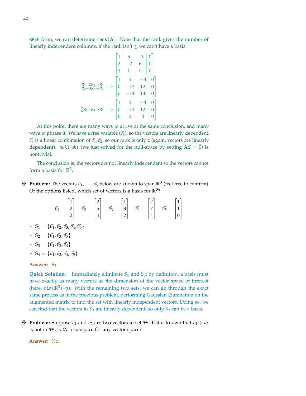RREF form, we can determine  $rank(A)$ . Note that the rank gives the number of linearly independent columns; if the rank isn't 3, we can't have a basis!

$$
\begin{bmatrix} 1 & 5 & -3 & 0 \ 2 & -2 & 6 & 0 \ 3 & 1 & 5 & 0 \ \end{bmatrix}
$$
  
\n
$$
\begin{bmatrix} 1 & 5 & -3 & 0 \ 3 & 1 & 5 & 0 \ \end{bmatrix}
$$
  
\n
$$
\begin{bmatrix} R_2 - 2R_1 \rightarrow R_2 \\ R_3 - 3R_1 \rightarrow R_3 \end{bmatrix} \Longrightarrow \begin{bmatrix} 1 & 5 & -3 & 0 \ 0 & -12 & 12 & 0 \ 0 & -14 & 14 & 0 \ \end{bmatrix}
$$
  
\n
$$
\begin{bmatrix} 7 & 5 & -3 & 0 \ 6 & -12 & 12 & 0 \ 0 & 0 & 0 & 0 \ \end{bmatrix}
$$

At this point, there are many ways to arrive at the same conclusion, and many ways to phrase it. We have a free variable  $(\vec{c}_3)$ , so the vectors are linearly dependent.  $\vec{c}_3$  is a linear combination of  $\vec{c}_1$ ,  $\vec{c}_2$ , so our rank is only 2 (again, vectors are linearly dependent). null(**A**) (we just solved for the null-space by setting  $A\vec{x} = \vec{0}$ ) is nontrivial.

The conclusion is, the vectors are not linearly independent so the vectors cannot form a basis for **R**<sup>3</sup> .

 $\mathbf{\ddot{F}}$  **Problem:** The vectors  $\vec{v}_1, \ldots, \vec{v}_5$  below are known to span  $\mathbb{R}^3$  (feel free to confirm). Of the options listed, which set of vectors is a basis for  $\mathbb{R}^3$ ?

$$
\vec{v_1} = \begin{bmatrix} 1 \\ 2 \\ 2 \end{bmatrix} \quad \vec{v_2} = \begin{bmatrix} 2 \\ 5 \\ 4 \end{bmatrix} \quad \vec{v_3} = \begin{bmatrix} 1 \\ 3 \\ 2 \end{bmatrix} \quad \vec{v_4} = \begin{bmatrix} 2 \\ 7 \\ 4 \end{bmatrix} \quad \vec{v_5} = \begin{bmatrix} 1 \\ 1 \\ 0 \end{bmatrix}
$$

 $* S_1 = {\bar{v_1}}, {\bar{v_2}}, {\bar{v_3}}, {\bar{v_4}}, {\bar{v_5}}$ 

\* 
$$
S_2 = {\bar{v}_1, \bar{v}_3, \bar{v}_5}
$$

\* 
$$
S_3 = {\bar{v}_1, \bar{v}_2, \bar{v}_4}
$$

 $* S_4 = {\vec{v_1}, \vec{v_3}, \vec{v_4}, \vec{v_5}}$ 

#### **Answer: S**<sup>2</sup>

**Quick Solution:** Immediately eliminate **S**<sup>1</sup> and **S**4; by definition, a basis must have exactly as many vectors as the dimension of the vector space of interest (here,  $\dim(\mathbb{R}^3)$ =3). With the remaining two sets, we can go through the exact same process as in the previous problem, performing Gaussian Elimination on the augmented matrix to find the set with linearly independent vectors. Doing so, we can find that the vectors in **S**<sup>3</sup> are linearly dependent, so only **S**<sup>2</sup> can be a basis.

 $\mathbf{\ddot{H}}$  **Problem:** Suppose  $\vec{v_1}$  and  $\vec{v_2}$  are two vectors in set W. If it is known that  $\vec{v_1} + \vec{v_2}$ is not in **W**, is **W** a subspace for any vector space?

#### **Answer:** No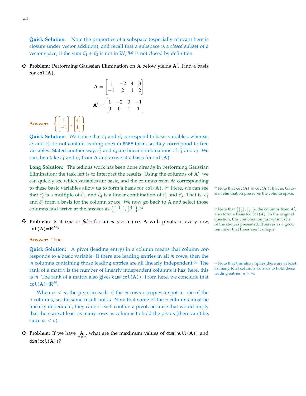**Quick Solution:** Note the properties of a subspace (especially relevant here is closure under vector addition), and recall that a subspace is a *closed* subset of a vector space; if the sum  $\vec{v}_1 + \vec{v}_2$  is not in W, W is not closed by definition.

z **Problem:** Performing Gaussian Elimination on **A** below yields **A**<sup>0</sup> . Find a basis for  $col(A)$ .

> $A =$  $\begin{bmatrix} 1 & -2 & 4 & 3 \\ -1 & 2 & 1 & 2 \end{bmatrix}$  $\mathbf{A}' = \begin{bmatrix} 1 & -2 & 0 & -1 \\ 0 & 0 & 1 & 1 \end{bmatrix}$

**Answer:**  $\begin{cases} 1 \\ -1 \end{cases}$ 

1 ,  $\sqrt{4}$ 1

#)

**Quick Solution:** We notice that  $\vec{c_1}$  and  $\vec{c_3}$  correspond to basic variables, whereas  $\vec{c}_2$  and  $\vec{c}_4$  do not contain leading ones in RREF form, so they correspond to free variables. Stated another way,  $\vec{c_2}$  and  $\vec{c_4}$  are linear combinations of  $\vec{c_1}$  and  $\vec{c_3}$ . We can then take  $\vec{c_1}$  and  $\vec{c_3}$  from **A** and arrive at a basis for col(**A**).

**Long Solution:** The tedious work has been done already in performing Gaussian Elimination; the task left is to interpret the results. Using the columns of  $A'$ , we can quickly see which variables are basic, and the columns from A' corresponding to these basic variables allow us to form a basis for  $col(A)$ . <sup>51</sup> Here, we can see that  $\vec{c_2}$  is a multiple of  $\vec{c_1}$ , and  $\vec{c_4}$  is a linear combination of  $\vec{c_1}$  and  $\vec{c_3}$ . That is,  $\vec{c_1}$  sian elimination preserves the column space. and  $\vec{c}_3$  form a basis for the column space. We now go back to **A** and select those columns and arrive at the answer as  $\left\{ \begin{bmatrix} 1 \\ -1 \end{bmatrix}, \begin{bmatrix} 4 \\ 1 \end{bmatrix} \right\}$ .  $5^2$  Note that  $\left\{ \begin{bmatrix} 1 \\ 0 \end{bmatrix}, \begin{bmatrix} 0 \\ 1 \end{bmatrix} \right\}$ , the columns from **A**<sup>1</sup>,

 $\mathbf{\ddot{H}}$  **Problem:** Is it *true* or *false* for an  $m \times n$  matrix **A** with pivots in every row, col( $A$ )= $\mathbb{R}^M$ ?

#### **Answer:** True

**Quick Solution:** A pivot (leading entry) in a column means that column corresponds to a basic variable. If there are leading entries in all *m* rows, then the *m* columns containing those leading entries are all linearly independent.<sup>53</sup> The <sup>53</sup> Note that this also implies there are at least rank of a matrix is the number of linearly independent columns it has; here, this is *m*. The rank of a matrix also gives dim(col(**A**)). From here, we conclude that  $col(A)=\mathbb{R}^M$ .

When  $m < n$ , the pivot in each of the  $m$  rows occupies a spot in one of the *n* columns, so the same result holds. Note that some of the *n* columns must be linearly dependent; they cannot each contain a pivot, because that would imply that there are at least as many rows as columns to hold the pivots (there can't be, since  $m < n$ ).

## **F** Problem: If we have  $\mathbf{A}$ , what are the maximum values of dim(null(**A**)) and dim(col(**A**))?

 $5<sup>1</sup>$  Note that col(**A**)  $\equiv$  col(**A**'); that is, Gaus-

also form a basis for col(**A**). In the original question, this combination just wasn't one of the choices presented. It serves as a good reminder that bases aren't unique!

as many total columns as rows to hold these leading entries; *n* > *m*.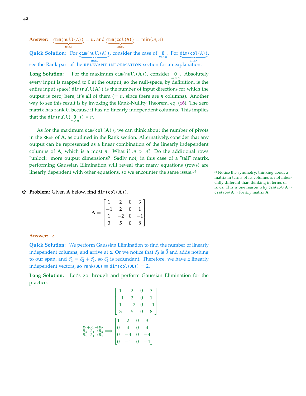**Answer:** dim(null(A))  $\frac{1}{\max}$  $= n$ , and dim(col(A))  $\frac{1}{\text{max}}$  $=$  min $(m, n)$ 

**Quick Solution:** For dim(null(A)) | {z } max , consider the case of  $\mathbf{0}$ . For  $\underbrace{\dim(\mathrm{col}(A))}$ | {z } max<br>see the Rank part of the RELEVANT INFORMATION section for an explanation. ,

**Long Solution:** For the maximum dim(null(**A**)), consider  $\mathbf{0}$ . Absolutely every input is mapped to 0 at the output, so the null-space, by definition, is the entire input space!  $\text{dim}(\text{null}(A))$  is the number of input directions for which the output is zero; here, it's all of them  $(= n, \text{ since there are } n \text{ columns})$ . Another way to see this result is by invoking the Rank-Nullity Theorem, eq. ([16](#page-37-1)). The zero matrix has rank 0, because it has no linearly independent columns. This implies that the dim(null( $\underset{m \times n}{\mathbf{0}}$ )) = *n*.

As for the maximum  $dim(col(A))$ , we can think about the number of pivots in the RREF of **A**, as outlined in the Rank section. Alternatively, consider that any output can be represented as a linear combination of the linearly independent columns of **A**, which is a most *n*. What if  $m > n$ ? Do the additional rows "unlock" more output dimensions? Sadly not; in this case of a "tall" matrix, performing Gaussian Elimination will reveal that many equations (rows) are linearly dependent with other equations, so we encounter the same issue.<sup>54</sup>  $\frac{54}{100}$  <sup>54</sup> Notice the symmetry; thinking about a

**F Problem:** Given **A** below, find  $dim(col(A))$ . dim(row(**A**)) for *any* matrix **A**.

|       |                                                                                | $\overline{2}$                                  | $\boldsymbol{0}$ |                                                   |
|-------|--------------------------------------------------------------------------------|-------------------------------------------------|------------------|---------------------------------------------------|
| $A =$ |                                                                                | $\begin{bmatrix} 2 & 0 \\ -2 & 0 \end{bmatrix}$ |                  |                                                   |
|       | $\begin{array}{c} 1 \\ -1 \\ \begin{bmatrix} 1 \\ 3 \end{bmatrix} \end{array}$ |                                                 |                  | $\begin{bmatrix} 3 \\ 1 \\ -1 \\ 8 \end{bmatrix}$ |
|       |                                                                                | $\overline{5}$                                  | $\overline{0}$   |                                                   |

#### **Answer:** 2

**Quick Solution:** We perform Gaussian Elimination to find the number of linearly independent columns, and arrive at 2. Or we notice that  $\vec{c}_3$  is  $\vec{0}$  and adds nothing to our span, and  $\vec{c}_4 = \vec{c}_2 + \vec{c}_1$ , so  $\vec{c}_4$  is redundant. Therefore, we have 2 linearly independent vectors, so rank( $A$ )  $\equiv$  dim(col( $A$ )) = 2.

**Long Solution:** Let's go through and perform Gaussian Elimination for the practice:

$$
\begin{bmatrix} 1 & 2 & 0 & 3 \ -1 & 2 & 0 & 1 \ 1 & -2 & 0 & -1 \ 3 & 5 & 0 & 8 \ \end{bmatrix}
$$

$$
\xrightarrow{R_1 + R_2 \to R_2} \xrightarrow{R_3 - R_1 \to R_3} \begin{bmatrix} 1 & 2 & 0 & 3 \ 0 & 4 & 0 & 4 \ 0 & -4 & 0 & -4 \ 0 & -1 & 0 & -1 \ \end{bmatrix}
$$

matrix in terms of its columns is not inherently different than thinking in terms of rows. This is one reason why  $dim(col(A))$  =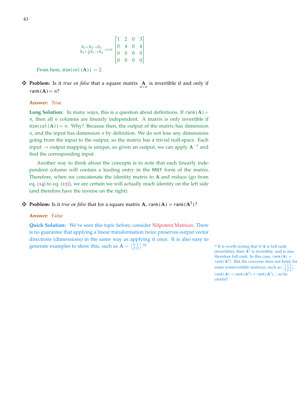$$
\begin{array}{ccc}\nR_3 + R_2 \rightarrow R_3 \\
R_4 + \frac{1}{4}R_1 \rightarrow R_4 \end{array} \Longrightarrow \begin{bmatrix} 1 & 2 & 0 & 3 \\
0 & 4 & 0 & 4 \\
0 & 0 & 0 & 0 \\
0 & 0 & 0 & 0 \end{bmatrix}
$$

From here,  $dim(col(A)) = 2$ .

**F** Problem: Is it *true* or *false* that a square matrix  $\mathbf{A}$  is invertible if and only if rank $(A) = n$ ?

#### **Answer:** True

**Long Solution:** In many ways, this is a question about definitions. If rank( $A$ )=  $n$ , then all  $n$  columns are linearly independent. A matrix is only invertible if  $dim(col(A)) = n$ . Why? Because then, the output of the matrix has dimension *n*, and the input has dimension *n* by definition. We do not lose any dimensions going from the input to the output, so the matrix has a trivial null-space. Each input → output mapping is unique, so given an output, we can apply **A**−<sup>1</sup> and find the corresponding input.

Another way to think about the concepts is to note that each linearly independent column will contain a leading entry in the RREF form of the matrix. Therefore, when we concatenate the identity matrix to **A** and reduce (go from eq.  $(14)$  $(14)$  $(14)$  to eq.  $(15)$  $(15)$  $(15)$ ), we are certain we will actually reach identity on the left side (and therefore have the inverse on the right).

**F** Problem: Is it *true* or *false* that for a square matrix **A**, rank(**A**) = rank( $A^2$ )?

#### **Answer:** False

**Quick Solution:** We've seen this topic before; consider [Nilpotent Matrices.](https://en.wikipedia.org/wiki/Nilpotent_matrix) There is no guarantee that applying a linear transformation twice preserves output vector directions (dimensions) in the same way as applying it once. It is also easy to generate examples to show this, such as  $A = \begin{bmatrix} 0 & 1 \\ 0 & 0 \end{bmatrix}$ .

<sup>55</sup> <sup>55</sup> It is worth noting that if **<sup>A</sup>** is full rank (invertible), then  $A^2$  is invertible, and is also therefore full rank. In this case,  $rank(A) =$ rank(**A**2). But the converse does not hold; for some noninvertible matrices, such as  $\begin{bmatrix} 1 & 2 & 3 \\ 2 & 4 & 6 \\ 3 & 6 & 9 \end{bmatrix}$ ,  $rank(A) = rank(A^2) = rank(A^3) ...$  so be careful!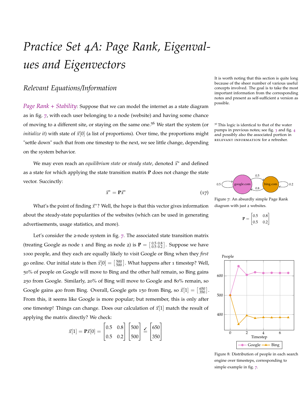# *Practice Set 4A: Page Rank, Eigenvalues and Eigenvectors*

## *Relevant Equations/Information*

*Page Rank + Stability*: Suppose that we can model the internet as a state diagram as in fig. [7](#page-43-0), with each user belonging to a node (website) and having some chance of moving to a different site, or staying on the same one.<sup>56</sup> We start the system (or  $56$  This logic is identical to that of the water *initialize it*) with state of  $\vec{x}[0]$  (a list of proportions). Over time, the proportions might "settle down" such that from one timestep to the next, we see little change, depending on the system behavior.

We may even reach an *equilibrium state* or *steady state*, denoted  $\vec{x}$ <sup>\*</sup> and defined as a state for which applying the state transition matrix **P** does not change the state vector. Succinctly:

<span id="page-43-2"></span>
$$
\vec{x}^* = \mathbf{P}\vec{x}^* \tag{17}
$$

It is worth noting that this section is quite long because of the sheer number of various useful concepts involved. The goal is to take the most important information from the corresponding notes and present as self-sufficient a version as possible.

pumps in previous notes; see fig. [3](#page-25-0) and fig. [4](#page-25-1) and possibly also the associated portion in relevant information for a refresher.



Figure 7: An absurdly simple Page Rank diagram with just 2 websites.

<span id="page-43-0"></span>



<span id="page-43-1"></span>Figure 8: Distribution of people in each search engine over timesteps, corresponding to simple example in fig. [7](#page-43-0).

What's the point of finding  $\vec{x}$ <sup>\*</sup>? Well, the hope is that this vector gives information about the steady-state popularities of the websites (which can be used in generating advertisements, usage statistics, and more).

Let's consider the 2-node system in fig. [7](#page-43-0). The associated state transition matrix (treating Google as node 1 and Bing as node 2) is  $P = \begin{bmatrix} 0.5 & 0.8 \\ 0.5 & 0.2 \end{bmatrix}$ . Suppose we have 1000 people, and they each are equally likely to visit Google or Bing when they *first* go online. Our initial state is then  $\vec{x}[0] = \begin{bmatrix} 500 \\ 500 \end{bmatrix}$ . What happens after 1 timestep? Well, 50% of people on Google will move to Bing and the other half remain, so Bing gains 250 from Google. Similarly, 20% of Bing will move to Google and 80% remain, so Google gains 400 from Bing. Overall, Google gets 150 from Bing, so  $\vec{x}[1] = \begin{bmatrix} 650 \\ 350 \end{bmatrix}$ . From this, it seems like Google is more popular; but remember, this is only after one timestep! Things can change. Does our calculation of  $\vec{x}[1]$  match the result of applying the matrix directly? We check:

$$
\vec{x}[1] = \mathbf{P}\vec{x}[0] = \begin{bmatrix} 0.5 & 0.8 \\ 0.5 & 0.2 \end{bmatrix} \begin{bmatrix} 500 \\ 500 \end{bmatrix} \leq \begin{bmatrix} 650 \\ 350 \end{bmatrix}
$$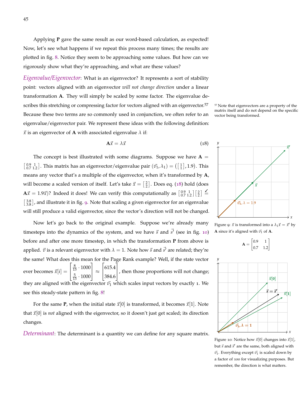Applying **P** gave the same result as our word-based calculation, as expected! Now, let's see what happens if we repeat this process many times; the results are plotted in fig. [8](#page-43-1). Notice they seem to be approaching some values. But how can we rigorously show what they're approaching, and what are these values?

*Eigenvalue/Eigenvector*: What is an eigenvector? It represents a sort of stability point: vectors aligned with an eigenvector *will not change direction* under a linear transformation **A**. They will simply be scaled by some factor. The eigenvalue describes this stretching or compressing factor for vectors aligned with an eigenvector.<sup>57</sup>  $\frac{57}{2}$  Note that eigenvectors are a property of the Because these two terms are so commonly used in conjunction, we often refer to an vector being transformed. eigenvalue/eigenvector pair. We represent these ideas with the following definition:  $\vec{x}$  is an eigenvector of **A** with associated eigenvalue  $\lambda$  if:

<span id="page-44-0"></span>
$$
\mathbf{A}\vec{x} = \lambda \vec{x} \tag{18}
$$

The concept is best illustrated with some diagrams. Suppose we have  $A =$  $\begin{bmatrix} 0.9 & 1 \\ 0.7 & 1.2 \end{bmatrix}$ . This matrix has an eigenvector/eigenvalue pair  $(\vec{v}_1, \lambda_1) = (\begin{bmatrix} 1 \\ 1 \end{bmatrix}, 1.9)$ . This means any vector that's a multiple of the eigenvector, when it's transformed by **A**, will become a scaled version of itself. Let's take  $\vec{x} = \begin{bmatrix} 2 \\ 2 \end{bmatrix}$ . Does eq. ([18](#page-44-0)) hold (does  $\mathbf{A}\vec{x} = 1.9\vec{x}$ )? Indeed it does! We can verify this computationally as  $\begin{bmatrix} 0.9 & 1 \\ 0.7 & 1.2 \end{bmatrix} \begin{bmatrix} 2 \\ 2 \end{bmatrix} \leq$  $\left[\frac{3.8}{3.8}\right]$ , and illustrate it in fig. [9](#page-44-1). Note that scaling a given eigenvector for an eigenvalue will still produce a valid eigenvector, since the vector's direction will not be changed.

Now let's go back to the original example. Suppose we're already many timesteps into the dynamics of the system, and we have  $\vec{s}$  and  $\vec{s'}$  (see in fig. [10](#page-44-2)) before and after one more timestep, in which the transformation **P** from above is applied.  $\vec{v}$  is a relevant eigenvector with  $\lambda = 1$ . Note how  $\vec{s}$  and  $\vec{s'}$  are related; they're the same! What does this mean for the Page Rank example? Well, if the state vector ever becomes  $\vec{x}[i] =$  $\lceil$  $\overline{1}$  $\frac{8}{13} \cdot 1000$  $\frac{5}{13} \cdot 1000$ 1  $\vert \approx$  $\lceil$  $\overline{1}$ 615.4 384.6 1 , then those proportions will not change; they are aligned with the eigenvector  $\vec{v}_1$  which scales input vectors by exactly 1. We see this steady-state pattern in fig. [8](#page-43-1)!

For the same **P**, when the initial state  $\vec{x}[0]$  is transformed, it becomes  $\vec{x}[1]$ . Note that  $\vec{x}[0]$  is *not* aligned with the eigenvector, so it doesn't just get scaled; its direction changes.

*Determinant*: The determinant is a quantity we can define for any square matrix.

matrix itself and do not depend on the specific



Figure 9:  $\vec{x}$  is transformed into a  $\lambda_1 \vec{x} = \vec{x}'$  by **A** since it's aligned with  $\vec{v_1}$  of **A**.

<span id="page-44-1"></span>



<span id="page-44-2"></span>Figure 10: Notice how  $\vec{x}[0]$  changes into  $\vec{x}[1]$ , but  $\vec{s}$  and  $\vec{s}'$  are the same, both aligned with  $\vec{v_1}$ . Everything except  $\vec{v_1}$  is scaled down by a factor of 100 for visualizing purposes. But remember, the direction is what matters.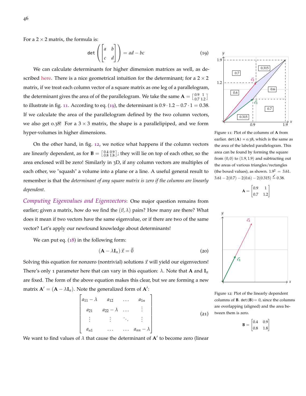For a  $2 \times 2$  matrix, the formula is:

<span id="page-45-1"></span>
$$
\det\left(\begin{bmatrix} a & b \\ c & d \end{bmatrix}\right) = ad - bc \tag{19}
$$

We can calculate determinants for higher dimension matrices as well, as described [here.](https://en.wikipedia.org/wiki/Determinant) There is a nice geometrical intuition for the determinant; for a  $2 \times 2$ matrix, if we treat each column vector of a square matrix as one leg of a parallelogram, the determinant gives the area of of the parallelogram. We take the same  $\mathbf{A} = \begin{bmatrix} 0.9 & 1 \\ 0.7 & 1 \end{bmatrix}$  $\left[\begin{smallmatrix} 0.9 & 1 \ 0.7 & 1.2 \end{smallmatrix}\right]$ to illustrate in fig. [11](#page-45-0). According to eq. ([19](#page-45-1)), the determinant is  $0.9 \cdot 1.2 - 0.7 \cdot 1 = 0.38$ . If we calculate the area of the parallelogram defined by the two column vectors, we also get 0.38! For a  $3 \times 3$  matrix, the shape is a parallelipiped, and we form hyper-volumes in higher dimensions.

On the other hand, in fig. [12](#page-45-2), we notice what happens if the column vectors are linearly dependent, as for **B** =  $\begin{bmatrix} 0.4 & 0.9 \\ 0.8 & 1.8 \end{bmatrix}$ ; they will lie on top of each other, so the area enclosed will be zero! Similarly in 3D, if any column vectors are multiples of each other, we "squash" a volume into a plane or a line. A useful general result to remember is that the *determinant of any square matrix is zero if the columns are linearly dependent.*

*Computing Eigenvalues and Eigenvectors*: One major question remains from earlier; given a matrix, how do we find the  $(\vec{v}, \lambda)$  pairs? How many are there? What does it mean if two vectors have the same eigenvalue, or if there are two of the same vector? Let's apply our newfound knowledge about determinants!

We can put eq.  $(18)$  $(18)$  $(18)$  in the following form:

<span id="page-45-3"></span>
$$
(\mathbf{A} - \lambda \mathbf{I}_n) \vec{x} = \vec{0} \tag{20}
$$

Solving this equation for nonzero (nontrivial) solutions  $\vec{x}$  will yield our eigenvectors! There's only 1 parameter here that can vary in this equation:  $\lambda$ . Note that **A** and  $I_n$ are fixed. The form of the above equation makes this clear, but we are forming a new matrix  $\mathbf{A}' = (\mathbf{A} - \lambda \mathbf{I}_n)$ . Note the generalized form of  $\mathbf{A}'$ :



<span id="page-45-2"></span>*x* Figure 12: Plot of the linearly dependent columns of **B**.  $det(B) = 0$ , since the columns are overlapping (aligned) and the area be-

tween them is zero.  $(21)$ 

 $\mathbf{B} = \begin{bmatrix} 0.4 & 0.9 \\ 0.8 & 1.8 \end{bmatrix}$ 



0.6

 $\boxed{0.7}$ 

*y* 1.9

1.2

*y*

earlier.  $det(A) = 0.38$ , which is the same as the area of the labeled parallelogram. This area can be found by forming the square from  $(0, 0)$  to  $(1.9, 1.9)$  and subtracting out the areas of various triangles/rectangles (the boxed values), as shown.  $1.9^2 = 3.61$ .  $3.61 - 2(0.7) - 2(0.6) - 2(0.315) = 0.38.$ 

0.315

 $\vec{c_2}$ 

0.6

<span id="page-45-0"></span>*x*

$$
\mathbf{A} = \begin{bmatrix} 0.9 & 1 \\ 0.7 & 1.2 \end{bmatrix}
$$

 $\vec{c_2}$ 

 $\vec{c_1}$ 

We want to find values of  $\lambda$  that cause the determinant of  $A'$  to become zero (linear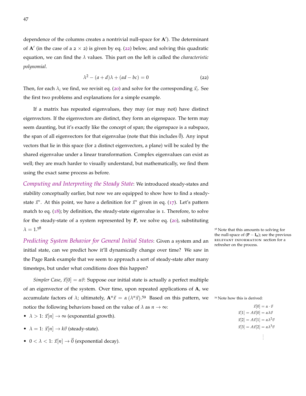<span id="page-46-0"></span>dependence of the columns creates a nontrivial null-space for A<sup>'</sup>). The determinant of  $A'$  (in the case of a  $2 \times 2$ ) is given by eq. ([22](#page-46-0)) below, and solving this quadratic equation, we can find the *λ* values. This part on the left is called the *characteristic polynomial*.

$$
\lambda^2 - (a+d)\lambda + (ad-bc) = 0 \tag{22}
$$

Then, for each  $\lambda_i$  we find, we revisit eq. ([20](#page-45-3)) and solve for the corresponding  $\vec{x}_i$ . See the first two problems and explanations for a simple example.

If a matrix has repeated eigenvalues, they may (or may not) have distinct eigenvectors. If the eigenvectors are distinct, they form an eigenspace. The term may seem daunting, but it's exactly like the concept of span; the eigenspace is a subspace, the span of all eigenvectors for that eigenvalue (note that this includes  $\vec{0}$ ). Any input vectors that lie in this space (for 2 distinct eigenvectors, a plane) will be scaled by the shared eigenvalue under a linear transformation. Complex eigenvalues can exist as well; they are much harder to visually understand, but mathematically, we find them using the exact same process as before.

*Computing and Interpreting the Steady State*: We introduced steady-states and stability conceptually earlier, but now we are equipped to show how to find a steadystate  $\vec{x}^*$ . At this point, we have a definition for  $\vec{x}^*$  given in eq. ([17](#page-43-2)). Let's pattern match to eq. ([18](#page-44-0)); by definition, the steady-state eigenvalue is 1. Therefore, to solve for the steady-state of a system represented by **P**, we solve eq. ([20](#page-45-3)), substituting  $\lambda = 1.5^8$  Solving for that this amounts to solving for

*Predicting System Behavior for General Initial States*: Given a system and an initial state, can we predict how it'll dynamically change over time? We saw in the Page Rank example that we seem to approach a sort of steady-state after many timesteps, but under what conditions does this happen?

*Simpler Case,*  $\vec{x}[0] = \alpha \vec{v}$ : Suppose our initial state is actually a perfect multiple of an eigenvector of the system. Over time, upon repeated applications of **A**, we accumulate factors of  $\lambda$ ; ultimately,  $\mathbf{A}^n \vec{x} = \alpha (\lambda^n \vec{x})$ .<sup>59</sup> Based on this pattern, we <sup>59</sup> Note how this is derived: notice the following behaviors based on the value of  $\lambda$  as  $n \to \infty$ :

- $\lambda > 1$ :  $\vec{x}[n] \rightarrow \infty$  (exponential growth).
- $\lambda = 1$ :  $\vec{x}[n] \rightarrow k\vec{v}$  (steady-state).
- $0 < \lambda < 1$ :  $\vec{x}[n] \rightarrow \vec{0}$  (exponential decay).

the null-space of  $(\mathbf{P} - \mathbf{I}_n)$ ; see the previous relevant information section for a refresher on the process.

 $\vec{x}[0] = \alpha \cdot \vec{v}$  $\vec{x}[1] = A\vec{x}[0] = \alpha\lambda\vec{v}$  $\vec{x}[2] = A\vec{x}[1] = \alpha\lambda^2\vec{v}$  $\vec{x}[3] = A\vec{x}[2] = \alpha\lambda^3\vec{v}$ . . .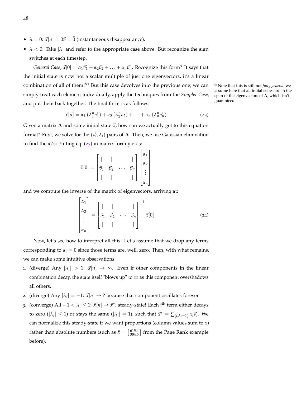- $\lambda = 0$ :  $\vec{x}[n] = 0\vec{v} = \vec{0}$  (instantaneous disappearance).
- $\lambda < 0$ : Take  $|\lambda|$  and refer to the appropriate case above. But recognize the sign switches at each timestep.

*General Case,*  $\vec{x}[0] = \alpha_1 \vec{v_1} + \alpha_2 \vec{v_2} + \ldots + \alpha_n \vec{v_n}$ . Recognize this form? It says that the initial state is now not a scalar multiple of just one eigenvectors, it's a linear combination of all of them!<sup>60</sup> But this case devolves into the previous one; we can <sup>60</sup> Note that this is still not *fully general*; we simply treat each element individually, apply the techniques from the *Simpler Case*, and put them back together. The final form is as follows:

$$
\vec{x}[n] = \alpha_1 (\lambda_1^n \vec{v_1}) + \alpha_2 (\lambda_2^n \vec{v_2}) + \ldots + \alpha_n (\lambda_n^n \vec{v_n})
$$
\n(23)

Given a matrix **A** and some initial state  $\vec{x}$ , how can we actually get to this equation format? First, we solve for the  $(\vec{v}_i, \lambda_i)$  pairs of **A**. Then, we use Gaussian elimination to find the *α*<sup>*i*</sup> s; Putting eq. ([23](#page-47-0)) in matrix form yields:

$$
\vec{x}[0] = \begin{bmatrix} | & | & & | \\ \vec{v}_1 & \vec{v}_2 & \cdots & \vec{v}_n \\ | & | & | & & | \end{bmatrix} \begin{bmatrix} \alpha_1 \\ \alpha_2 \\ \vdots \\ \alpha_n \end{bmatrix}
$$

and we compute the inverse of the matrix of eigenvectors, arriving at:

n.

 $\overline{1}$ 

$$
\begin{bmatrix} \alpha_1 \\ \alpha_2 \\ \vdots \\ \alpha_n \end{bmatrix} = \begin{bmatrix} | & | & \cdots & | \\ \vec{v}_1 & \vec{v}_2 & \cdots & \vec{v}_n \\ | & | & \cdots & | \end{bmatrix}^{-1} \vec{x}[0] \tag{24}
$$

<span id="page-47-0"></span> $\overline{1}$ 

Now, let's see how to interpret all this! Let's assume that we drop any terms corresponding to  $\alpha_i = 0$  since those terms are, well, zero. Then, with what remains, we can make some intuitive observations:

- 1. (diverge) Any  $|\lambda_i| > 1$ :  $\vec{x}[n] \rightarrow \infty$ . Even if other components in the linear combination decay, the state itself "blows up" to  $\infty$  as this component overshadows all others.
- 2. (diverge) Any  $|\lambda_i| = -1$ :  $\vec{x}[n] \rightarrow$  ? because that component oscillates forever.
- 3. (converge) All  $-1 < \lambda_i \leq 1$ :  $\vec{x}[n] \rightarrow \vec{x}^*$ , steady-state! Each *i*<sup>th</sup> term either decays to zero ( $|\lambda_i| \leq 1$ ) or stays the same ( $|\lambda_i| = 1$ ), such that  $\vec{x}^* = \sum_{(i,\lambda_i=1)} \alpha_i \vec{v}_i$ . We can normalize this steady-state if we want proportions (column values sum to 1) rather than absolute numbers (such as  $\vec{x} = \begin{bmatrix} 615.4 \\ 384.6 \end{bmatrix}$  from the Page Rank example before).

assume here that all initial states are in the span of the eigenvectors of **A**, which isn't guaranteed.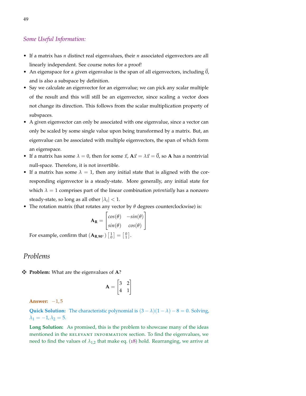#### *Some Useful Information:*

- If a matrix has *n* distinct real eigenvalues, their *n* associated eigenvectors are all linearly independent. See course notes for a proof!
- An eigenspace for a given eigenvalue is the span of all eigenvectors, including 0, and is also a subspace by definition.
- Say we calculate an eigenvector for an eigenvalue; we can pick any scalar multiple of the result and this will still be an eigenvector, since scaling a vector does not change its direction. This follows from the scalar multiplication property of subspaces.
- A given eigenvector can only be associated with one eigenvalue, since a vector can only be scaled by some single value upon being transformed by a matrix. But, an eigenvalue can be associated with multiple eigenvectors, the span of which form an eigenspace.
- If a matrix has some  $\lambda = 0$ , then for some  $\vec{x}$ ,  $A\vec{x} = \lambda \vec{x} = \vec{0}$ , so A has a nontrivial null-space. Therefore, it is not invertible.
- If a matrix has some  $\lambda = 1$ , then any initial state that is aligned with the corresponding eigenvector is a steady-state. More generally, any initial state for which  $\lambda = 1$  comprises part of the linear combination *potentially* has a nonzero steady-state, so long as all other  $|\lambda_i| < 1$ .
- The rotation matrix (that rotates any vector by *θ* degrees counterclockwise) is:

$$
\mathbf{A}_{\mathbf{R}} = \begin{bmatrix} \cos(\theta) & -\sin(\theta) \\ \sin(\theta) & \cos(\theta) \end{bmatrix}
$$

For example, confirm that  $(\mathbf{A}_{\mathbf{R},\mathbf{90}^{\circ}}) \begin{bmatrix} 1 \\ 0 \end{bmatrix} = \begin{bmatrix} 0 \\ 1 \end{bmatrix}$ .

## *Problems*

z **Problem:** What are the eigenvalues of **A**?

$$
\mathbf{A} = \begin{bmatrix} 3 & 2 \\ 4 & 1 \end{bmatrix}
$$

**Answer:** −1, 5

**Quick Solution:** The characteristic polynomial is  $(3 - \lambda)(1 - \lambda) - 8 = 0$ . Solving,  $\lambda_1 = -1, \lambda_2 = 5.$ 

**Long Solution:** As promised, this is the problem to showcase many of the ideas mentioned in the RELEVANT INFORMATION section. To find the eigenvalues, we need to find the values of  $\lambda_{1,2}$  that make eq. ([18](#page-44-0)) hold. Rearranging, we arrive at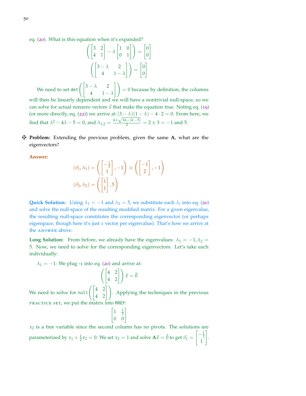eq. ([20](#page-45-3)). What is this equation when it's expanded?

$$
\begin{pmatrix} 3 & 2 \ 4 & 1 \end{pmatrix} - \lambda \begin{pmatrix} 1 & 0 \ 0 & 1 \end{pmatrix} = \begin{pmatrix} 0 \ 0 \end{pmatrix}
$$

$$
\begin{pmatrix} 3 - \lambda & 2 \ 4 & 1 - \lambda \end{pmatrix} = \begin{pmatrix} 0 \ 0 \end{pmatrix}
$$

We need to set det  $\left(\begin{bmatrix} 3-\lambda & 2 \end{bmatrix}\right)$  $4\qquad 1-\lambda$  $\Big|\Big| = 0$  because by definition, the columns will then be linearly dependent and we will have a nontrivial null-space, so we can solve for actual nonzero vectors  $\vec{x}$  that make the equation true. Noting eq. ([19](#page-45-1)) (or more directly, eq. ([22](#page-46-0))) we arrive at  $(3 - \lambda)(1 - \lambda) - 4 \cdot 2 = 0$ . From here, we find that  $\lambda^2 - 4\lambda - 5 = 0$ , and  $\lambda_{1,2} = \frac{4 \pm \sqrt{16 - (4 \cdot -5)}}{2} = 2 \pm 3 = -1$  and 5.

z **Problem:** Extending the previous problem, given the same **A**, what are the eigenvectors?

**Answer:**

$$
(\vec{v}_1, \lambda_1) = \left( \begin{bmatrix} -\frac{1}{2} \\ 1 \end{bmatrix}, -1 \right) \equiv \left( \begin{bmatrix} -1 \\ 2 \end{bmatrix}, -1 \right)
$$

$$
(\vec{v}_2, \lambda_2) = \left( \begin{bmatrix} 1 \\ 1 \end{bmatrix}, 5 \right)
$$

**Quick Solution:** Using  $\lambda_1 = -1$  and  $\lambda_2 = 5$ , we substitute each  $\lambda_i$  into eq. ([20](#page-45-3)) and solve the null-space of the resulting modified matrix. For a given eigenvalue, the resulting null-space constitutes the corresponding eigenvector (or perhaps eigenspace, though here it's just 1 vector per eigenvalue). That's how we arrive at the answer above.

**Long Solution:** From before, we already have the eigenvalues:  $\lambda_1 = -1$ ,  $\lambda_2 =$ 5. Now, we need to solve for the corresponding eigenvectors. Let's take each individually:

 $\lambda_1 = -1$ : We plug -1 into eq. ([20](#page-45-3)) and arrive at:

$$
\left( \begin{bmatrix} 4 & 2 \\ 4 & 2 \end{bmatrix} \right) \vec{x} = \vec{0}
$$

We need to solve for null  $\left( \begin{bmatrix} 4 & 2 \\ 4 & 2 \end{bmatrix} \right)$ . Applying the techniques in the previous practice set, we put the matrix into RREF:

$$
\begin{bmatrix} 1 & \frac{1}{2} \\ 0 & 0 \end{bmatrix}
$$

 $x<sub>2</sub>$  is a free variable since the second column has no pivots. The solutions are parameterized by  $x_1 + \frac{1}{2}x_2 = 0$ . We set  $x_2 = 1$  and solve  $A\vec{x} = \vec{0}$  to get  $\vec{v}_1 = \begin{bmatrix} -\frac{1}{2} \\ 1 \end{bmatrix}$ 1 1 .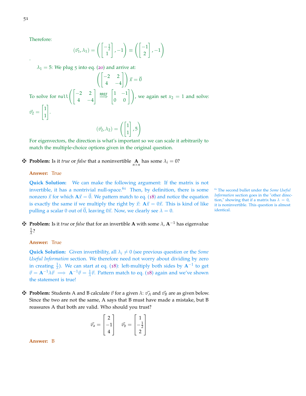.

Therefore:

$$
(\vec{v}_1, \lambda_1) = \left( \begin{bmatrix} -\frac{1}{2} \\ 1 \end{bmatrix}, -1 \right) \equiv \left( \begin{bmatrix} -1 \\ 2 \end{bmatrix}, -1 \right)
$$

 $\lambda_1 = 5$ : We plug 5 into eq. ([20](#page-45-3)) and arrive at:

$$
\left( \begin{bmatrix} -2 & 2 \\ 4 & -4 \end{bmatrix} \right) \vec{x} = \vec{0}
$$
  
To solve for null
$$
\vec{v_2} = \begin{bmatrix} 1 \\ 1 \end{bmatrix}.
$$

$$
\vec{v_2} = \begin{bmatrix} 1 \\ 1 \end{bmatrix}.
$$

$$
(\vec{v_2}, \lambda_2) = \left( \begin{bmatrix} 1 \\ 1 \end{bmatrix}, 5 \right)
$$

For eigenvectors, the direction is what's important so we can scale it arbitrarily to match the multiple-choice options given in the original question.

**Froblem:** Is it *true* or *false* that a noninvertible  $\mathbf{A}$  has some  $\lambda_i = 0$ ?

#### **Answer:** True

**Quick Solution:** We can make the following argument: If the matrix is not invertible, it has a nontrivial null-space.<sup>61</sup> Then, by definition, there is some <sup>61</sup> The second bullet under the *Some Useful* nonzero  $\vec{x}$  for which  $A\vec{x} = \vec{0}$ . We pattern match to eq. ([18](#page-44-0)) and notice the equation is exactly the same if we multiply the right by  $\vec{x}$ :  $A\vec{x} = 0\vec{x}$ . This is kind of like pulling a scalar 0 out of  $\vec{0}$ , leaving 0 $\vec{x}$ . Now, we clearly see  $\lambda = 0$ .

 $\bf{F}$  **Problem:** Is it *true* or *false* that for an invertible **A** with some  $\lambda$ , **A**<sup>−1</sup> has eigenvalue 1 *λ* ?

#### **Answer:** True

**Quick Solution:** Given invertibility, all  $\lambda_i \neq 0$  (see previous question or the *Some Useful Information* section. We therefore need not worry about dividing by zero in creating  $\frac{1}{\lambda}$ ). We can start at eq. ([18](#page-44-0)): left-multiply both sides by A<sup>-1</sup> to get  $\vec{v} = \mathbf{A}^{-1}\lambda \vec{v} \implies \mathbf{A}^{-1}\vec{v} = \frac{1}{\lambda}\vec{v}$ . Pattern match to eq. ([18](#page-44-0)) again and we've shown the statement is true!

 $\mathbf{\ddot{P}}$  **Problem:** Students A and B calculate  $\vec{v}$  for a given  $\lambda$ :  $\vec{v}_A$  and  $\vec{v}_B$  are as given below. Since the two are not the same, A says that B must have made a mistake, but B reassures A that both are valid. Who should you trust?

$$
\vec{v}_a = \begin{bmatrix} 2 \\ -1 \\ 4 \end{bmatrix} \quad \vec{v}_b = \begin{bmatrix} 1 \\ -\frac{1}{2} \\ 2 \end{bmatrix}
$$

**Answer:** B

*Information* section goes in the "other direction," showing that if a matrix has  $\lambda = 0$ , it is noninvertible. This question is almost identical.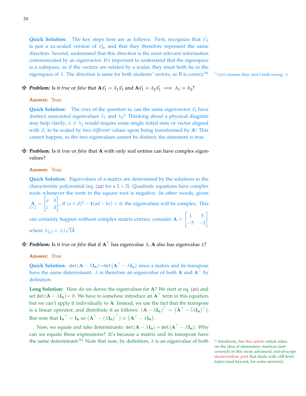**Quick Solution:** The key steps here are as follows. First, recognize that  $\vec{v}_A$ is just a 2x-scaled version of  $\vec{v}_B$ , and that they therefore represent the same direction. Second, understand that this direction is the most relevant information communicated by an eigenvector. It's important to understand that the eigenspace is a subspace, so if the vectors are related by a scalar, they must both lie in the eigenspace of  $\lambda$ . The direction is same for both students' vectors, so B is correct.<sup>62</sup> <sup>62</sup> Let's assume they aren't both wrong :-)

### **Extrappendish**: Is it *true* or *false* that  $A\vec{x_1} = \lambda_1\vec{x_1}$  and  $A\vec{x_1} = \lambda_2\vec{x_1} \implies \lambda_1 = \lambda_2$ ?

#### **Answer:** True

**Quick Solution:** The crux of the question is, can the same eigenvector  $\vec{x_1}$  have distinct associated eigenvalues  $\lambda_1$  and  $\lambda_2$ ? Thinking about a physical diagram may help clarify;  $\lambda \neq \lambda_2$  would require some single initial state or vector aligned with  $\vec{x_1}$  to be scaled by two *different* values upon being transformed by A! This cannot happen, so the two eigenvalues cannot be distinct; the statement is true.

#### z **Problem:** Is it *true* or *false* that **A** with only real entries can have complex eigenvalues?

#### **Answer:** True

**Quick Solution:** Eigenvalues of a matrix are determined by the solutions to the characteristic polynomial (eq. ([22](#page-46-0)) for a  $2 \times 2$ ). Quadratic equations have complex roots whenever the term in the square root is negative. In other words, given

 $\mathbf{A}_{2\times 2}$  $\begin{bmatrix} a & b \\ c & d \end{bmatrix}$ , if  $(a+d)^2 - 4(ad - bc) < 0$ , the eigenvalues will be complex. This  $\begin{bmatrix} 1 & 3 \end{bmatrix}$ 1

can certainly happen without complex matrix entries; consider  $A =$  $-5$   $-1$ where  $\lambda_{1,2} = \pm i \sqrt{14}$ . √

#### $\mathbf{\ddot{F}}$  **Problem:** Is it *true* or *false* that if  $\mathbf{A}^{\top}$  has eigenvalue  $\lambda$ , **A** also has eigenvalue  $\lambda$ ?

#### **Answer:** True

**Quick Solution:** det $(A - \lambda I_n) = det(A^{\top} - \lambda I_n)$  since a matrix and its transpose have the same determinant.  $\lambda$  is therefore an eigenvalue of both **A** and  $A^{\top}$  by definition.

**Long Solution:** How do we derive the eigenvalues for **A**? We start at eq. ([20](#page-45-3)) and set det( $\mathbf{A} - \lambda \mathbf{I}_n$ )= 0. We have to somehow introduce an  $\mathbf{A}^{\top}$  term in this equation, but we can't apply it individually to **A**. Instead, we use the fact that the transpose is a linear operator, and distribute it as follows:  $(\mathbf{A} - \lambda \mathbf{I_n})^{\top} = (\mathbf{A}^{\top} - (\lambda \mathbf{I_n})^{\top}).$ But note that  $\mathbf{I_n}^{\top} = \mathbf{I_n}$  so  $(\mathbf{A}^{\top} - (\lambda \mathbf{I_n})^{\top}) \equiv (\mathbf{A}^{\top} - \lambda \mathbf{I_n}).$ 

Now, we equate and take determinants:  $\texttt{det}(\mathbf{A} - \lambda \mathbf{I_n}) = \texttt{det} \big(\mathbf{A}^\top - \lambda \mathbf{I_n} \big).$  Why can we equate these expressions? It's because a matrix and its transpose have the same determinant.<sup>63</sup> Note that now, by definition,  $\lambda$  is an eigenvalue of both <sup>63</sup> Intuitively, See [this article](https://www.math.upenn.edu/~ekorman/teaching/det.pdf) which relies

on the idea of elementary matrices (not covered) or this more advanced, out-of-scope [stackoverflow post](https://math.stackexchange.com/questions/598258/determinant-of-transpose) that deals with 16B-level topics (and beyond, for some answers).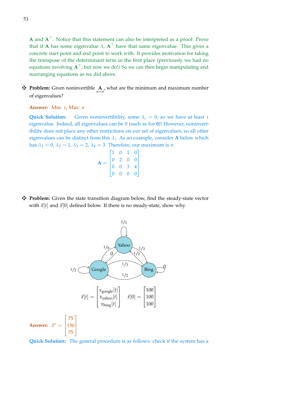$A$  and  $A<sup>T</sup>$ . Notice that this statement can also be interpreted as a proof: Prove that if **A** has some eigenvalue  $\lambda$ ,  $A^{\top}$  have that same eigenvalue. This gives a concrete start point and end point to work with. It provides motivation for taking the transpose of the determinant term in the first place (previously we had no equations involving  $A^{\top}$ , but now we do!) So we can then begin manipulating and rearranging equations as we did above.

**F** Problem: Given noninvertible  $\underset{n \times n}{A}$ , what are the minimum and maximum number of eigenvalues?

**Answer:** Min: 1, Max: *n*

**Quick Solution:** Given noninvertibility, some  $\lambda_i = 0$ , so we have at least 1 eigenvalue. Indeed, all eigenvalues can be 0 (such as for **0**)! However, noninvertibility does not place any other restrictions on our set of eigenvalues, so all other eigenvalues can be distinct from this  $\lambda_i$ . As an example, consider **A** below which has  $\lambda_1 = 0$ ,  $\lambda_2 = 1$ ,  $\lambda_3 = 2$ ,  $\lambda_4 = 3$ . Therefore, our maximum is *n*.

| $\Delta$ |                                      | $\mathbf{0}$   | 1.             | 0              |  |
|----------|--------------------------------------|----------------|----------------|----------------|--|
|          | $\begin{matrix} 0 \\ 0 \end{matrix}$ | $\overline{2}$ | $\overline{0}$ | $\overline{0}$ |  |
|          |                                      | 0 <sup>3</sup> |                | $\overline{4}$ |  |
|          | $\overline{0}$                       | $\overline{0}$ | $\overline{0}$ | $\overline{0}$ |  |

z **Problem:** Given the state transition diagram below, find the steady-state vector with  $\vec{x}[t]$  and  $\vec{x}[0]$  defined below. If there is no steady-state, show why.



**Quick Solution:** The general procedure is as follows: check if the system has a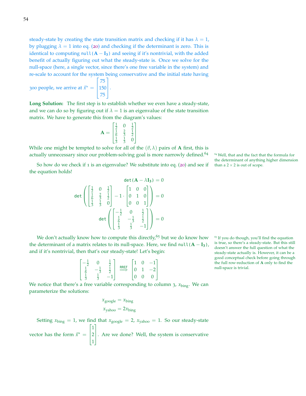steady-state by creating the state transition matrix and checking if it has  $\lambda = 1$ , by plugging  $\lambda = 1$  into eq. ([20](#page-45-3)) and checking if the determinant is zero. This is identical to computing  $null(A - I_3)$  and seeing if it's nontrivial, with the added benefit of actually figuring out what the steady-state is. Once we solve for the null-space (here, a single vector, since there's one free variable in the system) and re-scale to account for the system being conservative and the initial state having  $\lceil$ 1

300 people, we arrive at  $\vec{x}^* =$  $\mathbf{I}$ 75 150 75  $\vert \cdot$ 

**Long Solution:** The first step is to establish whether we even have a steady-state, and we can do so by figuring out if  $\lambda = 1$  is an eigenvalue of the state transition matrix. We have to generate this from the diagram's values:

> $A =$ Г 1  $\frac{1}{2}$  0  $\frac{1}{2}$ <br>  $\frac{2}{5}$   $\frac{1}{2}$ <br>  $\frac{1}{3}$  0 1  $\begin{array}{c} \hline \end{array}$

While one might be tempted to solve for all of the  $(\vec{v}, \lambda)$  pairs of **A** first, this is actually unnecessary since our problem-solving goal is more narrowly defined.<sup>64  $\mu$ </sup> Well, that and the fact that the formula for

So how do we check if 1 is an eigenvalue? We substitute into eq. ([20](#page-45-3)) and see if than a  $2 \times 2$  is out of scope. the equation holds!

$$
\det \begin{pmatrix} \frac{1}{2} & 0 & \frac{1}{2} \\ \frac{1}{6} & \frac{2}{3} & \frac{1}{2} \\ \frac{1}{3} & \frac{1}{3} & 0 \end{pmatrix} - 1 \cdot \begin{pmatrix} 1 & 0 & 0 \\ 0 & 1 & 0 \\ 0 & 0 & 1 \end{pmatrix} = 0
$$
  

$$
\det \begin{pmatrix} -\frac{1}{2} & 0 & \frac{1}{2} \\ \frac{1}{3} & -\frac{1}{3} & \frac{1}{2} \\ \frac{1}{3} & \frac{1}{3} & -1 \end{pmatrix} = 0
$$

We don't actually know how to compute this directly,<sup>65</sup> but we do know how  $65$  If you do though, you'll find the equation the determinant of a matrix relates to its null-space. Here, we find  $null(A - I_3)$ , and if it's nontrivial, then that's our steady-state! Let's begin:

$$
\begin{bmatrix} -\frac{1}{2} & 0 & \frac{1}{2} \\ \frac{1}{6} & -\frac{1}{3} & \frac{1}{2} \\ \frac{1}{3} & \frac{1}{3} & -1 \end{bmatrix} \xrightarrow{\text{RREF}} \begin{bmatrix} 1 & 0 & -1 \\ 0 & 1 & -2 \\ 0 & 0 & 0 \end{bmatrix}
$$

We notice that there's a free variable corresponding to column 3,  $x_{\text{bing}}$ . We can parameterize the solutions:

$$
x_{\text{google}} = x_{\text{bing}}
$$

$$
x_{\text{yahoo}} = 2x_{\text{bing}}
$$

Setting  $x_{\text{bing}} = 1$ , we find that  $x_{\text{google}} = 2$ ,  $x_{\text{yahoo}} = 1$ . So our steady-state vector has the form  $\vec{x}^* =$  $\lceil$ 1 1 2 1 1 . Are we done? Well, the system is conservative

the determinant of anything higher dimension

is true, so there's a steady-state. But this still doesn't answer the full question of what the steady-state actually is. However, it can be a good conceptual check before going through the full row-reduction of **A** only to find the null-space is trivial.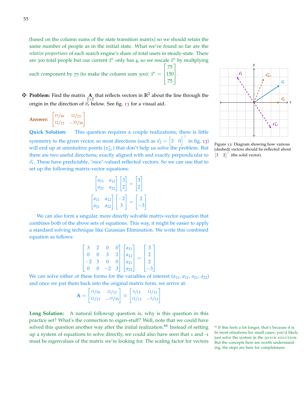(based on the column sums of the state transition matrix) so we should retain the same number of people as in the initial state. What we've found so far are the *relative proportions* of each search engine's share of total users in steady-state. There are 300 total people but our current  $\vec{x}^*$  only has 4, so we rescale  $\vec{x}^*$  by multplying T 1

each component by 75 (to make the column sum 300):  $\vec{x}^* = \begin{bmatrix} 1 & 0 \\ 0 & 0 \end{bmatrix}$ 75  $\frac{150}{75}$ . 75

**F** Problem: Find the matrix  $\mathbf{A}$  that reflects vectors in  $\mathbb{R}^2$  about the line through the origin in the direction of  $\vec{v}_r$  below. See fig. [13](#page-54-0) for a visual aid.

|                | 15/39 | 12/13    |  |  |
|----------------|-------|----------|--|--|
| <b>Answer:</b> | 12/13 | $-15/39$ |  |  |

**Quick Solution:** This question requires a couple realizations; there is little symmetry to the given vector, so most directions (such as  $\vec{x_2} = \begin{bmatrix} 3 & 0 \end{bmatrix}^\top$  in fig. [13](#page-54-0)) will end up at unintuitive points  $(x_{2,r}^2)$  that don't help us solve the problem. But there are two useful directions; exactly aligned with and exactly perpendicular to  $\vec{v}_r$ . These have predictable, "nice"-valued reflected vectors. So we can use that to set up the following matrix-vector equations:

$$
\begin{bmatrix} a_{11} & a_{12} \ a_{21} & a_{22} \end{bmatrix} \begin{bmatrix} 3 \ 2 \end{bmatrix} = \begin{bmatrix} 3 \ 2 \end{bmatrix}
$$

$$
\begin{bmatrix} a_{11} & a_{12} \ a_{21} & a_{22} \end{bmatrix} \begin{bmatrix} -2 \ 3 \end{bmatrix} = \begin{bmatrix} 2 \ -3 \end{bmatrix}
$$

We can also form a singular, more directly solvable matrix-vector equation that combines both of the above sets of equations. This way, it might be easier to apply a standard solving technique like Gaussian Elimination. We write this combined equation as follows:

|  |   |      |   | $a_{11}$ |  |  |
|--|---|------|---|----------|--|--|
|  |   | 3    |   | $a_{12}$ |  |  |
|  |   | 0    |   | $a_{21}$ |  |  |
|  | O | $-2$ | 3 | $a_{22}$ |  |  |

We can solve either of these forms for the variables of interest  $(a_{11}, a_{12}, a_{21}, a_{22})$ and once we put them back into the original matrix form, we arrive at:

$$
\mathbf{A} = \begin{bmatrix} 15/39 & 12/13 \\ 12/13 & -15/39 \end{bmatrix} \equiv \begin{bmatrix} 5/13 & 12/13 \\ 12/13 & -5/13 \end{bmatrix}
$$

**Long Solution:** A natural followup question is, why is this question in this practice set? What's the connection to eigen-stuff? Well, note that we could have solved this question another way after the initial realization.<sup>66</sup> Instead of setting <sup>66</sup> If this feels a lot longer, that's because it is. up a system of equations to solve directly, we could also have seen that 1 and -1 must be eigenvalues of the matrix we're looking for. The scaling factor for vectors



*y*

 $\overrightarrow{x_2}$ 

*x*~**1**

 $\vec{v_r}$ 

 $\vec{x_2}$ 

<span id="page-54-0"></span>Figure 13: Diagram showing how various (dashed) vectors should be reflected about  $\begin{bmatrix} 3 & 2 \end{bmatrix}^{\top}$  (the solid vector).

In most situations for small cases, you'd likely just solve the system in the QUICK SOLUTION. But the concepts here are worth understanding; the steps are here for completeness.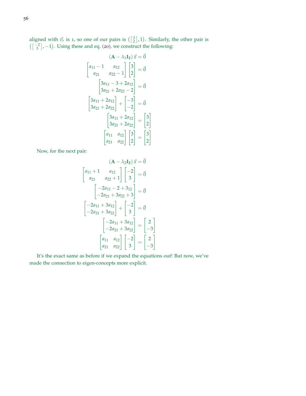aligned with  $\vec{v}_r$  is 1, so one of our pairs is  $\left(\begin{bmatrix} 3 \\ 2 \end{bmatrix}, 1\right)$ . Similarly, the other pair is  $\left(\begin{bmatrix} -2 \\ 3 \end{bmatrix}, -1\right)$ . Using these and eq. ([20](#page-45-3)), we construct the following:

$$
(\mathbf{A} - \lambda_1 \mathbf{I}_2) \ \vec{x} = \vec{0}
$$
\n
$$
\begin{bmatrix} a_{11} - 1 & a_{12} \\ a_{21} & a_{22} - 1 \end{bmatrix} \begin{bmatrix} 3 \\ 2 \end{bmatrix} = \vec{0}
$$
\n
$$
\begin{bmatrix} 3a_{11} - 3 + 2a_{12} \\ 3a_{21} + 2a_{22} - 2 \end{bmatrix} = \vec{0}
$$
\n
$$
\begin{bmatrix} 3a_{11} + 2a_{12} \\ 3a_{21} + 2a_{22} \end{bmatrix} + \begin{bmatrix} -3 \\ -2 \end{bmatrix} = \vec{0}
$$
\n
$$
\begin{bmatrix} 3a_{11} + 2a_{12} \\ 3a_{21} + 2a_{22} \end{bmatrix} = \begin{bmatrix} 3 \\ 2 \end{bmatrix}
$$
\n
$$
\begin{bmatrix} a_{11} & a_{12} \\ a_{21} & a_{22} \end{bmatrix} \begin{bmatrix} 3 \\ 2 \end{bmatrix} = \begin{bmatrix} 3 \\ 2 \end{bmatrix}
$$

Now, for the next pair:

$$
(\mathbf{A} - \lambda_2 \mathbf{I}_2) \ \vec{x} = \vec{0}
$$
\n
$$
\begin{bmatrix} a_{11} + 1 & a_{12} \\ a_{21} & a_{22} + 1 \end{bmatrix} \begin{bmatrix} -2 \\ 3 \end{bmatrix} = \vec{0}
$$
\n
$$
\begin{bmatrix} -2a_{11} - 2 + 3a_{12} \\ -2a_{21} + 3a_{22} + 3 \end{bmatrix} = \vec{0}
$$
\n
$$
\begin{bmatrix} -2a_{11} + 3a_{12} \\ -2a_{21} + 3a_{22} \end{bmatrix} + \begin{bmatrix} -2 \\ 3 \end{bmatrix} = \vec{0}
$$
\n
$$
\begin{bmatrix} -2a_{11} + 3a_{12} \\ -2a_{21} + 3a_{22} \end{bmatrix} = \begin{bmatrix} 2 \\ -3 \end{bmatrix}
$$
\n
$$
\begin{bmatrix} a_{11} & a_{12} \\ a_{21} & a_{22} \end{bmatrix} \begin{bmatrix} -2 \\ 3 \end{bmatrix} = \begin{bmatrix} 2 \\ -3 \end{bmatrix}
$$

It's the exact same as before if we expand the equations out! But now, we've made the connection to eigen-concepts more explicit.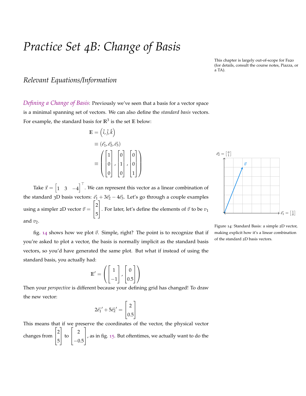## *Practice Set 4B: Change of Basis*

This chapter is largely out-of-scope for Fa20 (for details, consult the course notes, Piazza, or a TA).

## *Relevant Equations/Information*

*Defining a Change of Basis*: Previously we've seen that a basis for a vector space is a minimal spanning set of vectors. We can also define the *standard basis* vectors. For example, the standard basis for  $\mathbb{R}^3$  is the set  $\mathbb E$  below:

$$
\mathbb{E} = (\hat{i}, \hat{j}, \hat{k})
$$

$$
\equiv (\vec{e_1}, \vec{e_2}, \vec{e_3})
$$

$$
\equiv \left( \begin{bmatrix} 1 \\ 0 \\ 0 \end{bmatrix}, \begin{bmatrix} 0 \\ 1 \\ 0 \end{bmatrix}, \begin{bmatrix} 0 \\ 0 \\ 1 \end{bmatrix} \right)
$$

Take  $\vec{x} = \begin{bmatrix} 1 & 3 & -4 \end{bmatrix}^{\top}$ . We can represent this vector as a linear combination of the standard 3D basis vectors:  $\vec{e}_1 + 3\vec{e}_2 - 4\vec{e}_3$ . Let's go through a couple examples using a simpler  $2D$  vector  $\vec{v}$  =  $\lceil$  $\overline{1}$ 2 5 1 . For later, let's define the elements of  $\vec{v}$  to be  $v_1$ and  $v_2$ .



<span id="page-56-0"></span>Figure 14: Standard Basis: a simple 2D vector, making explicit how it's a linear combination of the standard 2D basis vectors.

fig. [14](#page-56-0) shows how we plot  $\vec{v}$ . Simple, right? The point is to recognize that if you're asked to plot a vector, the basis is normally implicit as the standard basis vectors, so you'd have generated the same plot. But what if instead of using the standard basis, you actually had:

$$
\mathbb{E}' = \left( \begin{bmatrix} 1 \\ -1 \end{bmatrix}, \begin{bmatrix} 0 \\ 0.5 \end{bmatrix} \right)
$$

Then your *perspective* is different because your defining grid has changed! To draw the new vector:

$$
2\vec{e_1}' + 5\vec{e_2}' = \begin{bmatrix} 2\\0.5 \end{bmatrix}
$$

This means that if we preserve the coordinates of the vector, the physical vector changes from  $\lceil$  $\overline{1}$ 2 5 1 to  $\lceil$  $\overline{\phantom{a}}$ 2  $-0.5$ 1 , as in fig. [15](#page-57-0). But oftentimes, we actually want to do the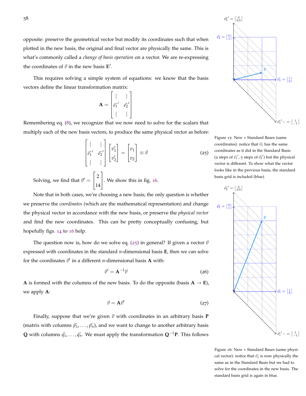opposite: preserve the geometrical vector but modify its coordinates such that when plotted in the new basis, the original and final vector are physically the same. This is what's commonly called a *change of basis operation* on a vector. We are re-expressing the coordinates of  $\vec{v}$  in the new basis  $E'$ .

This requires solving a simple system of equations: we know that the basis vectors define the linear transformation matrix:

$$
\mathbf{A} = \begin{bmatrix} | & | \\ \vec{e_1}' & \vec{e_2}' \\ | & | \end{bmatrix}
$$

<span id="page-57-2"></span>Remembering eq. ([8](#page-17-0)), we recognize that we now need to solve for the scalars that multiply each of the new basis vectors, to produce the same physical vector as before:

$$
\begin{bmatrix} | & | \\ \vec{e_1}' & \vec{e_2}' \\ | & | & | \end{bmatrix} \begin{bmatrix} v_1' \\ v_2' \end{bmatrix} = \begin{bmatrix} v_1 \\ v_2 \end{bmatrix} \equiv \vec{v} \tag{25}
$$

Solving, we find that  $\vec{v}' =$  $\lceil$  $\overline{1}$ 2 14 1 . We show this in fig. [16](#page-57-1).

Note that in both cases, we're choosing a new basis; the only question is whether we preserve the *coordinates* (which are the mathematical representation) and change the physical vector in accordance with the new basis, or preserve the *physical vector* and find the new coordinates. This can be pretty conceptually confusing, but hopefully figs. [14](#page-56-0) to [16](#page-57-1) help.

The question now is, how do we solve eq.  $(25)$  $(25)$  $(25)$  in general? If given a vector  $\vec{v}$ expressed with coordinates in the standard *n*-dimensional basis **E**, then we can solve for the coordinates  $\vec{v}'$  in a different *n*-dimensional basis **A** with:

<span id="page-57-4"></span>
$$
\vec{v}' = \mathbf{A}^{-1}\vec{v} \tag{26}
$$

<span id="page-57-3"></span>**A** is formed with the columns of the new basis. To do the opposite (basis  $A \rightarrow E$ ), we apply **A**:

$$
\vec{v} = \mathbf{A}\vec{v}' \tag{27}
$$

Finally, suppose that we're given  $\vec{v}$  with coordinates in an arbitrary basis **P** (matrix with columns  $\vec{p}_1, \ldots, \vec{p}_n$ ), and we want to change to another arbitrary basis **Q** with columns  $\vec{q}_1$ , . . . ,  $\vec{q}_n$ . We must apply the transformation  $\mathbf{Q}^{-1}\mathbf{P}$ . This follows



<span id="page-57-0"></span>Figure 15: New + Standard Bases (same coordinates): notice that  $\vec{v_1}$  has the same coordinates as it did in the Standard Basis (2 steps of  $\vec{e_1}'$ , 5 steps of  $\vec{e_2}'$ ) but the physical vector is different. To show what the vector looks like in the previous basis, the standard basis grid is included (blue).



<span id="page-57-1"></span>Figure 16: New + Standard Bases (same physical vector): notice that  $\vec{v_1}$  is now physically the same as in the Standard Basis but we had to solve for the coordinates in the new basis. The standard basis grid is again in blue.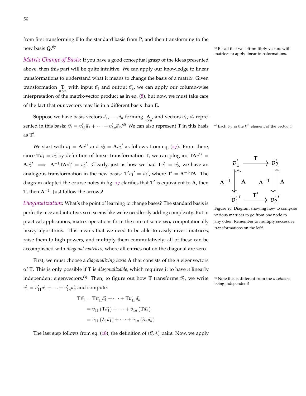from first transforming  $\vec{v}$  to the standard basis from **P**, and then transforming to the new basis **Q**.

*Matrix Change of Basis*: If you have a good conceptual grasp of the ideas presented above, then this part will be quite intuitive. We can apply our knowledge to linear transformations to understand what it means to change the basis of a matrix. Given transformation  $\prod_{n \times n}$  with input  $\vec{v}_1$  and output  $\vec{v}_2$ , we can apply our column-wise interpretation of the matrix-vector product as in eq. ([8](#page-17-0)), but now, we must take care of the fact that our vectors may lie in a different basis than **E**.

Suppose we have basis vectors  $\vec{a}_1, \ldots, \vec{a}_n$  forming  $\mathbf{A}_{n \times n}$ , and vectors  $\vec{v_1}$ ,  $\vec{v_2}$  represented in this basis:  $\vec{v}_i = v'_{i,1}\vec{a}_1 + \cdots + v'_{i,n}\vec{a}_n$ .<sup>68</sup> We can also represent **T** in this basis <sup>68</sup> Each  $v_{i,k}$  is the k<sup>th</sup> element of the vector  $\vec{v}_i$ . as **T** 0 .

We start with  $\vec{v_1} = \mathbf{A} \vec{v_1}'$  and  $\vec{v_2} = \mathbf{A} \vec{v_2}'$  as follows from eq. ([27](#page-57-3)). From there, since  $T\vec{v_1} = \vec{v_2}$  by definition of linear transformation T, we can plug in:  $TA\vec{v_1}' =$  $A\vec{v_2}' \implies A^{-1}TA\vec{v_1}' = \vec{v_2}'.$  Clearly, just as how we had  $T\vec{v_1} = \vec{v_2}$ , we have an analogous transformation in the new basis:  $T'\vec{v_1}' = \vec{v_2}'$ , where  $T' = A^{-1}TA$ . The diagram adapted the course notes in fig. [17](#page-58-0) clarifies that T' is equivalent to A, then **T**, then **A**−<sup>1</sup> . Just follow the arrows!

*Diagonalization*: What's the point of learning to change bases? The standard basis is perfectly nice and intuitive, so it seems like we're needlessly adding complexity. But in practical applications, matrix operations form the core of some *very* computationally heavy algorithms. This means that we need to be able to easily invert matrices, raise them to high powers, and multiply them commutatively; all of these can be accomplished with *diagonal matrices*, where all entries not on the diagonal are zero.

First, we must choose a *diagonalizing basis* **A** that consists of the *n* eigenvectors of **T**. This is only possible if **T** is *diagonalizable*, which requires it to have *n* linearly independent eigenvectors.<sup>69</sup> Then, to figure out how **T** transforms  $\vec{v}_1$ , we write  $\frac{69}{2}$  Note this is different from the *n* columns  $\vec{v_1} = v'_{11} \vec{a_1} + \ldots + v'_{1n} \vec{a_n}$  and compute:

$$
\mathbf{T}\vec{v_1} = \mathbf{T}v_{11}'\vec{a_1} + \dots + \mathbf{T}v_{1n}'\vec{a_n}
$$

$$
= v_{11}(\mathbf{T}\vec{a_1}) + \dots + v_{1n}(\mathbf{T}\vec{a_n})
$$

$$
= v_{11}(\lambda_1\vec{a_1}) + \dots + v_{1n}(\lambda_n\vec{a_n})
$$

The last step follows from eq. ([18](#page-44-0)), the definition of  $(\vec{v}, \lambda)$  pairs. Now, we apply

<sup>67</sup> Recall that we left-multiply vectors with matrices to apply linear transformations.

<span id="page-58-0"></span>

Figure 17: Diagram showing how to compose various matrices to go from one node to any other. Remember to multiply successive transformations on the left!

being independent!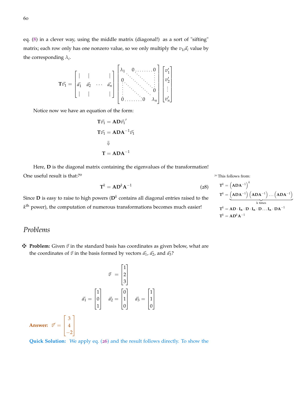the corresponding  $\lambda_i$ .

$$
\mathbf{T}\vec{v_1} = \begin{bmatrix} | & | & & | \\ \vec{a_1} & \vec{a_2} & \cdots & \vec{a_n} \\ | & | & & | \end{bmatrix} \begin{bmatrix} \lambda_1 & 0 & \cdots & \cdots & 0 \\ 0 & \ddots & \ddots & \vdots \\ \vdots & \ddots & \ddots & \vdots \\ 0 & \cdots & \cdots & 0 & \lambda_n \end{bmatrix} \begin{bmatrix} v'_1 \\ v'_2 \\ \vdots \\ v'_n \end{bmatrix}
$$

Notice now we have an equation of the form:

$$
T\vec{v_1} = AD\vec{v_1}'
$$

$$
T\vec{v_1} = ADA^{-1}\vec{v_1}
$$

$$
\Downarrow
$$

$$
T = ADA^{-1}
$$

Here, **D** is the diagonal matrix containing the eigenvalues of the transformation! One useful result is that: $70$   $\%$   $70$  This follows from:

<span id="page-59-0"></span>
$$
\mathbf{T}^k = \mathbf{A}\mathbf{D}^k\mathbf{A}^{-1} \tag{28}
$$

Since **D** is easy to raise to high powers ( $D<sup>k</sup>$  contains all diagonal entries raised to the  $k^{\text{th}}$  power), the computation of numerous transformations becomes much easier!

 $\mathbf{r}$ 

$$
T^{k} = (ADA^{-1})^{k}
$$
  
\n
$$
T^{k} = (ADA^{-1})(ADA^{-1}) \dots (ADA^{-1})
$$
  
\n
$$
T^{k} = AD \cdot I_{n} \cdot D \cdot I_{n} \cdot D \dots I_{n} \cdot DA^{-1}
$$
  
\n
$$
T^{k} = AD^{k}A^{-1}
$$

## *Problems*

 $\mathbf{\ddot{P}}$  **Problem:** Given  $\vec{v}$  in the standard basis has coordinates as given below, what are the coordinates of  $\vec{v}$  in the basis formed by vectors  $\vec{a_1}$ ,  $\vec{a_2}$ , and  $\vec{a_3}$ ?

$$
\vec{v} = \begin{bmatrix} 1 \\ 2 \\ 3 \end{bmatrix}
$$
\n
$$
\vec{a}_1 = \begin{bmatrix} 1 \\ 0 \\ 1 \end{bmatrix} \quad \vec{a}_2 = \begin{bmatrix} 0 \\ 1 \\ 0 \end{bmatrix} \quad \vec{a}_3 = \begin{bmatrix} 1 \\ 1 \\ 0 \end{bmatrix}
$$
\nAnswer: 

\n
$$
\vec{v}' = \begin{bmatrix} 3 \\ 4 \\ -2 \end{bmatrix}
$$

**Quick Solution:** We apply eq. ([26](#page-57-4)) and the result follows directly. To show the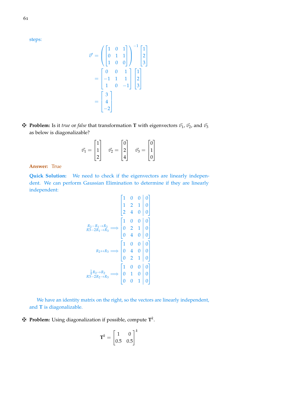steps:

$$
\vec{v}' = \begin{pmatrix} 1 & 0 & 1 \\ 0 & 1 & 1 \\ 1 & 0 & 0 \end{pmatrix}^{-1} \begin{bmatrix} 1 \\ 2 \\ 3 \end{bmatrix}
$$

$$
= \begin{bmatrix} 0 & 0 & 1 \\ -1 & 1 & 1 \\ 1 & 0 & -1 \end{bmatrix} \begin{bmatrix} 1 \\ 2 \\ 3 \end{bmatrix}
$$

$$
= \begin{bmatrix} 3 \\ 4 \\ -2 \end{bmatrix}
$$

 $\mathbf{\nabla}$  **Problem:** Is it *true* or *false* that transformation **T** with eigenvectors  $\vec{v_1}$ ,  $\vec{v_2}$ , and  $\vec{v_3}$ as below is diagonalizable?

$$
\vec{v}_1 = \begin{bmatrix} 1 \\ 1 \\ 2 \end{bmatrix} \quad \vec{v}_2 = \begin{bmatrix} 0 \\ 2 \\ 4 \end{bmatrix} \quad \vec{v}_3 = \begin{bmatrix} 0 \\ 1 \\ 0 \end{bmatrix}
$$

**Answer:** True

**Quick Solution:** We need to check if the eigenvectors are linearly independent. We can perform Gaussian Elimination to determine if they are linearly independent:

$$
\begin{bmatrix}\n1 & 0 & 0 & 0 \\
1 & 2 & 1 & 0 \\
2 & 4 & 0 & 0\n\end{bmatrix}
$$
\n
$$
\begin{bmatrix}\n1 & 0 & 0 & 0 \\
2 & 4 & 0 & 0 \\
0 & 2 & 1 & 0 \\
0 & 4 & 0 & 0\n\end{bmatrix}
$$
\n
$$
\begin{bmatrix}\nR_2 - R_1 \rightarrow R_2 \\
R_3 - 2R_1 \rightarrow R_3\n\end{bmatrix} \Longrightarrow \begin{bmatrix}\n1 & 0 & 0 & 0 \\
0 & 2 & 1 & 0 \\
0 & 4 & 0 & 0 \\
0 & 2 & 1 & 0\n\end{bmatrix}
$$
\n
$$
\begin{bmatrix}\n1 & 0 & 0 & 0 \\
0 & 2 & 1 & 0 \\
0 & 2 & 1 & 0\n\end{bmatrix}
$$
\n
$$
\begin{bmatrix}\n1 & 0 & 0 & 0 \\
0 & 2 & 1 & 0 \\
0 & 0 & 1 & 0\n\end{bmatrix}
$$

We have an identity matrix on the right, so the vectors are linearly independent, and **T** is diagonalizable.

 $\mathbf{\Psi}$  Problem: Using diagonalization if possible, compute  $\mathbf{T}^k$ .

$$
\mathbf{T}^k = \begin{bmatrix} 1 & 0 \\ 0.5 & 0.5 \end{bmatrix}^k
$$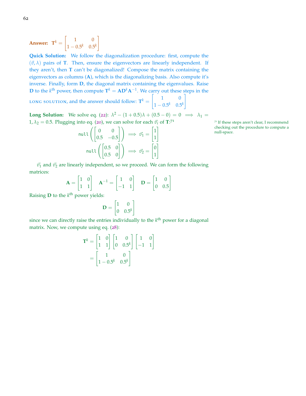Answer:  $T^k =$  $\begin{bmatrix} 1 & 0 \\ 0 & 0 \end{bmatrix}$  $1 - 0.5^k$  0.5<sup>k</sup> 1

**Quick Solution:** We follow the diagonalization procedure: first, compute the  $(\vec{v}, \lambda)$  pairs of **T**. Then, ensure the eigenvectors are linearly independent. If they aren't, then **T** can't be diagonalized! Compose the matrix containing the eigenvectors as columns (**A**), which is the diagonalizing basis. Also compute it's inverse. Finally, form **D**, the diagonal matrix containing the eigenvalues. Raise **D** to the *k*<sup>th</sup> power, then compute  $\mathbf{T}^k = \mathbf{A}\mathbf{D}^k\mathbf{A}^{-1}$ . We carry out these steps in the

LONG SOLUTION, and the answer should follow:  $T^k =$  $\begin{bmatrix} 1 & 0 \\ 0 & 0 \end{bmatrix}$  $1 - 0.5^k$  0.5<sup>k</sup> 1

**Long Solution:** We solve eq. ([22](#page-46-0)):  $\lambda^2 - (1 + 0.5)\lambda + (0.5 - 0) = 0 \implies \lambda_1 =$  $1, \lambda_2 = 0.5.$  Plugging into eq. ([20](#page-45-3)), we can solve for each  $\vec{v}_i$  of  $\mathbf{T}:\mathbf{V}^1$ 

$$
\text{null}\left(\begin{bmatrix} 0 & 0 \\ 0.5 & -0.5 \end{bmatrix}\right) \implies \vec{v_1} = \begin{bmatrix} 1 \\ 1 \end{bmatrix}
$$
\n
$$
\text{null-space.}
$$
\n
$$
\text{null space.}
$$
\n
$$
\text{null} \left(\begin{bmatrix} 0.5 & 0 \\ 0.5 & 0 \end{bmatrix}\right) \implies \vec{v_2} = \begin{bmatrix} 0 \\ 1 \end{bmatrix}
$$

 $^{71}$  If these steps aren't clear, I recommend checking out the procedure to compute a

 $\vec{v}_1$  and  $\vec{v}_2$  are linearly independent, so we proceed. We can form the following matrices:

$$
\mathbf{A} = \begin{bmatrix} 1 & 0 \\ 1 & 1 \end{bmatrix} \quad \mathbf{A}^{-1} = \begin{bmatrix} 1 & 0 \\ -1 & 1 \end{bmatrix} \quad \mathbf{D} = \begin{bmatrix} 1 & 0 \\ 0 & 0.5 \end{bmatrix}
$$

Raising **D** to the  $k^{\text{th}}$  power yields:

$$
\mathbf{D} = \begin{bmatrix} 1 & 0 \\ 0 & 0.5^k \end{bmatrix}
$$

since we can directly raise the entries individually to the *k*<sup>th</sup> power for a diagonal matrix. Now, we compute using eq. ([28](#page-59-0)):

$$
\mathbf{T}^{k} = \begin{bmatrix} 1 & 0 \\ 1 & 1 \end{bmatrix} \begin{bmatrix} 1 & 0 \\ 0 & 0.5^{k} \end{bmatrix} \begin{bmatrix} 1 & 0 \\ -1 & 1 \end{bmatrix}
$$

$$
= \begin{bmatrix} 1 & 0 \\ 1 - 0.5^{k} & 0.5^{k} \end{bmatrix}
$$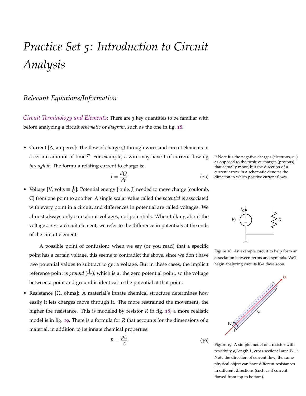## *Practice Set 5: Introduction to Circuit Analysis*

## *Relevant Equations/Information*

*Circuit Terminology and Elements*: There are 3 key quantities to be familiar with before analyzing a circuit *schematic* or *diagram*, such as the one in fig. [18](#page-62-0).

• Current [A, amperes]: The flow of charge *Q* through wires and circuit elements in a certain amount of time.<sup>72</sup> For example, a wire may have 1 of current flowing *through it*. The formula relating current to charge is:

$$
I = \frac{dQ}{dt} \tag{29}
$$

• Voltage [V, volts  $\equiv \frac{J}{C}$  $\frac{1}{C}$ ]: Potential energy [joule, J] needed to move charge [coulomb, C] from one point to another. A single scalar value called the *potential* is associated with every point in a circuit, and differences in potential are called voltages. We almost always only care about voltages, not potentials. When talking about the voltage *across* a circuit element, we refer to the difference in potentials at the ends of the circuit element.

A possible point of confusion: when we say (or you read) that a specific point has a certain voltage, this seems to contradict the above, since we don't have two potential values to subtract to get a voltage. But in these cases, the implicit reference point is *ground*  $(\frac{1}{\epsilon})$ , which is at the zero potential point, so the voltage between a point and ground is identical to the potential at that point.

Resistance [ $\Omega$ , ohms]: A material's innate chemical structure determines how easily it lets charges move through it. The more restrained the movement, the higher the resistance. This is modeled by resistor *R* in fig. [18](#page-62-0); a more realistic model is in fig. [19](#page-62-1). There is a formula for *R* that accounts for the dimensions of a material, in addition to its innate chemical properties:

$$
R = \frac{\rho L}{A}
$$

<sup>72</sup> Note it's the negative charges (electrons,  $e^-$ ) as opposed to the positive charges (protons) that actually move, but the direction of a current arrow in a schematic denotes the direction in which positive current flows.



<span id="page-62-0"></span>Figure 18: An example circuit to help form an association between terms and symbols. We'll begin analyzing circuits like these soon.



<span id="page-62-1"></span>Figure 19: A simple model of a resistor with resistivity *ρ*, length *L*, cross-sectional area *W* · *t*. Note the direction of current flow; the same physical object can have different resistances in different directions (such as if current flowed from top to bottom).

 $(30)$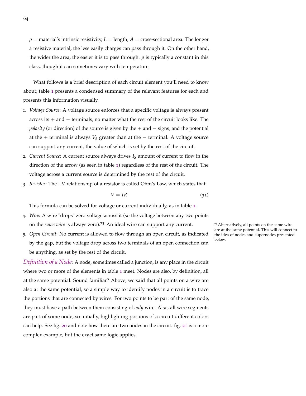$\rho$  = material's intrinsic resistivity,  $L =$  length,  $A =$  cross-sectional area. The longer a resistive material, the less easily charges can pass through it. On the other hand, the wider the area, the easier it is to pass through. *ρ* is typically a constant in this class, though it can sometimes vary with temperature.

What follows is a brief description of each circuit element you'll need to know about; table [1](#page-64-0) presents a condensed summary of the relevant features for each and presents this information visually.

- 1. *Voltage Source*: A voltage source enforces that a specific voltage is always present across its  $+$  and  $-$  terminals, no matter what the rest of the circuit looks like. The *polarity* (or direction) of the source is given by the + and − signs, and the potential at the  $+$  terminal is always  $V_S$  greater than at the  $-$  terminal. A voltage source can support any current, the value of which is set by the rest of the circuit.
- 2. *Current Source*: A current source always drives *I<sup>S</sup>* amount of current to flow in the direction of the arrow (as seen in table [1](#page-64-0)) regardless of the rest of the circuit. The voltage across a current source is determined by the rest of the circuit.
- 3. *Resistor*: The I-V relationship of a resistor is called Ohm's Law, which states that:

$$
V = IR \tag{31}
$$

This formula can be solved for voltage or current individually, as in table [1](#page-64-0).

- 4. *Wire*: A wire "drops" zero voltage across it (so the voltage between any two points on the *same wire* is always zero).<sup>73</sup> An ideal wire can support any current. <sup>73</sup> Alternatively, all points on the same wire
- 5. *Open Circuit*: No current is allowed to flow through an open circuit, as indicated by the gap, but the voltage drop across two terminals of an open connection can be anything, as set by the rest of the circuit.

*Definition of a Node*: A node, sometimes called a junction, is any place in the circuit where two or more of the elements in table [1](#page-64-0) meet. Nodes are also, by definition, all at the same potential. Sound familiar? Above, we said that all points on a wire are also at the same potential, so a simple way to identify nodes in a circuit is to trace the portions that are connected by wires. For two points to be part of the same node, they must have a path between them consisting of *only* wire. Also, all wire segments are part of some node, so initially, highlighting portions of a circuit different colors can help. See fig. [20](#page-65-0) and note how there are two nodes in the circuit. fig. [21](#page-65-1) is a more complex example, but the exact same logic applies.

<span id="page-63-0"></span>are at the same potential. This will connect to the idea of nodes and supernodes presented below.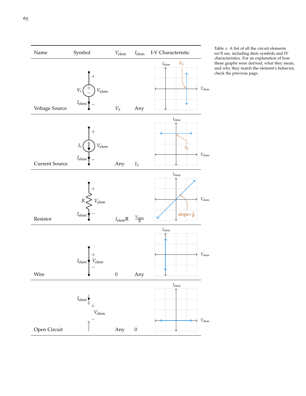

<span id="page-64-0"></span>Table 1: A list of all the circuit elements we'll see, including their symbols and IV characteristics. For an explanation of how these graphs were derived, what they mean, and why they match the element's behavior, check the previous page.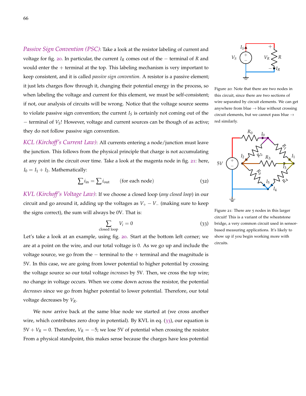*Passive Sign Convention (PSC)*: Take a look at the resistor labeling of current and voltage for fig. [20](#page-65-0). In particular, the current *I<sup>R</sup>* comes out of the − terminal of *R* and would enter the  $+$  terminal at the top. This labeling mechanism is very important to keep consistent, and it is called *passive sign convention*. A resistor is a passive element; it just lets charges flow through it, changing their potential energy in the process, so when labeling the voltage and current for this element, we must be self-consistent; if not, our analysis of circuits will be wrong. Notice that the voltage source seems to violate passive sign convention; the current  $I<sub>S</sub>$  is certainly not coming out of the − terminal of *VS*! However, voltage and current sources can be though of as active; they do not follow passive sign convention.

*KCL (Kirchoff's Current Law)*: All currents entering a node/junction must leave the junction. This follows from the physical principle that charge is not accumulating at any point in the circuit over time. Take a look at the magenta node in fig. [21](#page-65-1): here,  $I_0 = I_1 + I_2$ . Mathematically:

<span id="page-65-3"></span>
$$
\sum i_{\rm in} = \sum i_{\rm out} \qquad \text{(for each node)} \tag{32}
$$

*KVL (Kirchoff's Voltage Law)*: If we choose a closed loop (*any closed loop*) in our circuit and go around it, adding up the voltages as  $V_{+} - V_{-}$  (making sure to keep the signs correct), the sum will always be 0V. That is:

<span id="page-65-2"></span>
$$
\sum_{\text{closed loop}} V_i = 0 \tag{33}
$$

Let's take a look at an example, using fig. [20](#page-65-0). Start at the bottom left corner; we are at a point on the wire, and our total voltage is 0. As we go up and include the voltage source, we go from the  $-$  terminal to the  $+$  terminal and the magnitude is 5V. In this case, we are going from lower potential to higher potential by crossing the voltage source so our total voltage *increases* by 5V. Then, we cross the top wire; no change in voltage occurs. When we come down across the resistor, the potential *decreases* since we go from higher potential to lower potential. Therefore, our total voltage decreases by *VR*.

We now arrive back at the same blue node we started at (we cross another wire, which contributes zero drop in potential). By KVL in eq. ([33](#page-65-2)), our equation is  $5V + V_R = 0$ . Therefore,  $V_R = -5$ ; we lose 5V of potential when crossing the resistor. From a physical standpoint, this makes sense because the charges have less potential



<span id="page-65-0"></span>Figure 20: Note that there are two nodes in this circuit, since there are two sections of wire separated by circuit elements. We can get anywhere from blue  $\rightarrow$  blue without crossing circuit elements, but we cannot pass blue  $\rightarrow$ red similarly.



<span id="page-65-1"></span>Figure 21: There are 5 nodes in this larger circuit! This is a variant of the wheatstone bridge, a very common circuit used in sensorbased measuring applications. It's likely to show up if you begin working more with circuits.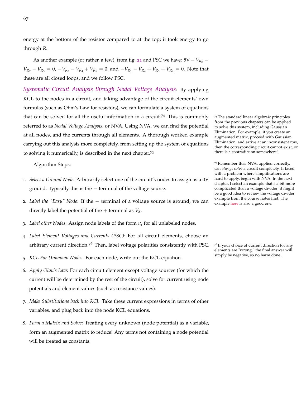energy at the bottom of the resistor compared to at the top; it took energy to go through *R*.

As another example (or rather, a few), from fig. [21](#page-65-1) and PSC we have:  $5V - V_{R_0}$  –  $V_{R_2} - V_{R_5} = 0$ ,  $-V_{R_3} - V_{R_4} + V_{R_5} = 0$ , and  $-V_{R_1} - V_{R_4} + V_{R_5} + V_{R_2} = 0$ . Note that these are all closed loops, and we follow PSC.

*Systematic Circuit Analysis through Nodal Voltage Analysis*: By applying KCL to the nodes in a circuit, and taking advantage of the circuit elements' own formulas (such as Ohm's Law for resistors), we can formulate a system of equations that can be solved for all the useful information in a circuit.<sup>74</sup> This is commonly  $\frac{74}{4}$  The standard linear algebraic principles referred to as *Nodal Voltage Analysis*, or NVA. Using NVA, we can find the potential at all nodes, and the currents through all elements. A thorough worked example carrying out this analysis more completely, from setting up the system of equations to solving it numerically, is described in the next chapter.<sup>75</sup>

Algorithm Steps:

- 1. *Select a Ground Node*: Arbitrarily select one of the circuit's nodes to assign as a 0V ground. Typically this is the − terminal of the voltage source.
- 2. *Label the "Easy" Node*: If the − terminal of a voltage source is ground, we can directly label the potential of the  $+$  terminal as  $V_s$ .
- 3. *Label other Nodes*: Assign node labels of the form *u<sup>i</sup>* for all unlabeled nodes.
- 4. *Label Element Voltages and Currents (PSC)*: For all circuit elements, choose an arbitrary current direction.<sup>76</sup> Then, label voltage polarities consistently with PSC. <sup>56</sup> If your choice of current direction for any
- 5. *KCL For Unknown Nodes*: For each node, write out the KCL equation.
- 6. *Apply Ohm's Law*: For each circuit element except voltage sources (for which the current will be determined by the rest of the circuit), solve for current using node potentials and element values (such as resistance values).
- 7. *Make Substitutions back into KCL*: Take these current expressions in terms of other variables, and plug back into the node KCL equations.
- 8. *Form a Matrix and Solve*: Treating every unknown (node potential) as a variable, form an augmented matrix to reduce! Any terms not containing a node potential will be treated as constants.

from the previous chapters can be applied to solve this system, including Gaussian Elimination. For example, if you create an augmented matrix, proceed with Gaussian Elimination, and arrive at an inconsistent row, then the corresponding circuit cannot exist, or there is a contradiction somewhere!

<sup>75</sup> Remember this: NVA, applied correctly, can *always solve* a circuit completely. If faced with a problem where simplifications are hard to apply, begin with NVA. In the next chapter, I select an example that's a bit more complicated than a voltage divider; it might be a good idea to review the voltage divider example from the course notes first. The example [here](https://www.eecs16a.org/lecture/mod2/nva.html) is also a good one.

elements are "wrong," the final answer will simply be negative, so no harm done.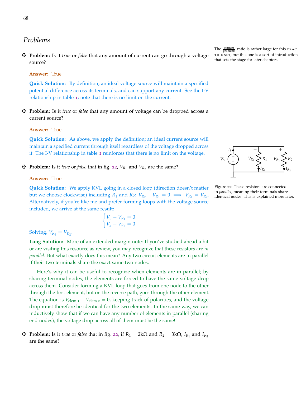## *Problems*

z **Problem:** Is it *true* or *false* that any amount of current can go through a voltage source?

#### **Answer:** True

**Quick Solution:** By definition, an ideal voltage source will maintain a specified potential difference across its terminals, and can support any current. See the I-V relationship in table [1](#page-64-0); note that there is no limit on the current.

z **Problem:** Is it *true* or *false* that any amount of voltage can be dropped across a current source?

#### **Answer:** True

**Quick Solution:** As above, we apply the definition; an ideal current source will maintain a specified current through itself regardless of the voltage dropped across it. The I-V relationship in table [1](#page-64-0) reinforces that there is no limit on the voltage.

## **F** Problem: Is it *true* or *false* that in fig. [22](#page-67-0),  $V_{R_1}$  and  $V_{R_2}$  are the same?

#### **Answer:** True

**Quick Solution:** We apply KVL going in a closed loop (direction doesn't matter but we choose clockwise) including  $R_1$  and  $R_2$ :  $V_{R_2} - V_{R_1} = 0 \implies V_{R_1} = V_{R_2}$ . Alternatively, if you're like me and prefer forming loops with the voltage source included, we arrive at the same result:

$$
\begin{cases} V_S - V_{R_1} = 0 \\ V_S - V_{R_2} = 0 \end{cases}
$$

Solving,  $V_{R_1} = V_{R_2}$ .

**Long Solution:** More of an extended margin note: If you've studied ahead a bit or are visiting this resource as review, you may recognize that these resistors are *in parallel*. But what exactly does this mean? Any two circuit elements are in parallel if their two terminals share the exact same two nodes.

Here's why it can be useful to recognize when elements are in parallel; by sharing terminal nodes, the elements are forced to have the same voltage drop across them. Consider forming a KVL loop that goes from one node to the other through the first element, but on the reverse path, goes through the other element. The equation is  $V_{\text{elem 1}} - V_{\text{elem 2}} = 0$ , keeping track of polarities, and the voltage drop must therefore be identical for the two elements. In the same way, we can inductively show that if we can have any number of elements in parallel (sharing end nodes), the voltage drop across all of them must be the same!

*F* Problem: Is it *true* or *false* that in fig. [22](#page-67-0), if  $R_1 = 2k\Omega$  and  $R_2 = 3k\Omega$ ,  $I_{R_1}$  and  $I_{R_2}$ are the same?

The  $\frac{\text{content}}{\text{problems}}$  ratio is rather large for this PRAC-TICE SET, but this one is a sort of introduction that sets the stage for later chapters.



<span id="page-67-0"></span>Figure 22: These resistors are connected in *parallel*, meaning their terminals share identical nodes. This is explained more later.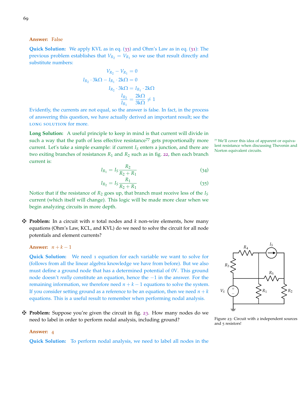**Answer:** False

**Quick Solution:** We apply KVL as in eq. ([33](#page-65-2)) and Ohm's Law as in eq. ([31](#page-63-0)): The previous problem establishes that  $V_{R_2} = V_{R_1}$  so we use that result directly and substitute numbers:

$$
V_{R_2} - V_{R_1} = 0
$$
  
\n
$$
I_{R_2} \cdot 3k\Omega - I_{R_1} \cdot 2k\Omega = 0
$$
  
\n
$$
I_{R_2} \cdot 3k\Omega = I_{R_1} \cdot 2k\Omega
$$
  
\n
$$
\frac{I_{R_2}}{I_{R_1}} = \frac{2k\Omega}{3k\Omega} \neq 1
$$

Evidently, the currents are not equal, so the answer is false. In fact, in the process of answering this question, we have actually derived an important result; see the LONG SOLUTION for more.

**Long Solution:** A useful principle to keep in mind is that current will divide in such a way that the path of less effective resistance<sup>77</sup> gets proportionally more  $\pi$  We'll cover this idea of apparent or equivacurrent. Let's take a simple example: if current *I<sup>S</sup>* enters a junction, and there are two exiting branches of resistances  $R_1$  and  $R_2$  such as in fig. [22](#page-67-0), then each branch current is:

$$
I_{R_1} = I_S \frac{R_2}{R_2 + R_1} \tag{34}
$$

$$
I_{R_2} = I_S \frac{R_1}{R_2 + R_1} \tag{35}
$$

Notice that if the resistance of *R*<sup>2</sup> goes up, that branch must receive less of the *I<sup>S</sup>* current (which itself will change). This logic will be made more clear when we begin analyzing circuits in more depth.

 $\mathbf{\ddot{H}}$  **Problem:** In a circuit with *n* total nodes and *k* non-wire elements, how many equations (Ohm's Law, KCL, and KVL) do we need to solve the circuit for all node potentials and element currents?

**Answer:**  $n + k - 1$ 

**Quick Solution:** We need 1 equation for each variable we want to solve for (follows from all the linear algebra knowledge we have from before). But we also must define a ground node that has a determined potential of 0V. This ground node doesn't *really* constitute an equation, hence the −1 in the answer. For the remaining information, we therefore need  $n + k - 1$  equations to solve the system. If you consider setting ground as a reference to be an equation, then we need  $n + k$ equations. This is a useful result to remember when performing nodal analysis.

z **Problem:** Suppose you're given the circuit in fig. [23](#page-68-0). How many nodes do we need to label in order to perform nodal analysis, including ground?



<span id="page-68-0"></span>Figure 23: Circuit with 2 independent sources and 5 resistors!

#### **Answer:** 4

**Quick Solution:** To perform nodal analysis, we need to label all nodes in the

lent resistance when discussing Thevenin and Norton equivalent circuits.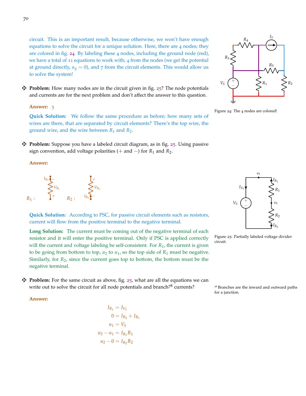circuit. This is an important result, because otherwise, we won't have enough equations to solve the circuit for a unique solution. Here, there are 4 nodes; they are colored in fig. [24](#page-69-0). By labeling these 4 nodes, including the ground node (red), we have a total of 11 equations to work with; 4 from the nodes (we get the potential at ground directly,  $u_g = 0$ ), and 7 from the circuit elements. This would allow us to solve the system!

 $\mathbf{\ddot{F}}$  **Problem:** How many nodes are in the circuit given in fig. [25](#page-69-1)? The node potentials and currents are for the next problem and don't affect the answer to this question.

#### **Answer:** 3

**Quick Solution:** We follow the same procedure as before; how many sets of wires are there, that are separated by circuit elements? There's the top wire, the ground wire, and the wire between *R*<sup>1</sup> and *R*2.

z **Problem:** Suppose you have a labeled circuit diagram, as in fig. [25](#page-69-1). Using passive sign convention, add voltage polarities (+ and  $-$ ) for  $R_1$  and  $R_2$ .

**Answer:**



**Quick Solution:** According to PSC, for passive circuit elements such as resistors, current will flow from the positive terminal to the negative terminal.

Long Solution: The current must be coming out of the negative terminal of each resistor and it will enter the positive terminal. Only if PSC is applied correctly will the current and voltage labeling be self-consistent. For *R*1, the current is given to be going from bottom to top,  $u_2$  to  $u_1$ , so the top side of  $R_1$  must be negative. Similarly, for  $R_2$ , since the current goes top to bottom, the bottom must be the negative terminal.

 $\mathbf{\ddot{P}}$  **Problem:** For the same circuit as above, fig. [25](#page-69-1), what are all the equations we can write out to solve the circuit for all node potentials and branch<sup>78</sup> currents?  $\frac{78}{9}$  Branches are the inward and outward paths



## $I_{R_1} = I_{V_S}$  $0 = I_{R_2} + I_{R_1}$  $u_1 = V_S$  $u_2 - u_1 = I_{R_1} R_1$  $u_2 - 0 = I_{R_2}R_2$



<span id="page-69-0"></span>Figure 24: The 4 nodes are colored!



<span id="page-69-1"></span>Figure 25: Partially labeled voltage divider circuit.

for a junction.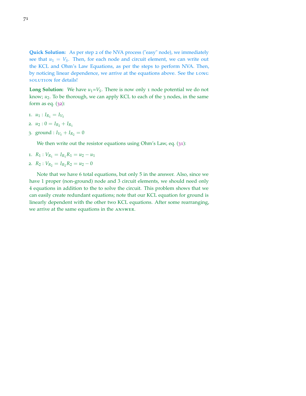**Quick Solution:** As per step 2 of the NVA process ("easy" node), we immediately see that  $u_1 = V_S$ . Then, for each node and circuit element, we can write out the KCL and Ohm's Law Equations, as per the steps to perform NVA. Then, by noticing linear dependence, we arrive at the equations above. See the LONG solution for details!

**Long Solution:** We have  $u_1 = V_S$ . There is now only 1 node potential we do not know;  $u_2$ . To be thorough, we can apply KCL to each of the  $3$  nodes, in the same form as eq.  $(32)$  $(32)$  $(32)$ :

- 1.  $u_1: I_{R_1} = I_{V_S}$
- 2.  $u_2$ :  $0 = I_{R_2} + I_{R_1}$
- 3. ground :  $I_{V_S} + I_{R_2} = 0$

We then write out the resistor equations using Ohm's Law, eq. ([31](#page-63-0)):

- 1.  $R_1: V_{R_1} = I_{R_1}R_1 = u_2 u_1$
- 2.  $R_2: V_{R_2} = I_{R_2}R_2 = u_2 0$

Note that we have 6 total equations, but only 5 in the answer. Also, since we have 1 proper (non-ground) node and 3 circuit elements, we should need only 4 equations in addition to the to solve the circuit. This problem shows that we can easily create redundant equations; note that our KCL equation for ground is linearly dependent with the other two KCL equations. After some rearranging, we arrive at the same equations in the answer.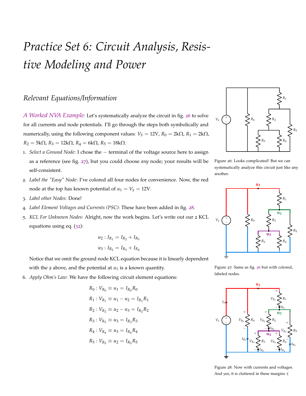# *Practice Set 6: Circuit Analysis, Resistive Modeling and Power*

## *Relevant Equations/Information*

*A Worked NVA Example*: Let's systematically analyze the circuit in fig. [26](#page-71-0) to solve for all currents and node potentials. I'll go through the steps both symbolically and numerically, using the following component values:  $V_S = 12V$ ,  $R_0 = 2k\Omega$ ,  $R_1 = 2k\Omega$ ,  $R_2 = 5kΩ$ ,  $R_3 = 12kΩ$ ,  $R_4 = 6kΩ$ ,  $R_5 = 18kΩ$ .

- 1. *Select a Ground Node*: I chose the − terminal of the voltage source here to assign as a reference (see fig. [27](#page-71-1)), but you could choose *any* node; your results will be self-consistent.
- 2. *Label the "Easy" Node*: I've colored all four nodes for convenience. Now, the red node at the top has known potential of  $u_1 = V_S = 12V$ .
- 3. *Label other Nodes*: Done!
- 4. *Label Element Voltages and Currents (PSC)*: These have been added in fig. [28](#page-71-2).
- 5. *KCL For Unknown Nodes*: Alright, now the work begins. Let's write out our 2 KCL equations using eq. ([32](#page-65-3)):

$$
u_2: I_{R_1} = I_{R_2} + I_{R_5}
$$
  

$$
u_3: I_{R_2} = I_{R_3} + I_{R_4}
$$

Notice that we omit the ground node KCL equation because it is linearly dependent with the 2 above, and the potential at  $u_1$  is a known quantity.

6. *Apply Ohm's Law*: We have the following circuit element equations:

$$
R_0: V_{R_0} \equiv u_1 = I_{R_0} R_0
$$
  
\n
$$
R_1: V_{R_1} \equiv u_1 - u_2 = I_{R_1} R_1
$$
  
\n
$$
R_2: V_{R_2} \equiv u_2 - u_3 = I_{R_2} R_2
$$
  
\n
$$
R_3: V_{R_3} \equiv u_3 = I_{R_3} R_3
$$
  
\n
$$
R_4: V_{R_4} \equiv u_3 = I_{R_4} R_4
$$
  
\n
$$
R_5: V_{R_5} \equiv u_2 = I_{R_5} R_5
$$



<span id="page-71-0"></span>Figure 26: Looks complicated! But we can systematically analyze this circuit just like any another.



<span id="page-71-1"></span>Figure 27: Same as fig. [26](#page-71-0) but with colored, labeled nodes.



<span id="page-71-2"></span>Figure 28: Now with currents and voltages. And yes, it is cluttered in these margins :(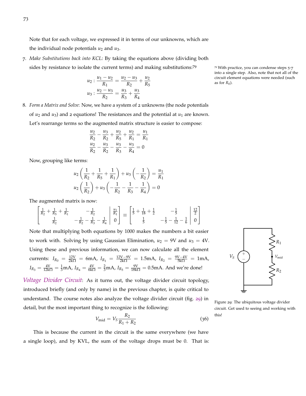Note that for each voltage, we expressed it in terms of our unknowns, which are the individual node potentials  $u_2$  and  $u_3$ .

7. *Make Substitutions back into KCL*: By taking the equations above (dividing both sides by resistance to isolate the current terms) and making substitutions:<sup>79</sup> <sup>79</sup> With practice, you can condense steps 5-7

$$
u_2: \frac{u_1 - u_2}{R_1} = \frac{u_2 - u_3}{R_2} + \frac{u_2}{R_5}
$$
  
\n
$$
u_3: \frac{u_2 - u_3}{R_2} = \frac{u_3}{R_3} + \frac{u_3}{R_4}
$$
  
\ncircuit eleb  
\nas for  $R_0$ ).

into a single step. Also, note that not all of the circuit element equations were needed (such

8. *Form a Matrix and Solve*: Now, we have a system of 2 unknowns (the node potentials of  $u_2$  and  $u_3$ ) and 2 equations! The resistances and the potential at  $u_1$  are known. Let's rearrange terms so the augmented matrix structure is easier to compose:

$$
\frac{u_2}{R_2} - \frac{u_3}{R_2} + \frac{u_2}{R_5} + \frac{u_2}{R_1} = \frac{u_1}{R_1}
$$

$$
\frac{u_2}{R_2} - \frac{u_3}{R_2} - \frac{u_3}{R_3} - \frac{u_3}{R_4} = 0
$$

Now, grouping like terms:

$$
u_2\left(\frac{1}{R_2} + \frac{1}{R_5} + \frac{1}{R_1}\right) + u_3\left(-\frac{1}{R_2}\right) = \frac{u_1}{R_1}
$$
  

$$
u_2\left(\frac{1}{R_2}\right) + u_3\left(-\frac{1}{R_2} - \frac{1}{R_3} - \frac{1}{R_4}\right) = 0
$$

The augmented matrix is now:

$$
\begin{bmatrix} \frac{1}{R_2} + \frac{1}{R_5} + \frac{1}{R_1} & -\frac{1}{R_2} \\ \frac{1}{R_2} & -\frac{1}{R_2} - \frac{1}{R_3} - \frac{1}{R_4} \end{bmatrix} \begin{bmatrix} \frac{u_1}{R_1} \\ 0 \end{bmatrix} \equiv \begin{bmatrix} \frac{1}{5} + \frac{1}{18} + \frac{1}{2} & -\frac{1}{5} \\ \frac{1}{5} & -\frac{1}{5} - \frac{1}{12} - \frac{1}{6} \end{bmatrix} \begin{bmatrix} \frac{12}{2} \\ 0 \end{bmatrix}
$$

Note that multiplying both equations by 1000 makes the numbers a bit easier to work with. Solving by using Gaussian Elimination,  $u_2 = 9V$  and  $u_3 = 4V$ . Using these and previous information, we can now calculate all the element currents:  $I_{R_0} = \frac{12V}{2k\Omega} = 6mA$ ,  $I_{R_1} = \frac{12V - 9V}{2k\Omega} = 1.5mA$ ,  $I_{R_2} = \frac{9V - 4V}{5k\Omega} = 1mA$ ,  $I_{R_3} = \frac{4V}{12k\Omega} = \frac{1}{3}$ mA,  $I_{R_4} = \frac{4V}{6k\Omega} = \frac{2}{3}$ mA,  $I_{R_5} = \frac{9V}{18k\Omega} = 0.5$ mA. And we're done!

*Voltage Divider Circuit*: As it turns out, the voltage divider circuit topology, introduced briefly (and only by name) in the previous chapter, is quite critical to understand. The course notes also analyze the voltage divider circuit (fig. [29](#page-72-0)) in detail, but the most important thing to recognize is the following:

$$
V_{\rm mid} = V_S \frac{R_2}{R_1 + R_2} \tag{36}
$$

This is because the current in the circuit is the same everywhere (we have a single loop), and by KVL, the sum of the voltage drops must be 0. That is:



<span id="page-72-1"></span><span id="page-72-0"></span>Figure 29: The ubiquitous voltage divider circuit. Get used to seeing and working with this!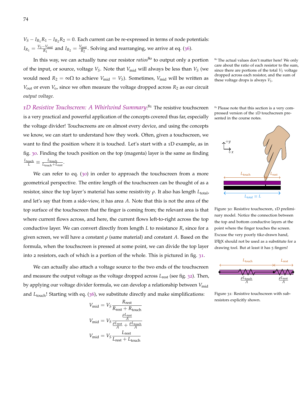$V_S - I_{R_1}R_1 - I_{R_2}R_2 = 0$ . Each current can be re-expressed in terms of node potentials:  $I_{R_1} = \frac{V_S - V_{\text{mid}}}{R_1}$  $\frac{V_{\text{mid}}}{R_1}$  and  $I_{R_2} = \frac{V_{\text{mid}}}{R_2}$  $\frac{m_{\text{mid}}}{R_2}$ . Solving and rearranging, we arrive at eq. ([36](#page-72-1)).

In this way, we can actually tune our resistor *ratios*<sup>80</sup> to output only a portion <sup>80</sup> The actual values don't matter here! We only of the input, or source, voltage  $V_S$ . Note that  $V_{mid}$  will always be less than  $V_S$  (we would need  $R_2 = \infty$ Ω to achieve  $V_{mid} = V_s$ ). Sometimes,  $V_{mid}$  will be written as  $V_{\text{out}}$  or even  $V_{\text{o}}$ , since we often measure the voltage dropped across  $R_2$  as our circuit *output voltage*.

1D Resistive Touchscreen: A Whirlwind Summary:<sup>81</sup> The resistive touchscreen <sup>81</sup> Please note that this section is a very comis a very practical and powerful application of the concepts covered thus far, especially the voltage divider! Touchscreens are on almost every device, and using the concepts we know, we can start to understand how they work. Often, given a touchscreen, we want to find the position where it is touched. Let's start with a 1D example, as in fig. [30](#page-73-0). Finding the touch position on the top (magenta) layer is the same as finding  $\frac{L_{\text{touch}}}{L} \equiv \frac{L_{\text{touch}}}{L_{\text{touch}} + L_{\text{rest}}}.$ 

We can refer to eq. ([30](#page-62-0)) in order to approach the touchscreen from a more geometrical perspective. The entire length of the touchscreen can be thought of as a resistor, since the top layer's material has some resistivity *ρ*. It also has length *L*<sub>total</sub>, and let's say that from a side-view, it has area *A*. Note that this is not the area of the top surface of the touchscreen that the finger is coming from; the relevant area is that where current flows across, and here, the current flows left-to-right across the top conductive layer. We can convert directly from length *L* to resistance *R*, since for a given screen, we will have a constant  $\rho$  (same material) and constant A. Based on the formula, when the touchscreen is pressed at some point, we can divide the top layer into 2 resistors, each of which is a portion of the whole. This is pictured in fig. [31](#page-73-1).

We can actually also attach a voltage source to the two ends of the touchscreen and measure the output voltage as the voltage dropped across *L*rest (see fig. [32](#page-74-0)). Then, by applying our voltage divider formula, we can develop a relationship between V<sub>mid</sub> and *L*<sub>touch</sub>! Starting with eq. ([36](#page-72-1)), we substitute directly and make simplifications:

$$
V_{\text{mid}} = V_{S} \frac{R_{\text{rest}}}{R_{\text{rest}} + R_{\text{touch}}}
$$

$$
V_{\text{mid}} = V_{S} \frac{\frac{\rho_{\text{Lrest}}}{A}}{\frac{\rho_{\text{Lrest}}}{A} + \frac{\rho_{\text{L} \text{touch}}}{A}}
$$

$$
V_{\text{mid}} = V_{S} \frac{L_{\text{rest}}}{L_{\text{rest}} + L_{\text{touch}}}
$$

care about the ratio of each resistor to the sum, since there are portions of the total  $V_S$  voltage dropped across each resistor, and the sum of these voltage drops is always *VS*.

pressed version of the 1D touchscreen pre-<br>sented in the course notes.



<span id="page-73-0"></span>Figure 30: Resistive touchscreen, 1D preliminary model. Notice the connection between the top and bottom conductive layers at the point where the finger touches the screen. Excuse the very poorly tikz-drawn hand, LATEX should not be used as a substitute for a drawing tool. But at least it has 5 fingers!



<span id="page-73-1"></span>Figure 31: Resistive touchscreen with subresistors explicitly shown.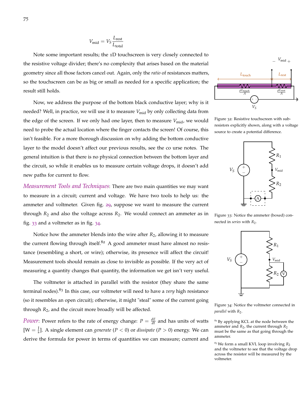$$
V_{\rm mid} = V_S \frac{L_{\rm rest}}{L_{\rm total}}
$$

Note some important results; the 1D touchscreen is very closely connected to the resistive voltage divider; there's no complexity that arises based on the material geometry since all those factors cancel out. Again, only the *ratio* of resistances matters, so the touchscreen can be as big or small as needed for a specific application; the result still holds.

Now, we address the purpose of the bottom black conductive layer; why is it needed? Well, in practice, we will use it to measure V<sub>mid</sub> by only collecting data from the edge of the screen. If we only had one layer, then to measure *V*<sub>mid</sub>, we would need to probe the actual location where the finger contacts the screen! Of course, this isn't feasible. For a more thorough discussion on why adding the bottom conductive layer to the model doesn't affect our previous results, see the co urse notes. The general intuition is that there is no physical connection between the bottom layer and the circuit, so while it enables us to measure certain voltage drops, it doesn't add new paths for current to flow.

*Measurement Tools and Techniques*: There are two main quantities we may want to measure in a circuit; current and voltage. We have two tools to help us: the ammeter and voltmeter. Given fig. [29](#page-72-0), suppose we want to measure the current through  $R_2$  and also the voltage across  $R_2$ . We would connect an ammeter as in fig. [33](#page-74-1) and a voltmeter as in fig. [34](#page-74-2).

Notice how the ammeter blends into the wire after *R*<sub>2</sub>, allowing it to measure the current flowing through itself. $82$  A good ammeter must have almost no resistance (resembling a short, or wire); otherwise, its presence will affect the circuit! Measurement tools should remain as close to invisible as possible. If the very act of measuring a quantity changes that quantity, the information we get isn't very useful.

The voltmeter is attached in parallel with the resistor (they share the same terminal nodes).<sup>83</sup> In this case, our voltmeter will need to have a *very* high resistance (so it resembles an open circuit); otherwise, it might "steal" some of the current going through *R*2, and the circuit more broadly will be affected.

*Power*: Power refers to the rate of energy change:  $P = \frac{dE}{dt}$  and has units of watts  $[W = \frac{1}{s}]$ . A single element can *generate*  $(P < 0)$  or *dissipate*  $(P > 0)$  energy. We can derive the formula for power in terms of quantities we can measure; current and



<span id="page-74-0"></span>Figure 32: Resistive touchscreen with subresistors explicitly shown, along with a voltage source to create a potential difference.



<span id="page-74-1"></span>Figure 33: Notice the ammeter (boxed) connected in *series* with  $R_2$ .



<span id="page-74-2"></span>Figure 34: Notice the voltmeter connected in *parallel* with  $R_2$ .

<sup>82</sup> By applying KCL at the node between the ammeter and *R*2, the current through *R*<sup>2</sup> must be the same as that going through the ammeter.

<sup>83</sup> We form a small KVL loop involving *R*<sup>2</sup> and the voltmeter to see that the voltage drop across the resistor will be measured by the voltmeter.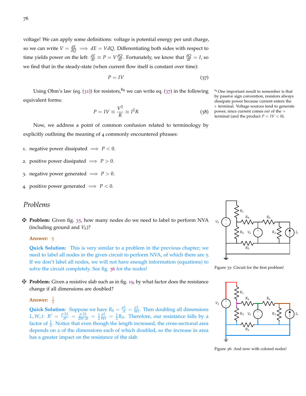voltage! We can apply some definitions: voltage is potential energy per unit charge, so we can write  $V = \frac{dE}{dQ} \implies dE = VdQ$ . Differentiating both sides with respect to time yields power on the left:  $\frac{dE}{dt} \equiv P = V \frac{dQ}{dt}$ . Fortunately, we know that  $\frac{dQ}{dt} = I$ , so we find that in the steady-state (when current flow itself is constant over time):

$$
P = IV \tag{37}
$$

Using Ohm's law (eq. ([31](#page-63-0))) for resistors,  $84$  we can write eq. ([37](#page-75-0)) in the following  $84$  One important result to remember is that equivalent forms:

<span id="page-75-3"></span>
$$
P = IV \equiv \frac{V^2}{R} \equiv I^2 R \tag{38}
$$

Now, we address a point of common confusion related to terminology by explicitly outlining the meaning of 4 commonly encountered phrases:

- 1. negative power dissipated  $\implies$  *P* < 0.
- 2. positive power dissipated  $\implies$  *P* > 0.
- 3. negative power generated  $\implies P > 0$ .
- 4. positive power generated  $\implies$  *P* < 0.

## *Problems*

z **Problem:** Given fig. [35](#page-75-1), how many nodes do we need to label to perform NVA (including ground and *VS*)?

#### **Answer:** 5

**Quick Solution:** This is very similar to a problem in the previous chapter; we need to label all nodes in the given circuit to perform NVA, of which there are 5. If we don't label all nodes, we will not have enough information (equations) to solve the circuit completely. See fig. [36](#page-75-2) for the nodes!

z **Problem:** Given a resistive slab such as in fig. [19](#page-62-1), by what factor does the resistance change if all dimensions are doubled?

**Answer:**  $\frac{1}{2}$ 

**Quick Solution:** Suppose we have  $R_0 = \frac{\rho L}{A} = \frac{\rho L}{Wt}$ . Then doubling all dimensions  $L, W, t: R' = \frac{\rho \cdot 2L}{A'} = \frac{\rho \cdot 2L}{2W \cdot 2t} = \frac{1}{2}$  $\frac{\rho L}{Wt} = \frac{1}{2}R_0$ . Therefore, our resistance falls by a factor of  $\frac{1}{2}$ . Notice that even though the length increased, the cross-sectional area depends on 2 of the dimensions each of which doubled, so the increase in area has a greater impact on the resistance of the slab.

<span id="page-75-0"></span>by passive sign convention, resistors always dissipate power because current enters the + terminal. Voltage sources tend to generate power, since current comes *out* of the + terminal (and the product  $P = IV < 0$ ).



<span id="page-75-1"></span>Figure 35: Circuit for the first problem!



<span id="page-75-2"></span>Figure 36: And now with colored nodes!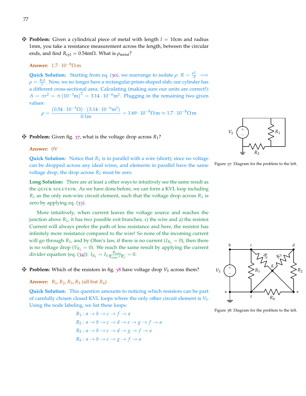$\mathbf{\ddot{P}}$  **Problem:** Given a cylindrical piece of metal with length  $l = 10$ cm and radius 1mm, you take a resistance measurement across the length, between the circular ends, and find  $R_{\text{cyl}} = 0.54 \text{m}\Omega$ . What is  $\rho_{\text{metal}}$ ?

**Answer:** 1.7 · 10−8Ω m

**Quick Solution:** Starting from eq. ([30](#page-62-0)), we rearrange to isolate  $\rho$ :  $R = \frac{\rho L}{A} \implies$  $\rho = \frac{RA}{L}$ . Now, we no longer have a rectangular prism-shaped slab; our cylinder has a different cross-sectional area. Calculating (making sure our units are correct!):  $A = \pi r^2 = \pi (10^{-3} \text{m})^2 = 3.14 \cdot 10^{-6} \text{m}^2$ . Plugging in the remaining two given values:

$$
\rho = \frac{(0.54 \cdot 10^{-3} \Omega) \cdot (3.14 \cdot 10^{-6} \text{m}^2)}{0.1 \text{m}} = 1.69 \cdot 10^{-8} \Omega \text{ m} \approx 1.7 \cdot 10^{-8} \Omega \text{ m}
$$

#### $\mathbf{\ddot{P}}$  **Problem:** Given fig. [37](#page-76-0), what is the voltage drop across  $R_1$ ?

#### **Answer:** 0V

**Quick Solution:** Notice that  $R_1$  is in parallel with a wire (short); since no voltage can be dropped across any ideal wires, and elements in parallel have the same voltage drop, the drop across  $R_1$  must be zero.

**Long Solution:** There are at least 2 other ways to intuitively see the same result as the quick solution. As we have done before, we can form a KVL loop including  $R_1$  as the only non-wire circuit element, such that the voltage drop across  $R_1$  is zero by applying eq. ([33](#page-65-0)).

More intuitively, when current leaves the voltage source and reaches the junction above  $R_1$ , it has two possible exit branches; 1) the wire and 2) the resistor. Current will always prefer the path of less resistance and here, the resistor has infinitely more resistance compared to the wire! So none of the incoming current will go through  $R_1$ , and by Ohm's law, if there is no current ( $I_{R_1} = 0$ ), then there is no voltage drop ( $V_{R_1} = 0$ ). We reach the same result by applying the current divider equation (eq. ([34](#page-68-0))):  $I_{R_1} = I_S \frac{R_{wire}}{R_{wire} + R_1} = 0.$ 

 $\mathbf{\ddot{P}}$  **Problem:** Which of the resistors in fig. [38](#page-76-1) have voltage drop  $V_S$  across them?

#### **Answer:** *R*1, *R*2, *R*3, *R*<sup>5</sup> (all but *R*4)

**Quick Solution:** This question amounts to noticing which resistors can be part of carefully chosen closed KVL loops where the only other circuit element is *VS*. Using the node labeling, we list these loops:

$$
R_1: a \to b \to c \to f \to a
$$
  
\n
$$
R_2: a \to b \to c \to d \to e \to g \to f \to a
$$
  
\n
$$
R_3: a \to b \to c \to d \to g \to f \to a
$$
  
\n
$$
R_5: a \to b \to c \to g \to f \to a
$$



<span id="page-76-0"></span>



<span id="page-76-1"></span>Figure 38: Diagram for the problem to the left.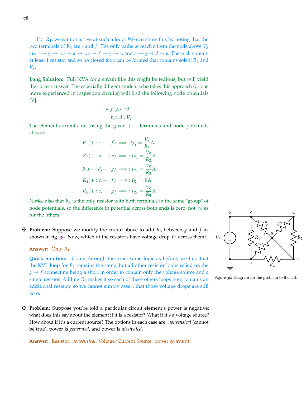For *R*4, we cannot arrive at such a loop. We can show this by noting that the two terminals of *R*<sup>4</sup> are *e* and *f* . The only paths to reach *e* from the node above *V<sup>S</sup>* are  $c \rightarrow g \rightarrow e$ ,  $c \rightarrow d \rightarrow e$ ,  $c \rightarrow f \rightarrow g \rightarrow e$ , and  $c \rightarrow g \rightarrow d \rightarrow e$ . These all contain at least 1 resistor and so no closed loop can be formed that contains solely *R*<sup>4</sup> and *VS*.

**Long Solution:** Full NVA for a circuit like this might be tedious, but will yield the correct answer. The especially diligent student who takes this approach (or one more experienced in inspecting circuits) will find the following node potentials [V]:

$$
a, f, g, e : 0
$$
  

$$
b, c, d : V_S
$$

The element currents are (using the given  $+$ ,  $-$  terminals and node potentials above):

$$
R_1(+:c,-:f) \implies I_{R_1} = \frac{V_S}{R_1}A
$$
  
\n
$$
R_2(+:d,-:e) \implies: I_{R_2} = \frac{V_S}{R_2}A
$$
  
\n
$$
R_3(+:d,-:g) \implies: I_{R_3} = \frac{V_S}{R_3}A
$$
  
\n
$$
R_4(+:e,-:f) \implies: I_{R_4} = 0A
$$
  
\n
$$
R_5(+:c,-:g) \implies: I_{R_5} = \frac{V_S}{R_5}A
$$

Notice also that  $R_4$  is the only resistor with both terminals in the same "group" of node potentials, so the difference in potential across both ends is zero, not *V<sup>S</sup>* as for the others.

 $\mathbf{\ddot{P}}$  **Problem:** Suppose we modify the circuit above to add  $R_6$  between *g* and *f* as shown in fig. [39](#page-77-0). Now, which of the resistors have voltage drop  $V_S$  across them?

**Answer:** Only *R*<sup>1</sup>

**Quick Solution:** Going through the exact same logic as before, we find that the KVL loop for *R*<sup>1</sup> remains the same, but all other resistor loops relied on the  $g \rightarrow f$  connecting being a short in order to contain only the voltage source and a single resistor. Adding  $R_6$  makes it so each of these others loops now contains an additional resistor, so we cannot simply assert that those voltage drops are still zero.

z **Problem:** Suppose you're told a particular circuit element's power is negative; what does this say about the element if it is a resistor? What if it's a voltage source? How about if it's a current source? The options in each case are: *nonsensical* (cannot be true), power is *generated*, and power is *dissipated*.

**Answer:** Resistor: *nonsensical*, Voltage/Current Source: power *generated*



<span id="page-77-0"></span>Figure 39: Diagram for the problem to the left.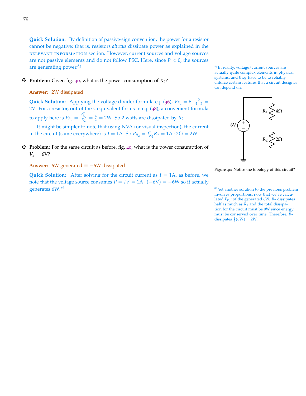**Quick Solution:** By definition of passive-sign convention, the power for a resistor cannot be negative; that is, resistors *always* dissipate power as explained in the relevant information section. However, current sources and voltage sources are not passive elements and do not follow PSC. Here, since  $P < 0$ , the sources are generating power. $85$   $\frac{85}{10}$  are generating power.  $85$  In reality, voltage/current sources are

#### $\mathbf{\ddot{P}}$  **Problem:** Given fig. [40](#page-78-0), what is the power consumption of  $R_2$ ?

#### **Answer:** 2W dissipated

**Quick Solution:** Applying the voltage divider formula eq. ([36](#page-72-1)),  $V_{R_2} = 6 \cdot \frac{2}{4+2} =$ 2V. For a resistor, out of the 3 equivalent forms in eq. ([38](#page-75-3)), a convenient formula to apply here is  $P_{R_2} = \frac{V_{R_2}^2}{R_2} = \frac{4}{2} = 2W$ . So 2 watts are dissipated by  $R_2$ .

It might be simpler to note that using NVA (or visual inspection), the current in the circuit (same everywhere) is *I* = 1A. So  $P_{R_2} = I_{R_2}^2 R_2 = 1A \cdot 2\Omega = 2W$ .

#### z **Problem:** For the same circuit as before, fig. [40](#page-78-0), what is the power consumption of  $V_S = 6V$ ?

**Answer:** 6W generated  $\equiv -6W$  dissipated

**Quick Solution:** After solving for the circuit current as  $I = 1$ A, as before, we note that the voltage source consumes  $P = IV = 1A \cdot (-6V) = -6W$  so it actually generates  $6W^{86}$   $\sim$  86 Yet another solution to the previous problem

actually quite complex elements in physical systems, and they have to be to reliably enforce certain features that a circuit designer can depend on.



<span id="page-78-0"></span>Figure 40: Notice the topology of this circuit?

involves proportions, now that we've calculated  $P_{V_S}$ ; of the generated 6W,  $R_2$  dissipates half as much as  $R_1$  and the total dissipation for the circuit must be 0W since energy must be conserved over time. Therefore,  $\overline{R_2}$ dissipates  $\frac{1}{3}(6W) = 2W$ .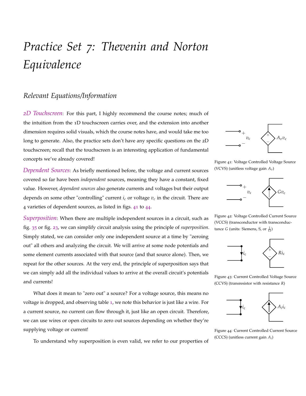# *Practice Set 7: Thevenin and Norton Equivalence*

## *Relevant Equations/Information*

*2D Touchscreen*: For this part, I highly recommend the course notes; much of the intuition from the 1D touchscreen carries over, and the extension into another dimension requires solid visuals, which the course notes have, and would take me too long to generate. Also, the practice sets don't have any specific questions on the 2D touchscreen; recall that the touchscreen is an interesting application of fundamental concepts we've already covered!

*Dependent Sources*: As briefly mentioned before, the voltage and current sources covered so far have been *independent* sources, meaning they have a constant, fixed value. However, *dependent sources* also generate currents and voltages but their output depends on some other "controlling" current  $i_c$  or voltage  $v_c$  in the circuit. There are 4 varieties of dependent sources, as listed in figs. [41](#page-79-0) to [44](#page-79-1).

*Superposition*: When there are multiple independent sources in a circuit, such as fig. [35](#page-75-1) or fig. [23](#page-68-1), we can simplify circuit analysis using the principle of *superposition*. Simply stated, we can consider only one independent source at a time by "zeroing out" all others and analyzing the circuit. We will arrive at some node potentials and some element currents associated with that source (and that source alone). Then, we repeat for the other sources. At the very end, the principle of superposition says that we can simply add all the individual values to arrive at the overall circuit's potentials and currents!

What does it mean to "zero out" a source? For a voltage source, this means no voltage is dropped, and observing table [1](#page-64-0), we note this behavior is just like a wire. For a current source, no current can flow through it, just like an open circuit. Therefore, we can use wires or open circuits to zero out sources depending on whether they're supplying voltage or current!



<span id="page-79-0"></span>Figure 41: Voltage Controlled Voltage Source (VCVS) (unitless voltage gain *Av*)



Figure 42: Voltage Controlled Current Source (VCCS) (transconductor with transconductance *G* (units: Siemens, *S*, or  $\frac{1}{\Omega}$ )



Figure 43: Current Controlled Voltage Source (CCVS) (transresistor with resistance *R*)



<span id="page-79-1"></span>Figure 44: Current Controlled Current Source (CCCS) (unitless current gain *A<sup>i</sup>* )

To understand why superposition is even valid, we refer to our properties of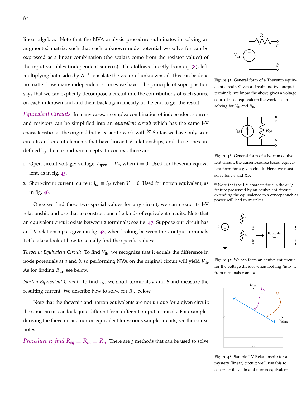linear algebra. Note that the NVA analysis procedure culminates in solving an augmented matrix, such that each unknown node potential we solve for can be expressed as a linear combination (the scalars come from the resistor values) of the input variables (independent sources). This follows directly from eq. ([8](#page-17-0)), leftmultiplying both sides by A<sup>-1</sup> to isolate the vector of unknowns,  $\vec{x}$ . This can be done no matter how many independent sources we have. The principle of superposition says that we can explicitly decompose a circuit into the contributions of each source on each unknown and add them back again linearly at the end to get the result.

*Equivalent Circuits*: In many cases, a complex combination of independent sources and resistors can be simplified into an *equivalent circuit* which has the same I-V characteristics as the original but is easier to work with. $87$  So far, we have only seen circuits and circuit elements that have linear I-V relationships, and these lines are defined by their x- and y-intercepts. In context, these are:

- 1. Open-circuit voltage: voltage  $V_{\text{open}} \equiv V_{\text{th}}$  when  $I = 0$ . Used for thevenin equivalent, as in fig. [45](#page-80-0).
- 2. Short-circuit current: current  $I_{\rm sc} \equiv I_N$  when  $V = 0$ . Used for norton equivalent, as in fig. [46](#page-80-1).

Once we find these two special values for any circuit, we can create its I-V relationship and use that to construct one of 2 kinds of equivalent circuits. Note that an equivalent circuit exists between 2 terminals; see fig. [47](#page-80-2). Suppose our circuit has an I-V relationship as given in fig. [48](#page-80-3), when looking between the 2 output terminals. Let's take a look at how to actually find the specific values:

*Thevenin Equivalent Circuit*: To find  $V_{th}$ , we recognize that it equals the difference in node potentials at *a* and *b*, so performing NVA on the original circuit will yield *V*th. As for finding  $R_{\text{th}}$ , see below.

*Norton Equivalent Circuit*: To find *IN*, we short terminals *a* and *b* and measure the resulting current. We describe how to solve for  $R_N$  below.

Note that the thevenin and norton equivalents are not unique for a given circuit; the same circuit can look quite different from different output terminals. For examples deriving the thevenin and norton equivalent for various sample circuits, see the course notes.

*Procedure to find*  $R_{eq} \equiv R_{th} \equiv R_n$ : There are 3 methods that can be used to solve



<span id="page-80-0"></span>Figure 45: General form of a Thevenin equivalent circuit. Given a circuit and two output terminals, we know the above gives a voltagesource based equivalent; the work lies in solving for  $V_{\text{th}}$  and  $R_{\text{th}}$ .



<span id="page-80-1"></span>Figure 46: General form of a Norton equivalent circuit, the current-source based equivalent form for a given circuit. Here, we must solve for  $I_N$  and  $R_N$ .

<sup>87</sup> Note that the I-V characteristic is the *only* feature preserved by an equivalent circuit; extending the equivalence to a concept such as power will lead to mistakes.



<span id="page-80-2"></span>Figure 47: We can form an equivalent circuit for the voltage divider when looking "into" it from terminals *a* and *b*.



<span id="page-80-3"></span>Figure 48: Sample I-V Relationship for a mystery (linear) circuit; we'll use this to construct thevenin and norton equivalents!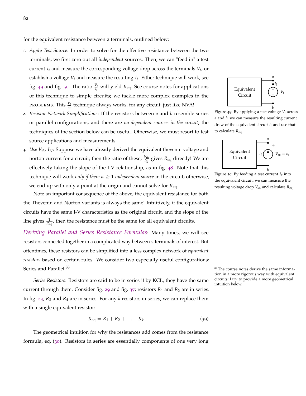for the equivalent resistance between 2 terminals, outlined below:

- 1. *Apply Test Source*: In order to solve for the effective resistance between the two terminals, we first zero out all *independent* sources. Then, we can "feed in" a test current *I<sup>t</sup>* and measure the corresponding voltage drop across the terminals *V<sup>t</sup>* , or establish a voltage *V<sup>t</sup>* and measure the resulting *I<sup>t</sup>* . Either technique will work; see fig. [49](#page-81-0) and fig. [50](#page-81-1). The ratio  $\frac{V_t}{I_t}$  will yield  $R_{eq}$ . See course notes for applications of this technique to simple circuits; we tackle more complex examples in the PROBLEMS. This  $\frac{V_t}{I_t}$  technique always works, for any circuit, just like NVA!
- 2. *Resistor Network Simplifications*: If the resistors between *a* and *b* resemble series or parallel configurations, and there are *no dependent sources in the circuit*, the techniques of the section below can be useful. Otherwise, we must resort to test source applications and measurements.
- 3. *Use Vth, IN*: Suppose we have already derived the equivalent thevenin voltage and norton current for a circuit; then the ratio of these,  $\frac{V_{\text{th}}}{I_N}$  gives  $R_{\text{eq}}$  directly! We are effectively taking the slope of the I-V relationship, as in fig. [48](#page-80-3). Note that this technique will work *only if there is* ≥ 1 *independent source* in the circuit; otherwise, we end up with only a point at the origin and cannot solve for *R*eq.

Note an important consequence of the above; the equivalent resistance for both the Thevenin and Norton variants is always the same! Intuitively, if the equivalent circuits have the same I-V characteristics as the original circuit, and the slope of the line gives  $\frac{1}{R_{eq}}$ , then the resistance must be the same for all equivalent circuits.

*Deriving Parallel and Series Resistance Formulas*: Many times, we will see resistors connected together in a complicated way between 2 terminals of interest. But oftentimes, these resistors can be simplified into a less complex network of *equivalent resistors* based on certain rules. We consider two especially useful configurations: Series and Parallel. $^{88}$   $\blacksquare$   $^{88}$  The course notes derive the same informa-

*Series Resistors*: Resistors are said to be in series if by KCL, they have the same current through them. Consider fig. [29](#page-72-0) and fig.  $37$ ; resistors  $R_1$  and  $R_2$  are in series. In fig. [23](#page-68-1), *R*<sup>3</sup> and *R*<sup>4</sup> are in series. For any *k* resistors in series, we can replace them with a single equivalent resistor:

<span id="page-81-2"></span>
$$
R_{\text{eq}} = R_1 + R_2 + \ldots + R_k \tag{39}
$$

The geometrical intuition for why the resistances add comes from the resistance formula, eq. ([30](#page-62-0)). Resistors in series are essentially components of one very long

<span id="page-81-0"></span>*b* Figure 49: By applying a test voltage *V<sup>t</sup>* across *a* and *b*, we can measure the resulting current draw of the equivalent circuit *I<sup>t</sup>* and use that to calculate *R*eq.

*a*

 $\left(\begin{array}{c}+\\-\end{array}\right)V_t$ *It*

Equivalent Circuit



<span id="page-81-1"></span>*b* Figure 50: By feeding a test current *I<sup>x</sup>* into the equivalent circuit, we can measure the resulting voltage drop *V*ab and calculate *R*eq.

tion in a more rigorous way with equivalent circuits; I try to provide a more geometrical intuition below.

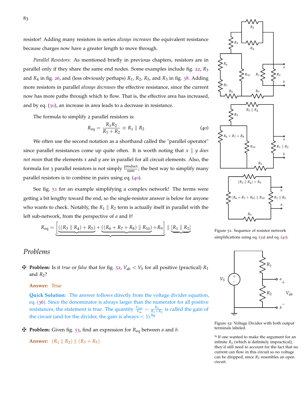resistor! Adding many resistors in series *always increases* the equivalent resistance because charges now have a greater length to move through.

*Parallel Resistors*: As mentioned briefly in previous chapters, resistors are in parallel only if they share the same end nodes. Some examples include fig. [22](#page-67-0), *R*<sup>3</sup> and *R*<sup>4</sup> in fig. [26](#page-71-0), and (less obviously perhaps) *R*1, *R*2, *R*5, and *R*<sup>3</sup> in fig. [38](#page-76-1). Adding more resistors in parallel *always decreases* the effective resistance, since the current now has more paths through which to flow. That is, the effective area has increased, and by eq. ([30](#page-62-0)), an increase in area leads to a decrease in resistance.

The formula to simplify 2 parallel resistors is:

<span id="page-82-0"></span>
$$
R_{\text{eq}} = \frac{R_1 R_2}{R_1 + R_2} \equiv R_1 \parallel R_2 \tag{40}
$$

We often use the second notation as a shorthand called the "parallel operator" since parallel resistances come up quite often. It is worth noting that  $x \parallel y$  does *not mean* that the elements *x* and *y* are in parallel for all circuit elements. Also, the formula for 3 parallel resistors is not simply  $\frac{product}{sum}$ ; the best way to simplify many parallel resistors is to combine in pairs using eq. ([40](#page-82-0)).

See fig. [51](#page-82-1) for an example simplifying a complex network! The terms were getting a bit lengthy toward the end, so the single-resistor answer is below for anyone who wants to check. Notably, the  $R_1 \parallel R_2$  term is actually itself in parallel with the left sub-network, from the perspective of *a* and *b*!

$$
R_{\text{eq}} = \underbrace{\left[ ((R_3 \parallel R_4) + R_5) + ((R_6 + R_7 + R_8) \parallel R_{10}) + R_9 \right]} \parallel \underbrace{\left[ R_1 \parallel R_2 \right]}
$$

## *Problems*

 $\mathbf{\ddot{P}}$  **Problem:** Is it *true* or *false* that for fig. [52](#page-82-2),  $V_{ab} < V_S$  for all positive (practical)  $R_1$ and  $R_2$ ?

#### **Answer:** True

**Quick Solution:** The answer follows directly from the voltage divider equation, eq. ([36](#page-72-1)). Since the denominator is always larger than the numerator for all positive resistances, the statement is true. The quantity  $\frac{V_{\text{out}}}{V_{\text{in}}} = \frac{R_2}{R_1 + R_2}$  is called the gain of the circuit (and for the divider, the gain is always  $< 1$ ).<sup>89</sup>

z **Problem:** Given fig. [53](#page-83-0), find an expression for *R*eq between *a* and *b*.

**Answer:**  $(R_1 || R_2) || (R_3 + R_5)$ 

*b*  $R<sub>0</sub>$ *b*  $R_1 \parallel R_2$ *a*  $(R_3 \parallel R_4) + R_5$  $(R_7 + R_8)$  |  $R_{10}$ 

<span id="page-82-1"></span>Figure 51: Sequence of resistor network simplifications using eq. ([39](#page-81-2)) and eq. ([40](#page-82-0)).

*R*1

*R*2

*a*

 $^{+}$ 

*V*ab

*b*

−

+

 $V_S$ 

<span id="page-82-2"></span>

<sup>89</sup> If one wanted to make the argument for an infinite  $R_2$  (which is definitely impractical), they'd still need to account for the fact that no current can flow in this circuit so no voltage can be dropped, since  $R_2$  resembles an open circuit.

83



*R*<sup>3</sup>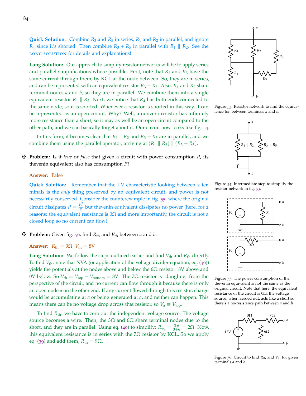**Quick Solution:** Combine  $R_3$  and  $R_5$  in series,  $R_1$  and  $R_2$  in parallel, and ignore *R*<sub>4</sub> since it's shorted. Then combine  $R_3 + R_5$  in parallel with  $R_1 \parallel R_2$ . See the LONG SOLUTION for details and explanations!

**Long Solution:** Our approach to simplify resistor networks will be to apply series and parallel simplifications where possible. First, note that  $R_3$  and  $R_5$  have the same current through them, by KCL at the node between. So, they are in series, and can be represented with an equivalent resistor  $R_3 + R_5$ . Also,  $R_1$  and  $R_2$  share terminal nodes *a* and *b*, so they are in parallel. We combine them into a single equivalent resistor  $R_1 \parallel R_2$ . Next, we notice that  $R_4$  has both ends connected to the same node, so it is shorted. Whenever a resistor is shorted in this way, it can be represented as an open circuit. Why? Well, a nonzero resistor has infinitely more resistance than a short, so it may as well be an open circuit compared to the other path, and we can basically forget about it. Our circuit now looks like fig. [54](#page-83-1).

In this form, it becomes clear that  $R_1 \parallel R_2$  and  $R_3 + R_5$  are in parallel, and we combine them using the parallel operator, arriving at  $(R_1 \parallel R_2) \parallel (R_3 + R_5)$ .

z **Problem:** Is it *true* or *false* that given a circuit with power consumption *P*, its thevenin equivalent also has consumption *P*?

#### **Answer:** False

**Quick Solution:** Remember that the I-V characteristic looking between 2 terminals is the *only* thing preserved by an equivalent circuit, and power is not necessarily conserved. Consider the counterexample in fig. [55](#page-83-2), where the original circuit dissipates  $P = \frac{V_S^2}{R}$  but thevenin equivalent dissipates no power (here, for 2 reasons: the equivalent resistance is  $0\Omega$  and more importantly, the circuit is not a closed loop so no current can flow).

#### z **Problem:** Given fig. [56](#page-83-3), find *<sup>R</sup>*th and *<sup>V</sup>*th between *<sup>a</sup>* and *<sup>b</sup>*.

**Answer:** 
$$
R_{\text{th}} = 9\Omega
$$
,  $V_{\text{th}} = 8V$ 

**Long Solution:** We follow the steps outlined earlier and find  $V_{th}$  and  $R_{th}$  directly. To find *V*th: note that NVA (or application of the voltage divider equation, eq. ([36](#page-72-1))) yields the potentials at the nodes above and below the  $6\Omega$  resistor: 8V above and 0V below. So  $V_{\text{th}} = V_{\text{top}} - V_{\text{bottom}} = 8V$ . The 7Ω resistor is "dangling" from the perspective of the circuit, and no current can flow through it because there is only an open node *a* on the other end. If any current flowed through this resistor, charge would be accumulating at *a* or being generated at *a*, and neither can happen. This means there can be no voltage drop across that resistor, so  $V_a \equiv V_{\text{top}}$ .

To find *R*th: we have to zero out the independent voltage source. The voltage source becomes a wire. Then, the 3Ω and  $6Ω$  share terminal nodes due to the short, and they are in parallel. Using eq. ([40](#page-82-0)) to simplify:  $R_{eq} = \frac{3.6}{3+6} = 2\Omega$ . Now, this equivalent resistance is in series with the  $7\Omega$  resistor by KCL. So we apply eq. ([39](#page-81-2)) and add them;  $R_{\text{th}} = 9\Omega$ .

<span id="page-83-0"></span>Figure 53: Resistor network to find the equivalence for, between terminals *a* and *b*.

 $R_3 + R_5$ 

*a*

*b*

*a*

*b*

*a*

<span id="page-83-1"></span>Figure 54: Intermediate step to simplify the resistor network in fig. [53](#page-83-0).

*b*

 $V_S \begin{pmatrix} + \\ - \end{pmatrix} \geq R$ 

 $0<sup>O</sup>$ 

 $V_S$   $\begin{pmatrix} + \\ - \end{pmatrix}$ 

 $R_1 \parallel R_2$ 

<span id="page-83-2"></span>Figure 55: The power consumption of the thevenin equivalent is not the same as the original circuit. Note that here, the equivalent resistance of the circuit is  $0\Omega$ ; the voltage source, when zeroed out, acts like a short so there's a no-resistance path between *a* and *b*.

<span id="page-83-3"></span>

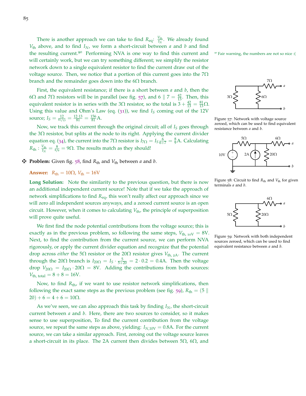There is another approach we can take to find  $R_{eq}$ :  $\frac{V_{th}}{I_N}$ . We already found *V*th above, and to find *IN*, we form a short-circuit between *a* and *b* and find the resulting current.<sup>90</sup> Performing NVA is one way to find this current and  $\Phi$  Fair warning, the numbers are not so nice :( will certainly work, but we can try something different; we simplify the resistor network down to a single equivalent resistor to find the current draw out of the voltage source. Then, we notice that a portion of this current goes into the  $7\Omega$ branch and the remainder goes down into the  $6\Omega$  branch.

First, the equivalent resistance; if there is a short between *a* and *b*, then the 6Ω and 7Ω resistors will be in parallel (see fig. [57](#page-84-0)), and 6  $\|$  7 =  $\frac{42}{13}$ . Then, this equivalent resistor is in series with the 3 $\Omega$  resistor, so the total is  $3 + \frac{42}{13} = \frac{81}{13} \Omega$ . Using this value and Ohm's Law (eq. ([31](#page-63-0))), we find *I<sup>S</sup>* coming out of the 12V source;  $I_S = \frac{12}{81/13} = \frac{12.13}{81} = \frac{156}{81}$  A.

Now, we track this current through the original circuit; all of *I<sup>S</sup>* goes through the  $3\Omega$  resistor, but splits at the node to its right. Applying the current divider equation eq. ([34](#page-68-0)), the current into the 7 $\Omega$  resistor is  $I_{7\Omega} = I_{5\frac{6}{6+7}} = \frac{8}{9}A$ . Calculating  $R_{\text{th}}$  :  $\frac{V_{\text{th}}}{I_N} = \frac{8}{8/9} = 9\Omega$ . The results match as they should!

 $\mathbf{\ddot{F}}$  **Problem:** Given fig. [58](#page-84-1), find  $R_{\text{th}}$  and  $V_{\text{th}}$  between *a* and *b*.

**Answer:**  $R_{\text{th}} = 10\Omega$ ,  $V_{\text{th}} = 16V$ 

**Long Solution:** Note the similarity to the previous question, but there is now an additional independent current source! Note that if we take the approach of network simplifications to find *R*eq, this won't really affect our approach since we will zero all independent sources anyways, and a zeroed current source is an open circuit. However, when it comes to calculating  $V_{th}$ , the principle of superposition will prove quite useful.

We first find the node potential contributions from the voltage source; this is exactly as in the previous problem, so following the same steps,  $V_{th, 10V} = 8V$ . Next, to find the contribution from the current source, we can perform NVA rigorously, or apply the current divider equation and recognize that the potential drop across *either* the 5Ω resistor or the 20Ω resistor gives *V*th, <sup>2</sup>A. The current through the 20 $\Omega$  branch is  $I_{20\Omega} = I_S \cdot \frac{5}{5+20} = 2 \cdot 0.2 = 0.4$ A. Then the voltage drop  $V_{20\Omega} = I_{20\Omega} \cdot 20\Omega = 8V$ . Adding the contributions from both sources:  $V_{\text{th. total}} = 8 + 8 = 16V.$ 

Now, to find  $R_{\text{th}}$ , if we want to use resistor network simplifications, then following the exact same steps as the previous problem (see fig. [59](#page-84-2)),  $R_{\text{th}} = (5 \parallel \text{s})$  $20) + 6 = 4 + 6 = 10\Omega.$ 

As we've seen, we can also approach this task by finding *IN*, the short-circuit current between *a* and *b*. Here, there are two sources to consider, so it makes sense to use superposition, To find the current contribution from the voltage source, we repeat the same steps as above, yielding:  $I_{N,10V} = 0.8$ A. For the current source, we can take a similar approach. First, zeroing out the voltage source leaves a short-circuit in its place. The 2A current then divides between  $5Ω$ ,  $6Ω$ , and



<span id="page-84-0"></span>Figure 57: Network with voltage source zeroed, which can be used to find equivalent resistance between *a* and *b*.



<span id="page-84-1"></span>Figure 58: Circuit to find  $R_{\text{th}}$  and  $V_{\text{th}}$  for given terminals *a* and *b*.



<span id="page-84-2"></span>Figure 59: Network with both independent sources zeroed, which can be used to find equivalent resistance between *a* and *b*.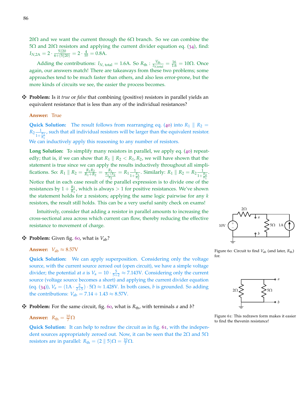20Ω and we want the current through the 6Ω branch. So we can combine the 5Ω and 20Ω resistors and applying the current divider equation eq. ([34](#page-68-0)), find:  $I_{N,2A} = 2 \cdot \frac{5||20}{6 + (5||20)} = 2 \cdot \frac{4}{10} = 0.8$ A.

Adding the contributions:  $I_{N, \text{ total}} = 1.6$ A. So  $R_{\text{th}} : \frac{V_{\text{th}}}{I_{N, \text{ tot}}}$  $\frac{V_{\text{th}}}{I_{N,\text{total}}} = \frac{16}{1.6} = 10 \Omega$ . Once again, our answers match! There are takeaways from these two problems; some approaches tend to be much faster than others, and also less error-prone, but the more kinds of circuits we see, the easier the process becomes.

z **Problem:** Is it *true* or *false* that combining (positive) resistors in parallel yields an equivalent resistance that is less than any of the individual resistances?

#### **Answer:** True

**Quick Solution:** The result follows from rearranging eq. ([40](#page-82-0)) into  $R_1 \parallel R_2 =$  $R_2 \frac{1}{1}$  $\frac{1}{1+\frac{R_2}{R_1}}$ , such that all individual resistors will be larger than the equivalent resistor. We can inductively apply this reasoning to any number of resistors.

**Long Solution:** To simplify many resistors in parallel, we apply eq. ([40](#page-82-0)) repeatedly; that is, if we can show that  $R_1 \parallel R_2 < R_1, R_2$ , we will have shown that the statement is true since we can apply the results inductively throughout all simplifications. So:  $R_1 \parallel R_2 = \frac{R_1 R_2}{R_1 + R_2} = \frac{R_1}{\frac{R_1 + R_2}{R_2}}$  $= R_1 \frac{1}{1+r^2}$  $1+\frac{R_1}{R_2}$ . Similarly:  $R_1 \parallel R_2 = R_2 \frac{1}{100}$  $1+\frac{R_2}{R_1}$ . Notice that in each case result of the parallel expression is to divide one of the resistances by  $1 + \frac{R_2}{R_1}$  $\frac{R_2}{R_1}$ , which is always  $> 1$  for positive resistances. We've shown the statement holds for 2 resistors; applying the same logic pairwise for any *k* resistors, the result still holds. This can be a very useful sanity check on exams!

Intuitively, consider that adding a resistor in parallel amounts to increasing the cross-sectional area across which current can flow, thereby reducing the effective resistance to movement of charge.

#### **E** Problem: Given fig. [60](#page-85-0), what is  $V_{ab}$ ?

**Answer:**  $V_{ab} \approx 8.57V$ 

**Quick Solution:** We can apply superposition. Considering only the voltage source, with the current source zeroed out (open circuit), we have a simple voltage divider; the potential at *a* is  $V_a = 10 \cdot \frac{5}{5+2} \approx 7.143V$ . Considering only the current source (voltage source becomes a short) and applying the current divider equation (eq. ([34](#page-68-0))),  $V_a = (1A \cdot \frac{2}{2+5}) \cdot 5\Omega \approx 1.428V$ . In both cases, *b* is grounded. So adding the contributions:  $V_{ab} = 7.14 + 1.43 \approx 8.57$ V.

 $\ddot{P}$  **Problem:** For the same circuit, fig. [60](#page-85-0), what is  $R_{\text{th}}$ , with terminals *a* and *b*?

## **Answer:**  $R_{\text{th}} = \frac{10}{7} \Omega$

**Quick Solution:** It can help to redraw the circuit as in fig. [61](#page-85-1), with the independent sources appropriately zeroed out. Now, it can be seen that the 2 $\Omega$  and  $5\Omega$ resistors are in parallel:  $R_{\text{th}} = (2 \parallel 5)\Omega = \frac{10}{7}\Omega$ .



<span id="page-85-0"></span>Figure 60: Circuit to find  $V_{ab}$  (and later,  $R_{th}$ ) for.



<span id="page-85-1"></span>Figure 61: This redrawn form makes it easier to find the thevenin resistance!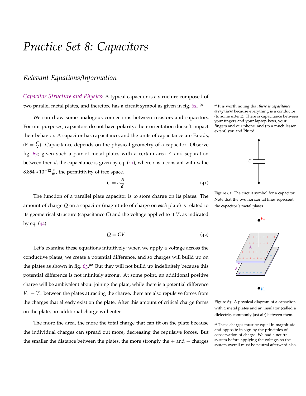## *Practice Set 8: Capacitors*

## *Relevant Equations/Information*

*Capacitor Structure and Physics*: A typical capacitor is a structure composed of two parallel metal plates, and therefore has a circuit symbol as given in fig. [62](#page-86-0). <sup>91</sup>

We can draw some analogous connections between resistors and capacitors. For our purposes, capacitors do not have polarity; their orientation doesn't impact their behavior. A capacitor has capacitance, and the units of capacitance are Farads,  $(F = \frac{C}{V})$ . Capacitance depends on the physical geometry of a capacitor. Observe fig. [63](#page-86-1); given such a pair of metal plates with a certain area *A* and separation between then *d*, the capacitance is given by eq. ([41](#page-86-2)), where  $\epsilon$  is a constant with value  $8.854 * 10^{-12} \frac{F}{m}$ , the permittivity of free space.

<span id="page-86-2"></span>
$$
C = \epsilon \frac{A}{d} \tag{41}
$$

<span id="page-86-3"></span>The function of a parallel plate capacitor is to store charge on its plates. The amount of charge *Q* on a capacitor (magnitude of charge on *each* plate) is related to its geometrical structure (capacitance *C*) and the voltage applied to it *V*, as indicated by eq.  $(42)$  $(42)$  $(42)$ .

$$
Q = CV \tag{42}
$$

Let's examine these equations intuitively; when we apply a voltage across the conductive plates, we create a potential difference, and so charges will build up on the plates as shown in fig. [63](#page-86-1).92 But they will not build up indefinitely because this potential difference is not infinitely strong. At some point, an additional positive charge will be ambivalent about joining the plate; while there is a potential difference *V*<sup>+</sup> − *V*<sup>−</sup> between the plates attracting the charge, there are also repulsive forces from the charges that already exist on the plate. After this amount of critical charge forms on the plate, no additional charge will enter.

The more the area, the more the total charge that can fit on the plate because the individual charges can spread out more, decreasing the repulsive forces. But the smaller the distance between the plates, the more strongly the  $+$  and  $-$  charges

<sup>91</sup> <sup>91</sup> It is worth noting that *there is capacitance everywhere* because everything is a conductor (to some extent). There is capacitance between your fingers and your laptop keys, your fingers and our phone, and (to a much lesser extent) you and Pluto!



<span id="page-86-0"></span>Figure 62: The circuit symbol for a capacitor. Note that the two horizontal lines represent the capacitor's metal plates.



<span id="page-86-1"></span>Figure 63: A physical diagram of a capacitor, with 2 metal plates and an insulator (called a dielectric, commonly just air) between them.

<sup>92</sup> These charges must be equal in magnitude and opposite in sign by the principles of conservation of charge. We had a neutral system before applying the voltage, so the system overall must be neutral afterward also.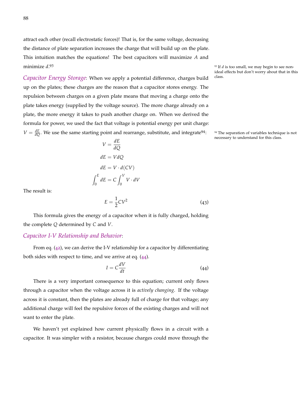attract each other (recall electrostatic forces)! That is, for the same voltage, decreasing the distance of plate separation increases the charge that will build up on the plate. This intuition matches the equations! The best capacitors will maximize *A* and minimize *d*.

*Capacitor Energy Storage*: When we apply a potential difference, charges build class. up on the plates; these charges are the reason that a capacitor stores energy. The repulsion between charges on a given plate means that moving a charge onto the plate takes energy (supplied by the voltage source). The more charge already on a plate, the more energy it takes to push another charge on. When we derived the formula for power, we used the fact that voltage is potential energy per unit charge:  $V = \frac{dE}{dQ}$ . We use the same starting point and rearrange, substitute, and integrate<sup>94</sup>:

$$
V = \frac{dE}{dQ}
$$

$$
dE = VdQ
$$

$$
dE = V \cdot d(CV)
$$

$$
\int_0^E dE = C \int_0^V V \cdot dV
$$

<span id="page-87-1"></span>The result is:

$$
E = \frac{1}{2}CV^2\tag{43}
$$

This formula gives the energy of a capacitor when it is fully charged, holding the complete *Q* determined by *C* and *V*.

#### *Capacitor I-V Relationship and Behavior*:

From eq. ([42](#page-86-3)), we can derive the I-V relationship for a capacitor by differentiating both sides with respect to time, and we arrive at eq. ([44](#page-87-0)).

<span id="page-87-0"></span>
$$
I = C \frac{dV}{dt} \tag{44}
$$

There is a very important consequence to this equation; current only flows through a capacitor when the voltage across it is *actively changing*. If the voltage across it is constant, then the plates are already full of charge for that voltage; any additional charge will feel the repulsive forces of the existing charges and will not want to enter the plate.

We haven't yet explained how current physically flows in a circuit with a capacitor. It was simpler with a resistor, because charges could move through the <sup>93</sup> If *d* is too small, we may begin to see nonideal effects but don't worry about that in this

<sup>94</sup> The separation of variables technique is not necessary to understand for this class.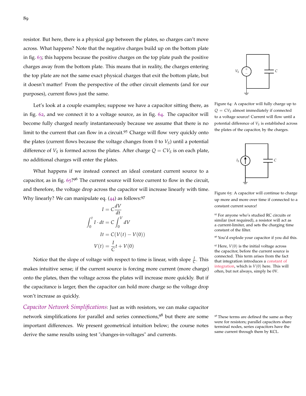resistor. But here, there is a physical gap between the plates, so charges can't move across. What happens? Note that the negative charges build up on the bottom plate in fig. [63](#page-86-1); this happens because the positive charges on the top plate push the positive charges away from the bottom plate. This means that in reality, the charges entering the top plate are not the same exact physical charges that exit the bottom plate, but it doesn't matter! From the perspective of the other circuit elements (and for our purposes), current flows just the same.

Let's look at a couple examples; suppose we have a capacitor sitting there, as in fig. [62](#page-86-0), and we connect it to a voltage source, as in fig. [64](#page-88-0). The capacitor will become fully charged nearly instantaneously because we assume that there is no limit to the current that can flow in a circuit.<sup>95</sup> Charge will flow very quickly onto the plates (current flows because the voltage changes from 0 to  $V<sub>S</sub>$ ) until a potential difference of  $V_S$  is formed across the plates. After charge  $Q = CV_S$  is on each plate, no additional charges will enter the plates.

What happens if we instead connect an ideal constant current source to a capacitor, as in fig. [65](#page-88-1)?<sup>96</sup> The current source will force current to flow in the circuit, and therefore, the voltage drop across the capacitor will increase linearly with time. Why linearly? We can manipulate eq.  $(44)$  $(44)$  $(44)$  as follows: 97

$$
I = C \frac{dV}{dt}
$$

$$
\int_0^t I \cdot dt = C \int_0^V dV
$$

$$
It = C(V(t) - V(0))
$$

$$
V(t) = \frac{I}{C}t + V(0)
$$

Notice that the slope of voltage with respect to time is linear, with slope  $\frac{I}{C}$ . This makes intuitive sense; if the current source is forcing more current (more charge) onto the plates, then the voltage across the plates will increase more quickly. But if the capacitance is larger, then the capacitor can hold more charge so the voltage drop won't increase as quickly.

*Capacitor Network Simplifications*: Just as with resistors, we can make capacitor network simplifications for parallel and series connections,<sup>98</sup> but there are some <sup>98</sup> These terms are defined the same as they important differences. We present geometrical intuition below; the course notes derive the same results using test "changes-in-voltages" and currents.



<span id="page-88-0"></span>*Q* = *CV<sup>S</sup>* almost immediately if connected to a voltage source! Current will flow until a potential difference of *V<sup>S</sup>* is established across the plates of the capacitor, by the charges.



<span id="page-88-1"></span>Figure 65: A capacitor will continue to charge up more and more over time if connected to a constant current source!

<sup>95</sup> For anyone who's studied RC circuits or similar (not required), a resistor will act as a current-limiter, and sets the charging time constant of the filter.

<sup>96</sup> You'd explode your capacitor if you did this.

 $97$  Here,  $V(0)$  is the initial voltage across the capacitor, before the current source is connected. This term arises from the fact that integration introduces a [constant of](https://en.wikipedia.org/wiki/Constant_of_integration) [integration,](https://en.wikipedia.org/wiki/Constant_of_integration) which is *V*(0) here. This will often, but not always, simply be 0V.

were for resistors; parallel capacitors share terminal nodes, series capacitors have the same current through them by KCL.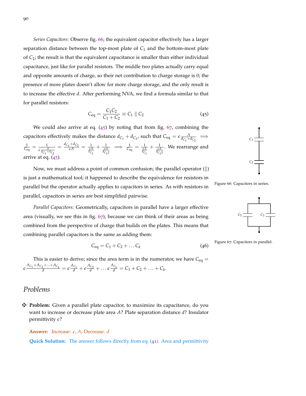*Series Capacitors*: Observe fig. [66](#page-89-0); the equivalent capacitor effectively has a larger separation distance between the top-most plate of  $C_1$  and the bottom-most plate of *C*2; the result is that the equivalent capacitance is smaller than either individual capacitance, just like for parallel resistors. The middle two plates actually carry equal and opposite amounts of charge, so their net contribution to charge storage is 0; the presence of more plates doesn't allow for more charge storage, and the only result is to increase the effective *d*. After performing NVA, we find a formula similar to that for parallel resistors:

<span id="page-89-1"></span>
$$
C_{\text{eq}} = \frac{C_1 C_2}{C_1 + C_2} \equiv C_1 \parallel C_2 \tag{45}
$$

We could also arrive at eq.  $(45)$  $(45)$  $(45)$  by noting that from fig.  $67$ , combining the capacitors effectively makes the distance  $d_{C_1} + d_{C_2}$ , such that  $C_{eq} = \epsilon \frac{A}{d_{C_1} + d_{C_2}} \implies$  $\frac{1}{\mathcal{C}_{\text{eq}}} = \frac{1}{\epsilon \frac{A}{d_{\text{C}_1} + d_{\text{C}_2}}}$  $=\frac{d_{C_1} + d_{C_2}}{\epsilon A} = \frac{1}{\frac{\epsilon A}{d_{C_1}}}$  $+\frac{1}{\frac{\epsilon A}{d_{C_1 2}}}$  $\Rightarrow \frac{1}{C_{eq}} = \frac{1}{\frac{\epsilon A}{d_{C_1}}}$  $+\frac{1}{\frac{\epsilon A}{d_{C_1 2}}}$ . We rearrange and arrive at eq.  $(45)$  $(45)$  $(45)$ .

Now, we must address a point of common confusion; the parallel operator  $(\|)$ is just a mathematical tool; it happened to describe the equivalence for resistors in parallel but the operator actually applies to capacitors in series. As with resistors in parallel, capacitors in series are best simplified pairwise.

*Parallel Capacitors*: Geometrically, capacitors in parallel have a larger effective area (visually, we see this in fig. [67](#page-89-2)), because we can think of their areas as being combined from the perspective of charge that builds on the plates. This means that combining parallel capacitors is the same as adding them:

$$
C_{\text{eq}} = C_1 + C_2 + \dots C_k \tag{46}
$$

This is easier to derive; since the area term is in the numerator, we have  $C_{eq} =$  $\epsilon \frac{A_{C_1} + A_{C_2} + ... + A_{C_k}}{d} = \epsilon \frac{A_{C_1}}{d} + \epsilon \frac{A_{C_2}}{d} + ... \epsilon \frac{A_{C_k}}{d} = C_1 + C_2 + ... + C_k.$ 

### *Problems*

z **Problem:** Given a parallel plate capacitor, to maximize its capacitance, do you want to increase or decrease plate area *A*? Plate separation distance *d*? Insulator permittivity *e*?

**Answer:** Increase: *e*, *A*, Decrease: *d*

**Quick Solution:** The answer follows directly from eq. ([41](#page-86-2)). Area and permittivity



<span id="page-89-0"></span>Figure 66: Capacitors in series.



<span id="page-89-3"></span><span id="page-89-2"></span>Figure 67: Capacitors in parallel.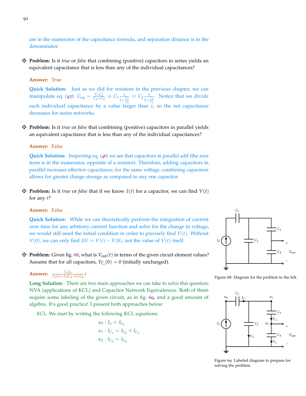are in the numerator of the capacitance formula, and separation distance is in the denominator.

z **Problem:** Is it *true* or *false* that combining (positive) capacitors in series yields an equivalent capacitance that is less than any of the individual capacitances?

#### **Answer:** True

**Quick Solution:** Just as we did for resistors in the previous chapter, we can manipulate eq. ([45](#page-89-1)):  $C_{eq} = \frac{C_1 C_2}{C_1 + C_2} \equiv C_1 \frac{1}{1 + C_2}$  $1+\frac{C_1}{C_2}$  $\equiv C_2 \frac{1}{11}$  $1+\frac{C_2}{C_1}$ . Notice that we divide each individual capacitance by a value larger than  $1$ , so the net capacitance decreases for series networks.

z **Problem:** Is it *true* or *false* that combining (positive) capacitors in parallel yields an equivalent capacitance that is less than any of the individual capacitances?

#### **Answer:** False

**Quick Solution:** Inspecting eq. ([46](#page-89-3)) we see that capacitors in parallel add (the area term is in the numerator, opposite of a resistor). Therefore, adding capacitors in parallel increases effective capacitance; for the same voltage, combining capacitors allows for greater charge storage as compared to any one capacitor.

 $\mathbf{\ddot{P}}$  **Problem:** Is it *true* or *false* that if we know  $I(t)$  for a capacitor, we can find  $V(t)$ for any *t*?

#### **Answer:** False

**Quick Solution:** While we can theoretically perform the integration of current over time for any arbitrary current function and solve for the change in voltage, we would still need the initial condition in order to precisely find *V*(*t*). Without *V*(0), we can only find  $\Delta V = V(t) - V(0)$ , not the value of *V*(*t*) itself. *I*<sub>*S*</sub>

 $\mathbf{\ddot{P}}$  **Problem:** Given fig. [68](#page-90-0), what is  $V_{out}(t)$  in terms of the given circuit element values? Assume that for all capacitors,  $V_{C_i}(0) = 0$  (initially uncharged).

## **Answer:**  $\frac{C_3 I_S}{C_2 C_3 + C_2 C_4 + C_3 C_4} t$



<span id="page-90-0"></span>Figure 68: Diagram for the problem to the left.

**Long Solution:** There are two main approaches we can take to solve this question: NVA (applications of KCL) and Capacitor Network Equivalences. Both of them require some labeling of the given circuit, as in fig. [69](#page-90-1), and a good amount of algebra. It's good practice! I present both approaches below:

*KCL*: We start by writing the following KCL equations:

$$
u_0: I_S = I_{C_1}
$$
  

$$
u_1: I_{C_1} = I_{C_2} + I_{C_3}
$$
  

$$
u_2: I_{C_3} = I_{C_4}
$$



<span id="page-90-1"></span>Figure 69: Labeled diagram to prepare for solving the problem.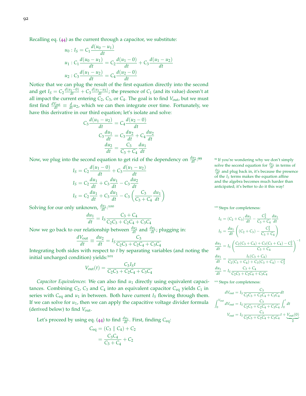Recalling eq. ([44](#page-87-0)) as the current through a capacitor, we substitute:

$$
u_0: I_S = C_1 \frac{d(u_0 - u_1)}{dt}
$$
  
\n
$$
u_1: C_1 \frac{d(u_0 - u_1)}{dt} = C_2 \frac{d(u_1 - 0)}{dt} + C_3 \frac{d(u_1 - u_2)}{dt}
$$
  
\n
$$
u_2: C_3 \frac{d(u_1 - u_2)}{dt} = C_4 \frac{d(u_2 - 0)}{dt}
$$

Notice that we can plug the result of the first equation directly into the second and get  $I_S = C_2 \frac{d(u_1 - 0)}{dt} + C_3 \frac{d(u_1 - u_2)}{dt}$ ; the presence of  $C_1$  (and its value) doesn't at all impact the current entering  $C_2$ ,  $C_3$ , or  $C_4$ . The goal is to find  $V_{\text{out}}$ , but we must first find  $\frac{dV_{\text{out}}}{dt} \equiv \frac{d}{dt}u_2$ , which we can then integrate over time. Fortunately, we have this derivative in our third equation; let's isolate and solve:

$$
C_3 \frac{d(u_1 - u_2)}{dt} = C_4 \frac{d(u_2 - 0)}{dt}
$$

$$
C_3 \frac{du_1}{dt} = C_3 \frac{du_2}{dt} + C_4 \frac{du_2}{dt}
$$

$$
\frac{du_2}{dt} = \frac{C_3}{C_3 + C_4} \frac{du_1}{dt}
$$

Now, we plug into the second equation to get rid of the dependency on  $\frac{du_2}{dt}$ :

$$
I_S = C_2 \frac{d(u_1 - 0)}{dt} + C_3 \frac{d(u_1 - u_2)}{dt}
$$
  
\n
$$
I_S = C_2 \frac{du_1}{dt} + C_3 \frac{du_1}{dt} - C_3 \frac{du_2}{dt}
$$
  
\n
$$
I_S = C_2 \frac{du_1}{dt} + C_3 \frac{du_1}{dt} - C_3 \left(\frac{C_3}{C_3 + C_4} \frac{du_1}{dt}\right)
$$

Solving for our only unknown,  $\frac{du_1}{dt}$ :

$$
\frac{du_1}{dt} = I_S \frac{C_3 + C_4}{C_2 C_3 + C_2 C_4 + C_3 C_4}
$$

Now we go back to our relationship between  $\frac{du_2}{dt}$  and  $\frac{du_1}{dt}$ ; plugging in:

$$
\frac{dV_{\text{out}}}{dt} \equiv \frac{du_2}{dt} = I_S \frac{C_3}{C_2C_3 + C_2C_4 + C_3C_4}
$$

Integrating both sides with respect to *t* by separating variables (and noting the initial uncharged condition) yields:<sup>101</sup>

$$
V_{\text{out}}(t) = \frac{C_3 I_S t}{C_2 C_3 + C_2 C_4 + C_3 C_4}
$$

*Capacitor Equivalences*: We can also find *u*<sup>1</sup> directly using equivalent capacitances. Combining  $C_2$ ,  $C_3$  and  $C_4$  into an equivalent capacitor  $C_{eq}$  yields  $C_1$  in series with  $C_{eq}$  and  $u_1$  in between. Both have current  $I_S$  flowing through them. If we can solve for *u*1, then we can apply the capacitive voltage divider formula (derived below) to find *V*out.

Let's proceed by using eq. ([44](#page-87-0)) to find  $\frac{du_1}{dt}$ . First, finding  $C_{eq}$ :

$$
C_{eq} = (C_3 \parallel C_4) + C_2
$$
  
= 
$$
\frac{C_3 C_4}{C_3 + C_4} + C_2
$$

<sup>99</sup> If you're wondering why we don't simply solve the second equation for  $\frac{du_1}{dt}$  in terms of  $\frac{du_2}{dt}$  and plug back in, it's because the presence of the  $I<sub>S</sub>$  terms makes the equation affine and the algebra becomes much harder than anticipated; it's better to do it this way!

100 Steps for completeness:

$$
I_S = (C_2 + C_3) \frac{du_1}{dt} - \frac{C_3^2}{C_3 + C_4} \frac{du_1}{dt}
$$
  
\n
$$
I_S = \frac{du_1}{dt} \left( (C_2 + C_3) - \frac{C_3^2}{C_3 + C_4} \right)
$$
  
\n
$$
\frac{du_1}{dt} = I_S \left( \frac{C_2(C_3 + C_4) + C_3(C_3 + C_4) - C_3^2}{C_3 + C_4} \right)^{-1}
$$
  
\n
$$
\frac{du_1}{dt} = \frac{I_S(C_3 + C_4)}{C_2(C_3 + C_4) + C_3(C_3 + C_4) - C_3^2}
$$
  
\n
$$
\frac{du_1}{dt} = I_S \frac{C_3 + C_4}{C_2C_3 + C_2C_4 + C_3C_4}
$$

<sup>101</sup> Steps for completeness:

$$
dV_{\text{out}} = I_S \frac{C_3}{C_2 C_3 + C_2 C_4 + C_3 C_4} dt
$$

$$
\int_0^{V_{\text{out}}} dV_{\text{out}} = I_S \frac{C_3}{C_2 C_3 + C_2 C_4 + C_3 C_4} \int_0^t dt
$$

$$
V_{\text{out}} = I_S \frac{C_3}{C_2 C_3 + C_2 C_4 + C_3 C_4} t + \underbrace{V_{\text{out}}(0)}_0
$$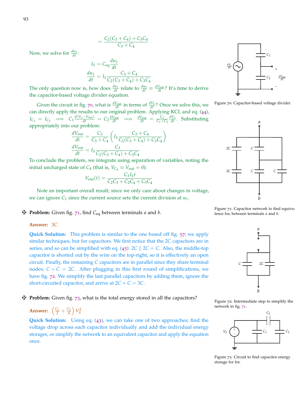$$
=\frac{C_2(C_3+C_4)+C_3C_4}{C_3+C_4}
$$

Now, we solve for  $\frac{du_1}{dt}$ :

$$
I_S = C_{eq} \frac{du_1}{dt}
$$

$$
\frac{du_1}{dt} = I_S \frac{C_3 + C_4}{C_2(C_3 + C_4) + C_3 C_4}
$$

The only question now is, how does  $\frac{du_1}{dt}$  relate to  $\frac{du_2}{dt} \equiv \frac{dV_{\text{out}}}{dt}$ ? It's time to derive the capacitor-based voltage divider equation.

Given the circuit in fig. [70](#page-92-0), what is  $\frac{dV_{\text{out}}}{dt}$  in terms of  $\frac{dV_S}{dt}$ ? Once we solve this, we Figure 70: Capacitor-based voltage divider. can directly apply the results to our original problem. Applying KCL and eq. ([44](#page-87-0)),  $I_{C_1} = I_{C_2} \implies C_1 \frac{d(V_S - V_{\text{out}})}{dt} = C_2 \frac{dV_{\text{out}}}{dt} \implies \frac{dV_{\text{out}}}{dt} = \frac{C_1}{C_1 + C_2} \frac{dV_S}{dt}$ . Substituting appropriately into our problem:

$$
\frac{dV_{\text{out}}}{dt} = \frac{C_3}{C_3 + C_4} \left( I_S \frac{C_3 + C_4}{C_2(C_3 + C_4) + C_3 C_4} \right)
$$

$$
\frac{dV_{\text{out}}}{dt} = I_S \frac{C_3}{C_2(C_3 + C_4) + C_3 C_4}
$$

To conclude the problem, we integrate using separation of variables, noting the initial uncharged state of  $C_4$  (that is,  $V_{C_4} \equiv V_{\text{out}} = 0$ ):

$$
V_{\text{out}}(t) = \frac{C_3 I_S t}{C_2 C_3 + C_2 C_4 + C_3 C_4}
$$

Note an important overall result; since we only care about changes in voltage, we can ignore  $C_1$  since the current source sets the current division at  $u_1$ .

z **Problem:** Given fig. [71](#page-92-1), find *C*eq between terminals *a* and *b*.

#### **Answer:** 3*C*

**Quick Solution:** This problem is similar to the one based off fig. [57](#page-84-0); we apply similar techniques, but for capacitors. We first notice that the 2*C* capacitors are in series, and so can be simplified with eq. ([45](#page-89-1)):  $2C \parallel 2C = C$ . Also, the middle-top capacitor is shorted out by the wire on the top-right, so it is effectively an open circuit. Finally, the remaining *C* capacitors are in parallel since they share terminal nodes;  $C + C = 2C$ . After plugging in this first round of simplifications, we have fig. [72](#page-92-2). We simplify the last parallel capacitors by adding them, ignore the short-circuited capacitor, and arrive at  $2C + C = 3C$ .

z **Problem:** Given fig. [73](#page-92-3), what is the total energy stored in all the capacitors?

## **Answer:**  $\left(\frac{C_1}{2} + \frac{C_2}{4}\right) V_S^2$

**Quick Solution:** Using eq. ([43](#page-87-1)), we can take one of two approaches; find the voltage drop across each capacitor individually and add the individual energy storages, or simplify the network to an equivalent capacitor and apply the equation once.



<span id="page-92-0"></span>



<span id="page-92-1"></span>Figure 71: Capacitor network to find equivalence for, between terminals *a* and *b*.



<span id="page-92-2"></span>Figure 72: Intermediate step to simplify the network in fig. [71](#page-92-1).



<span id="page-92-3"></span>Figure 73: Circuit to find capacitor energy storage for for.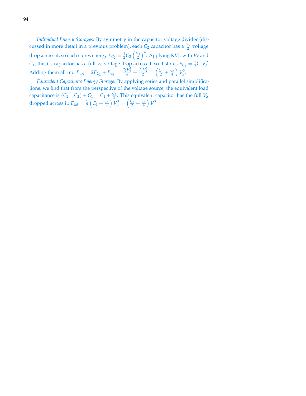*Individual Energy Storages*: By symmetry in the capacitor voltage divider (discussed in more detail in a previous problem), each  $C_2$  capacitor has a  $\frac{V_S}{2}$  voltage 2 drop across it, so each stores energy  $E_{C_2} = \frac{1}{2}C_2 \left(\frac{V_S}{2}\right)^2$ . Applying KVL with  $V_S$  and *C*<sub>1</sub>, this *C*<sub>1</sub> capacitor has a full *V*<sup>*S*</sup> voltage drop across it, so it stores  $E_{C_1} = \frac{1}{2}C_1V_S^2$ . Adding them all up:  $E_{\text{tot}} = 2E_{C_2} + E_{C_1} = \frac{C_2 V_S^2}{4} + \frac{C_1 V_S^2}{2} = \left(\frac{C_1}{2} + \frac{C_2}{4}\right) V_S^2$ .

*Equivalent Capacitor's Energy Storage*: By applying series and parallel simplifications, we find that from the perspective of the voltage source, the equivalent load capacitance is  $(C_2 \parallel C_2) + C_1 = C_1 + \frac{C_2}{2}$ . This equivalent capacitor has the full *V<sub>S</sub>* dropped across it;  $E_{\text{tot}} = \frac{1}{2} \left( C_1 + \frac{C_2}{2} \right) V_S^2 = \left( \frac{C_1}{2} + \frac{C_2}{4} \right) V_S^2.$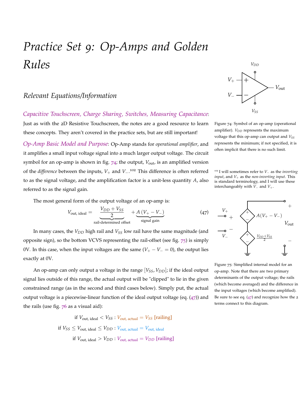## *Practice Set 9: Op-Amps and Golden Rules*

## *Relevant Equations/Information*

*Capacitive Touchscreen, Charge Sharing, Switches, Measuring Capacitance*: Just as with the 2D Resistive Touchscreen, the notes are a good resource to learn

these concepts. They aren't covered in the practice sets, but are still important!

*Op-Amp Basic Model and Purpose*: Op-Amp stands for *operational amplifier*, and it amplifies a small input voltage signal into a much larger output voltage. The circuit symbol for an op-amp is shown in fig. [74](#page-94-0); the output, *V*<sub>out</sub>, is an amplified version of the *difference* between the inputs, *V*+ and *V*−. <sup>102</sup> This difference is often referred <sup>102</sup> I will sometimes refer to *<sup>V</sup>*<sup>−</sup> as the *inverting* to as the signal voltage, and the amplification factor is a unit-less quantity *A*, also referred to as the signal gain.

The most general form of the output voltage of an op-amp is:

$$
V_{\text{out, ideal}} = \underbrace{\frac{V_{DD} + V_{SS}}{2}}_{\text{real-determined offset}} + \underbrace{A (V_{+} - V_{-})}_{\text{signal gain}} \tag{47}
$$

In many cases, the *VDD* high rail and *VSS* low rail have the same magnitude (and opposite sign), so the bottom VCVS representing the rail-offset (see fig. [75](#page-94-2)) is simply 0V. In this case, when the input voltages are the same  $(V_{+} - V_{-} = 0)$ , the output lies exactly at 0V.

An op-amp can only output a voltage in the range  $[V_{SS}, V_{DD}]$ ; if the ideal output signal lies outside of this range, the actual output will be "clipped" to lie in the given constrained range (as in the second and third cases below). Simply put, the actual output voltage is a piecewise-linear function of the ideal output voltage (eq.  $(47)$  $(47)$  $(47)$ ) and the rails (use fig.  $76$  as a visual aid):

> if  $V_{\text{out, ideal}} < V_{SS}$ :  $V_{\text{out, actual}} = V_{SS}$  [railing] if  $V_{SS} \leq V_{\text{out, ideal}} \leq V_{DD}$ :  $V_{\text{out, actual}} = V_{\text{out, ideal}}$ if  $V_{\text{out, ideal}} > V_{DD}$ :  $V_{\text{out, actual}} = V_{DD}$  [railing]



<span id="page-94-0"></span>Figure 74: Symbol of an op-amp (operational amplifier).  $V_{DD}$  represents the maximum voltage that this op-amp can output and *VSS* represents the minimum; if not specified, it is often implicit that there is no such limit.

*input*, and *V*+ as the *non-inverting input*. This is standard terminology, and I will use these interchangeably with  $\widetilde{V}_-$  and  $V_+$ .

<span id="page-94-1"></span>

<span id="page-94-2"></span>Figure 75: Simplified internal model for an op-amp. Note that there are two primary determinants of the output voltage; the rails (which become averaged) and the difference in the input voltages (which become amplified). Be sure to see eq.  $(47)$  $(47)$  $(47)$  and recognize how the 2 terms connect to this diagram.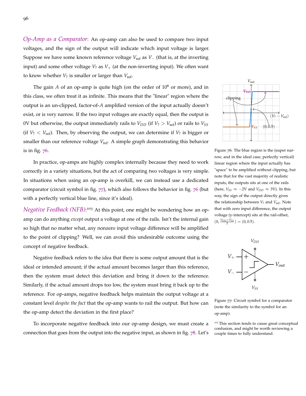*Op-Amp as a Comparator*: An op-amp can also be used to compare two input voltages, and the sign of the output will indicate which input voltage is larger. Suppose we have some known reference voltage *V*<sub>ref</sub> as *V*− (that is, at the inverting input) and some other voltage  $V_2$  as  $V_+$  (at the non-inverting input). We often want to know whether *V*? is smaller or larger than *V*ref.

The gain *A* of an op-amp is quite high (on the order of  $10^6$  or more), and in this class, we often treat it as infinite. This means that the "linear" region where the output is an un-clipped, factor-of-*A* amplified version of the input actually doesn't exist, or is very narrow. If the two input voltages are exactly equal, then the output is 0V but otherwise, the output immediately rails to  $V_{DD}$  (if  $V_2 > V_{ref}$ ) or rails to  $V_{SS}$ (if  $V_? < V_{\text{ref}}$ ). Then, by observing the output, we can determine if  $V_?$  is bigger or smaller than our reference voltage V<sub>ref</sub>. A simple graph demonstrating this behavior is in fig.  $76$ .

In practice, op-amps are highly complex internally because they need to work correctly in a variety situations, but the act of comparing two voltages is very simple. In situations when using an op-amp is overkill, we can instead use a dedicated comparator (circuit symbol in fig. [77](#page-95-1)), which also follows the behavior in fig. [76](#page-95-0) (but with a perfectly vertical blue line, since it's ideal).

Negative Feedback (NFB):<sup>103</sup> At this point, one might be wondering how an opamp can do anything *except* output a voltage at one of the rails. Isn't the internal gain so high that no matter what, any nonzero input voltage difference will be amplified to the point of clipping? Well, we can avoid this undesirable outcome using the concept of negative feedback.

Negative feedback refers to the idea that there is some output amount that is the ideal or intended amount; if the actual amount becomes larger than this reference, then the system must detect this deviation and bring it down to the reference. Similarly, if the actual amount drops too low, the system must bring it back up to the reference. For op-amps, negative feedback helps maintain the output voltage at a constant level *despite the fact* that the op-amp wants to rail the output. But how can the op-amp detect the deviation in the first place?

To incorporate negative feedback into our op-amp design, we must create a connection that goes from the output into the negative input, as shown in fig. [78](#page-96-0). Let's



<span id="page-95-0"></span>Figure 76: The blue region is the (super narrow, and in the ideal case, perfectly vertical) linear region where the input actually has "space" to be amplified without clipping, but note that for the vast majority of realistic inputs, the outputs sits at one of the rails (here,  $V_{SS}$  ≈ −2V and  $V_{DD}$  ≈ 3V). In this way, the sign of the output directly gives the relationship between  $V_2$  and  $V_{ref}$ . Note that with zero input difference, the output voltage (y-intercept) sits at the rail-offset,  $(0, \frac{V_{DD}+V_{SS}}{2}) = (0, 0.5).$ 



<span id="page-95-1"></span>Figure 77: Circuit symbol for a comparator (note the similarity to the symbol for an op-amp).

<sup>103</sup> This section tends to cause great conceptual confusion, and might be worth reviewing a couple times to fully understand.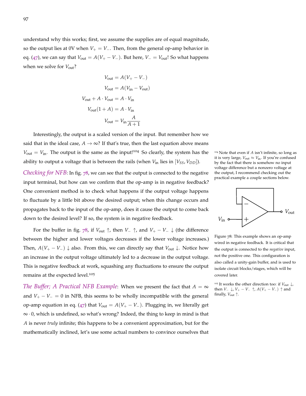understand why this works; first, we assume the supplies are of equal magnitude, so the output lies at 0V when  $V_+ = V_-$ . Then, from the general op-amp behavior in eq. ([47](#page-94-1)), we can say that  $V_{\text{out}} = A(V_{+} - V_{-})$ . But here,  $V_{-} = V_{\text{out}}$ ! So what happens when we solve for  $V_{\text{out}}$ ?

$$
V_{\text{out}} = A(V_{+} - V_{-})
$$

$$
V_{\text{out}} = A(V_{\text{in}} - V_{\text{out}})
$$

$$
V_{\text{out}} + A \cdot V_{\text{out}} = A \cdot V_{\text{in}}
$$

$$
V_{\text{out}}(1 + A) = A \cdot V_{\text{in}}
$$

$$
V_{\text{out}} = V_{\text{in}} \frac{A}{A + 1}
$$

Interestingly, the output is a scaled version of the input. But remember how we said that in the ideal case,  $A \rightarrow \infty$ ? If that's true, then the last equation above means  $V_{\text{out}} = V_{\text{in}}$ . The output is the same as the input!<sup>104</sup> So clearly, the system has the <sup>104</sup> Note that even if *A* isn't infinite, so long as ability to output a voltage that is between the rails (when  $V_{in}$  lies in  $[V_{SS}, V_{DD}]$ ).

*Checking for NFB*: In fig. [78](#page-96-0), we can see that the output is connected to the negative input terminal, but how can we confirm that the op-amp is in negative feedback? One convenient method is to check what happens if the output voltage happens to fluctuate by a little bit above the desired output; when this change occurs and propagates back to the input of the op-amp, does it cause the output to come back down to the desired level? If so, the system is in negative feedback.

For the buffer in fig. [78](#page-96-0), if  $V_{\text{out}} \uparrow$ , then  $V_{-} \uparrow$ , and  $V_{+} - V_{-} \downarrow$  (the difference between the higher and lower voltages decreases if the lower voltage increases.) Then,  $A(V_{+} - V_{-}) \downarrow$  also. From this, we can directly say that  $V_{\text{out}} \downarrow$ . Notice how an increase in the output voltage ultimately led to a decrease in the output voltage. This is negative feedback at work, squashing any fluctuations to ensure the output remains at the expected level.<sup>105</sup>

*The Buffer; A Practical NFB Example:* When we present the fact that  $A = \infty$ and  $V_+ - V_- = 0$  in NFB, this seems to be wholly incompatible with the general op-amp equation in eq. ([47](#page-94-1)) that  $V_{out} = A(V_{+} - V_{-})$ . Plugging in, we literally get ∞ · 0, which is undefined, so what's wrong? Indeed, the thing to keep in mind is that *A* is never *truly* infinite; this happens to be a convenient approximation, but for the mathematically inclined, let's use some actual numbers to convince ourselves that





<span id="page-96-0"></span>Figure 78: This example shows an op-amp wired in negative feedback. It is critical that the output is connected to the *negative* input, not the positive one. This configuration is also called a unity-gain buffer, and is used to isolate circuit blocks/stages, which will be covered later.

<sup>105</sup> It works the other direction too: if *V*out ↓, then *V*− ↓, *V*<sub>+</sub> − *V*− ↑, *A*(*V*<sub>+</sub> − *V*−) ↑ and finally, *V*out ↑.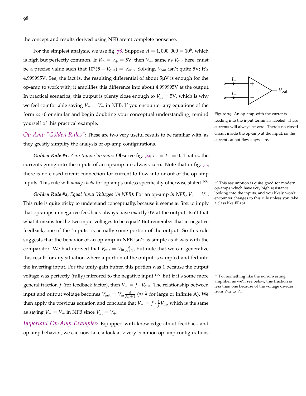the concept and results derived using NFB aren't complete nonsense.

For the simplest analysis, we use fig.  $78$ . Suppose  $A = 1,000,000 = 10^6$ , which is high but perfectly common. If  $V_{in} = V_{+} = 5V$ , then *V*<sub>−</sub>, same as  $V_{out}$  here, must be a precise value such that  $10^6(5 - V_{\text{out}}) = V_{\text{out}}$ . Solving,  $V_{\text{out}}$  isn't quite 5V; it's 4.999995V. See, the fact is, the resulting differential of about 5µV is enough for the op-amp to work with; it amplifies this difference into about 4.999995V at the output. In practical scenarios, this output is plenty close enough to  $V_{in} = 5V$ , which is why we feel comfortable saying  $V_+ = V_-$  in NFB. If you encounter any equations of the form  $\infty \cdot 0$  or similar and begin doubting your conceptual understanding, remind yourself of this practical example.

*Op-Amp "Golden Rules"*: These are two very useful results to be familiar with, as they greatly simplify the analysis of op-amp configurations.

*Golden Rule #1, Zero Input Currents: Observe fig.*  $\overline{79}$  $\overline{79}$  $\overline{79}$ *;*  $I_{+} = I_{-} = 0$ *. That is, the* currents going into the inputs of an op-amp are always zero. Note that in fig. [75](#page-94-2), there is no closed circuit connection for current to flow into or out of the op-amp inputs. This rule will *always hold* for op-amps unless specifically otherwise stated.<sup>106</sup> <sup>106</sup> This assumption is quite good for modern

*Golden Rule #2, Equal Input Voltages (in NFB): For an op-amp <i>in NFB, V*<sub>+</sub> = *V*<sup>-</sup>. This rule is quite tricky to understand conceptually, because it seems at first to imply that op-amps in negative feedback always have exactly 0V at the output. Isn't that what it means for the two input voltages to be equal? But remember that in negative feedback, one of the "inputs" is actually some portion of the output! So this rule suggests that the behavior of an op-amp in NFB isn't as simple as it was with the comparator. We had derived that  $V_{\text{out}} = V_{\text{in}} \frac{A}{A+1}$ , but note that we can generalize this result for any situation where a portion of the output is sampled and fed into the inverting input. For the unity-gain buffer, this portion was 1 because the output voltage was perfectly (fully) mirrored to the negative input.<sup>107</sup> But if it's some more <sup>107</sup> For something like the non-inverting general fraction *f* (for feedback factor), then  $V = f \cdot V_{out}$ . The relationship between input and output voltage becomes  $V_{\text{out}} = V_{\text{in}} \frac{A}{A_{f+1}} \approx \frac{1}{f}$  for large or infinite A). We then apply the previous equation and conclude that  $V = f \cdot \frac{1}{f} V_{\text{in}}$ , which is the same as saying  $V = V_+$  in NFB since  $V_{\text{in}} = V_+$ .

*Important Op-Amp Examples*: Equipped with knowledge about feedback and op-amp behavior, we can now take a look at 2 very common op-amp configurations



<span id="page-97-0"></span>Figure 79: An op-amp with the currents feeding into the input terminals labeled. These currents will always be zero! There's no closed circuit inside the op-amp at the input, so the current cannot flow anywhere.

op-amps which have *very* high resistance looking into the inputs, and you likely won't encounter changes to this rule unless you take a class like EE105.

amplifier as we'll see below, this fraction is less than one because of the voltage divider from  $V_{\text{out}}$  to  $V_{-}$ .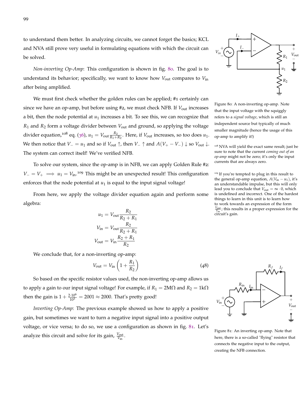to understand them better. In analyzing circuits, we cannot forget the basics; KCL and NVA still prove very useful in formulating equations with which the circuit can be solved.

*Non-inverting Op-Amp*: This configuration is shown in fig. [80](#page-98-0). The goal is to understand its behavior; specifically, we want to know how *V*out compares to *V*in after being amplified.

We must first check whether the golden rules can be applied; #1 certainly can since we have an op-amp, but before using #2, we must check NFB. If *V*out increases a bit, then the node potential at  $u_1$  increases a bit. To see this, we can recognize that *R*<sup>1</sup> and *R*<sup>2</sup> form a voltage divider between *V*out and ground, so applying the voltage divider equation,<sup>108</sup> eq. ([36](#page-72-1)),  $u_1 = V_{\text{out}} \frac{R_2}{R_1 + R_2}$ . Here, if  $V_{\text{out}}$  increases, so too does  $u_1$ . *We then notice that*  $V = u_1$  and so if  $V_{\text{out}} \uparrow$ , then  $V_-\uparrow$  and  $A(V_+ - V_-) \downarrow$  so  $V_{\text{out}} \downarrow$ . The system can correct itself! We've verified NFB.

To solve our system, since the op-amp is in NFB, we can apply Golden Rule #2:  $V = V_+ \implies u_1 = V_{\text{in}}$ .<sup>109</sup> This might be an unexpected result! This configuration <sup>109</sup> If you're tempted to plug in this result to enforces that the node potential at  $u_1$  is equal to the input signal voltage!

From here, we apply the voltage divider equation again and perform some algebra:

$$
u_1 = V_{\text{out}} \frac{R_2}{R_2 + R_1}
$$

$$
V_{\text{in}} = V_{\text{out}} \frac{R_2}{R_2 + R_1}
$$

$$
V_{\text{out}} = V_{\text{in}} \frac{R_2 + R_1}{R_2}
$$

We conclude that, for a non-inverting op-amp:

<span id="page-98-2"></span>
$$
V_{\rm out}=V_{\rm in}\left(1+\frac{R_1}{R_2}\right)
$$

So based on the specific resistor values used, the non-inverting op-amp allows us to apply a gain to our input signal voltage! For example, if  $R_1 = 2M\Omega$  and  $R_2 = 1k\Omega$ then the gain is  $1 + \frac{2 \cdot 10^6}{10^3} = 2001 \approx 2000$ . That's pretty good!

*Inverting Op-Amp*: The previous example showed us how to apply a positive gain, but sometimes we want to turn a negative input signal into a positive output voltage, or vice versa; to do so, we use a configuration as shown in fig. [81](#page-98-1). Let's analyze this circuit and solve for its gain,  $\frac{V_{\text{out}}}{V_{\text{in}}}$ .



 $I_{+}$   $\rightarrow$ 

<span id="page-98-0"></span>that the input voltage with the squiggly refers to a *signal voltage*, which is still an independent source but typically of much smaller magnitude (hence the usage of this op-amp to amplify it!)

<sup>108</sup> NVA will yield the exact same result; just be sure to note that the current *coming out of an op-amp* might not be zero; it's only the input currents that are always zero.

the general op-amp equation,  $A(V_{in} - u_1)$ , it's an understandable impulse, but this will only lead you to conclude that  $V_{\text{out}} = \infty \cdot 0$ , which is undefined and incorrect. One of the hardest things to learn in this unit is to learn how to work towards an expression of the form  $\frac{V_{\text{out}}}{V_{\text{in}}}$ ; this results in a proper expression for the circuit's gain.



(48)

<span id="page-98-1"></span>Figure 81: An inverting op-amp. Note that here, there is a so-called "flying" resistor that connects the negative input to the output, creating the NFB connection.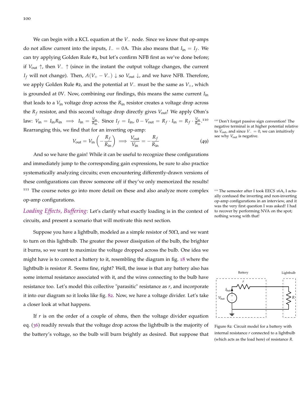We can begin with a KCL equation at the *V*− node. Since we know that op-amps do not allow current into the inputs,  $I_-=0$ A. This also means that  $I_{in} = I_f$ . We can try applying Golden Rule #2, but let's confirm NFB first as we've done before; if *V*out ↑, then *V*<sup>−</sup> ↑ (since in the instant the output voltage changes, the current *I*<sup>*f*</sup> will not change). Then, *A*(*V*<sub>+</sub> − *V*−)  $\downarrow$  so *V*<sub>out</sub>  $\downarrow$ , and we have NFB. Therefore, we apply Golden Rule #2, and the potential at *V*<sup>−</sup> must be the same as *V*<sup>+</sup>, which is grounded at 0V. Now, combining our findings, this means the same current *I*in that leads to a *V*in voltage drop across the *R*in resistor creates a voltage drop across the *R<sup>f</sup>* resistor, and this second voltage drop directly gives *V*out! We apply Ohm's law:  $V_{\text{in}} = I_{\text{in}} R_{\text{in}} \implies I_{\text{in}} = \frac{V_{\text{in}}}{R_{\text{in}}}$  $\frac{V_{\text{in}}}{R_{\text{in}}}$ . Since  $I_f = I_{\text{in}}$ ,  $0 - V_{\text{out}} = R_f \cdot I_{\text{in}} = R_f \cdot \frac{V_{\text{in}}}{R_{\text{in}}}$  $\frac{v_{\text{in}}}{R_{\text{in}}}\cdot$ Rearranging this, we find that for an inverting op-amp:

$$
V_{\text{out}} = V_{\text{in}} \left( -\frac{R_f}{R_{\text{in}}} \right) \implies \frac{V_{\text{out}}}{V_{\text{in}}} = -\frac{R_f}{R_{\text{in}}} \tag{49}
$$

And so we have the gain! While it can be useful to recognize these configurations and immediately jump to the corresponding gain expressions, be sure to also practice systematically analyzing circuits; even encountering differently-drawn versions of these configurations can throw someone off if they've only memorized the results! <sup>111</sup> The course notes go into more detail on these and also analyze more complex <sup>111</sup> The semester after I took EECS 16A, I actuop-amp configurations.

*Loading Effects, Buffering*: Let's clarify what exactly loading is in the context of circuits, and present a scenario that will motivate this next section.

Suppose you have a lightbulb, modeled as a simple resistor of  $50\Omega$ , and we want to turn on this lightbulb. The greater the power dissipation of the bulb, the brighter it burns, so we want to maximize the voltage dropped across the bulb. One idea we might have is to connect a battery to it, resembling the diagram in fig. [18](#page-62-2) where the lightbulb is resistor *R*. Seems fine, right? Well, the issue is that any battery also has some internal resistance associated with it, and the wires connecting to the bulb have resistance too. Let's model this collective "parasitic" resistance as *r*, and incorporate it into our diagram so it looks like fig. [82](#page-99-0). Now, we have a voltage divider. Let's take a closer look at what happens.

If *r* is on the order of a couple of ohms, then the voltage divider equation eq. ([36](#page-72-1)) readily reveals that the voltage drop across the lightbulb is the majority of the battery's voltage, so the bulb will burn brightly as desired. But suppose that

<sup>110</sup> Don't forget passive sign convention! The negative terminal is at higher potential relative to  $V_{\text{out}}$ , and since  $V_-=0$ , we can intuitively see why  $V_{\text{out}}$  is negative.

ally confused the inverting and non-inverting op-amp configurations in an interview, and it was the very first question I was asked! I had to recover by performing NVA on the spot; nothing wrong with that!



<span id="page-99-0"></span>Figure 82: Circuit model for a battery with internal resistance *r* connected to a lightbulb (which acts as the load here) of resistance *R*.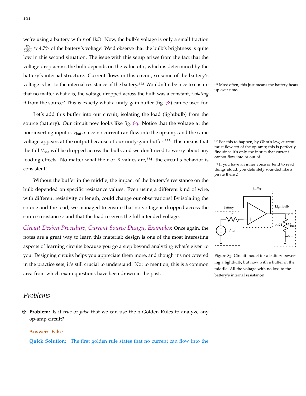we're using a battery with *r* of 1kΩ. Now, the bulb's voltage is only a small fraction  $\frac{50}{1050} \approx 4.7\%$  of the battery's voltage! We'd observe that the bulb's brightness is quite low in this second situation. The issue with this setup arises from the fact that the voltage drop across the bulb depends on the value of *r*, which is determined by the battery's internal structure. Current flows in this circuit, so some of the battery's voltage is lost to the internal resistance of the battery.<sup>112</sup> Wouldn't it be nice to ensure <sup>112</sup> Most often, this just means the battery heats that no matter what *r* is, the voltage dropped across the bulb was a constant, *isolating it* from the source? This is exactly what a unity-gain buffer (fig. [78](#page-96-0)) can be used for.

Let's add this buffer into our circuit, isolating the load (lightbulb) from the source (battery). Our circuit now looks like fig. [83](#page-100-0). Notice that the voltage at the non-inverting input is  $V_{\text{bat}}$ , since no current can flow into the op-amp, and the same voltage appears at the output because of our unity-gain buffer!<sup>113</sup> This means that <sup>113</sup> For this to happen, by Ohm's law, current the full *V*<sub>bat</sub> will be dropped across the bulb, and we don't need to worry about any loading effects. No matter what the  $r$  or  $R$  values are,<sup>114</sup>, the circuit's behavior is consistent!

Without the buffer in the middle, the impact of the battery's resistance on the bulb depended on specific resistance values. Even using a different kind of wire, with different resistivity or length, could change our observations! By isolating the source and the load, we managed to ensure that no voltage is dropped across the source resistance *r* and that the load receives the full intended voltage.

*Circuit Design Procedure, Current Source Design, Examples*: Once again, the notes are a great way to learn this material; design is one of the most interesting aspects of learning circuits because you go a step beyond analyzing what's given to you. Designing circuits helps you appreciate them more, and though it's not covered in the practice sets, it's still crucial to understand! Not to mention, this is a common area from which exam questions have been drawn in the past.

### *Problems*

z **Problem:** Is it *true* or *false* that we can use the 2 Golden Rules to analyze any op-amp circuit?

#### **Answer:** False

**Quick Solution:** The first golden rule states that no current can flow into the

up over time.

must flow *out* of the op-amp; this is perfectly fine since it's only the inputs that current cannot flow into or out of.

<sup>114</sup> If you have an inner voice or tend to read things aloud, you definitely sounded like a pirate there ;)



<span id="page-100-0"></span>Figure 83: Circuit model for a battery powering a lightbulb, but now with a buffer in the middle. All the voltage with no loss to the battery's internal resistance!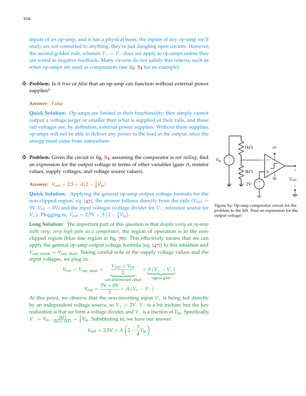inputs of an op-amp, and it has a physical basis; the inputs of any op-amp we'll study are not connected to anything, they're just dangling open circuits. However, the second golden rule, wherein  $V_+ = V_-\,$  does *not* apply to op-amps unless they are wired in negative feedback. Many circuits do not satisfy this criteria, such as when op-amps are used as comparators (see fig. [84](#page-101-0) for an example).

z **Problem:** Is it *true* or *false* that an op-amp can function without external power supplies?

#### **Answer:** False

**Quick Solution:** Op-amps are limited in their functionality; they simply cannot output a voltage larger or smaller than what is supplied at their rails, and these rail voltages are, by definition, external power supplies. Without these supplies, op-amps will not be able to deliver any power to the load at the output, since the energy must come from somewhere.

z **Problem:** Given the circuit in fig. [84](#page-101-0), assuming the comparator is *not railing*, find an expression for the output voltage in terms of other variables (gain *A*, resistor values, supply voltages, and voltage source values).

**Answer:**  $V_{\text{out}} = 2.5 + A(2 - \frac{3}{4}V_{\text{in}})$ 

**Quick Solution:** Applying the general op-amp output voltage formula for the non-clipped region, eq. ([47](#page-94-1)), the answer follows directly from the rails ( $V_{DD}$  = 5V, *VSS* = 0V) and the input voltages (voltage divider for *V*−, reference source for *V*<sub>+</sub>). Plugging in,  $V_{\text{out}} = 2.5V + A(2 - \frac{3}{4}V_{\text{in}})$ .

**Long Solution:** The important part of this question is that *despite using an op-amp with very, very high gain as a comparator*, the region of operation is in the nonclipped region (blue line region in fig. [76](#page-95-0)). This effectively means that we can apply the general op-amp output voltage formula (eq.  $(47)$  $(47)$  $(47)$ ) to this situation and  $V_{\text{out, actual}} = V_{\text{out, ideal}}$ . Taking careful note of the supply voltage values and the input voltages, we plug in:

$$
V_{\text{out}} = V_{\text{out, ideal}} = \underbrace{\frac{V_{DD} + V_{SS}}{2}}_{\text{real-deetermined offset}} + \underbrace{A (V_{+} - V_{-})}_{\text{signal gain}}
$$

$$
V_{\text{out}} = \frac{5V + 0V}{2} + A (V_{+} - V_{-})
$$

At this point, we observe that the non-inverting input  $V_+$  is being fed directly by an independent voltage source, so  $V_+ = 2V$ .  $V_-$  is a bit trickier, but the key realization is that we form a voltage divider, and *V*<sup>−</sup> is a fraction of *V*in. Specifically,  $V = V_{\text{in}} \cdot \frac{3k\Omega}{3k\Omega + 1k\Omega} = \frac{3}{4}V_{\text{in}}$ . Substituting in, we have our answer:

$$
V_{\text{out}} = 2.5\text{V} + A\left(2 - \frac{3}{4}V_{\text{in}}\right)
$$



<span id="page-101-0"></span>Figure 84: Op-amp comparator circuit for the problem to the left. Find an expression for the output voltage!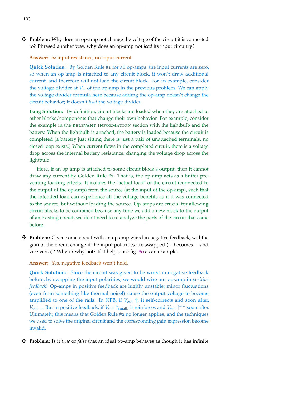$\ddot{\mathbf{\Psi}}$  **Problem:** Why does an op-amp not change the voltage of the circuit it is connected to? Phrased another way, why does an op-amp not *load* its input circuitry?

#### **Answer:** ∞ input resistance, no input current

**Quick Solution:** By Golden Rule #1 for all op-amps, the input currents are zero, so when an op-amp is attached to any circuit block, it won't draw additional current, and therefore will not load the circuit block. For an example, consider the voltage divider at *V*− of the op-amp in the previous problem. We can apply the voltage divider formula here because adding the op-amp doesn't change the circuit behavior; it doesn't *load* the voltage divider.

**Long Solution:** By definition, circuit blocks are loaded when they are attached to other blocks/components that change their own behavior. For example, consider the example in the RELEVANT INFORMATION section with the lightbulb and the battery. When the lightbulb is attached, the battery is loaded because the circuit is completed (a battery just sitting there is just a pair of unattached terminals, no closed loop exists.) When current flows in the completed circuit, there is a voltage drop across the internal battery resistance, changing the voltage drop across the lightbulb.

Here, if an op-amp is attached to some circuit block's output, then it cannot draw any current by Golden Rule #1. That is, the op-amp acts as a buffer preventing loading effects. It isolates the "actual load" of the circuit (connected to the output of the op-amp) from the source (at the input of the op-amp), such that the intended load can experience all the voltage benefits as if it was connected to the source, but without loading the source. Op-amps are crucial for allowing circuit blocks to be combined because any time we add a new block to the output of an existing circuit, we don't need to re-analyze the parts of the circuit that came before.

z **Problem:** Given some circuit with an op-amp wired in negative feedback, will the gain of the circuit change if the input polarities are swapped (+ becomes − and vice versa)? Why or why not? If it helps, use fig. [80](#page-98-0) as an example.

#### **Answer:** Yes, negative feedback won't hold.

**Quick Solution:** Since the circuit was given to be wired in negative feedback before, by swapping the input polarities, we would wire our op-amp in *positive feedback*! Op-amps in positive feedback are highly unstable; minor fluctuations (even from something like thermal noise!) cause the output voltage to become amplified to one of the rails. In NFB, if  $V_{\text{out}} \uparrow$ , it self-corrects and soon after, *V*<sub>out</sub>  $\downarrow$ . But in positive feedback, if *V*<sub>out</sub> ↑ small, it reinforces and *V*<sub>out</sub> ↑↑↑ soon after. Ultimately, this means that Golden Rule #2 no longer applies, and the techniques we used to solve the original circuit and the corresponding gain expression become invalid.

z **Problem:** Is it *true* or *false* that an ideal op-amp behaves as though it has infinite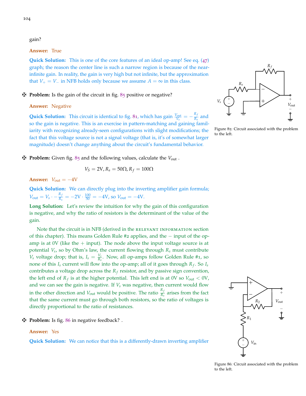gain?

#### **Answer:** True

**Quick Solution:** This is one of the core features of an ideal op-amp! See eq. ([47](#page-94-1)) graph; the reason the center line is such a narrow region is because of the nearinfinite gain. In reality, the gain is very high but not infinite, but the approximation that  $V_+ = V_-$  in NFB holds only because we assume  $A = \infty$  in this class.

#### **Extra)** Problem: Is the gain of the circuit in fig. [85](#page-103-0) positive or negative?

#### **Answer:** Negative

**Quick Solution:** This circuit is identical to fig. [81](#page-98-1), which has gain  $\frac{V_{\text{out}}}{V_s} = -\frac{R_f}{R_s}$  $\frac{M}{R_s}$  and so the gain is negative. This is an exercise in pattern-matching and gaining familiarity with recognizing already-seen configurations with slight modifications; the fact that this voltage source is not a signal voltage (that is, it's of somewhat larger magnitude) doesn't change anything about the circuit's fundamental behavior.

z **Problem:** Given fig. [85](#page-103-0) and the following values, calculate the *V*out .

$$
V_S = 2V, R_s = 50\Omega, R_f = 100\Omega
$$

**Answer:**  $V_{\text{out}} = -4V$ 

**Quick Solution:** We can directly plug into the inverting amplifier gain formula;  $V_{\text{out}} = V_s \cdot -\frac{R_f}{R_s}$  $\frac{R_f}{R_s} = -2V \cdot \frac{100}{50} = -4V$ , so  $V_{\text{out}} = -4V$ .

**Long Solution:** Let's review the intuition for why the gain of this configuration is negative, and why the ratio of resistors is the determinant of the value of the gain.

Note that the circuit is in NFB (derived in the RELEVANT INFORMATION section of this chapter). This means Golden Rule #2 applies, and the − input of the opamp is at 0V (like the  $+$  input). The node above the input voltage source is at potential *V<sup>s</sup>* , so by Ohm's law, the current flowing through *R<sup>s</sup>* must contribute *V*<sup>*s*</sup> voltage drop; that is,  $I_s = \frac{V_s}{R_s}$ . Now, all op-amps follow Golden Rule #1, so none of this *I<sup>s</sup>* current will flow into the op-amp; all of it goes through *R<sup>f</sup>* . So *I<sup>s</sup>* contributes a voltage drop across the *R<sup>f</sup>* resistor, and by passive sign convention, the left end of  $R_f$  is at the higher potential. This left end is at 0V so  $V_{\text{out}} < 0$ V, and we can see the gain is negative. If *V<sup>s</sup>* was negative, then current would flow in the other direction and  $V_{\text{out}}$  would be positive. The ratio  $\frac{R_f}{R_s}$  arises from the fact that the same current must go through both resistors, so the ratio of voltages is directly proportional to the ratio of resistances.

z **Problem:** Is fig. [86](#page-103-1) in negative feedback? .

#### **Answer:** Yes

**Quick Solution:** We can notice that this is a differently-drawn inverting amplifier



<span id="page-103-0"></span>Figure 85: Circuit associated with the problem to the left.



<span id="page-103-1"></span>Figure 86: Circuit associated with the problem to the left.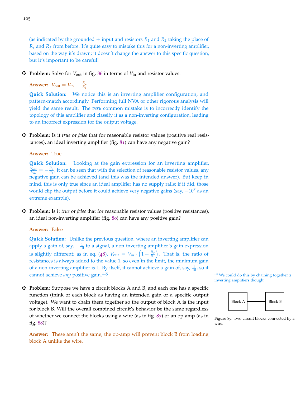(as indicated by the grounded  $+$  input and resistors  $R_1$  and  $R_2$  taking the place of *R<sup>s</sup>* and *R<sup>f</sup>* from before. It's quite easy to mistake this for a non-inverting amplifier, based on the way it's drawn; it doesn't change the answer to this specific question, but it's important to be careful!

z **Problem:** Solve for *<sup>V</sup>*out in fig. [86](#page-103-1) in terms of *<sup>V</sup>*in and resistor values.

**Answer:**  $V_{\text{out}} = V_{\text{in}} \cdot -\frac{R_2}{R_1}$ *R*1

**Quick Solution:** We notice this is an inverting amplifier configuration, and pattern-match accordingly. Performing full NVA or other rigorous analysis will yield the same result. The *very* common mistake is to incorrectly identify the topology of this amplifier and classify it as a non-inverting configuration, leading to an incorrect expression for the output voltage.

z **Problem:** Is it *true* or *false* that for reasonable resistor values (positive real resistances), an ideal inverting amplifier (fig. [81](#page-98-1)) can have any negative gain?

#### **Answer:** True

**Quick Solution:** Looking at the gain expression for an inverting amplifier,  $\frac{V_{\text{out}}}{V_{\text{in}}} = -\frac{R_2}{R_1}$  $\frac{R_2}{R_1}$ , it can be seen that with the selection of reasonable resistor values, any negative gain can be achieved (and this was the intended answer). But keep in mind, this is only true since an ideal amplifier has no supply rails; if it did, those would clip the output before it could achieve very negative gains (say,  $-10^7$  as an extreme example).

z **Problem:** Is it *true* or *false* that for reasonable resistor values (positive resistances), an ideal non-inverting amplifier (fig. [80](#page-98-0)) can have any positive gain?

#### **Answer:** False

**Quick Solution:** Unlike the previous question, where an inverting amplifier can apply a gain of, say,  $-\frac{1}{10}$  to a signal, a non-inverting amplifier's gain expression is slightly different; as in eq. ([48](#page-98-2)),  $V_{\text{out}} = V_{\text{in}} \cdot \left(1 + \frac{R_2}{R_1}\right)$ *R*1 . That is, the ratio of resistances is always added to the value 1, so even in the limit, the minimum gain of a non-inverting amplifier is 1. By itself, it cannot achieve a gain of, say,  $\frac{1}{10}$ , so it cannot achieve *any* positive gain.<sup>115</sup> 115 115 115 We could do this by chaining together 2

z **Problem:** Suppose we have 2 circuit blocks A and B, and each one has a specific function (think of each block as having an intended gain or a specific output voltage). We want to chain them together so the output of block A is the input for block B. Will the overall combined circuit's behavior be the same regardless of whether we connect the blocks using a wire (as in fig. [87](#page-104-0)) or an op-amp (as in fig. [88](#page-105-0))?

**Answer:** These aren't the same, the op-amp will prevent block B from loading block A unlike the wire.





<span id="page-104-0"></span>Figure 87: Two circuit blocks connected by a wire.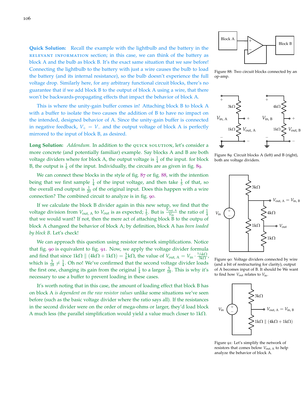**Quick Solution:** Recall the example with the lightbulb and the battery in the relevant information section; in this case, we can think of the battery as block A and the bulb as block B. It's the exact same situation that we saw before! Connecting the lightbulb to the battery with just a wire causes the bulb to load the battery (and its internal resistance), so the bulb doesn't experience the full voltage drop. Similarly here, for any arbitrary functional circuit blocks, there's no guarantee that if we add block B to the output of block A using a wire, that there won't be backwards-propagating effects that impact the behavior of block A.

This is where the unity-gain buffer comes in! Attaching block B to block A with a buffer to isolate the two causes the addition of B to have no impact on the intended, designed behavior of A. Since the unity-gain buffer is connected in negative feedback,  $V_+ = V_-\$  and the output voltage of block A is perfectly mirrored to the input of block B, as desired.

Long Solution: Addendum. In addition to the QUICK SOLUTION, let's consider a more concrete (and potentially familiar) example. Say blocks A and B are both voltage dividers where for block A, the output voltage is  $\frac{1}{4}$  of the input. for block B, the output is  $\frac{1}{5}$  of the input. Individually, the circuits are as given in fig. [89](#page-105-1).

We can connect these blocks in the style of fig. [87](#page-104-0) or fig. [88](#page-105-0), with the intention being that we first sample  $\frac{1}{4}$  of the input voltage, and then take  $\frac{1}{5}$  of that, so the overall end output is  $\frac{1}{20}$  of the original input. Does this happen with a wire connection? The combined circuit to analyze is in fig. [90](#page-105-2).

If we calculate the block B divider again in this new setup, we find that the voltage division from  $V_{\text{out, A}}$  to  $V_{\text{out}}$  is as expected;  $\frac{1}{5}$ . But is  $\frac{V_{\text{out, A}}}{V_{\text{in}}}$  the ratio of  $\frac{1}{4}$ that we would want? If not, then the mere act of attaching block B to the outpu of block A changeed the behavior of block A; by definition, block A has *been loaded by block B*. Let's check!

We can approach this question using resistor network simplifications. Notice that fig. [90](#page-105-2) is equivalent to fig. [91](#page-105-3). Now, we apply the voltage divider formula and find that since  $1k\Omega \parallel (4k\Omega + 1k\Omega) = \frac{5}{6}k\Omega$ , the value of  $V_{\text{out, A}} = V_{\text{in}} \cdot \frac{5/6k\Omega}{3k\Omega}$  $\frac{76 \text{K} \Omega}{3 \text{k} \Omega}$ which is  $\frac{5}{18} \neq \frac{1}{4}$ . Oh no! We've confirmed that the second voltage divider loads the first one, changing its gain from the original  $\frac{1}{4}$  to a larger  $\frac{5}{18}$ . This is why it's necessary to use a buffer to prevent loading in these cases.

It's worth noting that in this case, the amount of loading effect that block B has on block A *is dependent on the raw resistor values* unlike some situations we've seen before (such as the basic voltage divider where the ratio says all). If the resistances in the second divider were on the order of mega-ohms or larger, they'd load block A much less (the parallel simplification would yield a value much closer to 1kΩ.



<span id="page-105-0"></span>Figure 88: Two circuit blocks connected by an op-amp.



<span id="page-105-1"></span>Figure 89: Circuit blocks A (left) and B (right), both are voltage dividers.



<span id="page-105-2"></span>Figure 90: Voltage dividers connected by wire (and a bit of restructuring for clarity), output of A becomes input of B. It should be We want to find how *V*out relates to *V*in.



<span id="page-105-3"></span>Figure 91: Let's simplify the network of resistors that comes below  $V_{\text{out, A}}$  to help analyze the behavior of block A.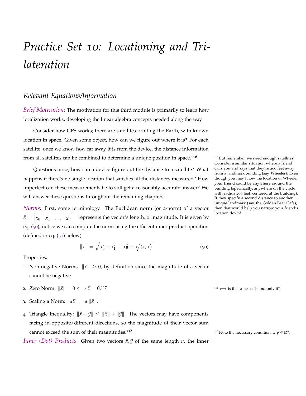## *Practice Set 10: Locationing and Trilateration*

## *Relevant Equations/Information*

*Brief Motivation*: The motivation for this third module is primarily to learn how localization works, developing the linear algebra concepts needed along the way.

Consider how GPS works; there are satellites orbiting the Earth, with known location in space. Given some object, how can we figure out where it is? For each satellite, once we know how far away it is from the device, the distance information from all satellites can be combined to determine a unique position in space.<sup>116</sup>  $\frac{1}{10}$  But remember, we need enough satellites!

Questions arise; how can a device figure out the distance to a satellite? What happens if there's no single location that satisfies all the distances measured? How imperfect can these measurements be to still get a reasonably accurate answer? We will answer these questions throughout the remaining chapters.

*Norms*: First, some terminology. The Euclidean norm (or 2-norm) of a vector  $\vec{x} = \begin{bmatrix} x_0 & x_1 & \dots & x_n \end{bmatrix}^\top$  represents the vector's length, or magnitude. It is given by eq. ([50](#page-106-0)); notice we can compute the norm using the efficient inner product operation (defined in eq. ([51](#page-107-0)) below).

<span id="page-106-0"></span>
$$
\|\vec{x}\| = \sqrt{x_0^2 + x_1^2 \dots x_n^2} \equiv \sqrt{\langle \vec{x}, \vec{x} \rangle}
$$
 (50)

Properties:

- 1. Non-negative Norms:  $\|\vec{x}\| \geq 0$ , by definition since the magnitude of a vector cannot be negative.
- 2. Zero Norm:  $\|\vec{x}\| = 0 \Longleftrightarrow \vec{x} = \vec{0}.^{117}$  117  $\longleftrightarrow$  is the same as "if and only if".
- 3. Scaling a Norm:  $\|\alpha \vec{x}\| = \alpha \|\vec{x}\|.$
- 4. Triangle Inequality:  $\|\vec{x} + \vec{y}\| \leq \|\vec{x}\| + \|\vec{y}\|$ . The vectors may have components facing in opposite/different directions, so the magnitude of their vector sum cannot exceed the sum of their magnitudes.<sup>118</sup>

*Inner (Dot) Products:* Given two vectors  $\vec{x}, \vec{y}$  of the same length *n*, the inner

Consider a similar situation where a friend calls you and says that they're 200 feet away from a landmark building (say, Wheeler). Even though you may know the location of Wheeler, your friend could be anywhere around the building (specifically, anywhere on the circle with radius 200 feet, centered at the building). If they specify a second distance to another unique landmark (say, the Golden Bear Cafe), then that would help you narrow your friend's location down!

<sup>118</sup> Note the necessary condition:  $\vec{x}, \vec{y} \in \mathbb{R}^n$ .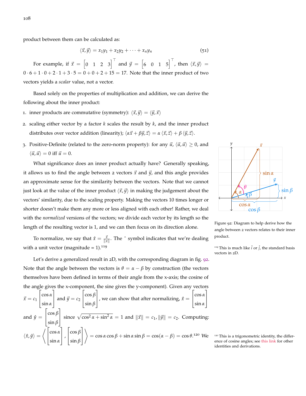product between them can be calculated as:

<span id="page-107-0"></span>
$$
\langle \vec{x}, \vec{y} \rangle = x_1 y_1 + x_2 y_2 + \dots + x_n y_n \tag{51}
$$

For example, if  $\vec{x} = \begin{bmatrix} 0 & 1 & 2 & 3 \end{bmatrix}^\top$  and  $\vec{y} = \begin{bmatrix} 6 & 0 & 1 & 5 \end{bmatrix}^\top$ , then  $\langle \vec{x}, \vec{y} \rangle =$  $0 \cdot 6 + 1 \cdot 0 + 2 \cdot 1 + 3 \cdot 5 = 0 + 0 + 2 + 15 = 17$ . Note that the inner product of two vectors yields a *scalar* value, not a vector.

Based solely on the properties of multiplication and addition, we can derive the following about the inner product:

- 1. inner products are commutative (symmetry):  $\langle \vec{x}, \vec{y} \rangle = \langle \vec{y}, \vec{x} \rangle$
- 2. scaling either vector by a factor *k* scales the result by *k*, and the inner product distributes over vector addition (linearity);  $\langle \alpha \vec{x} + \beta \vec{y}, \vec{z} \rangle = \alpha \langle \vec{x}, \vec{z} \rangle + \beta \langle \vec{y}, \vec{z} \rangle$ .
- 3. Positive-Definite (related to the zero-norm property): for any  $\vec{u}$ ,  $\langle \vec{u}, \vec{u} \rangle \ge 0$ , and  $\langle \vec{u}, \vec{u} \rangle = 0$  iff  $\vec{u} = 0$ .

What significance does an inner product actually have? Generally speaking, it allows us to find the angle between 2 vectors  $\vec{x}$  and  $\vec{y}$ , and this angle provides an approximate sense for the similarity between the vectors. Note that we cannot just look at the value of the inner product  $\langle \vec{x}, \vec{y} \rangle$  in making the judgement about the vectors' similarity, due to the scaling property. Making the vectors 10 times longer or shorter doesn't make them any more or less aligned with each other! Rather, we deal with the *normalized* versions of the vectors; we divide each vector by its length so the length of the resulting vector is 1, and we can then focus on its direction alone.

To normalize, we say that  $\hat{x} = \frac{\vec{x}}{\|x\|}$ . The  $\hat{ }$  symbol indicates that we're dealing with a unit vector (magnitude = 1).<sup>119</sup> 119 119 119 119 119 119 This is much like  $\hat{i}$  or  $\hat{j}$ , the standard basis

Let's derive a generalized result in 2D, with the corresponding diagram in fig. [92](#page-107-1). Note that the angle between the vectors is  $\theta = \alpha - \beta$  by construction (the vectors themselves have been defined in terms of their angle from the x-axis; the cosine of the angle gives the x-component, the sine gives the y-component). Given any vectors  $\vec{x} = c_1$  $\lceil$  $\overline{\phantom{a}}$ cos *α* sin *α* 1 | and  $\vec{y} = c_2$  $\lceil$  $\overline{1}$ cos *β* sin *β* 1 , we can show that after normalizing,  $\hat{x} =$  $\lceil$  $\overline{\phantom{a}}$ cos *α* sin *α* 1  $\overline{1}$ and  $\hat{y} =$  $\lceil$  $\overline{1}$ cos *β* sin *β* 1 since  $\sqrt{\cos^2 \alpha + \sin^2 \alpha} = 1$  and  $\|\vec{x}\| = c_1$ ,  $\|\vec{y}\| = c_2$ . Computing:  $\langle \hat{x}, \hat{y} \rangle =$  $\sqrt{2}$  $\overline{1}$ cos *α* sin *α* 1  $\vert$ ,  $\lceil$  $\overline{1}$ cos *β* sin *β* 1  $\overline{1}$  $\setminus$  $=$  cos  $\alpha$  cos  $\beta$  + sin  $\alpha$  sin  $\beta$  = cos( $\alpha$  –  $\beta$ ) = cos  $\theta$ .



<span id="page-107-1"></span>Figure 92: Diagram to help derive how the angle between 2 vectors relates to their inner product.

vectors in 2D.

<sup>&</sup>lt;sup>120</sup> This is a trigonometric identity, the difference of cosine angles; see [this link](https://brownmath.com/twt/sumdiff.htm) for other identities and derivations.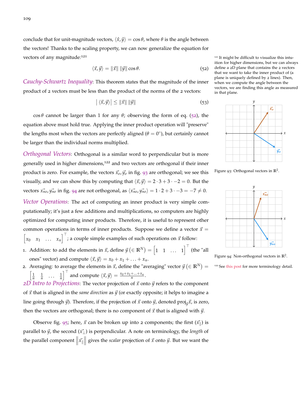conclude that for unit-magnitude vectors,  $\langle \hat{x}, \hat{y} \rangle = \cos \theta$ , where  $\theta$  is the angle between the vectors! Thanks to the scaling property, we can now generalize the equation for vectors of any magnitude:<sup>121</sup>  $\frac{1}{2}$   $\frac{1}{2}$  It might be difficult to visualize this intu-

<span id="page-108-0"></span>
$$
\langle \vec{x}, \vec{y} \rangle = ||\vec{x}|| \, ||\vec{y}|| \cos \theta. \tag{52}
$$

*Cauchy-Schwartz Inequality*: This theorem states that the magnitude of the inner product of 2 vectors must be less than the product of the norms of the 2 vectors:

$$
\left| \left\langle \vec{x}, \vec{y} \right\rangle \right| \leq \left\| \vec{x} \right\| \left\| \vec{y} \right\| \tag{53}
$$

cos *θ* cannot be larger than 1 for any *θ*; observing the form of eq. ([52](#page-108-0)), the equation above must hold true. Applying the inner product operation will "preserve" the lengths most when the vectors are perfectly aligned  $(\theta = 0^{\circ})$ , but certainly cannot be larger than the individual norms multiplied.

*Orthogonal Vectors*: Orthogonal is a similar word to perpendicular but is more generally used in higher dimensions,<sup>122</sup> and two vectors are orthogonal if their inner product is zero. For example, the vectors  $\vec{x}_o$ ,  $\vec{y}_o$  in fig. [93](#page-108-1) are orthogonal; we see this visually, and we can show this by computing that  $\langle \vec{x}, \vec{y} \rangle = 2 \cdot 3 + 3 \cdot -2 = 0$ . But the vectors  $\vec{x_{no}}$ ,  $\vec{y_{no}}$  in fig. [94](#page-108-2) are not orthogonal, as  $\langle \vec{x_{no}}, \vec{y_{no}} \rangle = 1 \cdot 2 + 3 \cdot -3 = -7 \neq 0$ .

*Vector Operations*: The act of computing an inner product is very simple computationally; it's just a few additions and multiplications, so computers are highly optimized for computing inner products. Therefore, it is useful to represent other common operations in terms of inner products. Suppose we define a vector  $\vec{x} =$  $\begin{bmatrix} x_0 & x_1 & \dots & x_n \end{bmatrix}^\top$ ; a couple simple examples of such operations on  $\vec{x}$  follow:

- 1. Addition: to add the elements in  $\vec{x}$ , define  $\vec{y}$  ( $\in \mathbb{R}^N$ ) =  $\begin{bmatrix} 1 & 1 & \dots & 1 \end{bmatrix}^{\top}$  (the "all ones" vector) and compute  $\langle \vec{x}, \vec{y} \rangle = x_0 + x_1 + \ldots + x_n$ .
- 2. Averaging: to average the elements in  $\vec{x}$ , define the "averaging" vector  $\vec{y}$  ( $\in \mathbb{R}^N$ ) =  $\left[\frac{1}{n} \quad \frac{1}{n} \quad \ldots \quad \frac{1}{n}\right]$  $\int_0^{\top}$  and compute  $\langle \vec{x}, \vec{y} \rangle = \frac{x_0 + x_1 + ... + x_n}{n}$ . *2D Intro to Projections:* The vector projection of  $\vec{x}$  onto  $\vec{y}$  refers to the component

of  $\vec{x}$  that is aligned in the *same direction* as  $\vec{y}$  (or exactly opposite; it helps to imagine a  $\lim_{\mathbf{y}}$  in going through  $\vec{y}$ ). Therefore, if the projection of  $\vec{x}$  onto  $\vec{y}$ , denoted proj $_{\vec{y}}\vec{x}$ , is zero, then the vectors are orthogonal; there is no component of  $\vec{x}$  that is aligned with  $\vec{y}$ .

Observe fig. [95](#page-109-0); here,  $\vec{x}$  can be broken up into 2 components; the first  $(\vec{x}_{\parallel})$  is parallel to  $\vec{y}$ , the second ( $\vec{x}$ <sup>⊥</sup>) is perpendicular. A note on terminology, the *length* of the parallel component  $\|\vec{x}\|$  gives the *scalar* projection of  $\vec{x}$  onto  $\vec{y}$ . But we want the

ition for higher dimensions, but we can always define a 2D plane that contains the 2 vectors that we want to take the inner product of (a plane is uniquely defined by 2 lines). Then, when we compute the angle between the vectors, we are finding this angle as measured in that plane.



<span id="page-108-1"></span>Figure 93: Orthogonal vectors in **R**<sup>2</sup> .



<span id="page-108-2"></span>Figure 94: Non-orthogonal vectors in **R**<sup>2</sup> .

<sup>122</sup> See [this post](https://math.stackexchange.com/questions/2406260/difference-between-perpendicular-orthogonal-and-normal) for more terminology detail.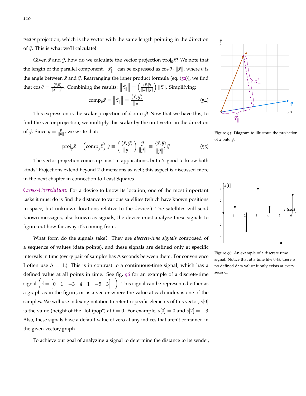*vector* projection, which is the vector with the same length pointing in the direction of  $\vec{y}$ . This is what we'll calculate!

Given  $\vec{x}$  and  $\vec{y}$ , how do we calculate the vector projection proj<sub> $\vec{y}$ </sub> $\vec{x}$ ? We note that the length of the parallel component,  $\|\vec{x_{\parallel}}\|$  can be expressed as  $\cos \theta \cdot \|\vec{x}\|$ , where  $\theta$  is the angle between  $\vec{x}$  and  $\vec{y}$ . Rearranging the inner product formula (eq. ([52](#page-108-0))), we find that  $\cos \theta = \frac{\langle \vec{x}, \vec{y} \rangle}{\|\vec{x}\| \|\vec{y}\|}$  $\frac{\langle \vec{x}, \vec{y} \rangle}{\|\vec{x}\| \|\vec{y}\|}$ . Combining the results:  $\left\|\vec{x_{\parallel}}\right\| = \left(\frac{\langle \vec{x}, \vec{y} \rangle}{\|\vec{x}\| \|\vec{y}\|} \right)$  $\frac{\langle\vec{x},\vec{y}\rangle}{\|\vec{x}\|\|\vec{y}\|} \Big)$   $\|\vec{x}\|$ . Simplifying:

$$
\text{comp}_{\vec{y}}\vec{x} = \left\|\vec{x_{\parallel}}\right\| = \frac{\langle\vec{x}, \vec{y}\rangle}{\|\vec{y}\|} \tag{54}
$$

This expression is the scalar projection of  $\vec{x}$  onto  $\vec{y}$ ! Now that we have this, to find the vector projection, we multiply this scalar by the unit vector in the direction of  $\vec{y}$ . Since  $\hat{y} = \frac{\vec{y}}{\|\vec{y}\|}$  $\frac{y}{\|\vec{y}\|}$ , we write that:

$$
\text{proj}_{\vec{y}}\vec{x} = \left(\text{comp}_{\vec{y}}\vec{x}\right)\hat{y} \equiv \left(\frac{\langle \vec{x}, \vec{y} \rangle}{\|\vec{y}\|}\right)\frac{\vec{y}}{\|\vec{y}\|} \equiv \frac{\langle \vec{x}, \vec{y} \rangle}{\|\vec{y}\|^2}\vec{y}
$$
(55)

<span id="page-109-2"></span>The vector projection comes up most in applications, but it's good to know both kinds! Projections extend beyond 2 dimensions as well; this aspect is discussed more in the next chapter in connection to Least Squares.

*Cross-Correlation*: For a device to know its location, one of the most important tasks it must do is find the distance to various satellites (which have known positions in space, but unknown locations relative to the device.) The satellites will send known messages, also known as signals; the device must analyze these signals to figure out how far away it's coming from.

What form do the signals take? They are *discrete-time signals* composed of a sequence of values (data points), and these signals are defined only at specific intervals in time (every pair of samples has ∆ seconds between them. For convenience I often use  $\Delta = 1$ .) This is in contrast to a continuous-time signal, which has a defined value at all points in time. See fig. [96](#page-109-1) for an example of a discrete-time signal  $\left(\vec{s} = \begin{bmatrix} 0 & 1 & -3 & 4 & 1 & -5 & 3 \end{bmatrix}^\top\right)$ . This signal can be represented either as a graph as in the figure, or as a vector where the value at each index is one of the samples. We will use indexing notation to refer to specific elements of this vector; *s*[0] is the value (height of the "lollipop") at  $t = 0$ . For example,  $s[0] = 0$  and  $s[2] = -3$ . Also, these signals have a default value of zero at any indices that aren't contained in the given vector/graph.





<span id="page-109-0"></span>Figure 95: Diagram to illustrate the projection of  $\vec{x}$  onto  $\vec{y}$ .



<span id="page-109-1"></span>Figure 96: An example of a discrete time signal. Notice that at a time like 0.4*s*, there is no defined data value; it only exists at every second.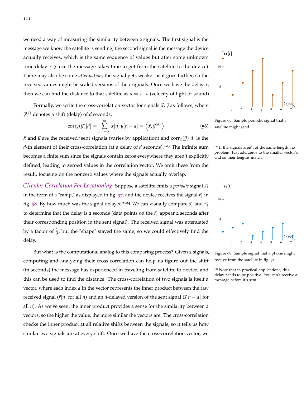we need a way of measuring the similarity between 2 signals. The first signal is the message we know the satellite is sending; the second signal is the message the device actually receives, which is the same sequence of values but after some unknown time-delay  $\tau$  (since the message takes time to get from the satellite to the device). There may also be some *attenuation*; the signal gets weaker as it goes farther, so the received values might be scaled versions of the originals. Once we have the delay *τ*, then we can find the distance to that satellite as  $d = \tau \cdot v$  (velocity of light or sound)

Formally, we write the cross-correlation vector for signals  $\vec{x}$ ,  $\vec{y}$  as follows, where  $\vec{y}^{(d)}$  denotes a shift (delay) of *d* seconds:

$$
corr_{\vec{x}}(\vec{y})[d] = \sum_{n=-\infty}^{\infty} x[n] y[n-d] = \left\langle \vec{x}, \vec{y}^{(d)} \right\rangle \tag{56}
$$

 $\vec{x}$  and  $\vec{y}$  are the received/sent signals (varies by application) and corr $\vec{x}(\vec{y})[d]$  is the *d*-th element of their cross-correlation (at a delay of *d* seconds).<sup>123</sup> The infinite sum <sup>123</sup> If the signals aren't of the same length, no becomes a finite sum since the signals contain zeros everywhere they aren't explicitly defined, leading to zeroed values in the correlation vector. We omit these from the result, focusing on the nonzero values where the signals actually overlap.

*Circular Correlation For Locationing*: Suppose a satellite emits a *periodic* signal  $\vec{s_1}$ in the form of a "ramp," as displayed in fig.  $97$ , and the device receives the signal  $\vec{r}_1$  in fig. [98](#page-110-1). By how much was the signal delayed?<sup>124</sup> We can visually compare  $\vec{s_1}$  and  $\vec{r_1}$ to determine that the delay is 2 seconds (data points on the  $\vec{r}_1$  appear 2 seconds after their corresponding position in the sent signal). The received signal was attenuated by a factor of  $\frac{1}{3}$ , but the "shape" stayed the same, so we could effectively find the delay.

But what is the computational analog to this comparing process? Given 2 signals, computing and analyzing their cross-correlation can help us figure out the shift (in seconds) the message has experienced in traveling from satellite to device, and this can be used to find the distance! The cross-correlation of two signals is itself a vector, where each index *d* in the vector represents the inner product between the raw received signal  $(\vec{r}|n]$  for all *n*) and an *d*-delayed version of the sent signal  $(\vec{s}|n - d)$  for all  $n$ ). As we've seen, the inner product provides a sense for the similarity between  $2$ vectors, so the higher the value, the more similar the vectors are. The cross-correlation checks the inner product at all relative shifts between the signals, so it tells us how similar two signals are at every shift. Once we have the cross-correlation vector, we



<span id="page-110-0"></span>Figure 97: Sample periodic signal that a satellite might send.

problem! Just add zeros to the smaller vector's<br>end so their lengths match.



<span id="page-110-1"></span>Figure 98: Sample signal that a phone might receive from the satellite in fig. [97](#page-110-0).

<sup>124</sup> Note that in practical applications, this delay needs to be positive. You can't receive a message before it's sent!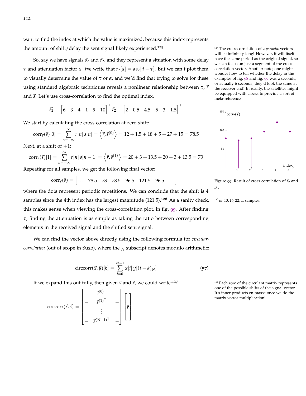want to find the index at which the value is maximized, because this index represents the amount of shift/delay the sent signal likely experienced.<sup>125</sup> 125 The cross-correlation of 2 *periodic* vectors

So, say we have signals  $\vec{s}_2$  and  $\vec{r}_2$ , and they represent a situation with some delay *τ* and attenuation factor *α*. We write that  $r_2[d] = \alpha s_2[d - \tau]$ . But we can't plot them to visually determine the value of  $τ$  or  $α$ , and we'd find that trying to solve for these using standard algebraic techniques reveals a nonlinear relationship between *τ*, *τ*<sup>*r*</sup> and  $\vec{s}$ . Let's use cross-correlation to find the optimal index.

 $\vec{s_2} = \begin{bmatrix} 6 & 3 & 4 & 1 & 9 & 10 \end{bmatrix}^\top$   $\vec{r_2} = \begin{bmatrix} 2 & 0.5 & 4.5 & 5 & 3 & 1.5 \end{bmatrix}^\top$ 

We start by calculating the cross-correlation at zero-shift:

$$
corr_{\vec{r}}(\vec{s})[0] = \sum_{n=-\infty}^{\infty} r[n] s[n] = \langle \vec{r}, \vec{s}^{(0)} \rangle = 12 + 1.5 + 18 + 5 + 27 + 15 = 78.5
$$

Next, at a shift of  $+1$ :

$$
corr_{\vec{r}}(\vec{s})[1] = \sum_{n=-\infty}^{\infty} r[n] s[n-1] = \langle \vec{r}, \vec{s}^{(1)} \rangle = 20 + 3 + 13.5 + 20 + 3 + 13.5 = 73
$$

Repeating for all samples, we get the following final vector:

$$
corr_{\vec{r}}(\vec{s}) = \begin{bmatrix} \dots & 78.5 & 73 & 78.5 & 96.5 & 121.5 & 96.5 & \dots \end{bmatrix}^{\top}
$$

where the dots represent periodic repetitions. We can conclude that the shift is 4 samples since the 4th index has the largest magnitude  $(121.5).^{126}$  As a sanity check, <sup>126</sup> or 10, 16, 22, ... samples. this makes sense when viewing the cross-correlation plot, in fig. [99](#page-111-0). After finding *τ*, finding the attenuation is as simple as taking the ratio between corresponding elements in the received signal and the shifted sent signal.

<span id="page-111-1"></span>We can find the vector above directly using the following formula for *circularcorrelation* (out of scope in Su20), where the *<sup>N</sup>* subscript denotes modulo arithmetic:

$$
\text{circcorr}(\vec{x}, \vec{y})[k] = \sum_{i=0}^{N-1} x[i] y[(i-k)_N]
$$
 (57)

If we expand this out fully, then given  $\vec{s}$  and  $\vec{r}$ , we could write:<sup>127</sup> <sup>127</sup> Each row of the circulant matrix represents

$$
\text{circcorr}(\vec{r}, \vec{s}) = \begin{bmatrix} - & \vec{s}^{(0)^\top} & - \\ - & \vec{s}^{(1)^\top} & - \\ & \vdots & \\ - & \vec{s}^{(N-1)^\top} & - \end{bmatrix} \begin{bmatrix} | \\ \vec{r} \\ | \\ | \end{bmatrix}
$$

will be infinitely long! However, it will itself have the same period as the original signal, so we can focus on just a segment of the crosscorrelation vector. Another note; one might wonder how to tell whether the delay in the examples of fig. [98](#page-110-1) and fig. [97](#page-110-0) was 2 seconds, or actually 6 seconds; they'd look the same at the receiver end! In reality, the satellites might be equipped with clocks to provide a sort of meta-reference.



<span id="page-111-0"></span>Figure 99: Result of cross-correlation of  $\vec{r}_2$  and  $\vec{s_2}$ .



one of the possible shifts of the signal vector. It's inner products en-masse once we do the matrix-vector multiplication!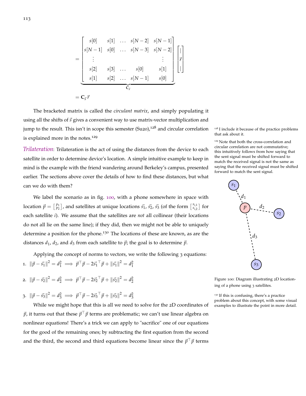$$
= \begin{bmatrix} s[0] & s[1] & \dots & s[N-2] & s[N-1] \\ s[N-1] & s[0] & \dots & s[N-3] & s[N-2] \\ \vdots & & & & \vdots \\ s[2] & s[3] & \dots & s[0] & s[1] \\ s[1] & s[2] & \dots & s[N-1] & s[0] \end{bmatrix} \begin{bmatrix} | \\ \vec{r} \\ \vec{r} \\ | \end{bmatrix}
$$

$$
= \mathbf{C}_{\vec{s}} \vec{r}
$$

The bracketed matrix is called the *circulant matrix*, and simply populating it using all the shifts of  $\vec{s}$  gives a convenient way to use matrix-vector multiplication and jump to the result. This isn't in scope this semester  $(Su20)$ ,<sup>128</sup> and circular correlation <sup>128</sup> I include it because of the practice problems is explained more in the notes.<sup>129</sup>

*Trilateration*: Trilateration is the act of using the distances from the device to each satellite in order to determine device's location. A simple intuitive example to keep in mind is the example with the friend wandering around Berkeley's campus, presented earlier. The sections above cover the details of how to find these distances, but what can we do with them?

We label the scenario as in fig. [100](#page-112-0), with a phone somewhere in space with location  $\vec{p} = \begin{bmatrix} p_1 \\ p_2 \end{bmatrix}$ , and satellites at unique locations  $\vec{s_1}$ ,  $\vec{s_2}$ ,  $\vec{s_3}$  (of the form  $\begin{bmatrix} s_{i,1} \\ s_{i,2} \end{bmatrix}$  for each satellite *i*). We assume that the satellites are *not* all collinear (their locations do not all lie on the same line); if they did, then we might not be able to uniquely determine a position for the phone.<sup>130</sup> The locations of these are known, as are the distances  $d_1$ ,  $d_2$ , and  $d_3$  from each satellite to  $\vec{p}$ ; the goal is to determine  $\vec{p}$ .

Applying the concept of norms to vectors, we write the following 3 equations: 1.  $\|\vec{p} - \vec{s_1}\|^2 = d_1^2 \implies \vec{p}^\top \vec{p} - 2\vec{s_1}^\top \vec{p} + \|\vec{s_1}\|^2 = d_1^2$ 

2. 
$$
\|\vec{p} - \vec{s_2}\|^2 = d_2^2 \implies \vec{p}^\top \vec{p} - 2\vec{s_2}^\top \vec{p} + \|\vec{s_2}\|^2 = d_2^2
$$

3. 
$$
\|\vec{p} - \vec{s_3}\|^2 = d_3^2 \implies \vec{p}^\top \vec{p} - 2\vec{s_3}^\top \vec{p} + \|\vec{s_3}\|^2 = d_3^2
$$

While we might hope that this is all we need to solve for the 2D coordinates of  $\vec{p}$ , it turns out that these  $\vec{p}^\top \vec{p}$  terms are problematic; we can't use linear algebra on nonlinear equations! There's a trick we can apply to "sacrifice" one of our equations for the good of the remaining ones; by subtracting the first equation from the second and the third, the second and third equations become linear since the  $\vec{p}^{\top}\vec{p}$  terms

that ask about it.

<sup>129</sup> Note that both the cross-correlation and circular correlation are not commutative; this intuitively follows from how saying that the sent signal must be shifted forward to match the received signal is not the same as saying that the received signal must be shifted forward to match the sent signal.



<span id="page-112-0"></span>Figure 100: Diagram illustrating 2D locationing of a phone using 3 satellites.

<sup>130</sup> If this is confusing, there's a practice problem about this concept, with some visual examples to illustrate the point in more detail.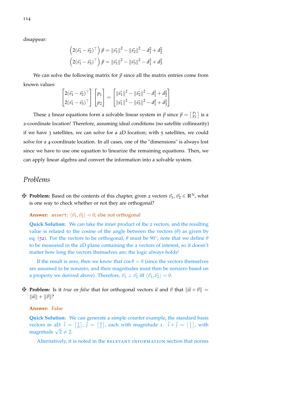disappear:

$$
\left(2(\vec{s}_1 - \vec{s}_2)^{\top}\right)\vec{p} = \|\vec{s}_1\|^2 - \|\vec{s}_2\|^2 - d_1^2 + d_2^2
$$

$$
\left(2(\vec{s}_1 - \vec{s}_3)^{\top}\right)\vec{p} = \|\vec{s}_1\|^2 - \|\vec{s}_3\|^2 - d_1^2 + d_3^2
$$

We can solve the following matrix for  $\vec{p}$  since all the matrix entries come from known values:

$$
\begin{bmatrix} 2(\vec{s_1} - \vec{s_2})^{\top} \\ 2(\vec{s_1} - \vec{s_3})^{\top} \end{bmatrix} \begin{bmatrix} p_1 \\ p_2 \end{bmatrix} = \begin{bmatrix} ||\vec{s_1}||^2 - ||\vec{s_2}||^2 - d_1^2 + d_2^2 \\ ||\vec{s_1}||^2 - ||\vec{s_3}||^2 - d_1^2 + d_3^2 \end{bmatrix}
$$

These 2 linear equations form a solvable linear system in  $\vec{p}$  since  $\vec{p} = \begin{bmatrix} p_1 \\ p_2 \end{bmatrix}$  is a 2-coordinate location! Therefore, assuming ideal conditions (no satellite collinearity) if we have 3 satellites, we can solve for a  $2D$  location; with 5 satellites, we could solve for a 4-coordinate location. In all cases, one of the "dimensions" is always lost since we have to use one equation to linearize the remaining equations. Then, we can apply linear algebra and convert the information into a solvable system.

## *Problems*

 $\mathbf{\nabla}$  **Problem:** Based on the contents of this chapter, given 2 vectors  $\vec{v}_1$ ,  $\vec{v}_2 \in \mathbb{R}^N$ , what is one way to check whether or not they are orthogonal?

**Answer:** assert:  $\langle \vec{v_1}, \vec{v_2} \rangle = 0$ , else not orthogonal

**Quick Solution:** We can take the inner product of the 2 vectors, and the resulting value is related to the cosine of the angle between the vectors (*θ*) as given by eq. ([52](#page-108-0)). For the vectors to be orthogonal, *θ* must be 90◦ ; note that we define *θ* to be measured in the 2D plane containing the 2 vectors of interest, so it doesn't matter how long the vectors themselves are; the logic always holds!

If the result is zero, then we know that  $\cos \theta = 0$  (since the vectors themselves are assumed to be nonzero, and their magnitudes must then be nonzero based on a property we derived above). Therefore,  $\vec{v}_1 \perp \vec{v}_2$  iff  $\langle \vec{v}_1, \vec{v}_2 \rangle = 0$ .

 $\mathbf{\ddot{P}}$  **Problem:** Is it *true* or *false* that for orthogonal vectors  $\vec{u}$  and  $\vec{v}$  that  $\|\vec{u} + \vec{v}\|$  =  $\|\vec{u}\| + \|\vec{v}\|?$ 

## **Answer:** False

**Quick Solution:** We can generate a simple counter example; the standard basis vectors in 2D.  $\hat{i} = \begin{bmatrix} 1 \\ 0 \end{bmatrix}$ ,  $\hat{j} = \begin{bmatrix} 0 \\ 1 \end{bmatrix}$ , each with magnitude 1.  $\hat{i} + \hat{j} = \begin{bmatrix} 1 \\ 1 \end{bmatrix}$ , with magnitude  $\sqrt{2} \neq 2$ .

Alternatively, it is noted in the RELEVANT INFORMATION section that norms

114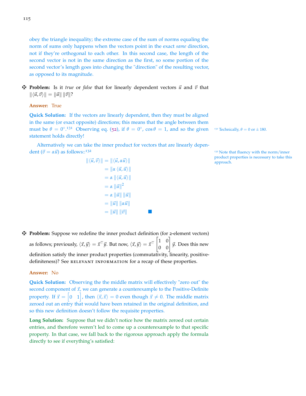obey the triangle inequality; the extreme case of the sum of norms equaling the norm of sums only happens when the vectors point in the exact *same* direction, not if they're orthogonal to each other. In this second case, the length of the second vector is not in the same direction as the first, so some portion of the second vector's length goes into changing the "direction" of the resulting vector, as opposed to its magnitude.

 $\mathbf{\ddot{H}}$  **Problem:** Is it *true* or *false* that for linearly dependent vectors  $\vec{u}$  and  $\vec{v}$  that  $\|\langle \vec{u}, \vec{v} \rangle \| = \|\vec{u}\| \|\vec{v}\|?$ 

**Answer:** True

**Quick Solution:** If the vectors are linearly dependent, then they must be aligned in the same (or exact opposite) directions; this means that the angle between them must be  $\theta = 0^{\circ}$ .<sup>131</sup> Observing eq. ([52](#page-108-0)), if  $\theta = 0^{\circ}$ ,  $\cos \theta = 1$ , and so the given <sup>131</sup> Technically,  $\theta = 0$  or  $\pm 180$ . statement holds directly!

Alternatively we can take the inner product for vectors that are linearly dependent  $(\vec{v} = \alpha \vec{u})$  as follows::<sup>132</sup> 132 132 Note that fluency with the norm/inner

$$
\begin{aligned}\n\|\langle \vec{u}, \vec{v} \rangle \| &= \| \langle \vec{u}, \alpha \vec{u} \rangle \| \\
&= \| \alpha \langle \vec{u}, \vec{u} \rangle \| \\
&= \alpha \| \langle \vec{u}, \vec{u} \rangle \| \\
&= \alpha \| \vec{u} \|^2 \\
&= \alpha \| \vec{u} \| \| \vec{u} \| \\
&= \| \vec{u} \| \| \alpha \vec{u} \| \\
&= \| \vec{u} \| \| \vec{v} \|\n\end{aligned}
$$

product properties is necessary to take this

z **Problem:** Suppose we redefine the inner product definition (for 2-element vectors) as follows; previously,  $\langle \vec{x}, \vec{y} \rangle = \vec{x}^\top \vec{y}$ . But now,  $\langle \vec{x}, \vec{y} \rangle = \vec{x}^\top \begin{bmatrix} 1 & 0 \ 0 & 0 \end{bmatrix} \vec{y}$ . Does this new definition satisfy the inner product properties (commutativity, linearity, positivedefiniteness)? See RELEVANT INFORMATION for a recap of these properties.

#### **Answer:** No

**Quick Solution:** Observing the the middle matrix will effectively "zero out" the second component of  $\vec{x}$ , we can generate a counterexample to the Positive-Definite property. If  $\vec{x} = \begin{bmatrix} 0 & 1 \end{bmatrix}$ , then  $\langle \vec{x}, \vec{x} \rangle = 0$  even though  $\vec{x} \neq 0$ . The middle matrix zeroed out an entry that would have been retained in the original definition, and so this new definition doesn't follow the requisite properties.

**Long Solution:** Suppose that we didn't notice how the matrix zeroed out certain entries, and therefore weren't led to come up a counterexample to that specific property. In that case, we fall back to the rigorous approach apply the formula directly to see if everything's satisfied: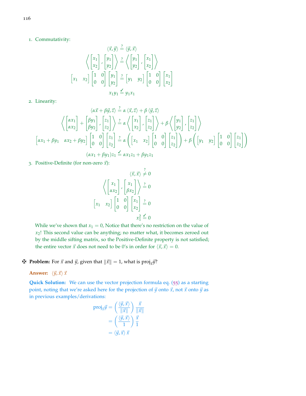1. Commutativity:

$$
\langle \vec{x}, \vec{y} \rangle \stackrel{?}{=} \langle \vec{y}, \vec{x} \rangle
$$

$$
\langle \begin{bmatrix} x_1 \\ x_2 \end{bmatrix}, \begin{bmatrix} y_1 \\ y_2 \end{bmatrix} \rangle \stackrel{?}{=} \langle \begin{bmatrix} y_1 \\ y_2 \end{bmatrix}, \begin{bmatrix} x_1 \\ x_2 \end{bmatrix} \rangle
$$

$$
\begin{bmatrix} x_1 & x_2 \end{bmatrix} \begin{bmatrix} 1 & 0 \\ 0 & 0 \end{bmatrix} \begin{bmatrix} y_1 \\ y_2 \end{bmatrix} \stackrel{?}{=} \begin{bmatrix} y_1 & y_2 \end{bmatrix} \begin{bmatrix} 1 & 0 \\ 0 & 0 \end{bmatrix} \begin{bmatrix} x_1 \\ x_2 \end{bmatrix}
$$

$$
x_1 y_1 = y_1 x_1
$$

2. Linearity:

$$
\langle \alpha \vec{x} + \beta \vec{y}, \vec{z} \rangle \stackrel{?}{=} \alpha \langle \vec{x}, \vec{z} \rangle + \beta \langle \vec{y}, \vec{z} \rangle
$$

$$
\langle \begin{bmatrix} \alpha x_1 \\ \alpha x_2 \end{bmatrix} + \begin{bmatrix} \beta y_1 \\ \beta y_2 \end{bmatrix}, \begin{bmatrix} z_1 \\ z_2 \end{bmatrix} \rangle \stackrel{?}{=} \alpha \langle \begin{bmatrix} x_1 \\ x_2 \end{bmatrix}, \begin{bmatrix} z_1 \\ z_2 \end{bmatrix} \rangle + \beta \langle \begin{bmatrix} y_1 \\ y_2 \end{bmatrix}, \begin{bmatrix} z_1 \\ z_2 \end{bmatrix} \rangle
$$

$$
[\alpha x_1 + \beta y_1 \quad \alpha x_2 + \beta y_2] \begin{bmatrix} 1 & 0 \\ 0 & 0 \end{bmatrix} \begin{bmatrix} z_1 \\ z_2 \end{bmatrix} \stackrel{?}{=} \alpha \left( \begin{bmatrix} x_1 & x_2 \end{bmatrix} \begin{bmatrix} 1 & 0 \\ 0 & 0 \end{bmatrix} \begin{bmatrix} z_1 \\ z_2 \end{bmatrix} \right) + \beta \left( \begin{bmatrix} y_1 & y_2 \end{bmatrix} \begin{bmatrix} 1 & 0 \\ 0 & 0 \end{bmatrix} \begin{bmatrix} z_1 \\ z_2 \end{bmatrix} \right)
$$

$$
(\alpha x_1 + \beta y_1) z_1 \stackrel{\checkmark}{=} \alpha x_1 z_1 + \beta y_1 z_1
$$

3. Positive-Definite (for non-zero  $\vec{x}$ ):

$$
\langle \vec{x}, \vec{x} \rangle \neq 0
$$

$$
\left\langle \begin{bmatrix} x_1 \\ \alpha x_2 \end{bmatrix}, \begin{bmatrix} x_1 \\ \beta x_2 \end{bmatrix} \right\rangle \stackrel{?}{=} 0
$$

$$
\begin{bmatrix} x_1 & x_2 \end{bmatrix} \begin{bmatrix} 1 & 0 \\ 0 & 0 \end{bmatrix} \begin{bmatrix} x_1 \\ x_2 \end{bmatrix} \stackrel{?}{=} 0
$$

$$
x_1^2 \stackrel{\checkmark}{=} 0
$$

While we've shown that  $x_1 = 0$ , Notice that there's no restriction on the value of *x*2! This second value can be anything; no matter what, it becomes zeroed out by the middle sifting matrix, so the Positive-Definite property is not satisfied; the entire vector  $\vec{x}$  does not need to be 0's in order for  $\langle \vec{x}, \vec{x} \rangle = 0$ .

 $\mathbf{\Psi}$  **Problem:** For  $\vec{x}$  and  $\vec{y}$ , given that  $\|\vec{x}\| = 1$ , what is  $proj_{\vec{x}}\vec{y}$ ?

**Answer:**  $\langle \vec{y}, \vec{x} \rangle \vec{x}$ 

**Quick Solution:** We can use the vector projection formula eq. ([55](#page-109-2)) as a starting point, noting that we're asked here for the projection of  $\vec{y}$  onto  $\vec{x}$ , not  $\vec{x}$  onto  $\vec{y}$  as in previous examples/derivations:

$$
\text{proj}_{\vec{x}} \vec{y} = \left(\frac{\langle \vec{y}, \vec{x} \rangle}{\|\vec{x}\|}\right) \frac{\vec{x}}{\|\vec{x}\|}
$$

$$
= \left(\frac{\langle \vec{y}, \vec{x} \rangle}{1}\right) \frac{\vec{x}}{1}
$$

$$
= \langle \vec{y}, \vec{x} \rangle \vec{x}
$$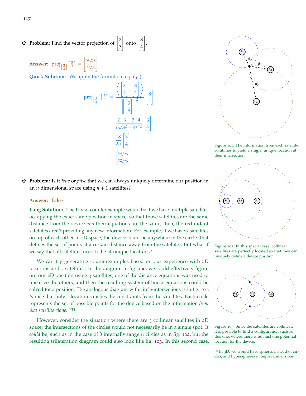$\mathbf{\ddot{H}}$  **Problem:** Find the vector projection of  $\begin{bmatrix} 2 \\ 2 \end{bmatrix}$ 3  $\Big]$  onto  $\Big[3\Big]$ 4 1 .

**Answer:**  $proj_{\begin{bmatrix}3\\4\end{bmatrix}}\begin{bmatrix}2\\3\end{bmatrix}$  =  $\begin{bmatrix} 54/25 \\ 72/25 \end{bmatrix}$ 

**Quick Solution:** We apply the formula in eq. ([55](#page-109-2)):

$$
proj_{\begin{bmatrix}3\\4\end{bmatrix}}\begin{bmatrix}2\\3\end{bmatrix} = \frac{\left\langle \begin{bmatrix}2\\3\end{bmatrix}, \begin{bmatrix}3\\4\end{bmatrix}\right\rangle}{\left\| \begin{bmatrix}3\\4\end{bmatrix} \right\|^2} \begin{bmatrix}3\\4\end{bmatrix}
$$

$$
= \frac{2 \cdot 3 + 3 \cdot 4}{(\sqrt{3^2 + 4^2})^2} \begin{bmatrix}3\\4\end{bmatrix}
$$

$$
= \frac{18}{25} \begin{bmatrix}3\\4\end{bmatrix}
$$

$$
= \begin{bmatrix}54/25\\72/25\end{bmatrix}
$$



<span id="page-116-0"></span>Figure 101: The information from each satellite combines to yield a single, unique location at their intersection.

z **Problem:** Is it *true* or *false* that we can always uniquely determine our position in an *n* dimensional space using  $n + 1$  satellites?

#### **Answer:** False

**Long Solution:** The trivial counterexample would be if we have multiple satellites occupying the exact same position in space, so that those satellites are the same distance from the device *and* their equations are the same; then, the redundant satellites aren't providing any new information. For example, if we have 3 satellites on top of each other in 2D space, the device could be anywhere in the circle (that defines the set of points at a certain distance away from the satellite). But what if we say that all satellites need to be at unique locations?

We can try generating counterexamples based on our experience with 2D locations and 3 satellites. In the diagram in fig. [100](#page-112-0), we could effectively figure out our 2D position using 3 satellites; one of the distance equations was used to linearize the others, and then the resulting system of linear equations could be solved for a position. The analogous diagram with circle-intersections is in fig. [101](#page-116-0). Notice that only 1 location satisfies the constraints from the satellites. Each circle represents the set of possible points for the device based on the information *from that satellite alone*. 133

However, consider the situation where there are 3 collinear satellites in 2D space; the intersections of the circles would not necessarily be in a single spot. It *could* be, such as in the case of 3 internally tangent circles as in fig. [102](#page-116-1), but the resulting trilateration diagram could also look like fig. [103](#page-116-2). In this second case,



<span id="page-116-1"></span>Figure 102: In this special case, collinear satellites are perfectly located so that they can uniquely define a device position.



<span id="page-116-2"></span>Figure 103: Since the satellites are collinear, it is possible to find a configuration such as this one, where there is not just one potential location for the device.

<sup>133</sup> In 3D, we would have spheres instead of circles, and hyperspheres in higher dimensions.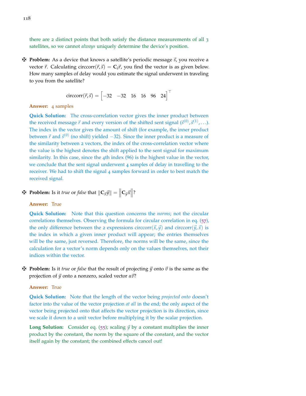there are 2 distinct points that both satisfy the distance measurements of all 3 satellites, so we cannot *always* uniquely determine the device's position.

 $\mathbf{\ddot{P}}$  **Problem:** As a device that knows a satellite's periodic message  $\vec{s}$ , you receive a vector  $\vec{r}$ . Calculating circcorr( $\vec{r}$ , $\vec{s}$ ) =  $C_{\vec{s}}\vec{r}$ , you find the vector is as given below. How many samples of delay would you estimate the signal underwent in traveling to you from the satellite?

$$
\text{circcorr}(\vec{r}, \vec{s}) = \begin{bmatrix} -32 & -32 & 16 & 16 & 96 & 24 \end{bmatrix}^{\top}
$$

## **Answer:** 4 samples

**Quick Solution:** The cross-correlation vector gives the inner product between the received message  $\vec{r}$  and every version of the shifted sent signal  $(\vec{s}^{(0)}, \vec{s}^{(1)}, \ldots)$ . The index in the vector gives the amount of shift (for example, the inner product between  $\vec{r}$  and  $\vec{s}^{(0)}$  (no shift) yielded −32). Since the inner product is a measure of the similarity between 2 vectors, the index of the cross-correlation vector where the value is the highest denotes the shift applied to the sent signal for maximum similarity. In this case, since the 4th index (96) is the highest value in the vector, we conclude that the sent signal underwent 4 samples of delay in travelling to the receiver. We had to shift the signal 4 samples forward in order to best match the received signal.

## $\mathbf{F}$  **Problem:** Is it *true* or *false* that  $\|\mathbf{C}_{\vec{x}}\vec{y}\| = \left\|\mathbf{C}_{\vec{y}}\vec{x}\right\|$ ?

## **Answer:** True

**Quick Solution:** Note that this question concerns the *norms*; not the circular correlations themselves. Observing the formula for circular correlation in eq. ([57](#page-111-1)), the only difference between the 2 expressions circcorr( $\vec{x}, \vec{y}$ ) and circcorr( $\vec{y}, \vec{x}$ ) is the index in which a given inner product will appear; the entries themselves will be the same, just reversed. Therefore, the norms will be the same, since the calculation for a vector's norm depends only on the values themselves, not their indices within the vector.

 $\mathbf{\ddot{P}}$  **Problem:** Is it *true* or *false* that the result of projecting  $\vec{y}$  onto  $\vec{v}$  is the same as the **projection of**  $\vec{y}$  **onto a nonzero, scaled vector** *α* $\vec{v}$ **?** 

#### **Answer:** True

**Quick Solution:** Note that the length of the vector being *projected onto* doesn't factor into the value of the vector projection *at all* in the end; the only aspect of the vector being projected onto that affects the vector projection is its direction, since we scale it down to a unit vector before multiplying it by the scalar projection.

**Long Solution:** Consider eq. ([55](#page-109-2)); scaling  $\vec{y}$  by a constant multiplies the inner product by the constant, the norm by the square of the constant, and the vector itself again by the constant; the combined effects cancel out!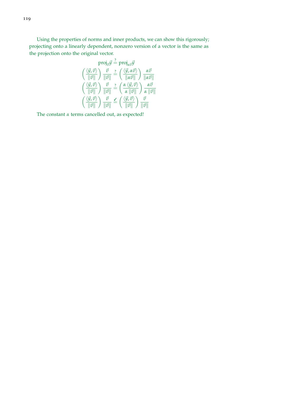Using the properties of norms and inner products, we can show this rigorously; projecting onto a linearly dependent, nonzero version of a vector is the same as the projection onto the original vector.

$$
\text{proj}_{\vec{v}} \vec{y} \stackrel{?}{=} \text{proj}_{\alpha \vec{v}} \vec{y}
$$
\n
$$
\left(\frac{\langle \vec{y}, \vec{v} \rangle}{\|\vec{v}\|}\right) \frac{\vec{v}}{\|\vec{v}\|} \stackrel{?}{=} \left(\frac{\langle \vec{y}, \alpha \vec{v} \rangle}{\|\alpha \vec{v}\|}\right) \frac{\alpha \vec{v}}{\|\alpha \vec{v}\|}
$$
\n
$$
\left(\frac{\langle \vec{y}, \vec{v} \rangle}{\|\vec{v}\|}\right) \frac{\vec{v}}{\|\vec{v}\|} \stackrel{?}{=} \left(\frac{\alpha \langle \vec{y}, \vec{v} \rangle}{\alpha \|\vec{v}\|}\right) \frac{\alpha \vec{v}}{\|\vec{v}\|}
$$
\n
$$
\left(\frac{\langle \vec{y}, \vec{v} \rangle}{\|\vec{v}\|}\right) \frac{\vec{v}}{\|\vec{v}\|} \stackrel{?}{=} \left(\frac{\langle \vec{y}, \vec{v} \rangle}{\|\vec{v}\|}\right) \frac{\vec{v}}{\|\vec{v}\|}
$$

The constant *α* terms cancelled out, as expected!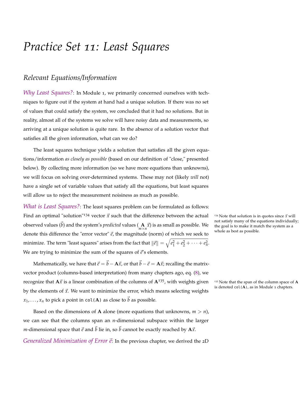# *Practice Set 11: Least Squares*

## *Relevant Equations/Information*

*Why Least Squares?*: In Module 1, we primarily concerned ourselves with techniques to figure out if the system at hand had a unique solution. If there was no set of values that could satisfy the system, we concluded that it had no solutions. But in reality, almost all of the systems we solve will have noisy data and measurements, so arriving at a unique solution is quite rare. In the absence of a solution vector that satisfies all the given information, what can we do?

The least squares technique yields a solution that satisfies all the given equations/information *as closely as possible* (based on our definition of "close," presented below). By collecting more information (so we have more equations than unknowns), we will focus on solving over-determined systems. These may not (likely *will* not) have a single set of variable values that satisfy all the equations, but least squares will allow us to reject the measurement noisiness as much as possible.

*What is Least Squares?*: The least squares problem can be formulated as follows: Find an optimal "solution"<sup>134</sup> vector  $\vec{x}$  such that the difference between the actual <sup>134</sup> Note that solution is in quotes since  $\vec{x}$  will observed values  $(\vec{b})$  and the system's *predicted* values  $(\mathbf{A} \cdot \vec{x})$  is as small as possible. We denote this difference the "error vector"  $\vec{e}$ , the magnitude (norm) of which we seek to minimize. The term "least squares" arises from the fact that  $\|\vec{e}\| = \sqrt{e_1^2 + e_2^2 + \cdots + e_n^2}.$ We are trying to minimize the sum of the squares of  $\vec{e}$ 's elements.

Mathematically, we have that  $\vec{e} = \vec{b} - A\vec{x}$ , or that  $\vec{b} - \vec{e} = A\vec{x}$ ; recalling the matrixvector product (columns-based interpretation) from many chapters ago, eq. ([8](#page-17-0)), we recognize that  $A\vec{x}$  is a linear combination of the columns of  $A^{135}$ , with weights given  $135$  Note that the span of the column space of A by the elements of  $\vec{x}$ . We want to minimize the error, which means selecting weights  $x_1, \ldots, x_n$  to pick a point in col(**A**) as close to  $\vec{b}$  as possible.

Based on the dimensions of **A** alone (more equations that unknowns,  $m > n$ ), we can see that the columns span an *n*-dimensional subspace within the larger *m*-dimensional space that  $\vec{e}$  and  $\vec{b}$  lie in, so  $\vec{b}$  cannot be exactly reached by  $A\vec{x}$ .

*Generalized Minimization of Error*  $\vec{e}$ : In the previous chapter, we derived the 2D

not satisfy many of the equations individually; the goal is to make it match the system as a whole as best as possible.

is denoted col(**A**), as in Module 1 chapters.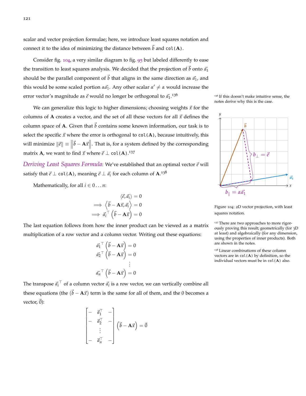scalar and vector projection formulae; here, we introduce least squares notation and connect it to the idea of minimizing the distance between  $\vec{b}$  and col(**A**).

Consider fig. [104](#page-120-0), a very similar diagram to fig. [95](#page-109-0) but labeled differently to ease the transition to least squares analysis. We decided that the projection of  $\vec{b}$  onto  $\vec{a_1}$ should be the parallel component of  $\vec{b}$  that aligns in the same direction as  $\vec{a}_1$ , and this would be some scaled portion  $\alpha \vec{a_1}$ . Any other scalar  $\alpha' \neq \alpha$  would increase the error vector's magnitude as  $\vec{e}$  would no longer be orthogonal to  $\vec{a_1}$ <sup>136</sup>

We can generalize this logic to higher dimensions; choosing weights  $\vec{x}$  for the columns of **A** creates a vector, and the set of all these vectors for all  $\vec{x}$  defines the column space of **A**. Given that  $\vec{b}$  contains some known information, our task is to select the specific  $\vec{x}$  where the error is orthogonal to  $col(A)$ , because intuitively, this will minimize  $\|\vec{e}\| \equiv \|\vec{b} - \mathbf{A}\vec{x}\|$ . That is, for a system defined by the corresponding matrix **A**, we want to find  $\vec{x}$  where  $\vec{e} \perp \text{col}(\mathbf{A})$ .<sup>137</sup>

*Deriving Least Squares Formula*: We've established that an optimal vector  $\vec{e}$  will satisfy that  $\vec{e} \perp \text{col}(\mathbf{A})$ , meaning  $\vec{e} \perp \vec{a_i}$  for each column of  $\mathbf{A}^{.138}$ 

Mathematically, for all  $i \in 0...n$ :

$$
\langle \vec{e}, \vec{a_i} \rangle = 0
$$
  
\n
$$
\implies \langle \vec{b} - A\vec{x}, \vec{a_i} \rangle = 0
$$
  
\n
$$
\implies \vec{a_i}^\top (\vec{b} - A\vec{x}) = 0
$$

The last equation follows from how the inner product can be viewed as a matrix multiplication of a row vector and a column vector. Writing out these equations:

$$
\vec{a}_{1}^{\top} \begin{pmatrix} \vec{b} - A\vec{x} \\ \vec{b} - A\vec{x} \end{pmatrix} = 0
$$

$$
\vec{a}_{2}^{\top} \begin{pmatrix} \vec{b} - A\vec{x} \\ \vec{b} - A\vec{x} \end{pmatrix} = 0
$$

$$
\vdots
$$

$$
\vec{a}_{n}^{\top} \begin{pmatrix} \vec{b} - A\vec{x} \\ \vec{b} - A\vec{x} \end{pmatrix} = 0
$$

The transpose  $\vec{a}_i^{\top}$  of a column vector  $\vec{a}_i$  is a row vector, we can vertically combine all these equations (the  $(\vec{b} - A\vec{x})$  term is the same for all of them, and the 0 becomes a vector,  $\vec{0}$ :

$$
\begin{bmatrix} - & \vec{a}_1^\top & - \\ - & \vec{a}_2^\top & - \\ & \vdots & \\ - & \vec{a}_n^\top & - \end{bmatrix} (\vec{b} - \mathbf{A}\vec{x}) = \vec{0}
$$





<span id="page-120-0"></span>Figure 104: 2D vector projection, with least squares notation.

<sup>137</sup> There are two approaches to more rigorously proving this result; geometrically (for 3D at least) and algebraically (for any dimension, using the properties of inner products). Both are shown in the notes.

<sup>138</sup> Linear combinations of these column vectors are in col(**A**) by definition, so the individual vectors must be in col(**A**) also.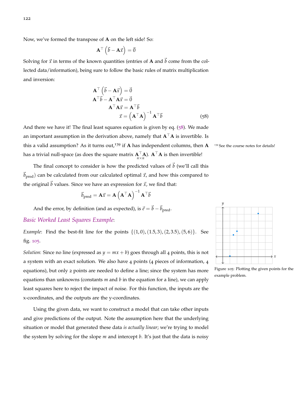Now, we've formed the transpose of **A** on the left side! So:

$$
\mathbf{A}^{\top}(\vec{b}-\mathbf{A}\vec{x})=\vec{0}
$$

Solving for  $\vec{x}$  in terms of the known quantities (entries of **A** and  $\vec{b}$  come from the collected data/information), being sure to follow the basic rules of matrix multiplication and inversion:

$$
\mathbf{A}^{\top} (\vec{b} - \mathbf{A}\vec{x}) = \vec{0}
$$
  
\n
$$
\mathbf{A}^{\top} \vec{b} - \mathbf{A}^{\top} \mathbf{A}\vec{x} = \vec{0}
$$
  
\n
$$
\mathbf{A}^{\top} \mathbf{A}\vec{x} = \mathbf{A}^{\top} \vec{b}
$$
  
\n
$$
\vec{x} = (\mathbf{A}^{\top} \mathbf{A})^{-1} \mathbf{A}^{\top} \vec{b}
$$
 (58)

<span id="page-121-0"></span>And there we have it! The final least squares equation is given by eq.  $(58)$  $(58)$  $(58)$ . We made an important assumption in the derivation above, namely that  $A^T A$  is invertible. Is this a valid assumption? As it turns out,<sup>139</sup> if **A** has independent columns, then  $A$ <sup>139</sup> See the course notes for details! has a trivial null-space (as does the square matrix  $\mathbf{A}_{n\times n}^\top\mathbf{A}$ ).  $\mathbf{A}^\top\mathbf{A}$  is then invertible!

The final concept to consider is how the predicted values of  $\vec{b}$  (we'll call this  $\vec{b}_{\text{pred}}$ ) can be calculated from our calculated optimal  $\vec{x}$ , and how this compared to the original  $\vec{b}$  values. Since we have an expression for  $\vec{x}$ , we find that:

$$
\vec{b}_{\text{pred}} = \mathbf{A}\vec{x} = \mathbf{A}\left(\mathbf{A}^{\top}\mathbf{A}\right)^{-1}\mathbf{A}^{\top}\vec{b}
$$

And the error, by definition (and as expected), is  $\vec{e} = \vec{b} - \vec{b}_{pred}$ .

## *Basic Worked Least Squares Example*:

*Example*: Find the best-fit line for the points  $\{(1,0), (1.5, 3), (2, 3.5), (5, 6)\}$ . See fig. [105](#page-121-1).

*Solution*: Since no line (expressed as  $y = mx + b$ ) goes through all 4 points, this is not a system with an exact solution. We also have 4 points (4 pieces of information, 4 equations), but only 2 points are needed to define a line; since the system has more equations than unknowns (constants *m* and *b* in the equation for a line), we can apply least squares here to reject the impact of noise. For this function, the inputs are the x-coordinates, and the outputs are the y-coordinates.

Using the given data, we want to construct a model that can take other inputs and give predictions of the output. Note the assumption here that the underlying situation or model that generated these data *is actually linear*; we're trying to model the system by solving for the slope *m* and intercept *b*. It's just that the data is noisy



<span id="page-121-1"></span>Figure 105: Plotting the given points for the example problem.

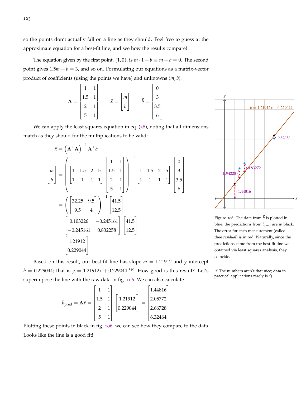so the points don't actually fall on a line as they should. Feel free to guess at the approximate equation for a best-fit line, and see how the results compare!

The equation given by the first point,  $(1, 0)$ , is  $m \cdot 1 + b \equiv m + b = 0$ . The second point gives  $1.5m + b = 3$ , and so on. Formulating our equations as a matrix-vector product of coefficients (using the points we have) and unknowns (*m*, *b*):

$$
\mathbf{A} = \begin{bmatrix} 1 & 1 \\ 1.5 & 1 \\ 2 & 1 \\ 5 & 1 \end{bmatrix} \qquad \vec{x} = \begin{bmatrix} m \\ b \end{bmatrix} \qquad \vec{b} = \begin{bmatrix} 0 \\ 3 \\ 3.5 \\ 6 \end{bmatrix}
$$

We can apply the least squares equation in eq. ([58](#page-121-0)), noting that all dimensions match as they should for the multiplications to be valid:

$$
\vec{x} = (\mathbf{A}^{\top} \mathbf{A})^{-1} \mathbf{A}^{\top} \vec{b}
$$
\n
$$
\begin{bmatrix} m \\ b \end{bmatrix} = \begin{bmatrix} 1 & 1.5 & 2 & 5 \\ 1 & 1 & 1 & 1 \\ 1 & 1 & 1 & 1 \end{bmatrix} \begin{bmatrix} 1 & 1 \\ 2 & 1 \\ 5 & 1 \end{bmatrix} \begin{bmatrix} 1 & 1.5 & 2 & 5 \\ 1 & 1 & 1 & 1 \\ 5 & 1 & 1 \end{bmatrix} \begin{bmatrix} 1 & 1.5 & 2 & 5 \\ 1 & 1 & 1 & 1 \\ 5 & 1 & 1 \end{bmatrix} \begin{bmatrix} 0 \\ 3 \\ 3.5 \\ 6 \end{bmatrix}
$$
\n
$$
= \begin{bmatrix} 32.25 & 9.5 \\ 9.5 & 4 \end{bmatrix} \begin{bmatrix} -1 \\ 12.5 \end{bmatrix}
$$
\n
$$
= \begin{bmatrix} 0.103226 & -0.245161 \\ -0.245161 & 0.832258 \end{bmatrix} \begin{bmatrix} 41.5 \\ 12.5 \end{bmatrix}
$$
\n
$$
= \begin{bmatrix} 1.21912 \\ 0.229044 \end{bmatrix}
$$



<span id="page-122-0"></span>Figure 106: The data from  $\vec{b}$  is plotted in blue, the predictions from  $\vec{b}_{pred}$  are in black. The error for each measurement (called thee *residual*) is in red. Naturally, since the predictions came from the best-fit line we obtained via least squares analysis, they coincide.

practical applications rarely is :'(

Based on this result, our best-fit line has slope  $m = 1.21912$  and y-intercept  $b = 0.229044$ ; that is  $y = 1.21912x + 0.229044$ .<sup>140</sup> How good is this result? Let's <sup>140</sup> The numbers aren't that nice; data in superimpose the line with the raw data in fig. [106](#page-122-0). We can also calculate

$$
\vec{b}_{\text{pred}} = \mathbf{A}\vec{x} = \begin{bmatrix} 1 & 1 \\ 1.5 & 1 \\ 2 & 1 \\ 5 & 1 \end{bmatrix} \begin{bmatrix} 1.21912 \\ 0.229044 \end{bmatrix} = \begin{bmatrix} 1.44816 \\ 2.05772 \\ 2.66728 \\ 6.32464 \end{bmatrix}
$$

Plotting these points in black in fig. [106](#page-122-0), we can see how they compare to the data. Looks like the line is a good fit!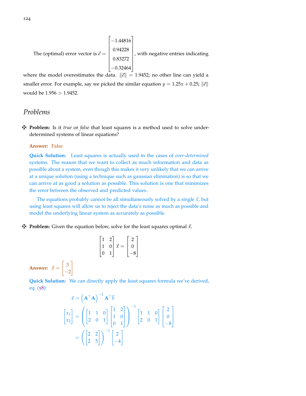The (optimal) error vector is 
$$
\vec{e} = \begin{bmatrix} -1.44816 \\ 0.94228 \\ 0.83272 \\ -0.32464 \end{bmatrix}
$$
, with negative entries indicating

where the model overestimates the data.  $\|\vec{e}\| = 1.9452$ ; no other line can yield a smaller error. For example, say we picked the similar equation  $y = 1.25x + 0.25$ ;  $\|\vec{e}\|$ would be 1.956 > 1.9452.

## *Problems*

z **Problem:** Is it *true* or *false* that least squares is a method used to solve underdetermined systems of linear equations?

## **Answer:** False

**Quick Solution:** Least squares is actually used in the cases of *over-determined* systems. The reason that we want to collect as much information and data as possible about a system, even though this makes it very unlikely that we can arrive at a unique solution (using a technique such as gaussian elimination) is so that we can arrive at as good a solution as possible. This solution is one that minimizes the error between the observed and predicted values.

The equations probably cannot be all simultaneously solved by a single  $\vec{x}$ , but using least squares will allow us to reject the data's noise as much as possible and model the underlying linear system as accurately as possible.

## $\mathbf{\ddot{P}}$  **Problem:** Given the equation below, solve for the least squares optimal  $\vec{x}$ .

|                | $\overline{2}$ |                |    |
|----------------|----------------|----------------|----|
| 1              | $\overline{0}$ | $\vec{x}$<br>= | ï) |
| $\overline{0}$ |                |                |    |

**Answer:**  $\vec{x} =$  $\lceil 3 \rceil$  $-2$ 

1

**Quick Solution:** We can directly apply the least squares formula we've derived, eq. ([58](#page-121-0)):

$$
\vec{x} = (\mathbf{A}^\top \mathbf{A})^{-1} \mathbf{A}^\top \vec{b}
$$
\n
$$
\begin{bmatrix} x_1 \\ x_2 \end{bmatrix} = \left( \begin{bmatrix} 1 & 1 & 0 \\ 2 & 0 & 1 \end{bmatrix} \begin{bmatrix} 1 & 2 \\ 1 & 0 \\ 0 & 1 \end{bmatrix} \right)^{-1} \begin{bmatrix} 1 & 1 & 0 \\ 2 & 0 & 1 \end{bmatrix} \begin{bmatrix} 2 \\ 0 \\ -8 \end{bmatrix}
$$
\n
$$
= \left( \begin{bmatrix} 2 & 2 \\ 2 & 5 \end{bmatrix} \right)^{-1} \begin{bmatrix} 2 \\ -4 \end{bmatrix}
$$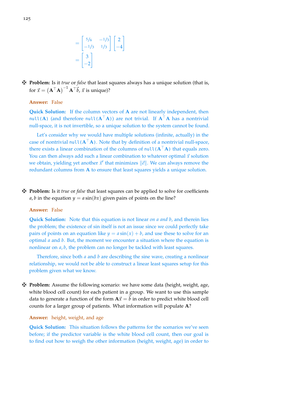$$
= \begin{bmatrix} 5/6 & -1/3 \\ -1/3 & 1/3 \end{bmatrix} \begin{bmatrix} 2 \\ -4 \end{bmatrix}
$$

$$
= \begin{bmatrix} 3 \\ -2 \end{bmatrix}
$$

z **Problem:** Is it *true* or *false* that least squares always has a unique solution (that is, for  $\vec{x} = (\mathbf{A}^\top \mathbf{A})^{-1} \mathbf{A}^\top \vec{b}$ ,  $\vec{x}$  is unique)?

## **Answer:** False

**Quick Solution:** If the column vectors of **A** are not linearly independent, then null(**A**) (and therefore null( $A^{\mathsf{T}}A$ )) are not trivial. If  $A^{\mathsf{T}}A$  has a nontrivial null-space, it is not invertible, so a unique solution to the system cannot be found.

Let's consider why we would have multiple solutions (infinite, actually) in the case of nontrivial null  $(A^T A)$ . Note that by definition of a nontrivial null-space, there exists a linear combination of the columns of  $null(A^{\dagger}A)$  that equals zero. You can then always add such a linear combination to whatever optimal  $\vec{x}$  solution we obtain, yielding yet another  $\vec{x}'$  that minimizes  $\|\vec{e}\|$ . We can always remove the redundant columns from **A** to ensure that least squares yields a unique solution.

 $\ddot{\mathbf{F}}$  **Problem:** Is it *true* or *false* that least squares can be applied to solve for coefficients *a*, *b* in the equation  $y = a \sin(bx)$  given pairs of points on the line?

## **Answer:** False

**Quick Solution:** Note that this equation is not linear *on a and b*, and therein lies the problem; the existence of sin itself is not an issue since we could perfectly take pairs of points on an equation like  $y = a \sin(x) + b$ , and use these to solve for an optimal *a* and *b*. But, the moment we encounter a situation where the equation is nonlinear on *a*, *b*, the problem can no longer be tackled with least squares.

Therefore, since both *a* and *b* are describing the sine wave, creating a nonlinear relationship, we would not be able to construct a linear least squares setup for this problem given what we know.

z **Problem:** Assume the following scenario: we have some data (height, weight, age, white blood cell count) for each patient in a group. We want to use this sample data to generate a function of the form  $A\vec{x} = b$  in order to predict white blood cell counts for a larger group of patients. What information will populate **A**?

## **Answer:** height, weight, and age

**Quick Solution:** This situation follows the patterns for the scenarios we've seen before; if the predictor variable is the white blood cell count, then our goal is to find out how to weigh the other information (height, weight, age) in order to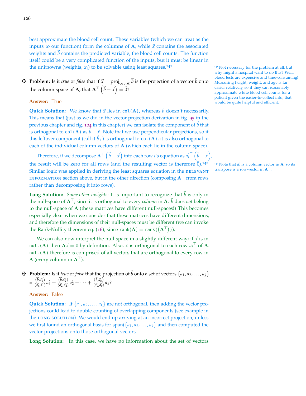best approximate the blood cell count. These variables (which we can treat as the inputs to our function) form the columns of  $A$ , while  $\vec{x}$  contains the associated weights and  $\dot{b}$  contains the predicted variable, the blood cell counts. The function itself could be a very complicated function of the inputs, but it must be linear in the unknowns (weights,  $x_i$ ) to be solvable using least squares.<sup>141</sup> 141 Not necessary for the problem at all, but

## $\mathbf{\vec{F}}$  **Problem:** Is it *true* or *false* that if  $\vec{x} = \text{proj}_{\text{col}(A)} \vec{b}$  is the projection of a vector  $\vec{b}$  onto the column space of **A**, that  $\mathbf{A}^{\top}(\vec{b} - \vec{x}) = \vec{0}$ ?

## **Answer:** True

**Quick Solution:** We know that  $\vec{x}$  lies in col(A), whereas  $\vec{b}$  doesn't necessarily. This means that (just as we did in the vector projection derivation in fig. [95](#page-109-0) in the previous chapter and fig. [104](#page-120-0) in this chapter) we can isolate the component of  $\vec{b}$  that is orthogonal to col(**A**) as  $\vec{b} - \vec{x}$ . Note that we use perpendicular projections, so if this leftover component (call it  $b_{\perp}$ ) is orthogonal to col(**A**), it is also orthogonal to each of the individual column vectors of **A** (which each lie in the column space).

Therefore, if we decompose  $\mathbf{A}^\top\left(\vec{b}-\vec{x}\right)$  into each row *i'*s equation as  $\vec{a_i}^\top\left(\vec{b}-\vec{x}\right)$ , the result will be zero for all rows (and the resulting vector is therefore  $\vec{0}$ ).<sup>142</sup> Similar logic was applied in deriving the least squares equation in the RELEVANT **INFORMATION section above, but in the other direction (composing**  $A^{\dagger}$  **from rows** rather than decomposing it into rows).

**Long Solution:** *Some other insights*: It is important to recognize that  $\vec{b}$  is only in the null-space of  $A^{\top}$ , since it is orthogonal to every *column* in A.  $\bar{b}$  does *not* belong to the null-space of **A** (these matrices have different null-spaces!) This becomes especially clear when we consider that these matrices have different dimensions, and therefore the dimensions of their null-spaces must be different (we can invoke the Rank-Nullity theorem eq. ([16](#page-37-0)), since  $rank(A) = rank(\vec{A}^T)$ ).

We can also now interpret the null-space in a slightly different way; if  $\vec{x}$  is in null(**A**) then  $A\vec{x} = 0$  by definition. Also,  $\vec{x}$  is orthogonal to each row  $\vec{a_i}^{\top}$  of  $A$ . null(A) therefore is comprised of all vectors that are orthogonal to every row in **A** (every column in  $A^{\dagger}$ ).

 $\mathbf{\ddot{P}}$  **Problem:** Is it *true* or *false* that the projection of  $\vec{b}$  onto a set of vectors  $\{a_1, a_2, \ldots, a_k\}$  $=\frac{\langle \vec{b}, \vec{a_1} \rangle}{\langle \vec{a_1}, \vec{a_1} \rangle}$  $\frac{\left\langle \vec{b} , \vec{a_1} \right\rangle}{\left\langle \vec{a_1} , \vec{a_1} \right\rangle} \vec{a_1} + \frac{\left\langle \vec{b} , \vec{a_2} \right\rangle}{\left\langle \vec{a_2} , \vec{a_2} \right\rangle}$  $\frac{\langle \vec{b}, \vec{a_2} \rangle}{\langle \vec{a_2}, \vec{a_2} \rangle} \vec{a_2} + \cdots + \frac{\langle \vec{b}, \vec{a_k} \rangle}{\langle \vec{a_k}, \vec{a_k} \rangle}$  $\frac{\sqrt{a^2_k a^2_k}}{\langle \vec{a_k}, \vec{a_k} \rangle} \vec{a_k}$ ?

## **Answer:** False

**Quick Solution:** If  $\{a_1, a_2, \ldots, a_k\}$  are not orthogonal, then adding the vector projections could lead to double-counting of overlapping components (see example in the long solution). We would end up arriving at an incorrect projection, unless we first found an orthogonal basis for span( $\{a_1, a_2, \ldots, a_k\}$  and then computed the vector projections onto those orthogonal vectors.

**Long Solution:** In this case, we have no information about the set of vectors

why might a hospital want to do this? Well, blood tests are expensive and time-consuming! Measuring height, weight, and age is far easier relatively, so if they can reasonably approximate white blood cell counts for a patient given the easier-to-collect info, that would be quite helpful and efficient.

<sup>142</sup> Note that  $\vec{a}_i$  is a column vector in **A**, so its transpose is a row-vector in  $A^T$ .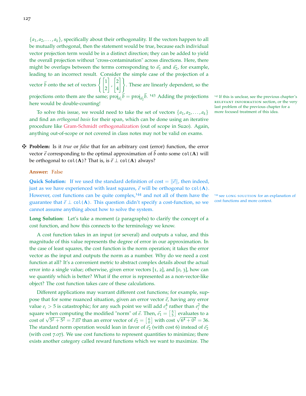$\{a_1, a_2, \ldots, a_k\}$ , specifically about their orthogonality. If the vectors happen to all be mutually orthogonal, then the statement would be true, because each individual vector projection term would be in a distinct direction; they can be added to yield the overall projection without "cross-contamination" across directions. Here, there might be overlaps between the terms corresponding to  $\vec{a}_1$  and  $\vec{a}_2$ , for example, leading to an incorrect result. Consider the simple case of the projection of a vector  $\vec{b}$  onto the set of vectors  $\begin{cases} 1 \\ 2 \end{cases}$ 1 ,  $\sqrt{2}$ 4 #). These are linearly dependent, so the projections onto them are the same;  $\text{proj}_{\vec{a_1}} \vec{b} = \text{proj}_{\vec{a_2}} \vec{b}$ . <sup>143</sup> Adding the projections <sup>143</sup> If this is unclear, see the previous chapter's here would be double-counting!

To solve this issue, we would need to take the set of vectors  $\{a_1, a_2, \ldots, a_k\}$ and find an *orthogonal basis* for their span, which can be done using an iterative procedure like [Gram-Schmidt orthogonalization](https://en.wikipedia.org/wiki/Gram%E2%80%93Schmidt_process) (out of scope in Su20). Again, anything out-of-scope or not covered in class notes may not be valid on exams.

z **Problem:** Is it *true* or *false* that for an arbitrary cost (error) function, the error vector  $\vec{e}$  corresponding to the optimal approximation of  $\vec{b}$  onto some col(**A**) will be orthogonal to  $col(A)$ ? That is, is  $\vec{e} \perp col(A)$  always?

## **Answer:** False

**Quick Solution:** If we used the standard definition of cost  $= ||\vec{e}||$ , then indeed, just as we have experienced with least squares,  $\vec{e}$  will be orthogonal to col(A). However, cost functions can be quite complex,<sup>144</sup> and not all of them have the <sup>144</sup> see LONG SOLUTION for an explanation of **guaranto** that  $\vec{a} \perp \text{col}(\Lambda)$ . This question didn't enotify a cost function so we cost fun guarantee that  $\vec{e} \perp \text{col}(\mathbf{A})$ . This question didn't specify a cost-function, so we cannot assume anything about how to solve the system.

**Long Solution:** Let's take a moment (2 paragraphs) to clarify the concept of a cost function, and how this connects to the terminology we know.

A cost function takes in an input (or several) and outputs a value, and this magnitude of this value represents the degree of error in our approximation. In the case of least squares, the cost function is the norm operation; it takes the error vector as the input and outputs the norm as a number. Why do we need a cost function at all? It's a convenient metric to abstract complex details about the actual error into a single value; otherwise, given error vectors [1, 2], and [0, 3], how can we quantify which is better? What if the error is represented as a non-vector-like object? The cost function takes care of these calculations.

Different applications may warrant different cost functions; for example, suppose that for some nuanced situation, given an error vector  $\vec{e}$ , having any error value  $e_i > 5$  is catastrophic; for any such point we will add  $e_i^4$  rather than  $e_i^2$  the square when computing the modified "norm" of  $\vec{e}$ . Then,  $\vec{e}_1 = \begin{bmatrix} 5 \\ 5 \end{bmatrix}$  evaluates to a square when computing the modified norm of  $\vec{e_2} = \begin{bmatrix} 6 \\ 0 \end{bmatrix}$  with cost  $\sqrt{6^4 + 0^2} = 36$ . The standard norm operation would lean in favor of  $\vec{e}_2$  (with cost 6) instead of  $\vec{e}_2$ (with cost 7.07). We use cost functions to represent quantities to minimize; there exists another category called reward functions which we want to maximize. The

<sup>143</sup> If this is unclear, see the previous chapter's RELEVANT INFORMATION section, or the very last problem of the previous chapter for a more focused treatment of this idea.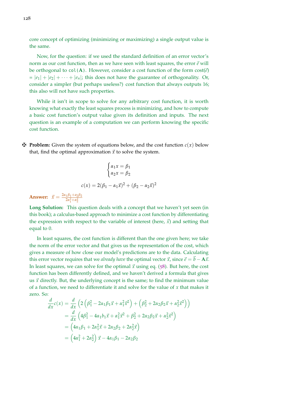core concept of optimizing (minimizing or maximizing) a single output value is the same.

Now, for the question: if we used the standard definition of an error vector's norm as our cost function, then as we have seen with least squares, the error  $\vec{e}$  will be orthogonal to  $col(A)$ . However, consider a cost function of the form  $cost(\vec{e})$  $= |e_1| + |e_2| + \cdots + |e_n|$ ; this does not have the guarantee of orthogonality. Or, consider a simpler (but perhaps useless?) cost function that always outputs 16; this also will not have such properties.

While it isn't in scope to solve for any arbitrary cost function, it is worth knowing what exactly the least squares process is minimizing, and how to compute a basic cost function's output value given its definition and inputs. The next question is an example of a computation we can perform knowing the specific cost function.

 $\mathbf{\ddot{H}}$  **Problem:** Given the system of equations below, and the cost function  $c(x)$  below that, find the optimal approximation  $\vec{x}$  to solve the system.

$$
\begin{cases}\n\alpha_1 x = \beta_1 \\
\alpha_2 x = \beta_2\n\end{cases}
$$
\n
$$
c(x) = 2(\beta_1 - \alpha_1 \vec{x})^2 + (\beta_2 - \alpha_2 \vec{x})^2
$$

**Answer:**  $\vec{x} = \frac{2\alpha_1\beta_1 + a_2\beta_2}{2\alpha^2 + \alpha^2}$  $2\alpha_1^2 + \alpha_2^2$ 

**Long Solution:** This question deals with a concept that we haven't yet seen (in this book); a calculus-based approach to minimize a cost function by differentiating the expression with respect to the variable of interest (here,  $\vec{x}$ ) and setting that equal to 0.

In least squares, the cost function is different than the one given here; we take the norm of the error vector and that gives us the representation of the cost, which gives a measure of how close our model's predictions are to the data. Calculating this error vector requires that we *already have* the optimal vector  $\vec{x}$ , since  $\vec{e} = \vec{b} - A\vec{x}$ . In least squares, we can solve for the optimal  $\vec{x}$  using eq. ([58](#page-121-0)). But here, the cost function has been differently defined, and we haven't derived a formula that gives us  $\vec{x}$  directly. But, the underlying concept is the same; to find the minimum value of a function, we need to differentiate it and solve for the value of *x* that makes it zero. So:

$$
\frac{d}{dx}c(x) = \frac{d}{dx}\left(2\left(\beta_1^2 - 2\alpha_1\beta_1\vec{x} + \alpha_1^2\vec{x}^2\right) + \left(\beta_2^2 + 2\alpha_2\beta_2\vec{x} + \alpha_2^2\vec{x}^2\right)\right)
$$
\n
$$
= \frac{d}{dx}\left(4\beta_1^2 - 4\alpha_1b_1\vec{x} + \alpha_1^2\vec{x}^2 + \beta_2^2 + 2\alpha_2\beta_2\vec{x} + \alpha_2^2\vec{x}^2\right)
$$
\n
$$
= \left(4\alpha_1\beta_1 + 2\alpha_1^2\vec{x} + 2\alpha_2\beta_2 + 2\alpha_2^2\vec{x}\right)
$$
\n
$$
= \left(4\alpha_1^2 + 2\alpha_2^2\right)\vec{x} - 4\alpha_1\beta_1 - 2\alpha_2\beta_2
$$